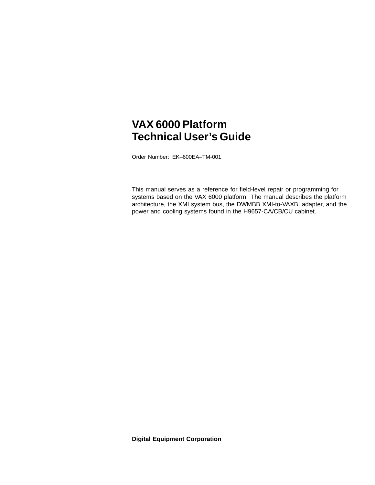# **VAX 6000 Platform Technical User's Guide**

Order Number: EK–600EA–TM-001

This manual serves as a reference for field-level repair or programming for systems based on the VAX 6000 platform. The manual describes the platform architecture, the XMI system bus, the DWMBB XMI-to-VAXBI adapter, and the power and cooling systems found in the H9657-CA/CB/CU cabinet.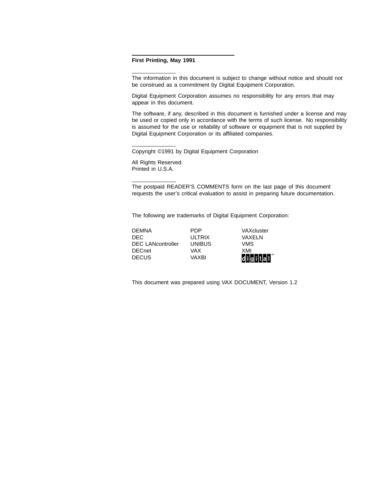#### **First Printing, May 1991**

The information in this document is subject to change without notice and should not be construed as a commitment by Digital Equipment Corporation.

Digital Equipment Corporation assumes no responsibility for any errors that may appear in this document.

The software, if any, described in this document is furnished under a license and may be used or copied only in accordance with the terms of such license. No responsibility is assumed for the use or reliability of software or equipment that is not supplied by Digital Equipment Corporation or its affiliated companies.

Copyright ©1991 by Digital Equipment Corporation

All Rights Reserved. Printed in U.S.A.

The postpaid READER'S COMMENTS form on the last page of this document requests the user's critical evaluation to assist in preparing future documentation.

The following are trademarks of Digital Equipment Corporation:

DEMNA PDP VAXcluster DEC ULTRIX VAXELN DEC LANcontroller UNIBUS VMS DECnet VAX XMI DECUS VAXBI digital

This document was prepared using VAX DOCUMENT, Version 1.2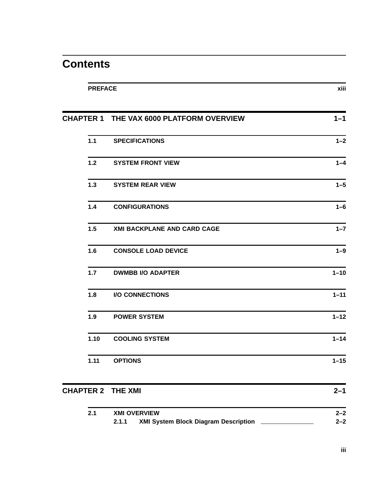# **Contents**

| <b>PREFACE</b> |                                          | xiii     |
|----------------|------------------------------------------|----------|
|                | CHAPTER 1 THE VAX 6000 PLATFORM OVERVIEW | $1 - 1$  |
| $1.1$          | <b>SPECIFICATIONS</b>                    | $1 - 2$  |
| $1.2$          | <b>SYSTEM FRONT VIEW</b>                 | $1 - 4$  |
| $1.3$          | <b>SYSTEM REAR VIEW</b>                  | $1 - 5$  |
| $1.4$          | <b>CONFIGURATIONS</b>                    | $1-6$    |
| 1.5            | XMI BACKPLANE AND CARD CAGE              | $1 - 7$  |
| 1.6            | <b>CONSOLE LOAD DEVICE</b>               | $1 - 9$  |
| 1.7            | <b>DWMBB I/O ADAPTER</b>                 | $1 - 10$ |
| 1.8            | <b>I/O CONNECTIONS</b>                   | $1 - 11$ |
| 1.9            | <b>POWER SYSTEM</b>                      | $1 - 12$ |
| 1.10           | <b>COOLING SYSTEM</b>                    | $1 - 14$ |
| 1.11           | <b>OPTIONS</b>                           | $1 - 15$ |
|                | <b>CHAPTER 2 THE XMI</b>                 | $2 - 1$  |
|                |                                          |          |

| 2.1 | <b>XMI OVERVIEW</b>                         | 2–2     |
|-----|---------------------------------------------|---------|
|     | <b>XMI System Block Diagram Description</b> | $2 - 2$ |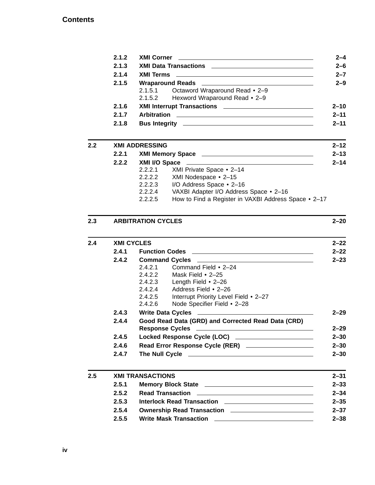#### **Contents**

|                  | 2.1.2 | <b>XMI Corner</b><br><u> 1989 - Johann Stein, mars an deutscher Stein und der Stein und der Stein und der Stein und der Stein und der</u> | $2 - 4$  |
|------------------|-------|-------------------------------------------------------------------------------------------------------------------------------------------|----------|
|                  | 2.1.3 | XMI Data Transactions                                                                                                                     | $2 - 6$  |
|                  | 2.1.4 |                                                                                                                                           | $2 - 7$  |
|                  | 2.1.5 |                                                                                                                                           | $2 - 9$  |
|                  |       | Octaword Wraparound Read • 2-9<br>2.1.5.1<br>2.1.5.2 Hexword Wraparound Read • 2-9                                                        |          |
|                  | 2.1.6 |                                                                                                                                           | $2 - 10$ |
|                  | 2.1.7 |                                                                                                                                           | $2 - 11$ |
|                  | 2.1.8 |                                                                                                                                           | $2 - 11$ |
| $2.2\phantom{0}$ |       | <b>XMI ADDRESSING</b>                                                                                                                     | $2 - 12$ |
|                  | 2.2.1 |                                                                                                                                           | $2 - 13$ |
|                  | 2.2.2 |                                                                                                                                           | $2 - 14$ |
|                  |       | XMI Private Space • 2-14<br>2.2.2.1                                                                                                       |          |
|                  |       | XMI Nodespace • 2-15<br>2.2.2.2                                                                                                           |          |
|                  |       | I/O Address Space • 2-16<br>2.2.2.3                                                                                                       |          |

2.2.2.4 VAXBI Adapter I/O Address Space • 2–16

2.2.2.5 How to Find a Register in VAXBI Address Space • 2–17

#### **2.3 ARBITRATION CYCLES 2–20**

| 2.4     | <b>XMI CYCLES</b> |                                                                                          |          |
|---------|-------------------|------------------------------------------------------------------------------------------|----------|
|         | 2.4.1             |                                                                                          | $2 - 22$ |
|         | 2.4.2             | Command Cycles <u>___________________________________</u>                                | $2 - 23$ |
|         |                   | Command Field • 2-24<br>2.4.2.1                                                          |          |
|         |                   | Mask Field $\cdot$ 2-25<br>2.4.2.2                                                       |          |
|         |                   | 2.4.2.3 Length Field • 2-26                                                              |          |
|         |                   | Address Field • 2-26<br>2.4.2.4                                                          |          |
|         |                   | Interrupt Priority Level Field • 2-27<br>2.4.2.5                                         |          |
|         |                   | 2.4.2.6<br>Node Specifier Field • 2-28                                                   |          |
|         | 2.4.3             |                                                                                          | $2 - 29$ |
|         | 2.4.4             | Good Read Data (GRD) and Corrected Read Data (CRD)                                       | $2 - 29$ |
|         | 2.4.5             | Locked Response Cycle (LOC) ______________________                                       | $2 - 30$ |
|         | 2.4.6             | Read Error Response Cycle (RER) _____________________                                    | $2 - 30$ |
|         | 2.4.7             |                                                                                          | $2 - 30$ |
| $2.5\,$ |                   | <b>XMI TRANSACTIONS</b>                                                                  | $2 - 31$ |
|         | 2.5.1             |                                                                                          | $2 - 33$ |
|         | 2.5.2             |                                                                                          | $2 - 34$ |
|         | 2.5.3             | Interlock Read Transaction <b>contained a manufacture of the Contract August</b>         | $2 - 35$ |
|         | 2.5.4             |                                                                                          | $2 - 37$ |
|         | 2.5.5             | <b>Write Mask Transaction</b><br><u> 1990 - Johann Barbara, martin amerikan basar da</u> | $2 - 38$ |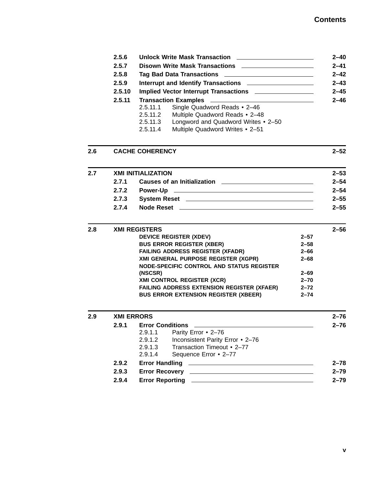|     | 2.5.6<br>2.5.7<br>2.5.8<br>2.5.9<br>2.5.10<br>2.5.11 | Unlock Write Mask Transaction ________________________<br>Disown Write Mask Transactions <b>National Contract Property</b><br>Interrupt and Identify Transactions _____________________<br>Implied Vector Interrupt Transactions __________________<br><b>Transaction Examples</b><br><u> 1989 - Johann Barbara, martxa alemaniar a</u><br>Single Quadword Reads • 2-46<br>2.5.11.1<br>Multiple Quadword Reads • 2-48<br>2.5.11.2<br>Longword and Quadword Writes • 2-50<br>2.5.11.3<br>Multiple Quadword Writes • 2-51<br>2.5.11.4 |          | 2–40<br>$2 - 41$<br>$2 - 42$<br>$2 - 43$<br>$2 - 45$<br>$2 - 46$ |
|-----|------------------------------------------------------|-------------------------------------------------------------------------------------------------------------------------------------------------------------------------------------------------------------------------------------------------------------------------------------------------------------------------------------------------------------------------------------------------------------------------------------------------------------------------------------------------------------------------------------|----------|------------------------------------------------------------------|
| 2.6 |                                                      | <b>CACHE COHERENCY</b>                                                                                                                                                                                                                                                                                                                                                                                                                                                                                                              |          | $2 - 52$                                                         |
| 2.7 |                                                      | <b>XMI INITIALIZATION</b>                                                                                                                                                                                                                                                                                                                                                                                                                                                                                                           |          | $2 - 53$                                                         |
|     | 2.7.1                                                |                                                                                                                                                                                                                                                                                                                                                                                                                                                                                                                                     |          | $2 - 54$                                                         |
|     | 2.7.2                                                | Power-Up<br><u> 2000 - Jan James James Barnett, amerikansk politik (d. 1878)</u>                                                                                                                                                                                                                                                                                                                                                                                                                                                    |          | $2 - 54$                                                         |
|     | 2.7.3                                                |                                                                                                                                                                                                                                                                                                                                                                                                                                                                                                                                     |          | $2 - 55$                                                         |
|     | 2.7.4                                                |                                                                                                                                                                                                                                                                                                                                                                                                                                                                                                                                     |          | $2 - 55$                                                         |
| 2.8 | <b>XMI REGISTERS</b>                                 |                                                                                                                                                                                                                                                                                                                                                                                                                                                                                                                                     |          | $2 - 56$                                                         |
|     |                                                      | <b>DEVICE REGISTER (XDEV)</b>                                                                                                                                                                                                                                                                                                                                                                                                                                                                                                       | $2 - 57$ |                                                                  |
|     |                                                      | <b>BUS ERROR REGISTER (XBER)</b>                                                                                                                                                                                                                                                                                                                                                                                                                                                                                                    | $2 - 58$ |                                                                  |
|     |                                                      | <b>FAILING ADDRESS REGISTER (XFADR)</b>                                                                                                                                                                                                                                                                                                                                                                                                                                                                                             | $2 - 66$ |                                                                  |
|     |                                                      | XMI GENERAL PURPOSE REGISTER (XGPR)<br>NODE-SPECIFIC CONTROL AND STATUS REGISTER                                                                                                                                                                                                                                                                                                                                                                                                                                                    | $2 - 68$ |                                                                  |
|     |                                                      | (NSCSR)                                                                                                                                                                                                                                                                                                                                                                                                                                                                                                                             | $2 - 69$ |                                                                  |
|     |                                                      | <b>XMI CONTROL REGISTER (XCR)</b>                                                                                                                                                                                                                                                                                                                                                                                                                                                                                                   | $2 - 70$ |                                                                  |
|     |                                                      | FAILING ADDRESS EXTENSION REGISTER (XFAER)                                                                                                                                                                                                                                                                                                                                                                                                                                                                                          | $2 - 72$ |                                                                  |
|     |                                                      | <b>BUS ERROR EXTENSION REGISTER (XBEER)</b>                                                                                                                                                                                                                                                                                                                                                                                                                                                                                         | $2 - 74$ |                                                                  |
| 2.9 |                                                      | <b>XMI ERRORS</b>                                                                                                                                                                                                                                                                                                                                                                                                                                                                                                                   |          | $2 - 76$                                                         |
|     |                                                      | 2.9.1 Error Conditions                                                                                                                                                                                                                                                                                                                                                                                                                                                                                                              |          | $2 - 76$                                                         |
|     |                                                      | 2.9.1.1<br>Parity Error • 2-76                                                                                                                                                                                                                                                                                                                                                                                                                                                                                                      |          |                                                                  |
|     |                                                      | 2.9.1.2<br>Inconsistent Parity Error • 2-76                                                                                                                                                                                                                                                                                                                                                                                                                                                                                         |          |                                                                  |
|     |                                                      | Transaction Timeout • 2-77<br>2.9.1.3                                                                                                                                                                                                                                                                                                                                                                                                                                                                                               |          |                                                                  |
|     |                                                      | Sequence Error • 2-77<br>2.9.1.4                                                                                                                                                                                                                                                                                                                                                                                                                                                                                                    |          |                                                                  |
|     | 2.9.2                                                |                                                                                                                                                                                                                                                                                                                                                                                                                                                                                                                                     |          | $2 - 78$                                                         |
|     | 2.9.3                                                | <b>Error Recovery</b><br><u> 1989 - Johann Barbara, martin amerikan basal dan berasal dan berasal dalam basal dalam basal dalam basal dala</u>                                                                                                                                                                                                                                                                                                                                                                                      |          | $2 - 79$                                                         |
|     | 2.9.4                                                |                                                                                                                                                                                                                                                                                                                                                                                                                                                                                                                                     |          | $2 - 79$                                                         |

**v**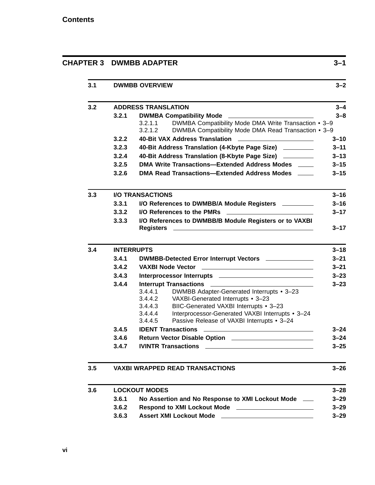| 3.1 |       | <b>DWMBB OVERVIEW</b>                                                                                                                                                                                                                |
|-----|-------|--------------------------------------------------------------------------------------------------------------------------------------------------------------------------------------------------------------------------------------|
| 3.2 |       | <b>ADDRESS TRANSLATION</b>                                                                                                                                                                                                           |
|     | 3.2.1 | <b>DWMBA Compatibility Mode</b>                                                                                                                                                                                                      |
|     |       | DWMBA Compatibility Mode DMA Write Transaction • 3-9<br>3.2.1.1<br>DWMBA Compatibility Mode DMA Read Transaction • 3-9<br>3.2.1.2                                                                                                    |
|     | 3.2.2 | 40-Bit VAX Address Translation                                                                                                                                                                                                       |
|     | 3.2.3 | 40-Bit Address Translation (4-Kbyte Page Size) ________                                                                                                                                                                              |
|     | 3.2.4 | 40-Bit Address Translation (8-Kbyte Page Size) ________                                                                                                                                                                              |
|     | 3.2.5 | DMA Write Transactions-Extended Address Modes ____                                                                                                                                                                                   |
|     | 3.2.6 | DMA Read Transactions-Extended Address Modes ____                                                                                                                                                                                    |
| 3.3 |       | <b>I/O TRANSACTIONS</b>                                                                                                                                                                                                              |
|     | 3.3.1 | I/O References to DWMBB/A Module Registers ________                                                                                                                                                                                  |
|     | 3.3.2 | I/O References to the PMRs<br>the contract of the contract of the contract of the contract of                                                                                                                                        |
|     | 3.3.3 | I/O References to DWMBB/B Module Registers or to VAXBI                                                                                                                                                                               |
| 3.4 |       | <b>INTERRUPTS</b>                                                                                                                                                                                                                    |
|     | 3.4.1 | DWMBB-Detected Error Interrupt Vectors ______________                                                                                                                                                                                |
|     | 3.4.2 | <b>VAXBI Node Vector</b>                                                                                                                                                                                                             |
|     | 3.4.3 | Interprocessor Interrupts <b>contained a manufacturer of the contact of the contact of the contact of the contact of the contact of the contact of the contact of the contact of the contact of the contact of the contact of th</b> |
|     | 3.4.4 |                                                                                                                                                                                                                                      |
|     |       | 3.4.4.1<br>DWMBB Adapter-Generated Interrupts • 3-23<br>VAXBI-Generated Interrupts • 3-23<br>3.4.4.2                                                                                                                                 |
|     |       | BIIC-Generated VAXBI Interrupts • 3-23<br>3.4.4.3                                                                                                                                                                                    |
|     |       | Interprocessor-Generated VAXBI Interrupts • 3-24<br>3.4.4.4<br>Passive Release of VAXBI Interrupts • 3-24<br>3.4.4.5                                                                                                                 |
|     | 3.4.5 |                                                                                                                                                                                                                                      |
|     | 3.4.6 |                                                                                                                                                                                                                                      |
|     | 3.4.7 | <b>IVINTR Transactions</b><br><u> 1989 - Johann Barbara, martin amerikan basal dan berasal dan berasal dalam basal dan berasal dan berasal dan</u>                                                                                   |
|     |       |                                                                                                                                                                                                                                      |
| 3.5 |       | <b>VAXBI WRAPPED READ TRANSACTIONS</b>                                                                                                                                                                                               |
| 3.6 |       | <b>LOCKOUT MODES</b>                                                                                                                                                                                                                 |
|     | 3.6.1 | No Assertion and No Response to XMI Lockout Mode ___                                                                                                                                                                                 |
|     | 3.6.2 |                                                                                                                                                                                                                                      |
|     |       |                                                                                                                                                                                                                                      |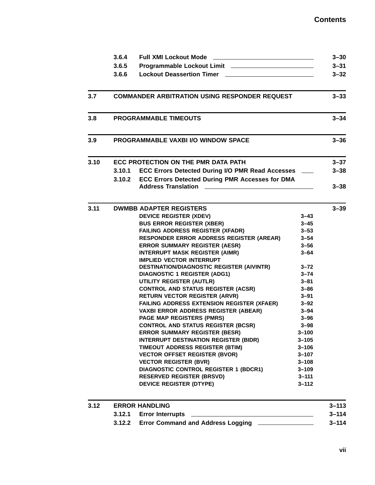|      | 3.6.4  | <b>Full XMI Lockout Mode</b>                                                 |                        | $3 - 30$  |
|------|--------|------------------------------------------------------------------------------|------------------------|-----------|
|      | 3.6.5  |                                                                              |                        | $3 - 31$  |
|      | 3.6.6  | <b>Lockout Deassertion Timer</b>                                             |                        | $3 - 32$  |
| 3.7  |        | <b>COMMANDER ARBITRATION USING RESPONDER REQUEST</b>                         |                        | $3 - 33$  |
|      |        |                                                                              |                        |           |
| 3.8  |        | <b>PROGRAMMABLE TIMEOUTS</b>                                                 |                        | $3 - 34$  |
| 3.9  |        | <b>PROGRAMMABLE VAXBI I/O WINDOW SPACE</b>                                   |                        | $3 - 36$  |
| 3.10 |        | ECC PROTECTION ON THE PMR DATA PATH                                          |                        | $3 - 37$  |
|      | 3.10.1 | ECC Errors Detected During I/O PMR Read Accesses ___                         |                        | $3 - 38$  |
|      |        | 3.10.2 ECC Errors Detected During PMR Accesses for DMA                       |                        |           |
|      |        | <b>Address Translation</b>                                                   |                        | $3 - 38$  |
| 3.11 |        | <b>DWMBB ADAPTER REGISTERS</b>                                               |                        | $3 - 39$  |
|      |        | <b>DEVICE REGISTER (XDEV)</b>                                                | $3 - 43$               |           |
|      |        | <b>BUS ERROR REGISTER (XBER)</b>                                             | $3 - 45$               |           |
|      |        | <b>FAILING ADDRESS REGISTER (XFADR)</b>                                      | $3 - 53$               |           |
|      |        | RESPONDER ERROR ADDRESS REGISTER (AREAR)                                     | $3 - 54$               |           |
|      |        | <b>ERROR SUMMARY REGISTER (AESR)</b>                                         | $3 - 56$               |           |
|      |        | <b>INTERRUPT MASK REGISTER (AIMR)</b>                                        | $3 - 64$               |           |
|      |        | <b>IMPLIED VECTOR INTERRUPT</b><br>DESTINATION/DIAGNOSTIC REGISTER (AIVINTR) | $3 - 72$               |           |
|      |        | <b>DIAGNOSTIC 1 REGISTER (ADG1)</b>                                          | $3 - 74$               |           |
|      |        | <b>UTILITY REGISTER (AUTLR)</b>                                              | $3 - 81$               |           |
|      |        | <b>CONTROL AND STATUS REGISTER (ACSR)</b>                                    | $3 - 86$               |           |
|      |        | <b>RETURN VECTOR REGISTER (ARVR)</b>                                         | $3 - 91$               |           |
|      |        | FAILING ADDRESS EXTENSION REGISTER (XFAER)                                   | $3 - 92$               |           |
|      |        | <b>VAXBI ERROR ADDRESS REGISTER (ABEAR)</b>                                  | $3 - 94$               |           |
|      |        | <b>PAGE MAP REGISTERS (PMRS)</b>                                             | $3 - 96$               |           |
|      |        | <b>CONTROL AND STATUS REGISTER (BCSR)</b>                                    | $3 - 98$               |           |
|      |        | <b>ERROR SUMMARY REGISTER (BESR)</b>                                         | $3 - 100$              |           |
|      |        | <b>INTERRUPT DESTINATION REGISTER (BIDR)</b>                                 | $3 - 105$              |           |
|      |        | <b>TIMEOUT ADDRESS REGISTER (BTIM)</b>                                       | $3 - 106$              |           |
|      |        | <b>VECTOR OFFSET REGISTER (BVOR)</b>                                         | $3 - 107$              |           |
|      |        | <b>VECTOR REGISTER (BVR)</b>                                                 | $3 - 108$              |           |
|      |        | <b>DIAGNOSTIC CONTROL REGISTER 1 (BDCR1)</b>                                 | $3 - 109$              |           |
|      |        | <b>RESERVED REGISTER (BRSVD)</b>                                             | $3 - 111$<br>$3 - 112$ |           |
|      |        | <b>DEVICE REGISTER (DTYPE)</b>                                               |                        |           |
| 3.12 |        | <b>ERROR HANDLING</b>                                                        |                        | $3 - 113$ |
|      | 3.12.1 | <b>Error Interrupts</b>                                                      |                        | $3 - 114$ |
|      | 3.12.2 | <b>Error Command and Address Logging</b>                                     |                        | $3 - 114$ |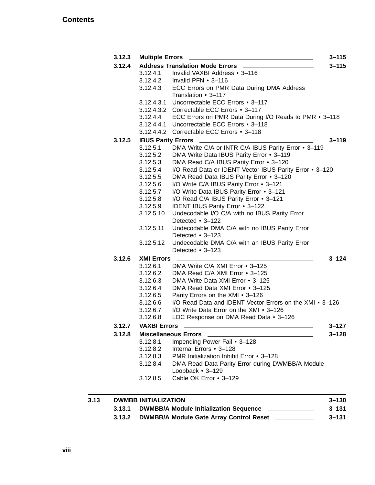| 3.12.3 |                           | Multiple Errors ______                                                             | $3 - 115$ |
|--------|---------------------------|------------------------------------------------------------------------------------|-----------|
| 3.12.4 |                           | <b>Address Translation Mode Errors _____</b>                                       | $3 - 115$ |
|        |                           | 3.12.4.1 Invalid VAXBI Address • 3-116                                             |           |
|        |                           | 3.12.4.2 Invalid PFN • 3–116<br>3.12.4.3 ECC Errors on PMR Data During DMA Address |           |
|        |                           |                                                                                    |           |
|        |                           | Translation • 3-117                                                                |           |
|        |                           | 3.12.4.3.1 Uncorrectable ECC Errors . 3-117                                        |           |
|        |                           | 3.12.4.3.2 Correctable ECC Errors • 3-117                                          |           |
|        | 3.12.4.4                  | ECC Errors on PMR Data During I/O Reads to PMR • 3-118                             |           |
|        | 3.12.4.4.1                | Uncorrectable ECC Errors • 3-118                                                   |           |
|        |                           | 3.12.4.4.2 Correctable ECC Errors • 3-118                                          |           |
| 3.12.5 | <b>IBUS Parity Errors</b> |                                                                                    | $3 - 119$ |
|        | 3.12.5.1                  | DMA Write C/A or INTR C/A IBUS Parity Error • 3-119                                |           |
|        | 3.12.5.2                  | DMA Write Data IBUS Parity Error • 3-119                                           |           |
|        | 3.12.5.3                  | DMA Read C/A IBUS Parity Error • 3-120                                             |           |
|        | 3.12.5.4                  | I/O Read Data or IDENT Vector IBUS Parity Error • 3-120                            |           |
|        | 3.12.5.5                  | DMA Read Data IBUS Parity Error • 3-120                                            |           |
|        | 3.12.5.6                  | I/O Write C/A IBUS Parity Error • 3-121                                            |           |
|        | 3.12.5.7                  | I/O Write Data IBUS Parity Error • 3-121                                           |           |
|        | 3.12.5.8                  | I/O Read C/A IBUS Parity Error • 3-121                                             |           |
|        | 3.12.5.9                  | IDENT IBUS Parity Error • 3-122                                                    |           |
|        | 3.12.5.10                 | Undecodable I/O C/A with no IBUS Parity Error                                      |           |
|        |                           | Detected • 3-122                                                                   |           |
|        | 3.12.5.11                 | Undecodable DMA C/A with no IBUS Parity Error                                      |           |
|        |                           | Detected • 3-123                                                                   |           |
|        | 3.12.5.12                 | Undecodable DMA C/A with an IBUS Parity Error                                      |           |
|        |                           | Detected • 3-123                                                                   |           |
| 3.12.6 | <b>XMI Errors</b>         |                                                                                    | $3 - 124$ |
|        | 3.12.6.1                  | DMA Write C/A XMI Error • 3-125                                                    |           |
|        | 3.12.6.2                  | DMA Read C/A XMI Error • 3-125                                                     |           |
|        | 3.12.6.3                  | DMA Write Data XMI Error • 3-125                                                   |           |
|        | 3.12.6.4                  | DMA Read Data XMI Error • 3-125                                                    |           |
|        | 3.12.6.5                  | Parity Errors on the XMI • 3-126                                                   |           |
|        | 3.12.6.6                  | I/O Read Data and IDENT Vector Errors on the XMI • 3-126                           |           |
|        | 3.12.6.7                  | I/O Write Data Error on the XMI • 3-126                                            |           |
|        | 3.12.6.8                  | LOC Response on DMA Read Data • 3-126                                              |           |
| 3.12.7 | <b>VAXBI Errors</b>       |                                                                                    | $3 - 127$ |
| 3.12.8 |                           | <b>Miscellaneous Errors</b>                                                        | $3 - 128$ |
|        | 3.12.8.1                  | Impending Power Fail • 3-128                                                       |           |
|        | 3.12.8.2                  | Internal Errors • 3-128                                                            |           |
|        | 3.12.8.3                  | PMR Initialization Inhibit Error • 3-128                                           |           |
|        | 3.12.8.4                  | DMA Read Data Parity Error during DWMBB/A Module                                   |           |
|        |                           | Loopback • 3-129                                                                   |           |
|        | 3.12.8.5                  | Cable OK Error • 3-129                                                             |           |
|        |                           |                                                                                    |           |

| 3.13 |        | <b>DWMBB INITIALIZATION</b>                    | $3 - 130$ |
|------|--------|------------------------------------------------|-----------|
|      | 3.13.1 | <b>DWMBB/A Module Initialization Sequence</b>  | $3 - 131$ |
|      |        | 3.13.2 DWMBB/A Module Gate Array Control Reset | 3–131     |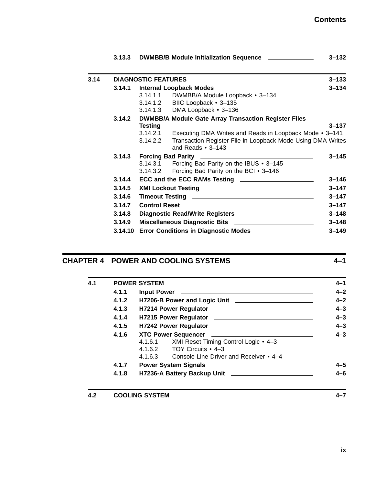|      | 3.13.3 | DWMBB/B Module Initialization Sequence                                                                                                                                                                                               | $3 - 132$ |
|------|--------|--------------------------------------------------------------------------------------------------------------------------------------------------------------------------------------------------------------------------------------|-----------|
| 3.14 |        | <b>DIAGNOSTIC FEATURES</b>                                                                                                                                                                                                           | $3 - 133$ |
|      | 3.14.1 | Internal Loopback Modes <b>Material Contract Contract Contract Contract Contract Contract Contract Contract Contract Contract Contract Contract Contract Contract Contract Contract Contract Contract Contract Contract Contract</b> | $3 - 134$ |
|      |        | 3.14.1.1 DWMBB/A Module Loopback • 3-134                                                                                                                                                                                             |           |
|      |        | 3.14.1.2 BIIC Loopback • 3-135                                                                                                                                                                                                       |           |
|      |        | 3.14.1.3 DMA Loopback • 3-136                                                                                                                                                                                                        |           |
|      | 3.14.2 | <b>DWMBB/A Module Gate Array Transaction Register Files</b>                                                                                                                                                                          |           |
|      |        | Testing<br><u> 1989 - Johann Harry Harry Harry Harry Harry Harry Harry Harry Harry Harry Harry Harry Harry Harry Harry Harry</u>                                                                                                     | $3 - 137$ |
|      |        | Executing DMA Writes and Reads in Loopback Mode • 3-141<br>3.14.2.1                                                                                                                                                                  |           |
|      |        | Transaction Register File in Loopback Mode Using DMA Writes<br>3.14.2.2<br>and Reads $\cdot$ 3-143                                                                                                                                   |           |
|      | 3.14.3 |                                                                                                                                                                                                                                      | $3 - 145$ |
|      |        | 3.14.3.1 Forcing Bad Parity on the IBUS • 3-145                                                                                                                                                                                      |           |
|      |        | 3.14.3.2 Forcing Bad Parity on the BCI • 3-146                                                                                                                                                                                       |           |
|      | 3.14.4 | ECC and the ECC RAMs Testing <b>contained a set of the ECC</b> RAMs Testing                                                                                                                                                          | $3 - 146$ |
|      | 3.14.5 |                                                                                                                                                                                                                                      | $3 - 147$ |
|      | 3.14.6 |                                                                                                                                                                                                                                      | $3 - 147$ |
|      | 3.14.7 |                                                                                                                                                                                                                                      | $3 - 147$ |
|      | 3.14.8 | Diagnostic Read/Write Registers _______________________                                                                                                                                                                              | $3 - 148$ |
|      | 3.14.9 | Miscellaneous Diagnostic Bits __________________________                                                                                                                                                                             | $3 - 148$ |
|      |        | 3.14.10 Error Conditions in Diagnostic Modes ________________                                                                                                                                                                        | $3 - 149$ |

## **CHAPTER 4 POWER AND COOLING SYSTEMS 4–1**

| 4.1 |       | <b>POWER SYSTEM</b>                                             |
|-----|-------|-----------------------------------------------------------------|
|     | 4.1.1 |                                                                 |
|     | 4.1.2 |                                                                 |
|     | 4.1.3 |                                                                 |
|     | 4.1.4 |                                                                 |
|     | 4.1.5 |                                                                 |
|     | 4.1.6 |                                                                 |
|     |       | XMI Reset Timing Control Logic • 4-3<br>4.1.6.1                 |
|     |       | TOY Circuits • 4-3<br>4.1.6.2                                   |
|     |       | Console Line Driver and Receiver • 4–4<br>4.1.6.3               |
|     | 4.1.7 | Power System Signals <u>___________________________________</u> |
|     | 4.1.8 |                                                                 |

**4.2 COOLING SYSTEM 4–7**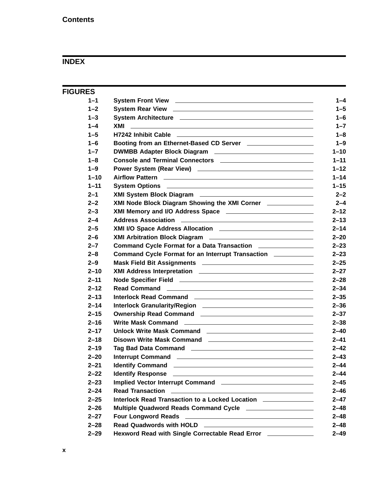## **INDEX**

| <b>FIGURES</b> |                                                                                                                               |  |
|----------------|-------------------------------------------------------------------------------------------------------------------------------|--|
| $1 - 1$        |                                                                                                                               |  |
| $1 - 2$        |                                                                                                                               |  |
| $1 - 3$        |                                                                                                                               |  |
| $1 - 4$        | <u> 1999 - Johann John Stone, market fan de Fryske kunstne fan de Fryske kunstne fan de Fryske kunstne fan de Frys</u><br>XMI |  |
| $1 - 5$        |                                                                                                                               |  |
| $1 - 6$        | Booting from an Ethernet-Based CD Server <b>Example 20</b> Server                                                             |  |
| $1 - 7$        |                                                                                                                               |  |
| $1 - 8$        |                                                                                                                               |  |
| $1 - 9$        |                                                                                                                               |  |
| $1 - 10$       |                                                                                                                               |  |
| $1 - 11$       | System Options <b>contained</b> and the system Options <b>contained a system Options</b>                                      |  |
| $2 - 1$        |                                                                                                                               |  |
| $2 - 2$        | XMI Node Block Diagram Showing the XMI Corner _____________                                                                   |  |
| $2 - 3$        |                                                                                                                               |  |
| $2 - 4$        |                                                                                                                               |  |
| $2 - 5$        | XMI I/O Space Address Allocation _________________________________                                                            |  |
| $2 - 6$        |                                                                                                                               |  |
| $2 - 7$        | Command Cycle Format for a Data Transaction ________________                                                                  |  |
| $2 - 8$        | Command Cycle Format for an Interrupt Transaction <b>COMMANGE COMMANGE COMMANGE CONTROL</b>                                   |  |
| $2 - 9$        | Mask Field Bit Assignments <b>Mask Field Bit Assignments</b> And Assembly Assembly Assembly Assembly Assembly Assembly        |  |
| $2 - 10$       |                                                                                                                               |  |
| $2 - 11$       |                                                                                                                               |  |
| $2 - 12$       |                                                                                                                               |  |
| $2 - 13$       |                                                                                                                               |  |
| $2 - 14$       |                                                                                                                               |  |
| $2 - 15$       |                                                                                                                               |  |
| $2 - 16$       |                                                                                                                               |  |
| $2 - 17$       | Unlock Write Mask Command <b>No. 1988</b> 1999                                                                                |  |
| $2 - 18$       | Disown Write Mask Command <b>Command</b> 2008 2014                                                                            |  |
| $2 - 19$       |                                                                                                                               |  |
| $2 - 20$       | <b>Interrupt Command</b>                                                                                                      |  |
| $2 - 21$       |                                                                                                                               |  |
| $2 - 22$       |                                                                                                                               |  |
| $2 - 23$       |                                                                                                                               |  |
| $2 - 24$       |                                                                                                                               |  |
| $2 - 25$       | Interlock Read Transaction to a Locked Location ______________                                                                |  |
| $2 - 26$       | Multiple Quadword Reads Command Cycle _____________________                                                                   |  |
| $2 - 27$       | Four Longword Reads <b>Four Access 2018</b>                                                                                   |  |
| $2 - 28$       | Read Quadwords with HOLD __________________________________                                                                   |  |
| $2 - 29$       | Hexword Read with Single Correctable Read Error ___________                                                                   |  |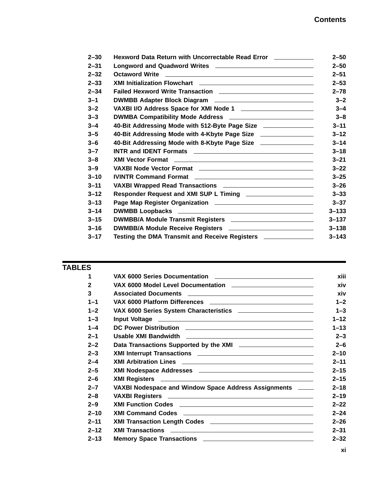| $2 - 30$ | Hexword Data Return with Uncorrectable Read Error ___________               | $2 - 50$  |
|----------|-----------------------------------------------------------------------------|-----------|
| $2 - 31$ |                                                                             | $2 - 50$  |
| $2 - 32$ |                                                                             | $2 - 51$  |
| $2 - 33$ |                                                                             | $2 - 53$  |
| $2 - 34$ | Failed Hexword Write Transaction ________________________________           | $2 - 78$  |
| $3 - 1$  | DWMBB Adapter Block Diagram _________________________________               | $3 - 2$   |
| $3 - 2$  | VAXBI I/O Address Space for XMI Node 1                                      | $3 - 4$   |
| $3 - 3$  | DWMBA Compatibility Mode Address ____________________________               | $3 - 8$   |
| $3 - 4$  | 40-Bit Addressing Mode with 512-Byte Page Size ______________               | $3 - 11$  |
| $3 - 5$  | 40-Bit Addressing Mode with 4-Kbyte Page Size ________________              | $3 - 12$  |
| $3 - 6$  | 40-Bit Addressing Mode with 8-Kbyte Page Size ________________              | $3 - 14$  |
| $3 - 7$  |                                                                             | $3 - 18$  |
| $3 - 8$  |                                                                             | $3 - 21$  |
| $3 - 9$  |                                                                             | $3 - 22$  |
| $3 - 10$ |                                                                             | $3 - 25$  |
| $3 - 11$ |                                                                             | $3 - 26$  |
| $3 - 12$ | Responder Request and XMI SUP L Timing <b>EXAMPLE 2018</b>                  | $3 - 33$  |
| $3 - 13$ |                                                                             | $3 - 37$  |
| $3 - 14$ |                                                                             | $3 - 133$ |
| $3 - 15$ | DWMBB/A Module Transmit Registers <b>Manual Accord Process COVID-BOWMBB</b> | $3 - 137$ |
| $3 - 16$ |                                                                             | $3 - 138$ |
| $3 - 17$ | Testing the DMA Transmit and Receive Registers <b>Commission</b>            | $3 - 143$ |

#### **TABLES**

| 1            |                                                                                                                       |  |
|--------------|-----------------------------------------------------------------------------------------------------------------------|--|
| $\mathbf{2}$ |                                                                                                                       |  |
| 3            |                                                                                                                       |  |
| $1 - 1$      | VAX 6000 Platform Differences <b>contained a material container and a material container and a material container</b> |  |
| $1 - 2$      | VAX 6000 Series System Characteristics _________________________                                                      |  |
| $1 - 3$      |                                                                                                                       |  |
| $1 - 4$      |                                                                                                                       |  |
| $2 - 1$      |                                                                                                                       |  |
| $2 - 2$      | Data Transactions Supported by the XMI <u>_______________________</u>                                                 |  |
| $2 - 3$      |                                                                                                                       |  |
| $2 - 4$      |                                                                                                                       |  |
| $2 - 5$      |                                                                                                                       |  |
| $2 - 6$      |                                                                                                                       |  |
| $2 - 7$      | VAXBI Nodespace and Window Space Address Assignments ____                                                             |  |
| $2 - 8$      |                                                                                                                       |  |
| $2 - 9$      |                                                                                                                       |  |
| $2 - 10$     |                                                                                                                       |  |
| $2 - 11$     |                                                                                                                       |  |
| $2 - 12$     |                                                                                                                       |  |
| $2 - 13$     |                                                                                                                       |  |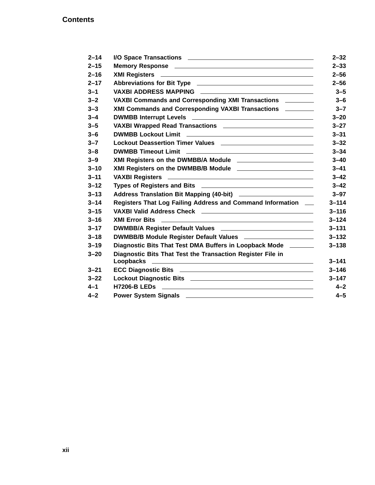| $2 - 14$ |                                                                         |           |
|----------|-------------------------------------------------------------------------|-----------|
| $2 - 15$ |                                                                         |           |
| $2 - 16$ |                                                                         |           |
| $2 - 17$ |                                                                         |           |
| $3 - 1$  |                                                                         |           |
| $3 - 2$  | VAXBI Commands and Corresponding XMI Transactions ________              |           |
| $3 - 3$  | XMI Commands and Corresponding VAXBI Transactions ________              |           |
| $3 - 4$  |                                                                         |           |
| $3 - 5$  |                                                                         |           |
| $3 - 6$  |                                                                         |           |
| $3 - 7$  | Lockout Deassertion Timer Values ________________________________       |           |
| $3 - 8$  |                                                                         |           |
| $3 - 9$  | XMI Registers on the DWMBB/A Module _________________________           |           |
| $3 - 10$ |                                                                         |           |
| $3 - 11$ |                                                                         |           |
| $3 - 12$ |                                                                         |           |
| $3 - 13$ | Address Translation Bit Mapping (40-bit) __________________________     |           |
| $3 - 14$ | Registers That Log Failing Address and Command Information __           |           |
| $3 - 15$ |                                                                         |           |
| $3 - 16$ |                                                                         |           |
| $3 - 17$ |                                                                         |           |
| $3 - 18$ | DWMBB/B Module Register Default Values _______________________          | $3 - 132$ |
| $3 - 19$ | Diagnostic Bits That Test DMA Buffers in Loopback Mode ______           |           |
| $3 - 20$ | Diagnostic Bits That Test the Transaction Register File in              | $3 - 141$ |
| $3 - 21$ |                                                                         | $3 - 146$ |
| $3 - 22$ |                                                                         | $3 - 147$ |
| $4 - 1$  |                                                                         |           |
| $4 - 2$  | Power System Signals <b>No. 2018</b> 2019 12:00:00 Power System Signals |           |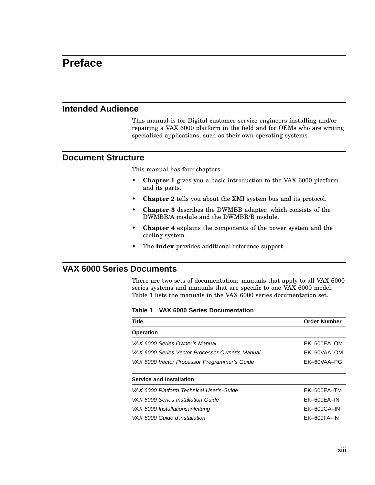# **Preface**

#### **Intended Audience**

This manual is for Digital customer service engineers installing and/or repairing a VAX 6000 platform in the field and for OEMs who are writing specialized applications, such as their own operating systems.

#### **Document Structure**

This manual has four chapters.

- **Chapter 1** gives you a basic introduction to the VAX 6000 platform and its parts.
- **Chapter 2** tells you about the XMI system bus and its protocol.
- **Chapter 3** describes the DWMBB adapter, which consists of the DWMBB/A module and the DWMBB/B module.
- **Chapter 4** explains the components of the power system and the cooling system.
- The **Index** provides additional reference support.

#### **VAX 6000 Series Documents**

There are two sets of documentation: manuals that apply to all VAX 6000 series systems and manuals that are specific to one VAX 6000 model. Table 1 lists the manuals in the VAX 6000 series documentation set.

**Table 1 VAX 6000 Series Documentation**

| <b>Title</b>                                    | <b>Order Number</b> |
|-------------------------------------------------|---------------------|
| <b>Operation</b>                                |                     |
| VAX 6000 Series Owner's Manual                  | EK-600EA-OM         |
| VAX 6000 Series Vector Processor Owner's Manual | EK-60VAA-OM         |
| VAX 6000 Vector Processor Programmer's Guide    | EK-60VAA-PG         |
| <b>Service and Installation</b>                 |                     |
| VAX 6000 Platform Technical User's Guide        | EK-600EA-TM         |
| VAX 6000 Series Installation Guide              | $EK-600EA-IN$       |
| VAX 6000 Installationsanleitung                 | $EK-600GA-IN$       |
| VAX 6000 Guide d'installation                   | $EK-600FA-IN$       |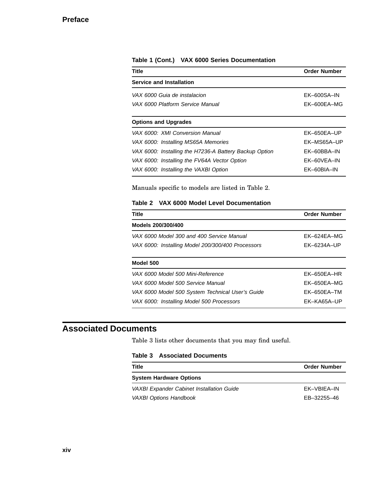| <b>Title</b>                                           | <b>Order Number</b> |
|--------------------------------------------------------|---------------------|
| <b>Service and Installation</b>                        |                     |
| VAX 6000 Guia de instalacion                           | $EK-600SA-IN$       |
| VAX 6000 Platform Service Manual                       | EK-600EA-MG         |
| <b>Options and Upgrades</b>                            |                     |
| VAX 6000: XMI Conversion Manual                        | EK-650EA-UP         |
| VAX 6000: Installing MS65A Memories                    | EK-MS65A-UP         |
| VAX 6000: Installing the H7236-A Battery Backup Option | EK-60BBA-IN         |
| VAX 6000: Installing the FV64A Vector Option           | FK-60VFA-IN         |
| VAX 6000: Installing the VAXBI Option                  | EK-60BIA-IN         |

#### **Table 1 (Cont.) VAX 6000 Series Documentation**

Manuals specific to models are listed in Table 2.

#### **Table 2 VAX 6000 Model Level Documentation**

| <b>Title</b>                                      | <b>Order Number</b> |
|---------------------------------------------------|---------------------|
| Models 200/300/400                                |                     |
| VAX 6000 Model 300 and 400 Service Manual         | $FK-624FA-MG$       |
| VAX 6000: Installing Model 200/300/400 Processors | FK-6234A-UP         |
| Model 500                                         |                     |
| VAX 6000 Model 500 Mini-Reference                 | EK-650EA-HR         |
| VAX 6000 Model 500 Service Manual                 | $FK-650FA-MG$       |
| VAX 6000 Model 500 System Technical User's Guide  | $EK-650EA-TM$       |
| VAX 6000: Installing Model 500 Processors         | FK-KA65A-UP         |

## **Associated Documents**

Table 3 lists other documents that you may find useful.

#### **Table 3 Associated Documents**

| Title                                     | <b>Order Number</b> |
|-------------------------------------------|---------------------|
| <b>System Hardware Options</b>            |                     |
| VAXBI Expander Cabinet Installation Guide | FK-VBIFA-IN         |
| <b>VAXBI Options Handbook</b>             | EB-32255-46         |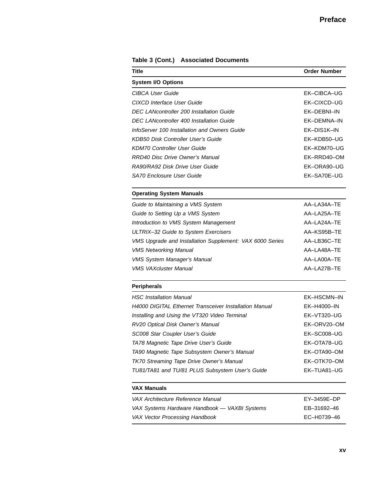| Title                                                         | <b>Order Number</b> |
|---------------------------------------------------------------|---------------------|
| <b>System I/O Options</b>                                     |                     |
| CIBCA User Guide                                              | EK-CIBCA-UG         |
| <b>CIXCD Interface User Guide</b>                             | EK-CIXCD-UG         |
| <b>DEC LANcontroller 200 Installation Guide</b>               | EK-DEBNI-IN         |
| <b>DEC LANcontroller 400 Installation Guide</b>               | EK-DEMNA-IN         |
| InfoServer 100 Installation and Owners Guide                  | EK-DIS1K-IN         |
| <b>KDB50 Disk Controller User's Guide</b>                     | EK-KDB50-UG         |
| <b>KDM70 Controller User Guide</b>                            | EK-KDM70-UG         |
| <b>RRD40 Disc Drive Owner's Manual</b>                        | EK-RRD40-OM         |
| RA90/RA92 Disk Drive User Guide                               | EK-ORA90-UG         |
| SA70 Enclosure User Guide                                     | EK-SA70E-UG         |
| <b>Operating System Manuals</b>                               |                     |
| Guide to Maintaining a VMS System                             | AA-LA34A-TE         |
| Guide to Setting Up a VMS System                              | AA-LA25A-TE         |
| Introduction to VMS System Management                         | AA-LA24A-TE         |
| ULTRIX-32 Guide to System Exercisers                          | AA-KS95B-TE         |
| VMS Upgrade and Installation Supplement: VAX 6000 Series      | AA-LB36C-TE         |
| <b>VMS Networking Manual</b>                                  | AA-LA48A-TE         |
| <b>VMS System Manager's Manual</b>                            | AA-LA00A-TE         |
| <b>VMS VAXcluster Manual</b>                                  | AA-LA27B-TE         |
| <b>Peripherals</b>                                            |                     |
| <b>HSC</b> Installation Manual                                | EK-HSCMN-IN         |
| <b>H4000 DIGITAL Ethernet Transceiver Installation Manual</b> | EK-H4000-IN         |
| Installing and Using the VT320 Video Terminal                 | EK-VT320-UG         |
| RV20 Optical Disk Owner's Manual                              | EK-ORV20-OM         |
| SC008 Star Coupler User's Guide                               | EK-SC008-UG         |
| TA78 Magnetic Tape Drive User's Guide                         | EK-OTA78-UG         |
| TA90 Magnetic Tape Subsystem Owner's Manual                   | EK-OTA90-OM         |
| TK70 Streaming Tape Drive Owner's Manual                      | EK-OTK70-OM         |
| TU81/TA81 and TU/81 PLUS Subsystem User's Guide               | EK-TUA81-UG         |
| <b>VAX Manuals</b>                                            |                     |
| VAX Architecture Reference Manual                             | EY-3459E-DP         |
| VAX Systems Hardware Handbook - VAXBI Systems                 | EB-31692-46         |

VAX Vector Processing Handbook EC–H0739–46

**Table 3 (Cont.) Associated Documents**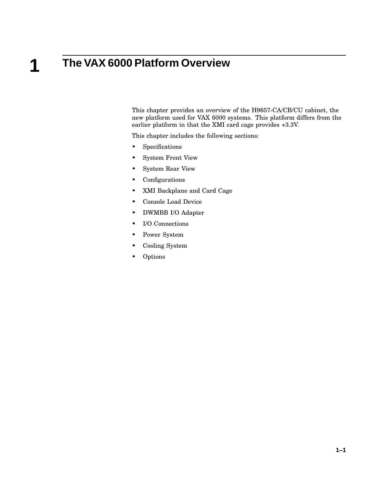# **The VAX 6000 Platform Overview**

**1**

This chapter provides an overview of the H9657-CA/CB/CU cabinet, the new platform used for VAX 6000 systems. This platform differs from the earlier platform in that the XMI card cage provides +3.3V.

This chapter includes the following sections:

- Specifications
- System Front View
- System Rear View
- Configurations
- XMI Backplane and Card Cage
- Console Load Device
- DWMBB I/O Adapter
- I/O Connections
- Power System
- Cooling System
- Options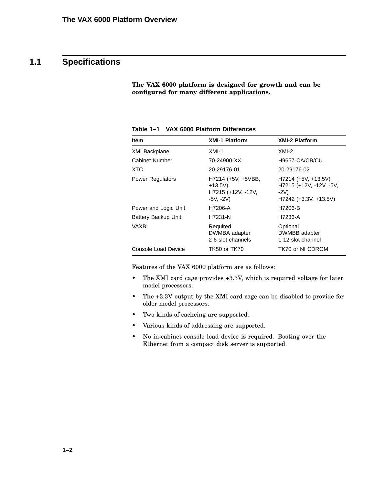# **1.1 Specifications**

**The VAX 6000 platform is designed for growth and can be configured for many different applications.**

| <b>Item</b>             | <b>XMI-1 Platform</b>                                              | <b>XMI-2 Platform</b>                                                                |
|-------------------------|--------------------------------------------------------------------|--------------------------------------------------------------------------------------|
| <b>XMI Backplane</b>    | $XML-1$                                                            | $XML-2$                                                                              |
| Cabinet Number          | 70-24900-XX                                                        | H9657-CA/CB/CU                                                                       |
| <b>XTC</b>              | 20-29176-01                                                        | 20-29176-02                                                                          |
| <b>Power Regulators</b> | H7214 (+5V, +5VBB,<br>$+13.5V$<br>H7215 (+12V, -12V,<br>$-5V, -2V$ | $H7214 (+5V, +13.5V)$<br>H7215 (+12V, -12V, -5V,<br>$-2V$<br>$H7242 (+3.3V, +13.5V)$ |
| Power and Logic Unit    | H7206-A                                                            | H7206-B                                                                              |
| Battery Backup Unit     | H7231-N                                                            | H7236-A                                                                              |
| VAXBI                   | Required<br>DWMBA adapter<br>2 6-slot channels                     | Optional<br>DWMBB adapter<br>1 12-slot channel                                       |
| Console Load Device     | <b>TK50 or TK70</b>                                                | TK70 or NI CDROM                                                                     |

**Table 1–1 VAX 6000 Platform Differences**

Features of the VAX 6000 platform are as follows:

- The XMI card cage provides +3.3V, which is required voltage for later model processors.
- The +3.3V output by the XMI card cage can be disabled to provide for older model processors.
- Two kinds of cacheing are supported.
- Various kinds of addressing are supported.
- No in-cabinet console load device is required. Booting over the Ethernet from a compact disk server is supported.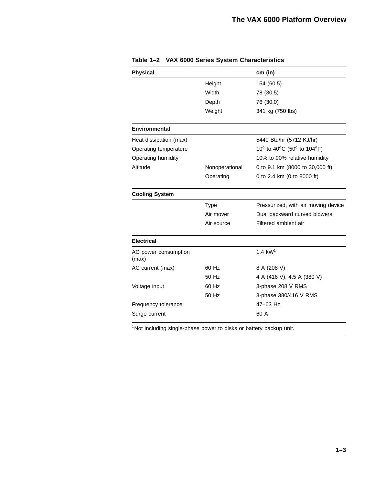| <b>Physical</b>                                                                |                | cm (in)                             |
|--------------------------------------------------------------------------------|----------------|-------------------------------------|
|                                                                                | Height         | 154 (60.5)                          |
|                                                                                | Width          | 78 (30.5)                           |
|                                                                                | Depth          | 76 (30.0)                           |
|                                                                                | Weight         | 341 kg (750 lbs)                    |
| <b>Environmental</b>                                                           |                |                                     |
| Heat dissipation (max)                                                         |                | 5440 Btu/hr (5712 KJ/hr)            |
| Operating temperature                                                          |                | 10° to 40°C (50° to 104°F)          |
| Operating humidity                                                             |                | 10% to 90% relative humidity        |
| Altitude                                                                       | Nonoperational | 0 to 9.1 km (8000 to 30,000 ft)     |
|                                                                                | Operating      | 0 to 2.4 km (0 to 8000 ft)          |
| <b>Cooling System</b>                                                          |                |                                     |
|                                                                                | <b>Type</b>    | Pressurized, with air moving device |
|                                                                                | Air mover      | Dual backward curved blowers        |
|                                                                                | Air source     | Filtered ambient air                |
| <b>Electrical</b>                                                              |                |                                     |
| AC power consumption<br>(max)                                                  |                | 1.4 $kW1$                           |
| AC current (max)                                                               | 60 Hz          | 8 A (208 V)                         |
|                                                                                | 50 Hz          | 4 A (416 V), 4.5 A (380 V)          |
| Voltage input                                                                  | 60 Hz          | 3-phase 208 V RMS                   |
|                                                                                | 50 Hz          | 3-phase 380/416 V RMS               |
| Frequency tolerance                                                            |                | 47-63 Hz                            |
| Surge current                                                                  |                | 60 A                                |
| <sup>1</sup> Not including single-phase power to disks or battery backup unit. |                |                                     |

**Table 1–2 VAX 6000 Series System Characteristics**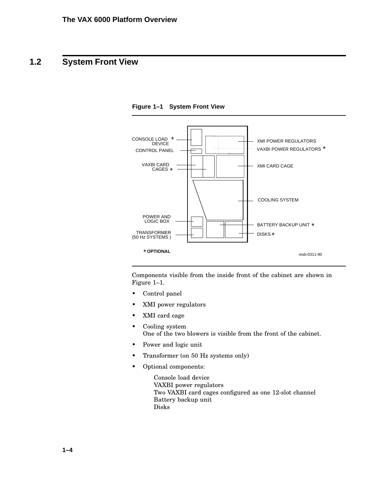# **1.2 System Front View**



**Figure 1–1 System Front View**

Components visible from the inside front of the cabinet are shown in Figure 1–1.

- Control panel
- XMI power regulators
- XMI card cage
- Cooling system One of the two blowers is visible from the front of the cabinet.
- Power and logic unit
- Transformer (on 50 Hz systems only)
- Optional components:
	- Console load device VAXBI power regulators Two VAXBI card cages configured as one 12-slot channel Battery backup unit Disks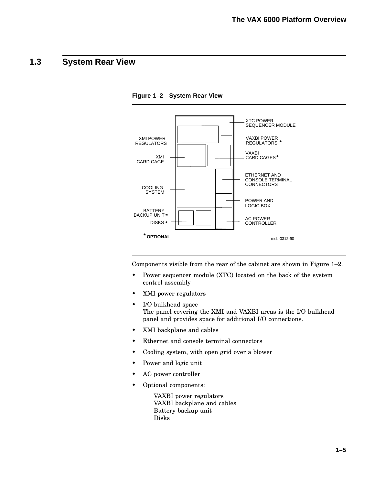## **1.3 System Rear View**



**Figure 1–2 System Rear View**

Components visible from the rear of the cabinet are shown in Figure 1–2.

- Power sequencer module (XTC) located on the back of the system control assembly
- XMI power regulators
- I/O bulkhead space The panel covering the XMI and VAXBI areas is the I/O bulkhead panel and provides space for additional I/O connections.
- XMI backplane and cables
- Ethernet and console terminal connectors
- Cooling system, with open grid over a blower
- Power and logic unit
- AC power controller
- Optional components:

VAXBI power regulators VAXBI backplane and cables Battery backup unit Disks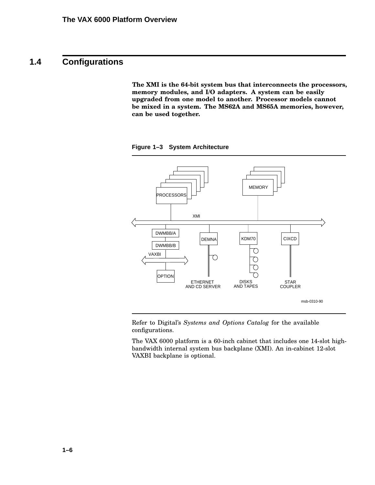## **1.4 Configurations**

**The XMI is the 64-bit system bus that interconnects the processors, memory modules, and I/O adapters. A system can be easily upgraded from one model to another. Processor models cannot be mixed in a system. The MS62A and MS65A memories, however, can be used together.**



**Figure 1–3 System Architecture**

Refer to Digital's *Systems and Options Catalog* for the available configurations.

The VAX 6000 platform is a 60-inch cabinet that includes one 14-slot highbandwidth internal system bus backplane (XMI). An in-cabinet 12-slot VAXBI backplane is optional.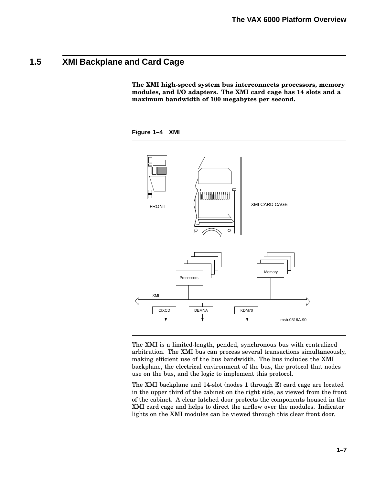## **1.5 XMI Backplane and Card Cage**

**The XMI high-speed system bus interconnects processors, memory modules, and I/O adapters. The XMI card cage has 14 slots and a maximum bandwidth of 100 megabytes per second.**





The XMI is a limited-length, pended, synchronous bus with centralized arbitration. The XMI bus can process several transactions simultaneously, making efficient use of the bus bandwidth. The bus includes the XMI backplane, the electrical environment of the bus, the protocol that nodes use on the bus, and the logic to implement this protocol.

The XMI backplane and 14-slot (nodes 1 through E) card cage are located in the upper third of the cabinet on the right side, as viewed from the front of the cabinet. A clear latched door protects the components housed in the XMI card cage and helps to direct the airflow over the modules. Indicator lights on the XMI modules can be viewed through this clear front door.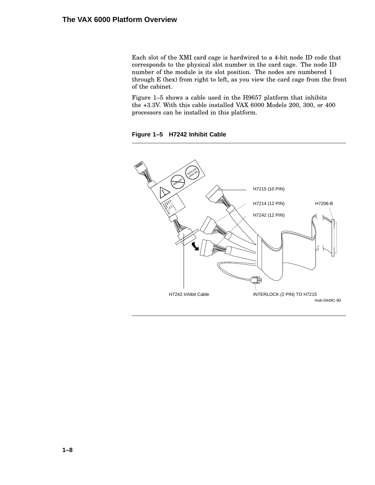Each slot of the XMI card cage is hardwired to a 4-bit node ID code that corresponds to the physical slot number in the card cage. The node ID number of the module is its slot position. The nodes are numbered 1 through E (hex) from right to left, as you view the card cage from the front of the cabinet.

Figure 1–5 shows a cable used in the H9657 platform that inhibits the +3.3V. With this cable installed VAX 6000 Models 200, 300, or 400 processors can be installed in this platform.

**Figure 1–5 H7242 Inhibit Cable**

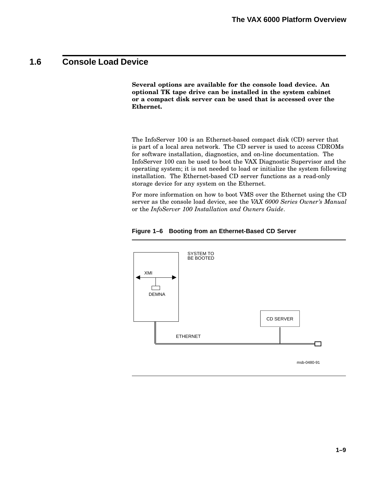### **1.6 Console Load Device**

**Several options are available for the console load device. An optional TK tape drive can be installed in the system cabinet or a compact disk server can be used that is accessed over the Ethernet.**

The InfoServer 100 is an Ethernet-based compact disk (CD) server that is part of a local area network. The CD server is used to access CDROMs for software installation, diagnostics, and on-line documentation. The InfoServer 100 can be used to boot the VAX Diagnostic Supervisor and the operating system; it is not needed to load or initialize the system following installation. The Ethernet-based CD server functions as a read-only storage device for any system on the Ethernet.

For more information on how to boot VMS over the Ethernet using the CD server as the console load device, see the *VAX 6000 Series Owner's Manual* or the *InfoServer 100 Installation and Owners Guide*.



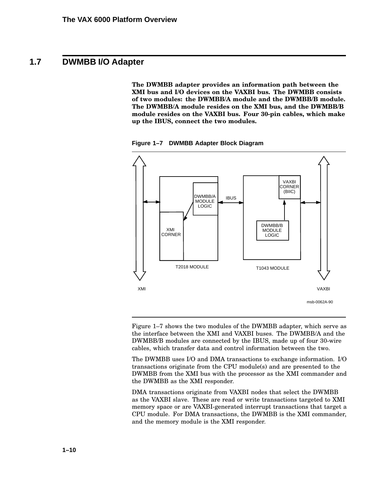### **1.7 DWMBB I/O Adapter**

**The DWMBB adapter provides an information path between the XMI bus and I/O devices on the VAXBI bus. The DWMBB consists of two modules: the DWMBB/A module and the DWMBB/B module. The DWMBB/A module resides on the XMI bus, and the DWMBB/B module resides on the VAXBI bus. Four 30-pin cables, which make up the IBUS, connect the two modules.**

**Figure 1–7 DWMBB Adapter Block Diagram**



Figure 1–7 shows the two modules of the DWMBB adapter, which serve as the interface between the XMI and VAXBI buses. The DWMBB/A and the DWMBB/B modules are connected by the IBUS, made up of four 30-wire cables, which transfer data and control information between the two.

The DWMBB uses I/O and DMA transactions to exchange information. I/O transactions originate from the CPU module(s) and are presented to the DWMBB from the XMI bus with the processor as the XMI commander and the DWMBB as the XMI responder.

DMA transactions originate from VAXBI nodes that select the DWMBB as the VAXBI slave. These are read or write transactions targeted to XMI memory space or are VAXBI-generated interrupt transactions that target a CPU module. For DMA transactions, the DWMBB is the XMI commander, and the memory module is the XMI responder.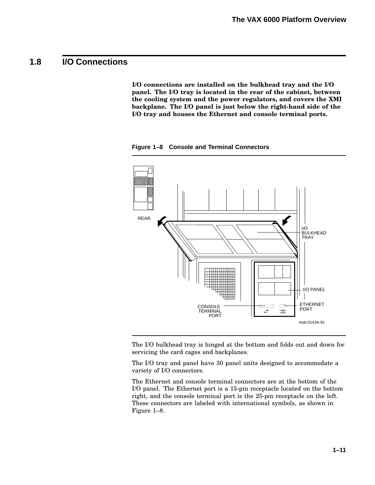## **1.8 I/O Connections**

**I/O connections are installed on the bulkhead tray and the I/O panel. The I/O tray is located in the rear of the cabinet, between the cooling system and the power regulators, and covers the XMI backplane. The I/O panel is just below the right-hand side of the I/O tray and houses the Ethernet and console terminal ports.**

**Figure 1–8 Console and Terminal Connectors**



The I/O bulkhead tray is hinged at the bottom and folds out and down for servicing the card cages and backplanes.

The I/O tray and panel have 30 panel units designed to accommodate a variety of I/O connectors.

The Ethernet and console terminal connectors are at the bottom of the I/O panel. The Ethernet port is a 15-pin receptacle located on the bottom right, and the console terminal port is the 25-pin receptacle on the left. These connectors are labeled with international symbols, as shown in Figure 1–8.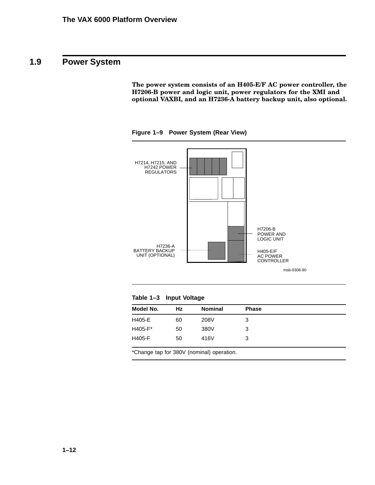## **1.9 Power System**

**The power system consists of an H405-E/F AC power controller, the H7206-B power and logic unit, power regulators for the XMI and optional VAXBI, and an H7236-A battery backup unit, also optional.**

H7214, H7215, AND H7242 POWER REGULATORS H7206-B POWER AND LOGIC UNIT H405-E/F AC POWER CONTROLLER H7236-A BATTERY BACKUP UNIT (OPTIONAL) msb-0308-90

**Figure 1–9 Power System (Rear View)**

| H405-E<br>208V<br>60<br>3    |
|------------------------------|
|                              |
| $H405-F*$<br>380V<br>50<br>3 |
| H405-F<br>416V<br>50<br>3    |

\*Change tap for 380V (nominal) operation.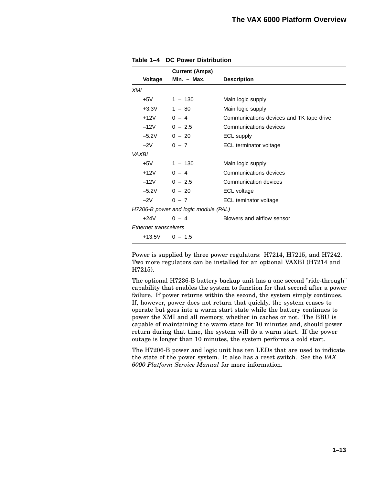|              | <b>Current (Amps)</b>                |               |                                          |  |  |
|--------------|--------------------------------------|---------------|------------------------------------------|--|--|
|              | <b>Voltage</b>                       | $Min. - Max.$ | <b>Description</b>                       |  |  |
| XMI          |                                      |               |                                          |  |  |
|              |                                      | +5V 1 – 130   | Main logic supply                        |  |  |
|              | $+3.3V$ 1 - 80                       |               | Main logic supply                        |  |  |
|              | $+12V$ 0 – 4                         |               | Communications devices and TK tape drive |  |  |
|              | $-12V$ 0 - 2.5                       |               | Communications devices                   |  |  |
|              | $-5.2V$ 0 - 20                       |               | ECL supply                               |  |  |
|              | $-2V$                                | $0 - 7$       | ECL terminator voltage                   |  |  |
| <b>VAXBI</b> |                                      |               |                                          |  |  |
|              | $+5V$                                | $1 - 130$     | Main logic supply                        |  |  |
|              | $+12V$ 0 – 4                         |               | Communications devices                   |  |  |
|              | $-12V$ 0 - 2.5                       |               | Communication devices                    |  |  |
|              | $-5.2V$ 0 - 20                       |               | ECL voltage                              |  |  |
|              | $-2V$                                | $0 - 7$       | ECL teminator voltage                    |  |  |
|              | H7206-B power and logic module (PAL) |               |                                          |  |  |
|              | $+24V$                               | $0 - 4$       | Blowers and airflow sensor               |  |  |
|              | Ethernet transceivers                |               |                                          |  |  |
|              | $+13.5V$ 0 - 1.5                     |               |                                          |  |  |

| Table 1-4 DC Power Distribution |
|---------------------------------|
|---------------------------------|

Power is supplied by three power regulators: H7214, H7215, and H7242. Two more regulators can be installed for an optional VAXBI (H7214 and H7215).

The optional H7236-B battery backup unit has a one second "ride-through" capability that enables the system to function for that second after a power failure. If power returns within the second, the system simply continues. If, however, power does not return that quickly, the system ceases to operate but goes into a warm start state while the battery continues to power the XMI and all memory, whether in caches or not. The BBU is capable of maintaining the warm state for 10 minutes and, should power return during that time, the system will do a warm start. If the power outage is longer than 10 minutes, the system performs a cold start.

The H7206-B power and logic unit has ten LEDs that are used to indicate the state of the power system. It also has a reset switch. See the *VAX 6000 Platform Service Manual* for more information.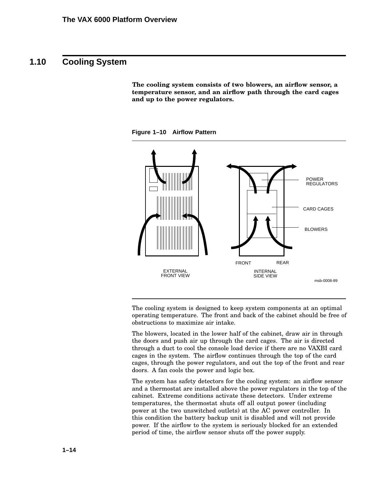### **1.10 Cooling System**

**The cooling system consists of two blowers, an airflow sensor, a temperature sensor, and an airflow path through the card cages and up to the power regulators.**

**Figure 1–10 Airflow Pattern**



The cooling system is designed to keep system components at an optimal operating temperature. The front and back of the cabinet should be free of obstructions to maximize air intake.

The blowers, located in the lower half of the cabinet, draw air in through the doors and push air up through the card cages. The air is directed through a duct to cool the console load device if there are no VAXBI card cages in the system. The airflow continues through the top of the card cages, through the power regulators, and out the top of the front and rear doors. A fan cools the power and logic box.

The system has safety detectors for the cooling system: an airflow sensor and a thermostat are installed above the power regulators in the top of the cabinet. Extreme conditions activate these detectors. Under extreme temperatures, the thermostat shuts off all output power (including power at the two unswitched outlets) at the AC power controller. In this condition the battery backup unit is disabled and will not provide power. If the airflow to the system is seriously blocked for an extended period of time, the airflow sensor shuts off the power supply.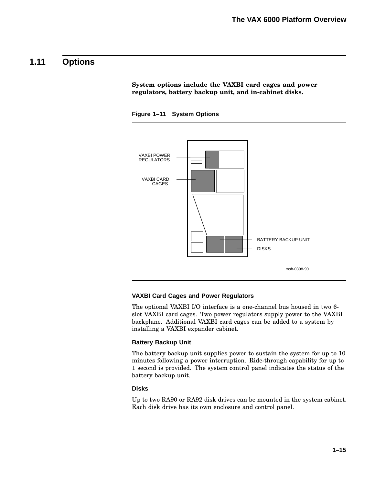### **1.11 Options**

**System options include the VAXBI card cages and power regulators, battery backup unit, and in-cabinet disks.**





#### **VAXBI Card Cages and Power Regulators**

The optional VAXBI I/O interface is a one-channel bus housed in two 6 slot VAXBI card cages. Two power regulators supply power to the VAXBI backplane. Additional VAXBI card cages can be added to a system by installing a VAXBI expander cabinet.

#### **Battery Backup Unit**

The battery backup unit supplies power to sustain the system for up to 10 minutes following a power interruption. Ride-through capability for up to 1 second is provided. The system control panel indicates the status of the battery backup unit.

#### **Disks**

Up to two RA90 or RA92 disk drives can be mounted in the system cabinet. Each disk drive has its own enclosure and control panel.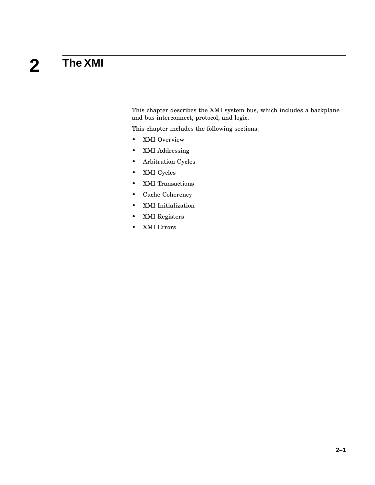#### **2 The XMI**

This chapter describes the XMI system bus, which includes a backplane and bus interconnect, protocol, and logic.

This chapter includes the following sections:

- XMI Overview
- XMI Addressing
- Arbitration Cycles
- XMI Cycles
- XMI Transactions
- Cache Coherency
- XMI Initialization
- XMI Registers
- XMI Errors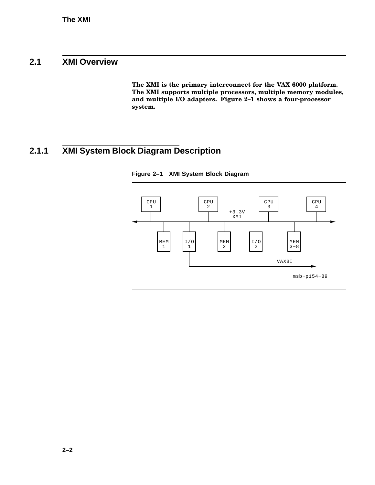### **2.1 XMI Overview**

**The XMI is the primary interconnect for the VAX 6000 platform. The XMI supports multiple processors, multiple memory modules, and multiple I/O adapters. Figure 2–1 shows a four-processor system.**

# **2.1.1 XMI System Block Diagram Description**



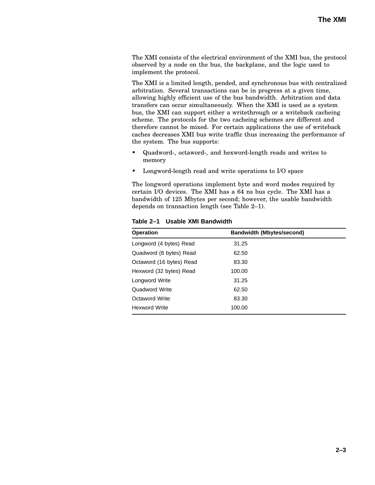The XMI consists of the electrical environment of the XMI bus, the protocol observed by a node on the bus, the backplane, and the logic used to implement the protocol.

The XMI is a limited length, pended, and synchronous bus with centralized arbitration. Several transactions can be in progress at a given time, allowing highly efficient use of the bus bandwidth. Arbitration and data transfers can occur simultaneously. When the XMI is used as a system bus, the XMI can support either a writethrough or a writeback cacheing scheme. The protocols for the two cacheing schemes are different and therefore cannot be mixed. For certain applications the use of writeback caches decreases XMI bus write traffic thus increasing the performance of the system. The bus supports:

- Quadword-, octaword-, and hexword-length reads and writes to memory
- Longword-length read and write operations to I/O space

The longword operations implement byte and word modes required by certain I/O devices. The XMI has a 64 ns bus cycle. The XMI has a bandwidth of 125 Mbytes per second; however, the usable bandwidth depends on transaction length (see Table 2–1).

| <b>Operation</b>         | <b>Bandwidth (Mbytes/second)</b> |  |
|--------------------------|----------------------------------|--|
| Longword (4 bytes) Read  | 31.25                            |  |
| Quadword (8 bytes) Read  | 62.50                            |  |
| Octaword (16 bytes) Read | 83.30                            |  |
| Hexword (32 bytes) Read  | 100.00                           |  |
| Longword Write           | 31.25                            |  |
| Quadword Write           | 62.50                            |  |
| <b>Octaword Write</b>    | 83.30                            |  |
| <b>Hexword Write</b>     | 100.00                           |  |

**Table 2–1 Usable XMI Bandwidth**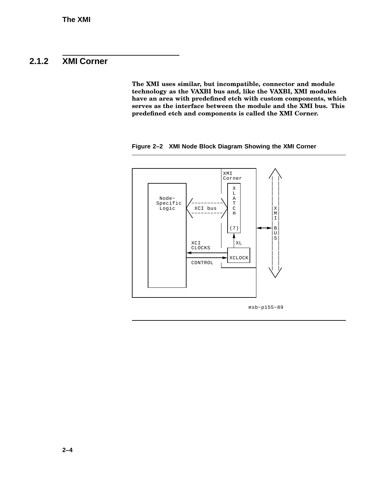### **2.1.2 XMI Corner**

**The XMI uses similar, but incompatible, connector and module technology as the VAXBI bus and, like the VAXBI, XMI modules have an area with predefined etch with custom components, which serves as the interface between the module and the XMI bus. This predefined etch and components is called the XMI Corner.**

**Figure 2–2 XMI Node Block Diagram Showing the XMI Corner**



msb−p155−89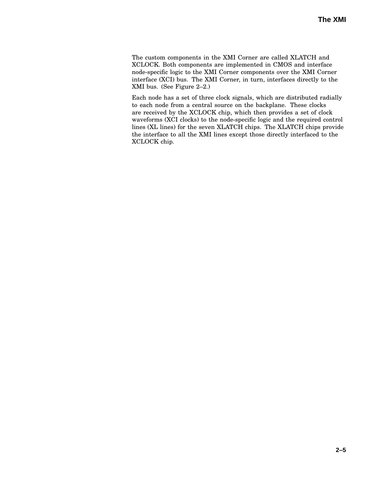The custom components in the XMI Corner are called XLATCH and XCLOCK. Both components are implemented in CMOS and interface node-specific logic to the XMI Corner components over the XMI Corner interface (XCI) bus. The XMI Corner, in turn, interfaces directly to the XMI bus. (See Figure 2–2.)

Each node has a set of three clock signals, which are distributed radially to each node from a central source on the backplane. These clocks are received by the XCLOCK chip, which then provides a set of clock waveforms (XCI clocks) to the node-specific logic and the required control lines (XL lines) for the seven XLATCH chips. The XLATCH chips provide the interface to all the XMI lines except those directly interfaced to the XCLOCK chip.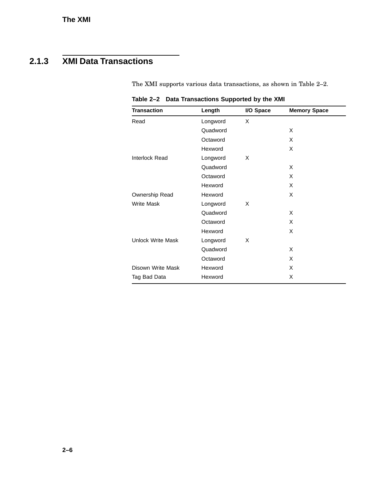# **2.1.3 XMI Data Transactions**

The XMI supports various data transactions, as shown in Table 2–2.

|  | Table 2-2 Data Transactions Supported by the XMI |  |  |  |
|--|--------------------------------------------------|--|--|--|
|  |                                                  |  |  |  |

| <b>Transaction</b>       | Length   | I/O Space | <b>Memory Space</b> |
|--------------------------|----------|-----------|---------------------|
| Read                     | Longword | X         |                     |
|                          | Quadword |           | X                   |
|                          | Octaword |           | X                   |
|                          | Hexword  |           | X                   |
| <b>Interlock Read</b>    | Longword | X         |                     |
|                          | Quadword |           | X                   |
|                          | Octaword |           | X                   |
|                          | Hexword  |           | X                   |
| Ownership Read           | Hexword  |           | X                   |
| <b>Write Mask</b>        | Longword | X         |                     |
|                          | Quadword |           | X                   |
|                          | Octaword |           | X                   |
|                          | Hexword  |           | X                   |
| <b>Unlock Write Mask</b> | Longword | X         |                     |
|                          | Quadword |           | X                   |
|                          | Octaword |           | X                   |
| Disown Write Mask        | Hexword  |           | X                   |
| Tag Bad Data             | Hexword  |           | X                   |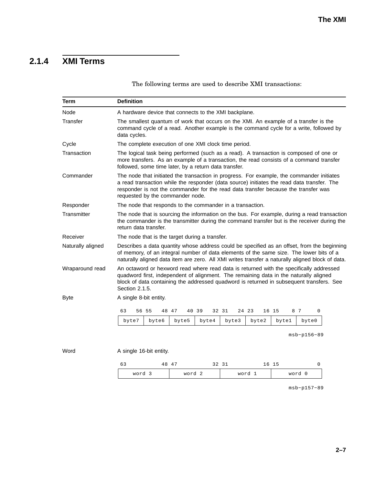# **2.1.4 XMI Terms**

The following terms are used to describe XMI transactions:

| Term              | <b>Definition</b>                                                                                                                                                                                                                                                                                                 |                                                      |       |        |       |        |               |  |
|-------------------|-------------------------------------------------------------------------------------------------------------------------------------------------------------------------------------------------------------------------------------------------------------------------------------------------------------------|------------------------------------------------------|-------|--------|-------|--------|---------------|--|
| Node              | A hardware device that connects to the XMI backplane.                                                                                                                                                                                                                                                             |                                                      |       |        |       |        |               |  |
| Transfer          | The smallest quantum of work that occurs on the XMI. An example of a transfer is the<br>command cycle of a read. Another example is the command cycle for a write, followed by<br>data cycles.                                                                                                                    |                                                      |       |        |       |        |               |  |
| Cycle             |                                                                                                                                                                                                                                                                                                                   | The complete execution of one XMI clock time period. |       |        |       |        |               |  |
| Transaction       | The logical task being performed (such as a read). A transaction is composed of one or<br>more transfers. As an example of a transaction, the read consists of a command transfer<br>followed, some time later, by a return data transfer.                                                                        |                                                      |       |        |       |        |               |  |
| Commander         | The node that initiated the transaction in progress. For example, the commander initiates<br>a read transaction while the responder (data source) initiates the read data transfer. The<br>responder is not the commander for the read data transfer because the transfer was<br>requested by the commander node. |                                                      |       |        |       |        |               |  |
| Responder         | The node that responds to the commander in a transaction.                                                                                                                                                                                                                                                         |                                                      |       |        |       |        |               |  |
| Transmitter       | The node that is sourcing the information on the bus. For example, during a read transaction<br>the commander is the transmitter during the command transfer but is the receiver during the<br>return data transfer.                                                                                              |                                                      |       |        |       |        |               |  |
| Receiver          | The node that is the target during a transfer.                                                                                                                                                                                                                                                                    |                                                      |       |        |       |        |               |  |
| Naturally aligned | Describes a data quantity whose address could be specified as an offset, from the beginning<br>of memory, of an integral number of data elements of the same size. The lower bits of a<br>naturally aligned data item are zero. All XMI writes transfer a naturally aligned block of data.                        |                                                      |       |        |       |        |               |  |
| Wraparound read   | An octaword or hexword read where read data is returned with the specifically addressed<br>quadword first, independent of alignment. The remaining data in the naturally aligned<br>block of data containing the addressed quadword is returned in subsequent transfers. See<br>Section 2.1.5.                    |                                                      |       |        |       |        |               |  |
| <b>Byte</b>       | A single 8-bit entity.                                                                                                                                                                                                                                                                                            |                                                      |       |        |       |        |               |  |
|                   | 63<br>56 55<br>48 47                                                                                                                                                                                                                                                                                              | 40 39                                                |       | 32 31  | 24 23 | 16 15  | 8 7<br>0      |  |
|                   | byte7<br>byte6                                                                                                                                                                                                                                                                                                    | byte5                                                | byte4 | byte3  | byte2 | byte1  | byte0         |  |
|                   |                                                                                                                                                                                                                                                                                                                   |                                                      |       |        |       |        | $msb-p156-89$ |  |
| Word              | A single 16-bit entity.                                                                                                                                                                                                                                                                                           |                                                      |       |        |       |        |               |  |
|                   | 63<br>48 47                                                                                                                                                                                                                                                                                                       |                                                      |       | 32 31  |       | 16 15  | 0             |  |
| word 3<br>word 2  |                                                                                                                                                                                                                                                                                                                   |                                                      |       | word 1 |       | word 0 |               |  |

msb−p157−89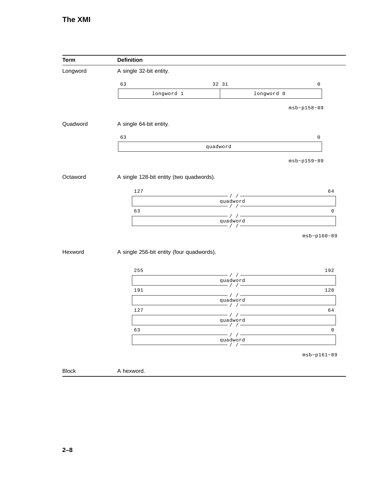| <b>Term</b>  | <b>Definition</b>                         |                                            |               |
|--------------|-------------------------------------------|--------------------------------------------|---------------|
| Longword     | A single 32-bit entity.                   |                                            |               |
|              | 63                                        | 32 31                                      | 0             |
|              | longword 1                                | longword 0                                 |               |
|              |                                           |                                            | $msb-p158-89$ |
| Quadword     | A single 64-bit entity.                   |                                            |               |
|              | 63                                        |                                            | 0             |
|              |                                           | quadword                                   |               |
|              |                                           |                                            | $msb-p159-89$ |
| Octaword     | A single 128-bit entity (two quadwords).  |                                            |               |
|              | 127                                       |                                            | 64            |
|              |                                           | $-$ / / $-$<br>quadword                    |               |
|              | 63                                        | $-$ / $/$ $-$                              | $\mathsf 0$   |
|              |                                           | $-$ / $/$ $-$<br>quadword<br>$-$ / $/$ $-$ |               |
|              |                                           |                                            | $msb-p160-89$ |
| Hexword      | A single 256-bit entity (four quadwords). |                                            |               |
|              | 255                                       |                                            | 192           |
|              |                                           | $-1$ / $-$<br>quadword                     |               |
|              | 191                                       | $-$ / $/$ $-$                              | 128           |
|              |                                           | $-11$<br>quadword                          |               |
|              | 127                                       | $-$ / $/$ $-$                              | 64            |
|              |                                           | $-$ / $/$ $-$<br>quadword                  |               |
|              | 63                                        | $- / / -$                                  | $\mathsf 0$   |
|              |                                           | - / / -<br>quadword<br>$- / / -$           |               |
|              |                                           |                                            | $msb-p161-89$ |
|              |                                           |                                            |               |
| <b>Block</b> | A hexword.                                |                                            |               |

 $\mathbb{Z}$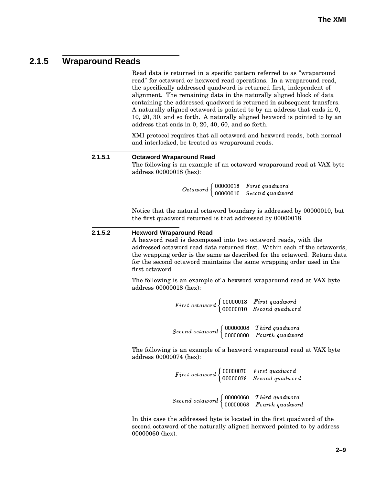### **2.1.5 Wraparound Reads**

Read data is returned in a specific pattern referred to as "wraparound read" for octaword or hexword read operations. In a wraparound read, the specifically addressed quadword is returned first, independent of alignment. The remaining data in the naturally aligned block of data containing the addressed quadword is returned in subsequent transfers. A naturally aligned octaword is pointed to by an address that ends in 0, 10, 20, 30, and so forth. A naturally aligned hexword is pointed to by an address that ends in 0, 20, 40, 60, and so forth.

XMI protocol requires that all octaword and hexword reads, both normal and interlocked, be treated as wraparound reads.

**2.1.5.1 Octaword Wraparound Read** The following is an example of an octaword wraparound read at VAX byte address 00000018 (hex):

> $\blacksquare$   $\blacksquare$   $\blacksquare$   $\blacksquare$   $\blacksquare$   $\blacksquare$   $\blacksquare$   $\blacksquare$   $\blacksquare$   $\blacksquare$   $\blacksquare$   $\blacksquare$   $\blacksquare$   $\blacksquare$   $\blacksquare$   $\blacksquare$   $\blacksquare$   $\blacksquare$   $\blacksquare$   $\blacksquare$   $\blacksquare$   $\blacksquare$   $\blacksquare$   $\blacksquare$   $\blacksquare$   $\blacksquare$   $\blacksquare$   $\blacksquare$   $\blacksquare$   $\blacksquare$   $\blacksquare$   $\blacks$  $00000010$  Second angdword

Notice that the natural octaword boundary is addressed by 00000010, but the first quadword returned is that addressed by 00000018.

#### **2.1.5.2 Hexword Wraparound Read**

A hexword read is decomposed into two octaword reads, with the addressed octaword read data returned first. Within each of the octawords, the wrapping order is the same as described for the octaword. Return data for the second octaword maintains the same wrapping order used in the first octaword.

The following is an example of a hexword wraparound read at VAX byte address 00000018 (hex):

> $First\,ot{cta} word \begin{cases} 00000018 & First\,quadword \end{cases}$  $00000010$   $Second$   $quad$  $Second\,cta word \$  00000008 Third quadword

 % <sup>4</sup> 

The following is an example of a hexword wraparound read at VAX byte address 00000074 (hex):

| $First\;ot\; or\; 4 \begin{cases} 00000070 & First\; quadrard \\ 00000078 & Second\; quadrard \end{cases}$                                              |  |
|---------------------------------------------------------------------------------------------------------------------------------------------------------|--|
| $Second\;\;ot\;\; and \;\; \begin{cases} \;\; 00000060 & \;\; Third\;\; quadradr{right} \\ \;\; 00000068 & \;\; Fourth\;\; quadradr{right} \end{cases}$ |  |

In this case the addressed byte is located in the first quadword of the second octaword of the naturally aligned hexword pointed to by address 00000060 (hex).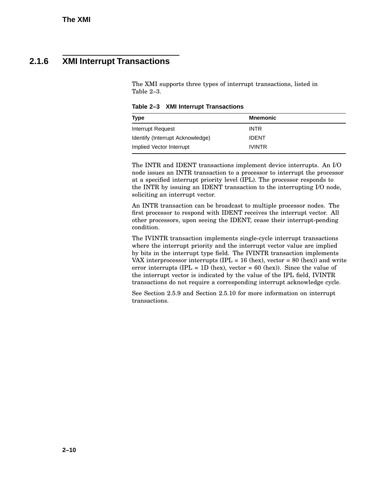### **2.1.6 XMI Interrupt Transactions**

The XMI supports three types of interrupt transactions, listed in Table 2–3.

**Table 2–3 XMI Interrupt Transactions**

| Type                             | <b>Mnemonic</b> |  |
|----------------------------------|-----------------|--|
| Interrupt Request                | <b>INTR</b>     |  |
| Identify (Interrupt Acknowledge) | <b>IDENT</b>    |  |
| Implied Vector Interrupt         | <b>IVINTR</b>   |  |

The INTR and IDENT transactions implement device interrupts. An I/O node issues an INTR transaction to a processor to interrupt the processor at a specified interrupt priority level (IPL). The processor responds to the INTR by issuing an IDENT transaction to the interrupting I/O node, soliciting an interrupt vector.

An INTR transaction can be broadcast to multiple processor nodes. The first processor to respond with IDENT receives the interrupt vector. All other processors, upon seeing the IDENT, cease their interrupt-pending condition.

The IVINTR transaction implements single-cycle interrupt transactions where the interrupt priority and the interrupt vector value are implied by bits in the interrupt type field. The IVINTR transaction implements VAX interprocessor interrupts (IPL = 16 (hex), vector = 80 (hex)) and write error interrupts (IPL = 1D (hex), vector = 60 (hex)). Since the value of the interrupt vector is indicated by the value of the IPL field, IVINTR transactions do not require a corresponding interrupt acknowledge cycle.

See Section 2.5.9 and Section 2.5.10 for more information on interrupt transactions.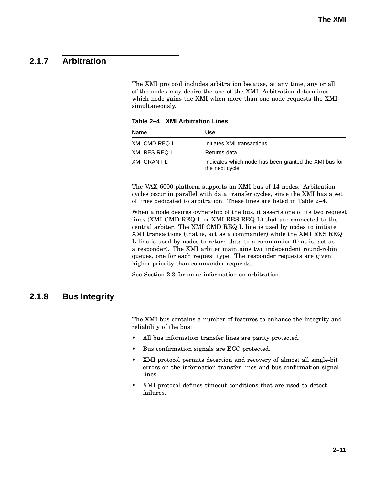### **2.1.7 Arbitration**

The XMI protocol includes arbitration because, at any time, any or all of the nodes may desire the use of the XMI. Arbitration determines which node gains the XMI when more than one node requests the XMI simultaneously.

**Table 2–4 XMI Arbitration Lines**

| <b>Name</b>   | Use                                                                     |
|---------------|-------------------------------------------------------------------------|
| XMI CMD REQ L | Initiates XMI transactions                                              |
| XMI RES REQ L | Returns data                                                            |
| XMI GRANT L   | Indicates which node has been granted the XMI bus for<br>the next cycle |

The VAX 6000 platform supports an XMI bus of 14 nodes. Arbitration cycles occur in parallel with data transfer cycles, since the XMI has a set of lines dedicated to arbitration. These lines are listed in Table 2–4.

When a node desires ownership of the bus, it asserts one of its two request lines (XMI CMD REQ L or XMI RES REQ L) that are connected to the central arbiter. The XMI CMD REQ L line is used by nodes to initiate XMI transactions (that is, act as a commander) while the XMI RES REQ L line is used by nodes to return data to a commander (that is, act as a responder). The XMI arbiter maintains two independent round-robin queues, one for each request type. The responder requests are given higher priority than commander requests.

See Section 2.3 for more information on arbitration.

### **2.1.8 Bus Integrity**

The XMI bus contains a number of features to enhance the integrity and reliability of the bus:

- All bus information transfer lines are parity protected.
- Bus confirmation signals are ECC protected.
- XMI protocol permits detection and recovery of almost all single-bit errors on the information transfer lines and bus confirmation signal lines.
- XMI protocol defines timeout conditions that are used to detect failures.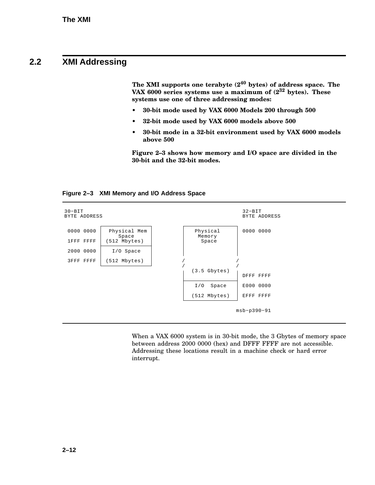## **2.2 XMI Addressing**

**The XMI supports one terabyte (2<sup>40</sup> bytes) of address space. The VAX 6000 series systems use a maximum of (2<sup>32</sup> bytes). These systems use one of three addressing modes:**

- **• 30-bit mode used by VAX 6000 Models 200 through 500**
- **• 32-bit mode used by VAX 6000 models above 500**
- **• 30-bit mode in a 32-bit environment used by VAX 6000 models above 500**

**Figure 2–3 shows how memory and I/O space are divided in the 30-bit and the 32-bit modes.**





When a VAX 6000 system is in 30-bit mode, the 3 Gbytes of memory space between address 2000 0000 (hex) and DFFF FFFF are not accessible. Addressing these locations result in a machine check or hard error interrupt.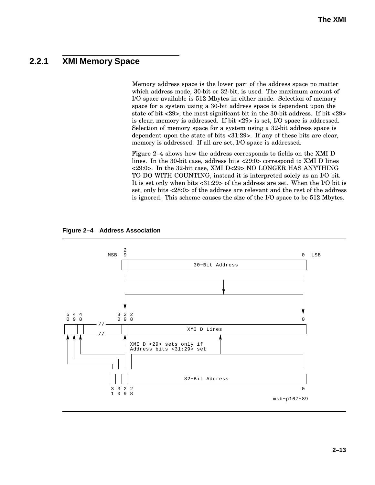### **2.2.1 XMI Memory Space**

Memory address space is the lower part of the address space no matter which address mode, 30-bit or 32-bit, is used. The maximum amount of I/O space available is 512 Mbytes in either mode. Selection of memory space for a system using a 30-bit address space is dependent upon the state of bit <29>, the most significant bit in the 30-bit address. If bit <29> is clear, memory is addressed. If bit <29> is set, I/O space is addressed. Selection of memory space for a system using a 32-bit address space is dependent upon the state of bits <31:29>. If any of these bits are clear, memory is addressed. If all are set, I/O space is addressed.

Figure 2–4 shows how the address corresponds to fields on the XMI D lines. In the 30-bit case, address bits <29:0> correspond to XMI D lines <29:0>. In the 32-bit case, XMI D<29> NO LONGER HAS ANYTHING TO DO WITH COUNTING, instead it is interpreted solely as an I/O bit. It is set only when bits <31:29> of the address are set. When the I/O bit is set, only bits <28:0> of the address are relevant and the rest of the address is ignored. This scheme causes the size of the I/O space to be 512 Mbytes.



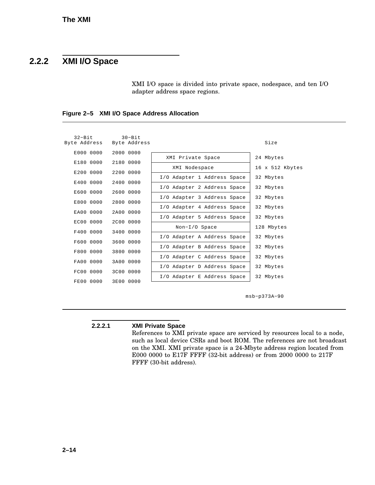### **2.2.2 XMI I/O Space**

XMI I/O space is divided into private space, nodespace, and ten I/O adapter address space regions.

| $32 - Bit$<br>Byte Address | $30 - B$ it<br>Byte Address |                             |  | Size            |
|----------------------------|-----------------------------|-----------------------------|--|-----------------|
| E000 0000                  | 2000 0000                   | XMI Private Space           |  | 24 Mbytes       |
| E180 0000                  | 2180 0000                   | XMI Nodespace               |  | 16 x 512 Kbytes |
| E200 0000                  | 2200 0000                   | I/O Adapter 1 Address Space |  | 32 Mbytes       |
| E400 0000                  | 2400 0000                   | I/O Adapter 2 Address Space |  | 32 Mbytes       |
| E600 0000                  | 2600 0000                   | I/O Adapter 3 Address Space |  | 32 Mbytes       |
| E800 0000                  | 2800 0000                   | I/O Adapter 4 Address Space |  | 32 Mbytes       |
| EA00 0000<br>EC00 0000     | 2A00 0000<br>2000 0000      | I/O Adapter 5 Address Space |  | 32 Mbytes       |
| F400 0000                  | 3400 0000                   | Non-I/O Space               |  | 128 Mbytes      |
| F600 0000                  | 3600 0000                   | I/O Adapter A Address Space |  | 32 Mbytes       |
| F800 0000                  | 3800 0000                   | I/O Adapter B Address Space |  | 32 Mbytes       |
| FA00 0000                  | 3A00 0000                   | I/O Adapter C Address Space |  | 32 Mbytes       |
| FC00 0000                  | 3C00 0000                   | I/O Adapter D Address Space |  | 32 Mbytes       |
| FE00 0000                  | 3E00 0000                   | I/O Adapter E Address Space |  | 32 Mbytes       |
|                            |                             |                             |  |                 |

**Figure 2–5 XMI I/O Space Address Allocation**

msb−p373A−90

#### **2.2.2.1 XMI Private Space**

References to XMI private space are serviced by resources local to a node, such as local device CSRs and boot ROM. The references are not broadcast on the XMI. XMI private space is a 24-Mbyte address region located from E000 0000 to E17F FFFF (32-bit address) or from 2000 0000 to 217F FFFF (30-bit address).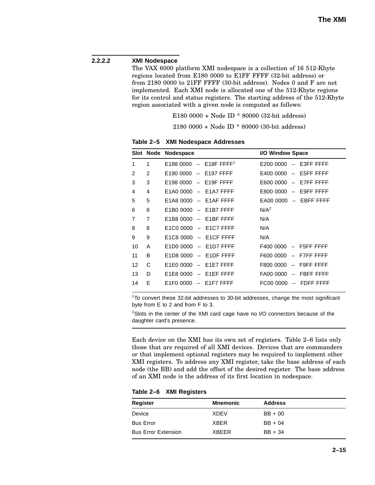#### **2.2.2.2 XMI Nodespace**

The VAX 6000 platform XMI nodespace is a collection of 16 512-Kbyte regions located from E180 0000 to E1FF FFFF (32-bit address) or from 2180 0000 to 21FF FFFF (30-bit address). Nodes 0 and F are not implemented. Each XMI node is allocated one of the 512-Kbyte regions for its control and status registers. The starting address of the 512-Kbyte region associated with a given node is computed as follows:

E180 0000 + Node ID \* 80000 (32-bit address)

2180 0000 + Node ID \* 80000 (30-bit address)

|                |                                                                                                      | I/O Window Space                                   |
|----------------|------------------------------------------------------------------------------------------------------|----------------------------------------------------|
| 1              | $-$ E18F FFFF <sup>1</sup><br>E188 0000                                                              | $-$ E3FF FFFF<br>E200 0000                         |
| $\overline{2}$ | E190 0000<br>E197 FFFF<br>$\overline{\phantom{m}}$                                                   | E5FF FFFF<br>E400 0000<br>$-$                      |
| 3              | E198 0000<br>E19F FFFF<br>$\overline{\phantom{m}}$                                                   | E600 0000<br>E7FF FFFF<br>$-$                      |
| $\overline{4}$ | E1A0 0000<br>$-$ E1A7 FFFF                                                                           | E9FF FFFF<br>E800 0000                             |
| 5              | E1A8 0000<br>E1AF FFFF<br>$\overline{\phantom{m}}$                                                   | EA00 0000<br>$-$ EBFF FFFF                         |
| 6              | E1B7 FFFF<br>$E1B00000 -$                                                                            | N/A <sup>2</sup>                                   |
| 7              | E1BF FFFF<br>E1B8 0000<br>$\overline{\phantom{0}}$                                                   | N/A                                                |
| 8              | E1C0 0000<br>$-$ E1C7 FFFF                                                                           | N/A                                                |
| 9              | E <sub>1</sub> C <sub>8</sub> 0000<br>$-$ E1CF FFFF                                                  | N/A                                                |
| A              | E <sub>1</sub> D <sub>0</sub> 0000<br>E <sub>1</sub> D <sub>7</sub> FFFF<br>$\overline{\phantom{m}}$ | F5FF FFFF<br>F400 0000                             |
| B              | E1D8 0000<br>$-$ E1DF FFFF                                                                           | F7FF FFFF<br>F600 0000<br>$\overline{\phantom{m}}$ |
| С              | E1E0 0000<br>E1E7 FFFF<br>$\overline{\phantom{m}}$                                                   | F9FF FFFF<br>F800 0000<br>$\overline{\phantom{m}}$ |
| D              | E1E8 0000<br>$-$ E1EF FFFF                                                                           | FA00 0000<br>FBFF FFFF<br>$-$                      |
| F              | E <sub>1</sub> F <sub>0</sub> 0000<br>E1F7 FFFF                                                      | FC00 0000<br>FDFF FFFF                             |
|                |                                                                                                      | Slot Node Nodespace                                |

**Table 2–5 XMI Nodespace Addresses**

<sup>1</sup>To convert these 32-bit addresses to 30-bit addresses, change the most significant byte from E to 2 and from F to 3.

<sup>2</sup>Slots in the center of the XMI card cage have no I/O connectors because of the daughter card's presence.

Each device on the XMI has its own set of registers. Table 2–6 lists only those that are required of all XMI devices. Devices that are commanders or that implement optional registers may be required to implement other XMI registers. To address any XMI register, take the base address of each node (the BB) and add the offset of the desired register. The base address of an XMI node is the address of its first location in nodespace.

**Table 2–6 XMI Registers**

| <b>Mnemonic</b> | <b>Address</b> |
|-----------------|----------------|
| XDEV            | $BB + 00$      |
| <b>XBER</b>     | $BB + 04$      |
| <b>XBEER</b>    | $BB + 34$      |
|                 |                |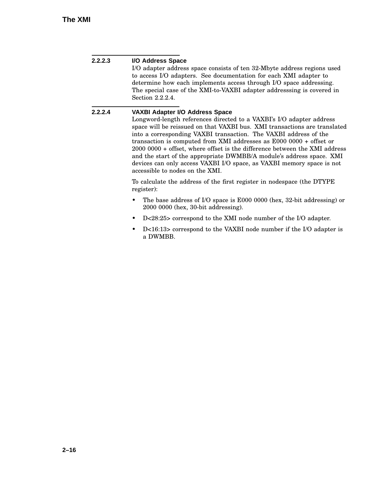| 2.2.2.3 | I/O Address Space<br>I/O adapter address space consists of ten 32-Mbyte address regions used<br>to access I/O adapters. See documentation for each XMI adapter to<br>determine how each implements access through I/O space addressing.<br>The special case of the XMI-to-VAXBI adapter addressing is covered in<br>Section 2.2.2.4.                                                                                                                                                                                                                                                                       |
|---------|------------------------------------------------------------------------------------------------------------------------------------------------------------------------------------------------------------------------------------------------------------------------------------------------------------------------------------------------------------------------------------------------------------------------------------------------------------------------------------------------------------------------------------------------------------------------------------------------------------|
| 2.2.2.4 | <b>VAXBI Adapter I/O Address Space</b><br>Longword-length references directed to a VAXBI's I/O adapter address<br>space will be reissued on that VAXBI bus. XMI transactions are translated<br>into a corresponding VAXBI transaction. The VAXBI address of the<br>transaction is computed from XMI addresses as $E0000000 +$ offset or<br>$20000000 +$ offset, where offset is the difference between the XMI address<br>and the start of the appropriate DWMBB/A module's address space. XMI<br>devices can only access VAXBI I/O space, as VAXBI memory space is not<br>accessible to nodes on the XMI. |
|         | To calculate the address of the first register in nodespace (the DTYPE<br>register):                                                                                                                                                                                                                                                                                                                                                                                                                                                                                                                       |
|         | The base address of I/O space is E000 0000 (hex, 32-bit addressing) or<br>٠<br>2000 0000 (hex, 30-bit addressing).                                                                                                                                                                                                                                                                                                                                                                                                                                                                                         |
|         | D<28:25> correspond to the XMI node number of the I/O adapter.<br>٠                                                                                                                                                                                                                                                                                                                                                                                                                                                                                                                                        |
|         | D<16:13> correspond to the VAXBI node number if the I/O adapter is<br>٠<br>a DWMBB.                                                                                                                                                                                                                                                                                                                                                                                                                                                                                                                        |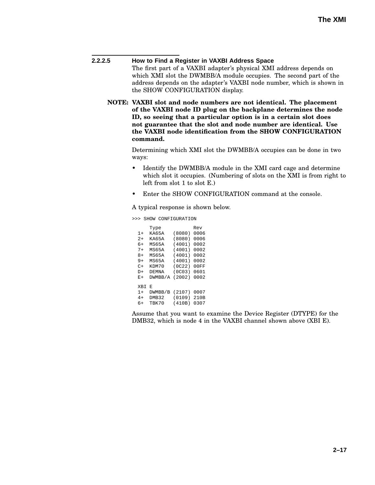**2.2.2.5 How to Find a Register in VAXBI Address Space** The first part of a VAXBI adapter's physical XMI address depends on which XMI slot the DWMBB/A module occupies. The second part of the address depends on the adapter's VAXBI node number, which is shown in the SHOW CONFIGURATION display.

**NOTE: VAXBI slot and node numbers are not identical. The placement of the VAXBI node ID plug on the backplane determines the node ID, so seeing that a particular option is in a certain slot does not guarantee that the slot and node number are identical. Use the VAXBI node identification from the SHOW CONFIGURATION command.**

> Determining which XMI slot the DWMBB/A occupies can be done in two ways:

- Identify the DWMBB/A module in the XMI card cage and determine which slot it occupies. (Numbering of slots on the XMI is from right to left from slot 1 to slot E.)
- Enter the SHOW CONFIGURATION command at the console.

A typical response is shown below.

>>> SHOW CONFIGURATION

|      | Type         |        | Rev  |
|------|--------------|--------|------|
| $1+$ | KA65A        | (8080) | 0006 |
| $2+$ | KA65A        | (8080) | 0006 |
| 6+   | MS65A        | (4001) | 0002 |
| 7+   | MS65A        | (4001) | 0002 |
| 8+   | MS65A        | (4001) | 0002 |
| $9+$ | MS65A        | (4001) | 0002 |
| C+   | KDM70        | (0C22) | 00FF |
| D+   | <b>DEMNA</b> | (0C03) | 0601 |
| E+   | DWMBB/A      | (2002) | 0002 |
| XBI  | E            |        |      |
| $1+$ | DWMBB/B      | (2107) | 0007 |
| $4+$ | DMB32        | (0109) | 210B |
| 6+   | TBK70        | (410B) | 0307 |
|      |              |        |      |

Assume that you want to examine the Device Register (DTYPE) for the DMB32, which is node 4 in the VAXBI channel shown above (XBI E).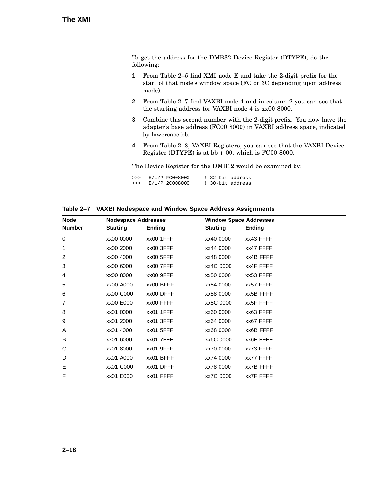To get the address for the DMB32 Device Register (DTYPE), do the following:

- **1** From Table 2–5 find XMI node E and take the 2-digit prefix for the start of that node's window space (FC or 3C depending upon address mode).
- **2** From Table 2–7 find VAXBI node 4 and in column 2 you can see that the starting address for VAXBI node 4 is xx00 8000.
- **3** Combine this second number with the 2-digit prefix. You now have the adapter's base address (FC00 8000) in VAXBI address space, indicated by lowercase bb.
- **4** From Table 2–8, VAXBI Registers, you can see that the VAXBI Device Register (DTYPE) is at bb + 00, which is FC00 8000.

The Device Register for the DMB32 would be examined by:

| >>> | $E/L/P$ $ECO08000$ |  | ! 32-bit address |
|-----|--------------------|--|------------------|
| >>> | E/L/P 2C008000     |  | ! 30-bit address |

|  |  | Table 2-7 VAXBI Nodespace and Window Space Address Assignments |
|--|--|----------------------------------------------------------------|
|  |  |                                                                |

| <b>Node</b>   | <b>Nodespace Addresses</b> |               | <b>Window Space Addresses</b> |                  |
|---------------|----------------------------|---------------|-------------------------------|------------------|
| <b>Number</b> | <b>Starting</b>            | <b>Ending</b> | <b>Starting</b>               | <b>Ending</b>    |
| $\Omega$      | xx00 0000                  | xx00 1FFF     | xx40 0000                     | xx43 FFFF        |
| 1             | xx00 2000                  | xx00 3FFF     | xx44 0000                     | xx47 FFFF        |
| 2             | xx00 4000                  | xx00 5FFF     | xx48 0000                     | xx4B FFFF        |
| 3             | xx00 6000                  | xx00 7FFF     | xx4C 0000                     | xx4F FFFF        |
| 4             | xx00 8000                  | xx00 9FFF     | xx50 0000                     | xx53 FFFF        |
| 5             | xx00 A000                  | xx00 BFFF     | xx54 0000                     | xx57 FFFF        |
| 6             | xx00 C000                  | xx00 DFFF     | xx58 0000                     | xx5B FFFF        |
| 7             | xx00 E000                  | xx00 FFFF     | xx5C 0000                     | <b>XX5F FFFF</b> |
| 8             | xx01 0000                  | xx01 1FFF     | xx60 0000                     | xx63 FFFF        |
| 9             | xx01 2000                  | xx01 3FFF     | xx64 0000                     | xx67 FFFF        |
| A             | xx01 4000                  | xx01 5FFF     | xx68 0000                     | <b>XX6B FFFF</b> |
| B             | xx01 6000                  | xx01 7FFF     | xx6C 0000                     | XX6F FFFF        |
| С             | xx01 8000                  | xx01 9FFF     | xx70 0000                     | xx73 FFFF        |
| D             | xx01 A000                  | xx01 BFFF     | xx74 0000                     | xx77 FFFF        |
| Е             | xx01 C000                  | xx01 DFFF     | xx78 0000                     | xx7B FFFF        |
| F             | xx01 E000                  | xx01 FFFF     | xx7C 0000                     | XX7F FFFF        |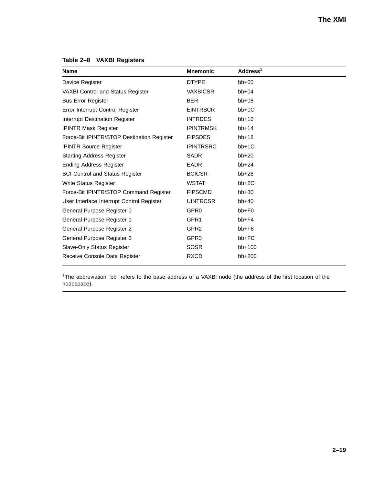**Table 2–8 VAXBI Registers**

| <b>Name</b>                                | <b>Mnemonic</b>  | Address <sup>1</sup> |
|--------------------------------------------|------------------|----------------------|
| Device Register                            | <b>DTYPE</b>     | $bb+00$              |
| <b>VAXBI Control and Status Register</b>   | <b>VAXBICSR</b>  | $bb+04$              |
| <b>Bus Error Register</b>                  | <b>BER</b>       | $bb+08$              |
| <b>Error Interrupt Control Register</b>    | <b>EINTRSCR</b>  | $bb+0C$              |
| <b>Interrupt Destination Register</b>      | <b>INTRDES</b>   | $bb+10$              |
| <b>IPINTR Mask Register</b>                | <b>IPINTRMSK</b> | $bb+14$              |
| Force-Bit IPINTR/STOP Destination Register | <b>FIPSDES</b>   | $bb+18$              |
| <b>IPINTR Source Register</b>              | <b>IPINTRSRC</b> | $bb+1C$              |
| <b>Starting Address Register</b>           | <b>SADR</b>      | $bb+20$              |
| <b>Ending Address Register</b>             | <b>EADR</b>      | $bb+24$              |
| <b>BCI Control and Status Register</b>     | <b>BCICSR</b>    | $bb+28$              |
| Write Status Register                      | <b>WSTAT</b>     | $bb+2C$              |
| Force-Bit IPINTR/STOP Command Register     | <b>FIPSCMD</b>   | $bb+30$              |
| User Interface Interrupt Control Register  | <b>UINTRCSR</b>  | $bb+40$              |
| General Purpose Register 0                 | GPR <sub>0</sub> | $bb + FO$            |
| General Purpose Register 1                 | GPR <sub>1</sub> | $bb + F4$            |
| General Purpose Register 2                 | GPR <sub>2</sub> | bb+F8                |
| General Purpose Register 3                 | GPR <sub>3</sub> | bb+FC                |
| Slave-Only Status Register                 | <b>SOSR</b>      | bb+100               |
| Receive Console Data Register              | <b>RXCD</b>      | bb+200               |

<sup>1</sup>The abbreviation "bb" refers to the base address of a VAXBI node (the address of the first location of the nodespace).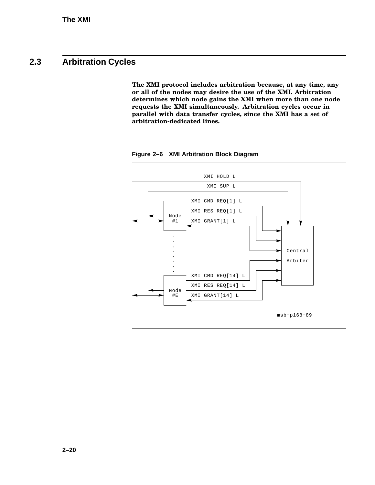## **2.3 Arbitration Cycles**

**The XMI protocol includes arbitration because, at any time, any or all of the nodes may desire the use of the XMI. Arbitration determines which node gains the XMI when more than one node requests the XMI simultaneously. Arbitration cycles occur in parallel with data transfer cycles, since the XMI has a set of arbitration-dedicated lines.**



**Figure 2–6 XMI Arbitration Block Diagram**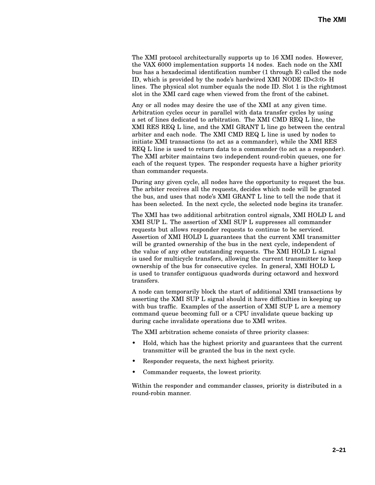The XMI protocol architecturally supports up to 16 XMI nodes. However, the VAX 6000 implementation supports 14 nodes. Each node on the XMI bus has a hexadecimal identification number (1 through E) called the node ID, which is provided by the node's hardwired XMI NODE ID<3:0> H lines. The physical slot number equals the node ID. Slot 1 is the rightmost slot in the XMI card cage when viewed from the front of the cabinet.

Any or all nodes may desire the use of the XMI at any given time. Arbitration cycles occur in parallel with data transfer cycles by using a set of lines dedicated to arbitration. The XMI CMD REQ L line, the XMI RES REQ L line, and the XMI GRANT L line go between the central arbiter and each node. The XMI CMD REQ L line is used by nodes to initiate XMI transactions (to act as a commander), while the XMI RES REQ L line is used to return data to a commander (to act as a responder). The XMI arbiter maintains two independent round-robin queues, one for each of the request types. The responder requests have a higher priority than commander requests.

During any given cycle, all nodes have the opportunity to request the bus. The arbiter receives all the requests, decides which node will be granted the bus, and uses that node's XMI GRANT L line to tell the node that it has been selected. In the next cycle, the selected node begins its transfer.

The XMI has two additional arbitration control signals, XMI HOLD L and XMI SUP L. The assertion of XMI SUP L suppresses all commander requests but allows responder requests to continue to be serviced. Assertion of XMI HOLD L guarantees that the current XMI transmitter will be granted ownership of the bus in the next cycle, independent of the value of any other outstanding requests. The XMI HOLD L signal is used for multicycle transfers, allowing the current transmitter to keep ownership of the bus for consecutive cycles. In general, XMI HOLD L is used to transfer contiguous quadwords during octaword and hexword transfers.

A node can temporarily block the start of additional XMI transactions by asserting the XMI SUP L signal should it have difficulties in keeping up with bus traffic. Examples of the assertion of XMI SUP L are a memory command queue becoming full or a CPU invalidate queue backing up during cache invalidate operations due to XMI writes.

The XMI arbitration scheme consists of three priority classes:

- Hold, which has the highest priority and guarantees that the current transmitter will be granted the bus in the next cycle.
- Responder requests, the next highest priority.
- Commander requests, the lowest priority.

Within the responder and commander classes, priority is distributed in a round-robin manner.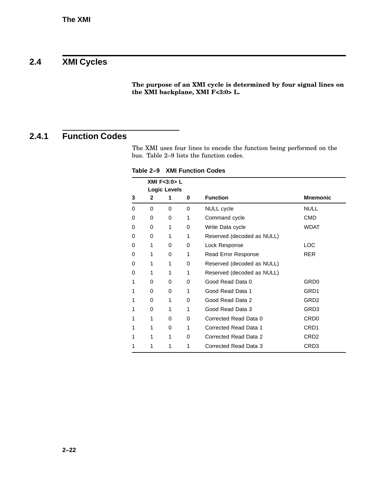## **2.4 XMI Cycles**

**The purpose of an XMI cycle is determined by four signal lines on the XMI backplane, XMI F<3:0> L.**

### **2.4.1 Function Codes**

The XMI uses four lines to encode the function being performed on the bus. Table 2–9 lists the function codes.

**Table 2–9 XMI Function Codes**

|   | XMI F<3:0> L |                     |   |                            |                  |  |
|---|--------------|---------------------|---|----------------------------|------------------|--|
|   |              | <b>Logic Levels</b> |   |                            |                  |  |
| 3 | 2            | 1                   | 0 | <b>Function</b>            | <b>Mnemonic</b>  |  |
| 0 | 0            | 0                   | 0 | NULL cycle                 | <b>NULL</b>      |  |
| 0 | 0            | 0                   | 1 | Command cycle              | CMD              |  |
| 0 | 0            | 1                   | 0 | Write Data cycle           | <b>WDAT</b>      |  |
| 0 | 0            | 1                   | 1 | Reserved (decoded as NULL) |                  |  |
| 0 | 1            | 0                   | 0 | Lock Response              | <b>LOC</b>       |  |
| 0 | 1            | 0                   | 1 | Read Error Response        | <b>RER</b>       |  |
| 0 | 1            | 1                   | 0 | Reserved (decoded as NULL) |                  |  |
| 0 | 1            | 1                   | 1 | Reserved (decoded as NULL) |                  |  |
| 1 | 0            | 0                   | 0 | Good Read Data 0           | GRD0             |  |
| 1 | 0            | 0                   | 1 | Good Read Data 1           | GRD1             |  |
| 1 | 0            | 1                   | 0 | Good Read Data 2           | GRD <sub>2</sub> |  |
| 1 | 0            | 1                   | 1 | Good Read Data 3           | GRD3             |  |
| 1 | 1            | 0                   | 0 | Corrected Read Data 0      | CRD <sub>0</sub> |  |
| 1 | 1            | 0                   | 1 | Corrected Read Data 1      | CRD <sub>1</sub> |  |
| 1 | 1            | 1                   | 0 | Corrected Read Data 2      | CRD <sub>2</sub> |  |
| 1 | 1            | 1                   | 1 | Corrected Read Data 3      | CRD3             |  |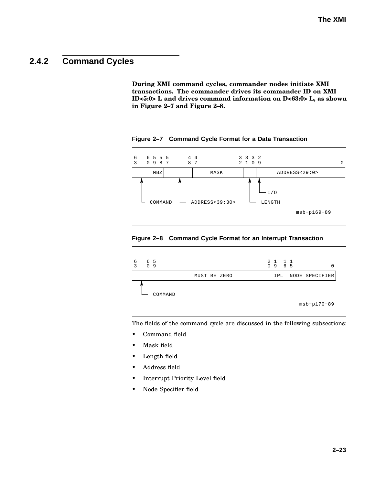### **2.4.2 Command Cycles**

**During XMI command cycles, commander nodes initiate XMI transactions. The commander drives its commander ID on XMI ID<5:0> L and drives command information on D<63:0> L, as shown in Figure 2–7 and Figure 2–8.**



**Figure 2–7 Command Cycle Format for a Data Transaction**

#### **Figure 2–8 Command Cycle Format for an Interrupt Transaction**



The fields of the command cycle are discussed in the following subsections:

- Command field
- Mask field
- Length field
- Address field
- Interrupt Priority Level field
- Node Specifier field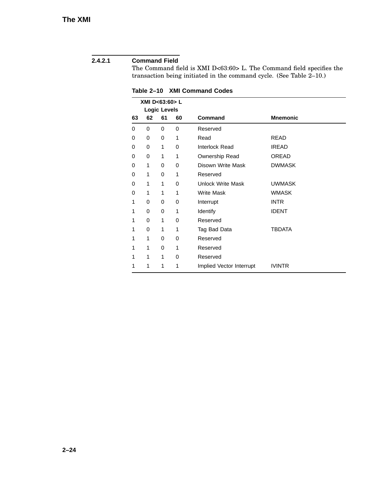### **2.4.2.1 Command Field**

The Command field is XMI D<63:60> L. The Command field specifies the transaction being initiated in the command cycle. (See Table 2–10.)

| XMI D<63:60> L |    |                           |    |                          |                 |  |
|----------------|----|---------------------------|----|--------------------------|-----------------|--|
| 63             | 62 | <b>Logic Levels</b><br>61 | 60 | <b>Command</b>           | <b>Mnemonic</b> |  |
| 0              | 0  | 0                         | 0  | Reserved                 |                 |  |
| 0              | 0  | 0                         | 1  | Read                     | READ            |  |
| 0              | 0  | 1                         | 0  | Interlock Read           | <b>IREAD</b>    |  |
| 0              | 0  | 1                         | 1  | Ownership Read           | OREAD           |  |
| 0              | 1  | 0                         | 0  | Disown Write Mask        | <b>DWMASK</b>   |  |
| 0              | 1  | 0                         | 1  | Reserved                 |                 |  |
| 0              | 1  | 1                         | 0  | <b>Unlock Write Mask</b> | <b>UWMASK</b>   |  |
| 0              | 1  | 1                         | 1  | <b>Write Mask</b>        | <b>WMASK</b>    |  |
| 1              | 0  | 0                         | 0  | Interrupt                | <b>INTR</b>     |  |
| 1              | 0  | 0                         | 1  | Identify                 | <b>IDENT</b>    |  |
| 1              | 0  | 1                         | 0  | Reserved                 |                 |  |
| 1              | 0  | 1                         | 1  | Tag Bad Data             | TBDATA          |  |
| 1              | 1  | 0                         | 0  | Reserved                 |                 |  |
| 1              | 1  | 0                         | 1  | Reserved                 |                 |  |
| 1              | 1  | 1                         | 0  | Reserved                 |                 |  |
| 1              | 1  | 1                         | 1  | Implied Vector Interrupt | <b>IVINTR</b>   |  |

**Table 2–10 XMI Command Codes**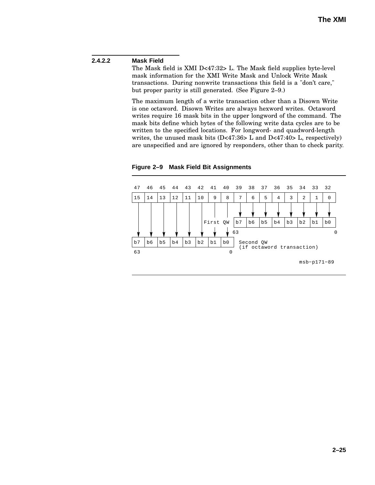### **2.4.2.2 Mask Field**

The Mask field is XMI D<47:32> L. The Mask field supplies byte-level mask information for the XMI Write Mask and Unlock Write Mask transactions. During nonwrite transactions this field is a "don't care," but proper parity is still generated. (See Figure 2–9.)

The maximum length of a write transaction other than a Disown Write is one octaword. Disown Writes are always hexword writes. Octaword writes require 16 mask bits in the upper longword of the command. The mask bits define which bytes of the following write data cycles are to be written to the specified locations. For longword- and quadword-length writes, the unused mask bits (D<47:36> L and D<47:40> L, respectively) are unspecified and are ignored by responders, other than to check parity.



**Figure 2–9 Mask Field Bit Assignments**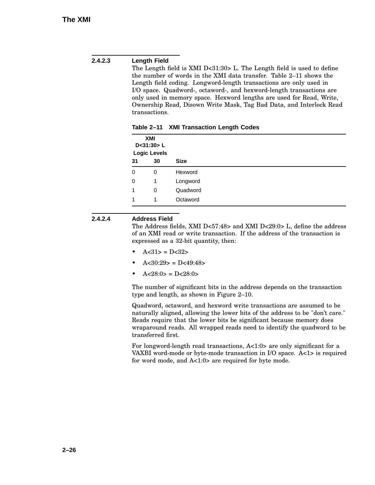#### **2.4.2.3 Length Field**

The Length field is XMI D<31:30> L. The Length field is used to define the number of words in the XMI data transfer. Table 2–11 shows the Length field coding. Longword-length transactions are only used in I/O space. Quadword-, octaword-, and hexword-length transactions are only used in memory space. Hexword lengths are used for Read, Write, Ownership Read, Disown Write Mask, Tag Bad Data, and Interlock Read transactions.

| XMI<br>D < 31:30 > L<br><b>Logic Levels</b> |    |             |
|---------------------------------------------|----|-------------|
| 31                                          | 30 | <b>Size</b> |
| 0                                           | 0  | Hexword     |
| 0                                           | 1  | Longword    |
| 1                                           | 0  | Quadword    |
|                                             | 1  | Octaword    |

**Table 2–11 XMI Transaction Length Codes**

#### **2.4.2.4 Address Field**

The Address fields, XMI D<57:48> and XMI D<29:0> L, define the address of an XMI read or write transaction. If the address of the transaction is expressed as a 32-bit quantity, then:

- $A < 31$  =  $D < 32$
- $A < 30:29$  = D $< 49:48$
- $A < 28:0 > = D < 28:0 >$

The number of significant bits in the address depends on the transaction type and length, as shown in Figure 2–10.

Quadword, octaword, and hexword write transactions are assumed to be naturally aligned, allowing the lower bits of the address to be "don't care." Reads require that the lower bits be significant because memory does wraparound reads. All wrapped reads need to identify the quadword to be transferred first.

For longword-length read transactions, A<1:0> are only significant for a VAXBI word-mode or byte-mode transaction in I/O space. A<1> is required for word mode, and A<1:0> are required for byte mode.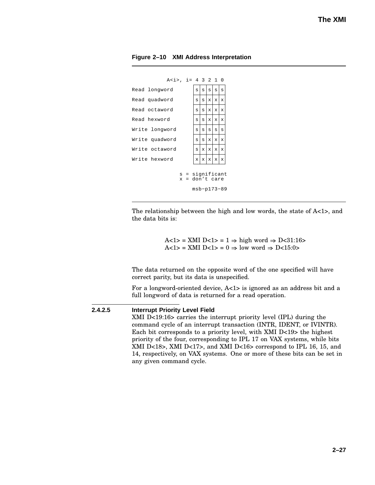



The relationship between the high and low words, the state of A<1>, and the data bits is:

> A<1> = XMI D<1> = 1  $\Rightarrow$  high word  $\Rightarrow$  D<31:16> A<1> = XMI D<1> = 0  $\Rightarrow$  low word  $\Rightarrow$  D<15:0>

The data returned on the opposite word of the one specified will have correct parity, but its data is unspecified.

For a longword-oriented device, A<1> is ignored as an address bit and a full longword of data is returned for a read operation.

#### **2.4.2.5 Interrupt Priority Level Field**

XMI D<19:16> carries the interrupt priority level (IPL) during the command cycle of an interrupt transaction (INTR, IDENT, or IVINTR). Each bit corresponds to a priority level, with XMI D<19> the highest priority of the four, corresponding to IPL 17 on VAX systems, while bits XMI D<18>, XMI D<17>, and XMI D<16> correspond to IPL 16, 15, and 14, respectively, on VAX systems. One or more of these bits can be set in any given command cycle.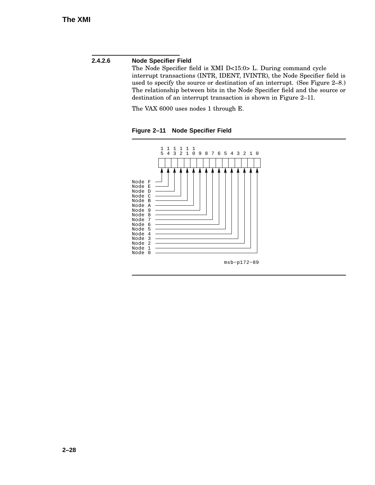#### **2.4.2.6 Node Specifier Field**

The Node Specifier field is XMI D<15:0> L. During command cycle interrupt transactions (INTR, IDENT, IVINTR), the Node Specifier field is used to specify the source or destination of an interrupt. (See Figure 2–8.) The relationship between bits in the Node Specifier field and the source or destination of an interrupt transaction is shown in Figure 2–11.

The VAX 6000 uses nodes 1 through E.

**Figure 2–11 Node Specifier Field**

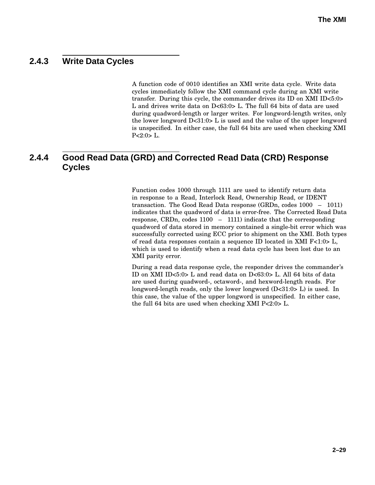### **2.4.3 Write Data Cycles**

A function code of 0010 identifies an XMI write data cycle. Write data cycles immediately follow the XMI command cycle during an XMI write transfer. During this cycle, the commander drives its ID on XMI ID<5:0> L and drives write data on D<63:0> L. The full 64 bits of data are used during quadword-length or larger writes. For longword-length writes, only the lower longword D<31:0> L is used and the value of the upper longword is unspecified. In either case, the full 64 bits are used when checking XMI  $P<2:0$ > L.

### **2.4.4 Good Read Data (GRD) and Corrected Read Data (CRD) Response Cycles**

Function codes 1000 through 1111 are used to identify return data in response to a Read, Interlock Read, Ownership Read, or IDENT transaction. The Good Read Data response (GRDn, codes 1000 – 1011) indicates that the quadword of data is error-free. The Corrected Read Data response, CRDn, codes 1100 – 1111) indicate that the corresponding quadword of data stored in memory contained a single-bit error which was successfully corrected using ECC prior to shipment on the XMI. Both types of read data responses contain a sequence ID located in XMI F<1:0> L, which is used to identify when a read data cycle has been lost due to an XMI parity error.

During a read data response cycle, the responder drives the commander's ID on XMI ID<5:0> L and read data on D<63:0> L. All 64 bits of data are used during quadword-, octaword-, and hexword-length reads. For longword-length reads, only the lower longword  $(D<31:0> L)$  is used. In this case, the value of the upper longword is unspecified. In either case, the full 64 bits are used when checking XMI P<2:0> L.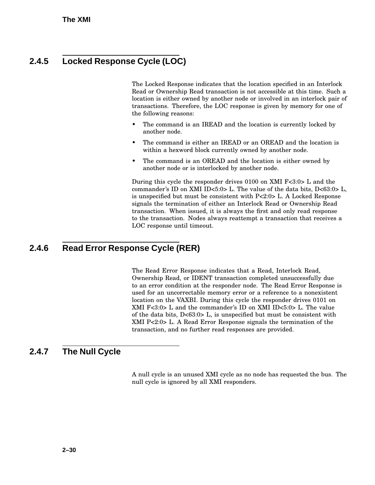### **2.4.5 Locked Response Cycle (LOC)**

The Locked Response indicates that the location specified in an Interlock Read or Ownership Read transaction is not accessible at this time. Such a location is either owned by another node or involved in an interlock pair of transactions. Therefore, the LOC response is given by memory for one of the following reasons:

- The command is an IREAD and the location is currently locked by another node.
- The command is either an IREAD or an OREAD and the location is within a hexword block currently owned by another node.
- The command is an OREAD and the location is either owned by another node or is interlocked by another node.

During this cycle the responder drives 0100 on XMI F<3:0> L and the commander's ID on XMI ID<5:0> L. The value of the data bits, D<63:0> L, is unspecified but must be consistent with P<2:0> L. A Locked Response signals the termination of either an Interlock Read or Ownership Read transaction. When issued, it is always the first and only read response to the transaction. Nodes always reattempt a transaction that receives a LOC response until timeout.

### **2.4.6 Read Error Response Cycle (RER)**

The Read Error Response indicates that a Read, Interlock Read, Ownership Read, or IDENT transaction completed unsuccessfully due to an error condition at the responder node. The Read Error Response is used for an uncorrectable memory error or a reference to a nonexistent location on the VAXBI. During this cycle the responder drives 0101 on XMI F<3:0> L and the commander's ID on XMI ID<5:0> L. The value of the data bits,  $D < 63:0 > L$ , is unspecified but must be consistent with XMI P<2:0> L. A Read Error Response signals the termination of the transaction, and no further read responses are provided.

### **2.4.7 The Null Cycle**

A null cycle is an unused XMI cycle as no node has requested the bus. The null cycle is ignored by all XMI responders.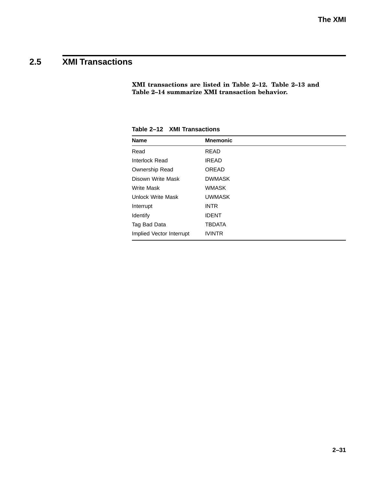# **2.5 XMI Transactions**

**XMI transactions are listed in Table 2–12. Table 2–13 and Table 2–14 summarize XMI transaction behavior.**

| <b>Name</b>              | <b>Mnemonic</b> |
|--------------------------|-----------------|
| Read                     | <b>READ</b>     |
| <b>Interlock Read</b>    | <b>IREAD</b>    |
| <b>Ownership Read</b>    | <b>OREAD</b>    |
| Disown Write Mask        | <b>DWMASK</b>   |
| <b>Write Mask</b>        | <b>WMASK</b>    |
| Unlock Write Mask        | <b>UWMASK</b>   |
| Interrupt                | <b>INTR</b>     |
| Identify                 | <b>IDENT</b>    |
| Tag Bad Data             | <b>TBDATA</b>   |
| Implied Vector Interrupt | <b>IVINTR</b>   |

**Table 2–12 XMI Transactions**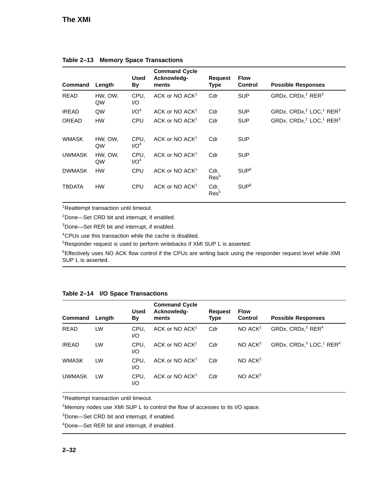| Command       | Length        | <b>Used</b><br>By        | <b>Command Cycle</b><br>Acknowledg-<br>ments | <b>Request</b><br><b>Type</b> | <b>Flow</b><br><b>Control</b> | <b>Possible Responses</b> |
|---------------|---------------|--------------------------|----------------------------------------------|-------------------------------|-------------------------------|---------------------------|
| <b>READ</b>   | HW, OW,<br>QW | CPU.<br>I/O              | ACK or NO $ACK1$                             | Cdr                           | <b>SUP</b>                    | GRDx, $CRDxi2 RER3$       |
| <b>IREAD</b>  | QW            | I/O <sup>4</sup>         | ACK or NO $ACK1$                             | Cdr                           | <b>SUP</b>                    | GRDx, $CRDxi2 LOCi1 RER3$ |
| <b>OREAD</b>  | <b>HW</b>     | CPU                      | ACK or NO $ACK1$                             | Cdr                           | <b>SUP</b>                    | GRDx, $CRDxi2 LOCi1 RER3$ |
| <b>WMASK</b>  | HW, OW,<br>QW | CPU.<br>I/O <sup>4</sup> | ACK or NO ACK <sup>1</sup>                   | Cdr                           | <b>SUP</b>                    |                           |
| <b>UWMASK</b> | HW, OW,<br>QW | CPU.<br>I/O <sup>4</sup> | ACK or NO ACK <sup>1</sup>                   | Cdr                           | <b>SUP</b>                    |                           |
| <b>DWMASK</b> | <b>HW</b>     | <b>CPU</b>               | ACK or NO ACK <sup>1</sup>                   | Cdr,<br>Res <sup>5</sup>      | SUP <sup>6</sup>              |                           |
| <b>TBDATA</b> | <b>HW</b>     | <b>CPU</b>               | ACK or NO ACK <sup>1</sup>                   | Cdr,<br>Res <sup>5</sup>      | SUP <sup>6</sup>              |                           |

#### **Table 2–13 Memory Space Transactions**

<sup>1</sup>Reattempt transaction until timeout.

<sup>2</sup>Done—Set CRD bit and interrupt, if enabled.

<sup>3</sup>Done—Set RER bit and interrupt, if enabled.

<sup>4</sup>CPUs use this transaction while the cache is disabled.

<sup>5</sup>Responder request is used to perform writebacks if XMI SUP L is asserted.

<sup>6</sup>Effectively uses NO ACK flow control if the CPUs are writing back using the responder request level while XMI SUP L is asserted.

| Command       | Length | <b>Used</b><br>By | <b>Command Cycle</b><br>Acknowledg-<br>ments | <b>Request</b><br><b>Type</b> | <b>Flow</b><br><b>Control</b> | <b>Possible Responses</b> |
|---------------|--------|-------------------|----------------------------------------------|-------------------------------|-------------------------------|---------------------------|
| <b>READ</b>   | LW     | CPU.<br>I/O       | ACK or NO $ACK1$                             | Cdr                           | $NO$ $ACK2$                   | GRDx, $CRDx3 RER4$        |
| <b>IREAD</b>  | LW     | CPU.<br>I/O       | ACK or NO $ACK1$                             | Cdr                           | $NO$ $ACK2$                   | GRDx, $CRDx13 LOC11 RER4$ |
| <b>WMASK</b>  | LW     | CPU.<br>I/O       | ACK or NO ACK <sup>1</sup>                   | Cdr                           | $NO$ $ACK2$                   |                           |
| <b>UWMASK</b> | LW     | CPU.<br>I/O       | ACK or NO $ACK1$                             | Cdr                           | $NO$ $ACK2$                   |                           |

#### **Table 2–14 I/O Space Transactions**

<sup>1</sup>Reattempt transaction until timeout.

<sup>2</sup>Memory nodes use XMI SUP L to control the flow of accesses to its I/O space.

<sup>3</sup>Done—Set CRD bit and interrupt, if enabled.

<sup>4</sup>Done—Set RER bit and interrupt, if enabled.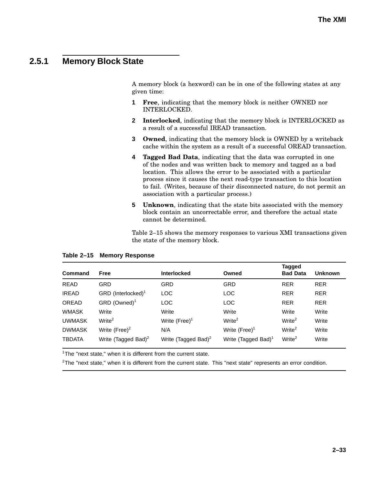### **2.5.1 Memory Block State**

A memory block (a hexword) can be in one of the following states at any given time:

- **1 Free**, indicating that the memory block is neither OWNED nor INTERLOCKED.
- **2 Interlocked**, indicating that the memory block is INTERLOCKED as a result of a successful IREAD transaction.
- **3 Owned**, indicating that the memory block is OWNED by a writeback cache within the system as a result of a successful OREAD transaction.
- **4 Tagged Bad Data**, indicating that the data was corrupted in one of the nodes and was written back to memory and tagged as a bad location. This allows the error to be associated with a particular process since it causes the next read-type transaction to this location to fail. (Writes, because of their disconnected nature, do not permit an association with a particular process.)
- **5 Unknown**, indicating that the state bits associated with the memory block contain an uncorrectable error, and therefore the actual state cannot be determined.

Table 2–15 shows the memory responses to various XMI transactions given the state of the memory block.

| <b>Command</b> | Free                            | <b>Interlocked</b>              | Owned                           | Tagged<br><b>Bad Data</b> | <b>Unknown</b> |
|----------------|---------------------------------|---------------------------------|---------------------------------|---------------------------|----------------|
| <b>READ</b>    | <b>GRD</b>                      | <b>GRD</b>                      | GRD                             | <b>RER</b>                | <b>RER</b>     |
| <b>IREAD</b>   | GRD (Interlocked) <sup>1</sup>  | <b>LOC</b>                      | <b>LOC</b>                      | <b>RER</b>                | <b>RER</b>     |
| <b>OREAD</b>   | $GRD$ (Owned) <sup>1</sup>      | <b>LOC</b>                      | <b>LOC</b>                      | <b>RER</b>                | <b>RER</b>     |
| <b>WMASK</b>   | Write                           | Write                           | Write                           | Write                     | Write          |
| <b>UWMASK</b>  | Write <sup>2</sup>              | Write $(Free)^1$                | Write <sup>2</sup>              | Write <sup>2</sup>        | Write          |
| <b>DWMASK</b>  | Write $(Free)^2$                | N/A                             | Write $(Free)^1$                | Write <sup>2</sup>        | Write          |
| <b>TBDATA</b>  | Write (Tagged Bad) <sup>2</sup> | Write (Tagged Bad) <sup>2</sup> | Write (Tagged Bad) <sup>1</sup> | Write <sup>2</sup>        | Write          |

#### **Table 2–15 Memory Response**

 $1$ The "next state," when it is different from the current state.

 ${}^{2}$ The "next state," when it is different from the current state. This "next state" represents an error condition.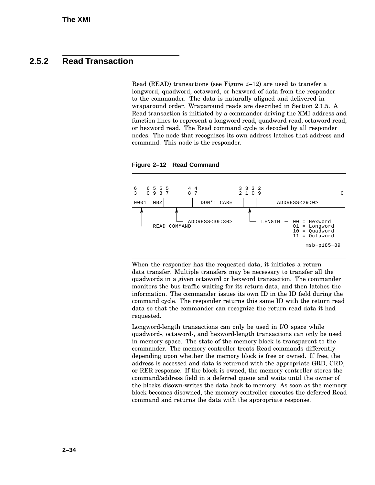### **2.5.2 Read Transaction**

Read (READ) transactions (see Figure 2–12) are used to transfer a longword, quadword, octaword, or hexword of data from the responder to the commander. The data is naturally aligned and delivered in wraparound order. Wraparound reads are described in Section 2.1.5. A Read transaction is initiated by a commander driving the XMI address and function lines to represent a longword read, quadword read, octaword read, or hexword read. The Read command cycle is decoded by all responder nodes. The node that recognizes its own address latches that address and command. This node is the responder.



**Figure 2–12 Read Command**

When the responder has the requested data, it initiates a return data transfer. Multiple transfers may be necessary to transfer all the quadwords in a given octaword or hexword transaction. The commander monitors the bus traffic waiting for its return data, and then latches the information. The commander issues its own ID in the ID field during the command cycle. The responder returns this same ID with the return read data so that the commander can recognize the return read data it had requested.

Longword-length transactions can only be used in I/O space while quadword-, octaword-, and hexword-length transactions can only be used in memory space. The state of the memory block is transparent to the commander. The memory controller treats Read commands differently depending upon whether the memory block is free or owned. If free, the address is accessed and data is returned with the appropriate GRD, CRD, or RER response. If the block is owned, the memory controller stores the command/address field in a deferred queue and waits until the owner of the blocks disown-writes the data back to memory. As soon as the memory block becomes disowned, the memory controller executes the deferred Read command and returns the data with the appropriate response.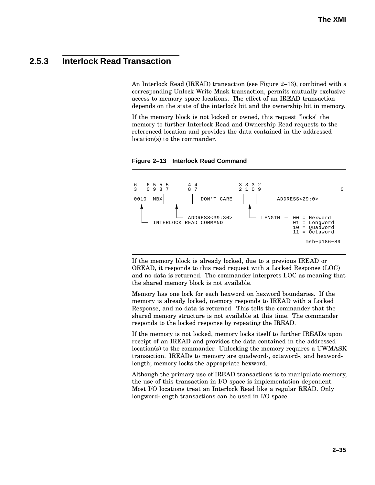### **2.5.3 Interlock Read Transaction**

An Interlock Read (IREAD) transaction (see Figure 2–13), combined with a corresponding Unlock Write Mask transaction, permits mutually exclusive access to memory space locations. The effect of an IREAD transaction depends on the state of the interlock bit and the ownership bit in memory.

If the memory block is not locked or owned, this request "locks" the memory to further Interlock Read and Ownership Read requests to the referenced location and provides the data contained in the addressed location(s) to the commander.



**Figure 2–13 Interlock Read Command**

If the memory block is already locked, due to a previous IREAD or OREAD, it responds to this read request with a Locked Response (LOC) and no data is returned. The commander interprets LOC as meaning that the shared memory block is not available.

Memory has one lock for each hexword on hexword boundaries. If the memory is already locked, memory responds to IREAD with a Locked Response, and no data is returned. This tells the commander that the shared memory structure is not available at this time. The commander responds to the locked response by repeating the IREAD.

If the memory is not locked, memory locks itself to further IREADs upon receipt of an IREAD and provides the data contained in the addressed location(s) to the commander. Unlocking the memory requires a UWMASK transaction. IREADs to memory are quadword-, octaword-, and hexwordlength; memory locks the appropriate hexword.

Although the primary use of IREAD transactions is to manipulate memory, the use of this transaction in I/O space is implementation dependent. Most I/O locations treat an Interlock Read like a regular READ. Only longword-length transactions can be used in I/O space.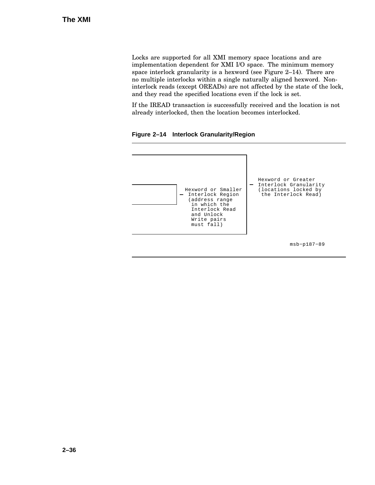Locks are supported for all XMI memory space locations and are implementation dependent for XMI I/O space. The minimum memory space interlock granularity is a hexword (see Figure 2–14). There are no multiple interlocks within a single naturally aligned hexword. Noninterlock reads (except OREADs) are not affected by the state of the lock, and they read the specified locations even if the lock is set.

If the IREAD transaction is successfully received and the location is not already interlocked, then the location becomes interlocked.

**Figure 2–14 Interlock Granularity/Region**

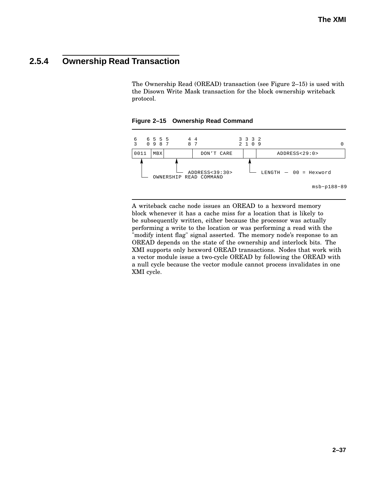### **2.5.4 Ownership Read Transaction**

The Ownership Read (OREAD) transaction (see Figure 2–15) is used with the Disown Write Mask transaction for the block ownership writeback protocol.

**Figure 2–15 Ownership Read Command**



A writeback cache node issues an OREAD to a hexword memory block whenever it has a cache miss for a location that is likely to be subsequently written, either because the processor was actually performing a write to the location or was performing a read with the "modify intent flag" signal asserted. The memory node's response to an OREAD depends on the state of the ownership and interlock bits. The XMI supports only hexword OREAD transactions. Nodes that work with a vector module issue a two-cycle OREAD by following the OREAD with a null cycle because the vector module cannot process invalidates in one XMI cycle.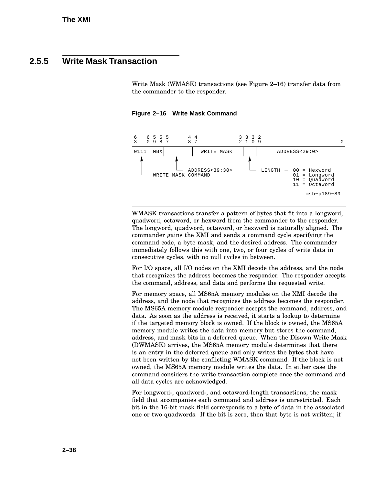### **2.5.5 Write Mask Transaction**

Write Mask (WMASK) transactions (see Figure 2–16) transfer data from the commander to the responder.

**Figure 2–16 Write Mask Command**



WMASK transactions transfer a pattern of bytes that fit into a longword, quadword, octaword, or hexword from the commander to the responder. The longword, quadword, octaword, or hexword is naturally aligned. The commander gains the XMI and sends a command cycle specifying the command code, a byte mask, and the desired address. The commander immediately follows this with one, two, or four cycles of write data in consecutive cycles, with no null cycles in between.

For I/O space, all I/O nodes on the XMI decode the address, and the node that recognizes the address becomes the responder. The responder accepts the command, address, and data and performs the requested write.

For memory space, all MS65A memory modules on the XMI decode the address, and the node that recognizes the address becomes the responder. The MS65A memory module responder accepts the command, address, and data. As soon as the address is received, it starts a lookup to determine if the targeted memory block is owned. If the block is owned, the MS65A memory module writes the data into memory but stores the command, address, and mask bits in a deferred queue. When the Disown Write Mask (DWMASK) arrives, the MS65A memory module determines that there is an entry in the deferred queue and only writes the bytes that have not been written by the conflicting WMASK command. If the block is not owned, the MS65A memory module writes the data. In either case the command considers the write transaction complete once the command and all data cycles are acknowledged.

For longword-, quadword-, and octaword-length transactions, the mask field that accompanies each command and address is unrestricted. Each bit in the 16-bit mask field corresponds to a byte of data in the associated one or two quadwords. If the bit is zero, then that byte is not written; if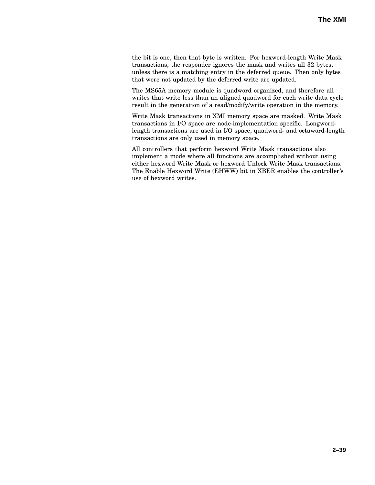the bit is one, then that byte is written. For hexword-length Write Mask transactions, the responder ignores the mask and writes all 32 bytes, unless there is a matching entry in the deferred queue. Then only bytes that were not updated by the deferred write are updated.

The MS65A memory module is quadword organized, and therefore all writes that write less than an aligned quadword for each write data cycle result in the generation of a read/modify/write operation in the memory.

Write Mask transactions in XMI memory space are masked. Write Mask transactions in I/O space are node-implementation specific. Longwordlength transactions are used in I/O space; quadword- and octaword-length transactions are only used in memory space.

All controllers that perform hexword Write Mask transactions also implement a mode where all functions are accomplished without using either hexword Write Mask or hexword Unlock Write Mask transactions. The Enable Hexword Write (EHWW) bit in XBER enables the controller's use of hexword writes.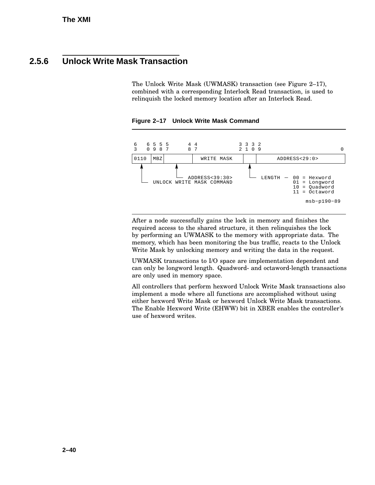### **2.5.6 Unlock Write Mask Transaction**

The Unlock Write Mask (UWMASK) transaction (see Figure 2–17), combined with a corresponding Interlock Read transaction, is used to relinquish the locked memory location after an Interlock Read.





After a node successfully gains the lock in memory and finishes the required access to the shared structure, it then relinquishes the lock by performing an UWMASK to the memory with appropriate data. The memory, which has been monitoring the bus traffic, reacts to the Unlock Write Mask by unlocking memory and writing the data in the request.

UWMASK transactions to I/O space are implementation dependent and can only be longword length. Quadword- and octaword-length transactions are only used in memory space.

All controllers that perform hexword Unlock Write Mask transactions also implement a mode where all functions are accomplished without using either hexword Write Mask or hexword Unlock Write Mask transactions. The Enable Hexword Write (EHWW) bit in XBER enables the controller's use of hexword writes.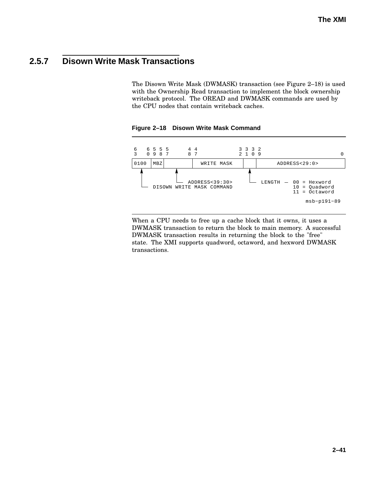### **2.5.7 Disown Write Mask Transactions**

The Disown Write Mask (DWMASK) transaction (see Figure 2–18) is used with the Ownership Read transaction to implement the block ownership writeback protocol. The OREAD and DWMASK commands are used by the CPU nodes that contain writeback caches.



**Figure 2–18 Disown Write Mask Command**

When a CPU needs to free up a cache block that it owns, it uses a DWMASK transaction to return the block to main memory. A successful DWMASK transaction results in returning the block to the "free" state. The XMI supports quadword, octaword, and hexword DWMASK transactions.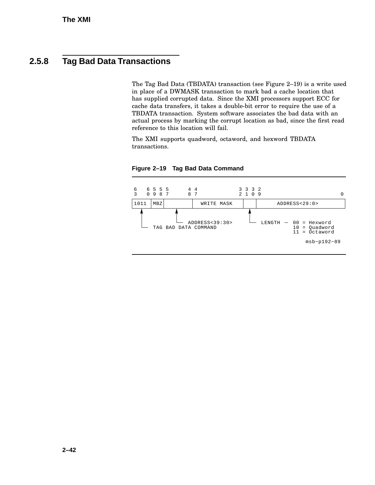### **2.5.8 Tag Bad Data Transactions**

The Tag Bad Data (TBDATA) transaction (see Figure 2–19) is a write used in place of a DWMASK transaction to mark bad a cache location that has supplied corrupted data. Since the XMI processors support ECC for cache data transfers, it takes a double-bit error to require the use of a TBDATA transaction. System software associates the bad data with an actual process by marking the corrupt location as bad, since the first read reference to this location will fail.

The XMI supports quadword, octaword, and hexword TBDATA transactions.



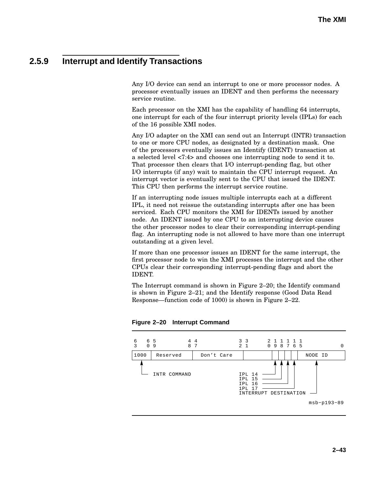## **2.5.9 Interrupt and Identify Transactions**

Any I/O device can send an interrupt to one or more processor nodes. A processor eventually issues an IDENT and then performs the necessary service routine.

Each processor on the XMI has the capability of handling 64 interrupts, one interrupt for each of the four interrupt priority levels (IPLs) for each of the 16 possible XMI nodes.

Any I/O adapter on the XMI can send out an Interrupt (INTR) transaction to one or more CPU nodes, as designated by a destination mask. One of the processors eventually issues an Identify (IDENT) transaction at a selected level <7:4> and chooses one interrupting node to send it to. That processor then clears that I/O interrupt-pending flag, but other I/O interrupts (if any) wait to maintain the CPU interrupt request. An interrupt vector is eventually sent to the CPU that issued the IDENT. This CPU then performs the interrupt service routine.

If an interrupting node issues multiple interrupts each at a different IPL, it need not reissue the outstanding interrupts after one has been serviced. Each CPU monitors the XMI for IDENTs issued by another node. An IDENT issued by one CPU to an interrupting device causes the other processor nodes to clear their corresponding interrupt-pending flag. An interrupting node is not allowed to have more than one interrupt outstanding at a given level.

If more than one processor issues an IDENT for the same interrupt, the first processor node to win the XMI processes the interrupt and the other CPUs clear their corresponding interrupt-pending flags and abort the IDENT.

The Interrupt command is shown in Figure 2–20; the Identify command is shown in Figure 2–21; and the Identify response (Good Data Read Response—function code of 1000) is shown in Figure 2–22.



**Figure 2–20 Interrupt Command**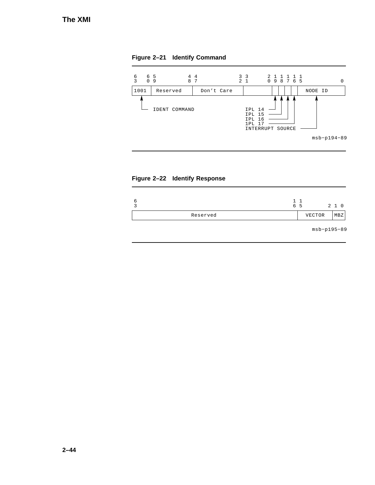**Figure 2–21 Identify Command**





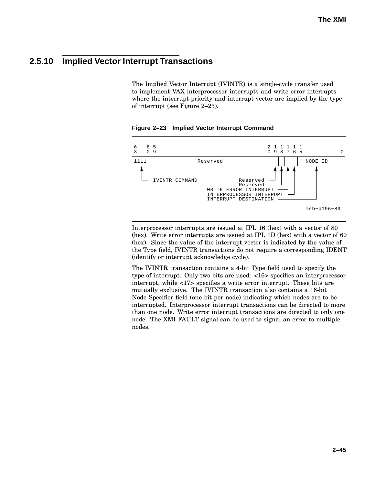## **2.5.10 Implied Vector Interrupt Transactions**

The Implied Vector Interrupt (IVINTR) is a single-cycle transfer used to implement VAX interprocessor interrupts and write error interrupts where the interrupt priority and interrupt vector are implied by the type of interrupt (see Figure 2–23).





Interprocessor interrupts are issued at IPL 16 (hex) with a vector of 80 (hex). Write error interrupts are issued at IPL 1D (hex) with a vector of 60 (hex). Since the value of the interrupt vector is indicated by the value of the Type field, IVINTR transactions do not require a corresponding IDENT (identify or interrupt acknowledge cycle).

The IVINTR transaction contains a 4-bit Type field used to specify the type of interrupt. Only two bits are used: <16> specifies an interprocessor interrupt, while <17> specifies a write error interrupt. These bits are mutually exclusive. The IVINTR transaction also contains a 16-bit Node Specifier field (one bit per node) indicating which nodes are to be interrupted. Interprocessor interrupt transactions can be directed to more than one node. Write error interrupt transactions are directed to only one node. The XMI FAULT signal can be used to signal an error to multiple nodes.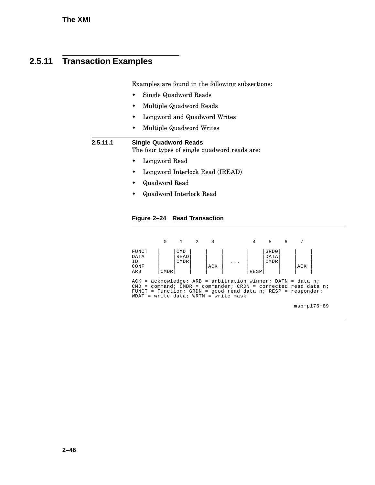# **2.5.11 Transaction Examples**

Examples are found in the following subsections:

- Single Quadword Reads
- Multiple Quadword Reads
- Longword and Quadword Writes
- Multiple Quadword Writes

#### **2.5.11.1 Single Quadword Reads**

The four types of single quadword reads are:

- Longword Read
- Longword Interlock Read (IREAD)
- Quadword Read
- Quadword Interlock Read

#### **Figure 2–24 Read Transaction**

|                                                                                                                                                                                                                                                           | $\Omega$    | 1                                 | $\overline{2}$ | 3   |  | 4    | 5                           | 6 |     |  |
|-----------------------------------------------------------------------------------------------------------------------------------------------------------------------------------------------------------------------------------------------------------|-------------|-----------------------------------|----------------|-----|--|------|-----------------------------|---|-----|--|
| FUNCT<br>DATA<br>ID<br>CONF<br>ARB                                                                                                                                                                                                                        | <b>CMDR</b> | <b>CMD</b><br>READ<br><b>CMDR</b> |                | ACK |  | RESP | GRD0<br>DATA<br><b>CMDR</b> |   | ACK |  |
| $ACK = acknowledgement$ acknowledge; ARB = arbitration winner; DATN = data n;<br>$CMD = command: CMDR = commander: CNDN = corrected read data n;$<br>FUNCT = Function; GRDN = good read data n; RESP = responder:<br>WDAT = write data; WRTM = write mask |             |                                   |                |     |  |      |                             |   |     |  |

msb−p176−89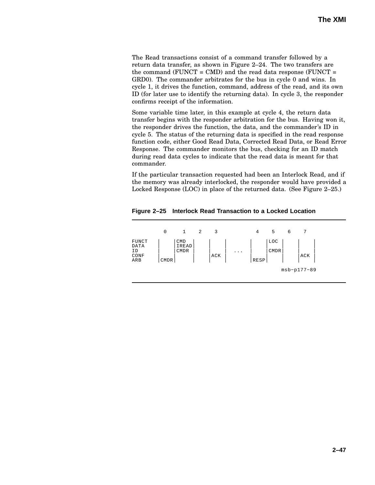The Read transactions consist of a command transfer followed by a return data transfer, as shown in Figure 2–24. The two transfers are the command ( $FUNCT = CMD$ ) and the read data response ( $FUNCT =$ GRD0). The commander arbitrates for the bus in cycle 0 and wins. In cycle 1, it drives the function, command, address of the read, and its own ID (for later use to identify the returning data). In cycle 3, the responder confirms receipt of the information.

Some variable time later, in this example at cycle 4, the return data transfer begins with the responder arbitration for the bus. Having won it, the responder drives the function, the data, and the commander's ID in cycle 5. The status of the returning data is specified in the read response function code, either Good Read Data, Corrected Read Data, or Read Error Response. The commander monitors the bus, checking for an ID match during read data cycles to indicate that the read data is meant for that commander.

If the particular transaction requested had been an Interlock Read, and if the memory was already interlocked, the responder would have provided a Locked Response (LOC) in place of the returned data. (See Figure 2–25.)

**Figure 2–25 Interlock Read Transaction to a Locked Location**

|                                    | 0           | 1                           | 2 | 3   |          | 4    | 5                  | 6 | 7             |
|------------------------------------|-------------|-----------------------------|---|-----|----------|------|--------------------|---|---------------|
| FUNCT<br>DATA<br>ΙD<br>CONF<br>ARB | <b>CMDR</b> | <b>CMD</b><br>IREAD<br>CMDR |   | ACK | $\cdots$ | RESP | LOC<br><b>CMDR</b> |   | ACK           |
|                                    |             |                             |   |     |          |      |                    |   | $msb-p177-89$ |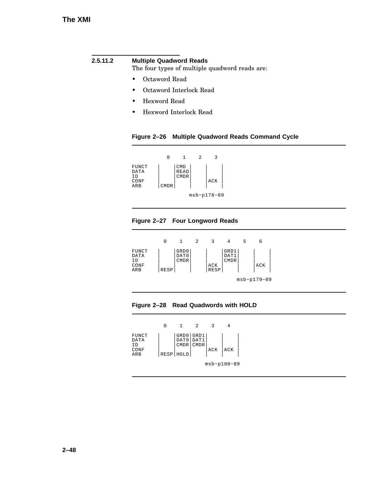### **2.5.11.2 Multiple Quadword Reads**

The four types of multiple quadword reads are:

- Octaword Read
- Octaword Interlock Read
- Hexword Read
- Hexword Interlock Read

#### **Figure 2–26 Multiple Quadword Reads Command Cycle**

|                                    |             | 1                          | 2 | 3             |  |
|------------------------------------|-------------|----------------------------|---|---------------|--|
| FUNCT<br>DATA<br>ΙD<br>CONF<br>ARB | <b>CMDR</b> | CMD<br><b>READ</b><br>CMDR |   | ACK           |  |
|                                    |             |                            |   | $msb-p178-89$ |  |

### **Figure 2–27 Four Longword Reads**

|                                    |      |                      | 2 | κ                  |                             | 5 | 6             |  |
|------------------------------------|------|----------------------|---|--------------------|-----------------------------|---|---------------|--|
| FUNCT<br>DATA<br>ΙD<br>CONF<br>ARB | RESP | GRD0<br>DAT0<br>CMDR |   | ACK<br><b>RESP</b> | GRD1<br>DAT1<br><b>CMDR</b> |   | ACK           |  |
|                                    |      |                      |   |                    |                             |   | $msb-p179-89$ |  |



|                                    |                                         | 2                        |     |               |  |
|------------------------------------|-----------------------------------------|--------------------------|-----|---------------|--|
| FUNCT<br>DATA<br>ΙD<br>CONF<br>ARB | DAT0   DAT1<br><b>CMDR</b><br>RESP HOLD | GRD0 GRD1<br><b>CMDR</b> | ACK | ACK           |  |
|                                    |                                         |                          |     | $msb-p180-89$ |  |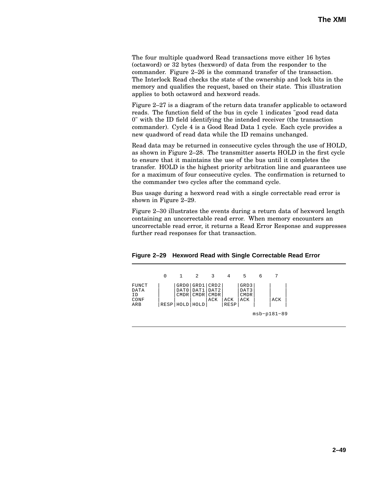The four multiple quadword Read transactions move either 16 bytes (octaword) or 32 bytes (hexword) of data from the responder to the commander. Figure 2–26 is the command transfer of the transaction. The Interlock Read checks the state of the ownership and lock bits in the memory and qualifies the request, based on their state. This illustration applies to both octaword and hexword reads.

Figure 2–27 is a diagram of the return data transfer applicable to octaword reads. The function field of the bus in cycle 1 indicates "good read data 0" with the ID field identifying the intended receiver (the transaction commander). Cycle 4 is a Good Read Data 1 cycle. Each cycle provides a new quadword of read data while the ID remains unchanged.

Read data may be returned in consecutive cycles through the use of HOLD, as shown in Figure 2–28. The transmitter asserts HOLD in the first cycle to ensure that it maintains the use of the bus until it completes the transfer. HOLD is the highest priority arbitration line and guarantees use for a maximum of four consecutive cycles. The confirmation is returned to the commander two cycles after the command cycle.

Bus usage during a hexword read with a single correctable read error is shown in Figure 2–29.

Figure 2–30 illustrates the events during a return data of hexword length containing an uncorrectable read error. When memory encounters an uncorrectable read error, it returns a Read Error Response and suppresses further read responses for that transaction.

|  |  | Figure 2-29 Hexword Read with Single Correctable Read Error |  |
|--|--|-------------------------------------------------------------|--|
|--|--|-------------------------------------------------------------|--|

|                                    | 0 |                                           | 2                   | 3                                                        | 4                  | 5                                  | 6 |               |  |
|------------------------------------|---|-------------------------------------------|---------------------|----------------------------------------------------------|--------------------|------------------------------------|---|---------------|--|
| FUNCT<br>DATA<br>ΙD<br>CONF<br>ARB |   | DAT0<br><b>CMDR</b><br>RESP   HOLD   HOLD | DAT1<br><b>CMDR</b> | GRD0 GRD1 CRD2<br>DAT <sub>2</sub><br><b>CMDR</b><br>ACK | ACK<br><b>RESP</b> | GRD3<br>DAT3<br><b>CMDR</b><br>ACK |   | ACK           |  |
|                                    |   |                                           |                     |                                                          |                    |                                    |   | $msb-p181-89$ |  |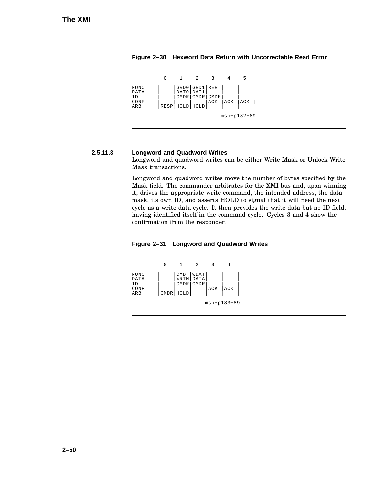|                                     |      | п.                         | 2                             |                    |     | 5             |  |
|-------------------------------------|------|----------------------------|-------------------------------|--------------------|-----|---------------|--|
| FUNCT<br>DATA<br>T D<br>CONF<br>ARB | RESP | DAT0<br>CMDR<br> HOLD HOLD | GRD0 GRD1 RER<br>DAT1<br>CMDR | <b>CMDR</b><br>ACK | ACK | ACK           |  |
|                                     |      |                            |                               |                    |     | $msb-p182-89$ |  |

**Figure 2–30 Hexword Data Return with Uncorrectable Read Error**

#### **2.5.11.3 Longword and Quadword Writes**

Longword and quadword writes can be either Write Mask or Unlock Write Mask transactions.

Longword and quadword writes move the number of bytes specified by the Mask field. The commander arbitrates for the XMI bus and, upon winning it, drives the appropriate write command, the intended address, the data mask, its own ID, and asserts HOLD to signal that it will need the next cycle as a write data cycle. It then provides the write data but no ID field, having identified itself in the command cycle. Cycles 3 and 4 show the confirmation from the responder.

**Figure 2–31 Longword and Quadword Writes**

|                                    |                                        | 2                                | 3   |             |  |
|------------------------------------|----------------------------------------|----------------------------------|-----|-------------|--|
| FUNCT<br>DATA<br>ΙD<br>CONF<br>ARB | <b>CMD</b><br><b>CMDR</b><br>CMDR HOLD | WDAT<br>WRTM DATA<br><b>CMDR</b> | ACK | ACK         |  |
|                                    |                                        |                                  |     | msb-p183-89 |  |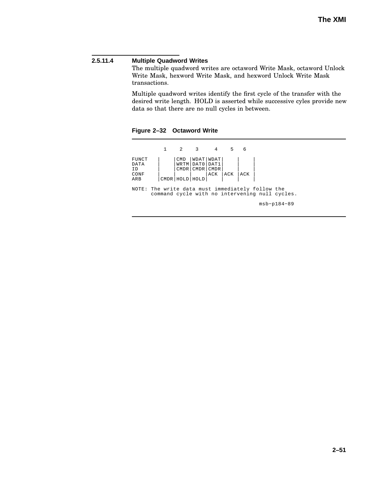#### **2.5.11.4 Multiple Quadword Writes**

The multiple quadword writes are octaword Write Mask, octaword Unlock Write Mask, hexword Write Mask, and hexword Unlock Write Mask transactions.

Multiple quadword writes identify the first cycle of the transfer with the desired write length. HOLD is asserted while successive cyles provide new data so that there are no null cycles in between.

**Figure 2–32 Octaword Write**

1 2 3 4 5 6 FUNCT DATA ID CONF ARB | | | | |CMD |WDAT|WDAT| |WRTM|DAT0|DAT1| |CMDR|CMDR|CMDR| |  $\overline{\phantom{a}}$ | |  $\overline{\phantom{a}}$ | | |ACK |ACK |ACK | | command cycle with no intervening null cycles. msb−p184−89 NOTE: The write data must immediately follow the |CMDR|HOLD|HOLD| |  $\| \cdot \|$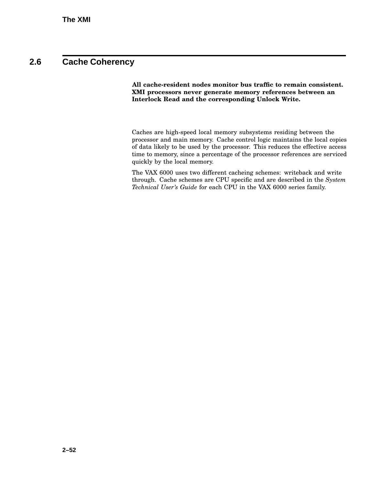## **2.6 Cache Coherency**

**All cache-resident nodes monitor bus traffic to remain consistent. XMI processors never generate memory references between an Interlock Read and the corresponding Unlock Write.**

Caches are high-speed local memory subsystems residing between the processor and main memory. Cache control logic maintains the local copies of data likely to be used by the processor. This reduces the effective access time to memory, since a percentage of the processor references are serviced quickly by the local memory.

The VAX 6000 uses two different cacheing schemes: writeback and write through. Cache schemes are CPU specific and are described in the *System Technical User's Guide* for each CPU in the VAX 6000 series family.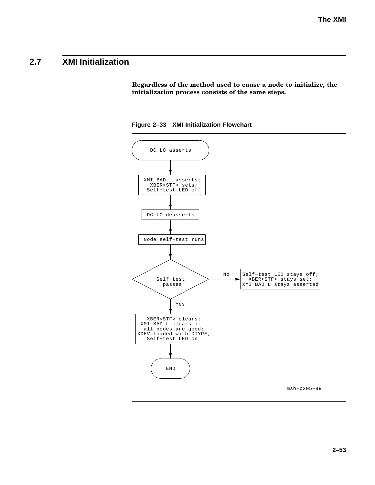# **2.7 XMI Initialization**

**Regardless of the method used to cause a node to initialize, the initialization process consists of the same steps.**



**Figure 2–33 XMI Initialization Flowchart**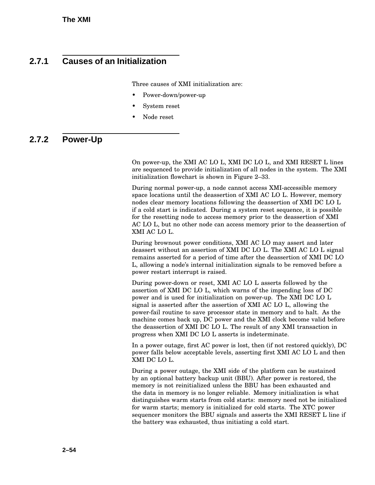## **2.7.1 Causes of an Initialization**

Three causes of XMI initialization are:

- Power-down/power-up
- System reset
- Node reset

## **2.7.2 Power-Up**

On power-up, the XMI AC LO L, XMI DC LO L, and XMI RESET L lines are sequenced to provide initialization of all nodes in the system. The XMI initialization flowchart is shown in Figure 2–33.

During normal power-up, a node cannot access XMI-accessible memory space locations until the deassertion of XMI AC LO L. However, memory nodes clear memory locations following the deassertion of XMI DC LO L if a cold start is indicated. During a system reset sequence, it is possible for the resetting node to access memory prior to the deassertion of XMI AC LO L, but no other node can access memory prior to the deassertion of XMI AC LO L.

During brownout power conditions, XMI AC LO may assert and later deassert without an assertion of XMI DC LO L. The XMI AC LO L signal remains asserted for a period of time after the deassertion of XMI DC LO L, allowing a node's internal initialization signals to be removed before a power restart interrupt is raised.

During power-down or reset, XMI AC LO L asserts followed by the assertion of XMI DC LO L, which warns of the impending loss of DC power and is used for initialization on power-up. The XMI DC LO L signal is asserted after the assertion of XMI AC LO L, allowing the power-fail routine to save processor state in memory and to halt. As the machine comes back up, DC power and the XMI clock become valid before the deassertion of XMI DC LO L. The result of any XMI transaction in progress when XMI DC LO L asserts is indeterminate.

In a power outage, first AC power is lost, then (if not restored quickly), DC power falls below acceptable levels, asserting first XMI AC LO L and then XMI DC LO L.

During a power outage, the XMI side of the platform can be sustained by an optional battery backup unit (BBU). After power is restored, the memory is not reinitialized unless the BBU has been exhausted and the data in memory is no longer reliable. Memory initialization is what distinguishes warm starts from cold starts: memory need not be initialized for warm starts; memory is initialized for cold starts. The XTC power sequencer monitors the BBU signals and asserts the XMI RESET L line if the battery was exhausted, thus initiating a cold start.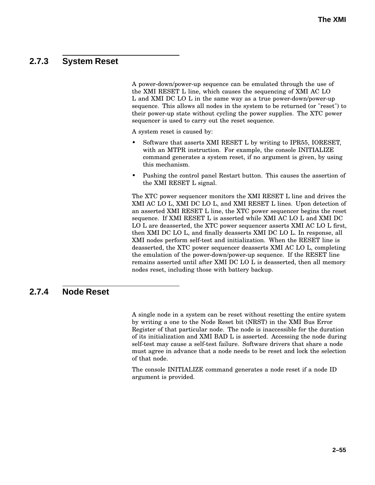## **2.7.3 System Reset**

A power-down/power-up sequence can be emulated through the use of the XMI RESET L line, which causes the sequencing of XMI AC LO L and XMI DC LO L in the same way as a true power-down/power-up sequence. This allows all nodes in the system to be returned (or "reset") to their power-up state without cycling the power supplies. The XTC power sequencer is used to carry out the reset sequence.

A system reset is caused by:

- Software that asserts XMI RESET L by writing to IPR55, IORESET, with an MTPR instruction. For example, the console INITIALIZE command generates a system reset, if no argument is given, by using this mechanism.
- Pushing the control panel Restart button. This causes the assertion of the XMI RESET L signal.

The XTC power sequencer monitors the XMI RESET L line and drives the XMI AC LO L, XMI DC LO L, and XMI RESET L lines. Upon detection of an asserted XMI RESET L line, the XTC power sequencer begins the reset sequence. If XMI RESET L is asserted while XMI AC LO L and XMI DC LO L are deasserted, the XTC power sequencer asserts XMI AC LO L first, then XMI DC LO L, and finally deasserts XMI DC LO L. In response, all XMI nodes perform self-test and initialization. When the RESET line is deasserted, the XTC power sequencer deasserts XMI AC LO L, completing the emulation of the power-down/power-up sequence. If the RESET line remains asserted until after XMI DC LO L is deasserted, then all memory nodes reset, including those with battery backup.

### **2.7.4 Node Reset**

A single node in a system can be reset without resetting the entire system by writing a one to the Node Reset bit (NRST) in the XMI Bus Error Register of that particular node. The node is inaccessible for the duration of its initialization and XMI BAD L is asserted. Accessing the node during self-test may cause a self-test failure. Software drivers that share a node must agree in advance that a node needs to be reset and lock the selection of that node.

The console INITIALIZE command generates a node reset if a node ID argument is provided.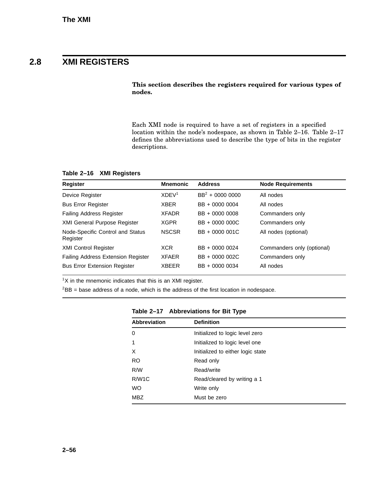## **2.8 XMI REGISTERS**

**This section describes the registers required for various types of nodes.**

Each XMI node is required to have a set of registers in a specified location within the node's nodespace, as shown in Table 2–16. Table 2–17 defines the abbreviations used to describe the type of bits in the register descriptions.

**Table 2–16 XMI Registers**

| <b>Register</b>                              | <b>Mnemonic</b>      | <b>Address</b>     | <b>Node Requirements</b>   |
|----------------------------------------------|----------------------|--------------------|----------------------------|
| Device Register                              | $X$ DEV <sup>1</sup> | $BB^2 + 0000 0000$ | All nodes                  |
| <b>Bus Error Register</b>                    | <b>XBER</b>          | BB + 0000 0004     | All nodes                  |
| <b>Failing Address Register</b>              | <b>XFADR</b>         | BB + 0000 0008     | Commanders only            |
| <b>XMI General Purpose Register</b>          | <b>XGPR</b>          | BB + 0000 000C     | Commanders only            |
| Node-Specific Control and Status<br>Register | <b>NSCSR</b>         | BB + 0000 001C     | All nodes (optional)       |
| <b>XMI Control Register</b>                  | <b>XCR</b>           | BB + 0000 0024     | Commanders only (optional) |
| <b>Failing Address Extension Register</b>    | <b>XFAER</b>         | BB + 0000 002C     | Commanders only            |
| <b>Bus Error Extension Register</b>          | <b>XBEER</b>         | BB + 0000 0034     | All nodes                  |

 $1X$  in the mnemonic indicates that this is an XMI register.

 ${}^{2}$ BB = base address of a node, which is the address of the first location in nodespace.

| <b>Abbreviation</b> | <b>Definition</b>                 |
|---------------------|-----------------------------------|
| 0                   | Initialized to logic level zero   |
| 1                   | Initialized to logic level one    |
| X                   | Initialized to either logic state |
| <b>RO</b>           | Read only                         |
| R/W                 | Read/write                        |
| R/W <sub>1</sub> C  | Read/cleared by writing a 1       |
| <b>WO</b>           | Write only                        |
| MBZ                 | Must be zero                      |

**Table 2–17 Abbreviations for Bit Type**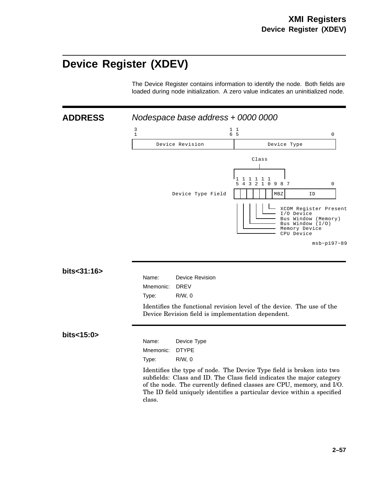# **Device Register (XDEV)**

The Device Register contains information to identify the node. Both fields are loaded during node initialization. A zero value indicates an uninitialized node.

**ADDRESS** Nodespace base address + 0000 0000



### **bits<31:16>**

| Name:          | <b>Device Revision</b> |
|----------------|------------------------|
| Mnemonic: DREV |                        |
| Type:          | R/W.0                  |

Identifies the functional revision level of the device. The use of the Device Revision field is implementation dependent.

### **bits<15:0>**

| Name:     | Device Type  |
|-----------|--------------|
| Mnemonic: | <b>DTYPE</b> |
| Type:     | R/W.0        |

Identifies the type of node. The Device Type field is broken into two subfields: Class and ID. The Class field indicates the major category of the node. The currently defined classes are CPU, memory, and I/O. The ID field uniquely identifies a particular device within a specified class.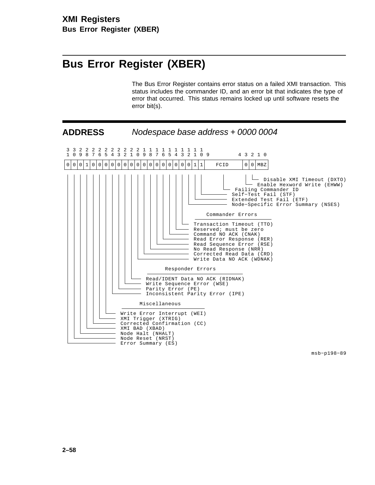# **Bus Error Register (XBER)**

The Bus Error Register contains error status on a failed XMI transaction. This status includes the commander ID, and an error bit that indicates the type of error that occurred. This status remains locked up until software resets the error bit(s).



msb−p198−89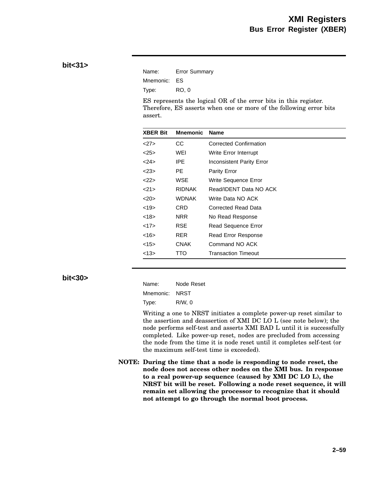### **bit<31>**

| Name:        | <b>Error Summary</b> |
|--------------|----------------------|
| Mnemonic: ES |                      |
| Type:        | RO. 0                |

ES represents the logical OR of the error bits in this register. Therefore, ES asserts when one or more of the following error bits assert.

| <b>XBER Bit</b> | <b>Mnemonic</b> | <b>Name</b>                   |
|-----------------|-----------------|-------------------------------|
| 27              | CС              | <b>Corrected Confirmation</b> |
| <25             | WEI             | Write Error Interrupt         |
| <24>            | IPE.            | Inconsistent Parity Error     |
| $<$ 23>         | PE.             | Parity Error                  |
| <22>            | WSE             | Write Sequence Error          |
| $<$ 21>         | <b>RIDNAK</b>   | Read/IDENT Data NO ACK        |
| 20              | <b>WDNAK</b>    | Write Data NO ACK             |
| <19>            | CRD             | Corrected Read Data           |
| <18>            | NRR             | No Read Response              |
| <17>            | RSE             | Read Sequence Error           |
| <16>            | <b>RER</b>      | Read Error Response           |
| <15>            | <b>CNAK</b>     | Command NO ACK                |
| <13>            | TTO             | Transaction Timeout           |

**bit<30>**

| Name:     | Node Reset |
|-----------|------------|
| Mnemonic: | NRST       |
| Type:     | R/W, 0     |

Writing a one to NRST initiates a complete power-up reset similar to the assertion and deassertion of XMI DC LO L (see note below); the node performs self-test and asserts XMI BAD L until it is successfully completed. Like power-up reset, nodes are precluded from accessing the node from the time it is node reset until it completes self-test (or the maximum self-test time is exceeded).

**NOTE: During the time that a node is responding to node reset, the node does not access other nodes on the XMI bus. In response to a real power-up sequence (caused by XMI DC LO L), the NRST bit will be reset. Following a node reset sequence, it will remain set allowing the processor to recognize that it should not attempt to go through the normal boot process.**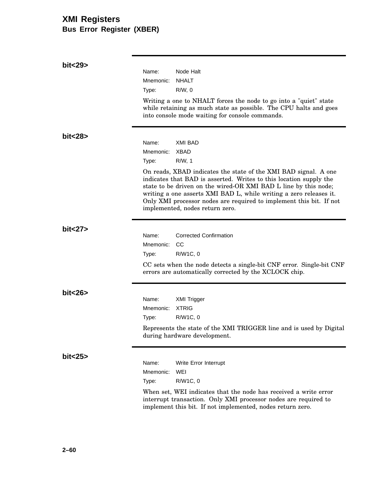## **XMI Registers Bus Error Register (XBER)**

| bit<29>  |           |                                                                                                                                                                                                                                                                                                                                                                                          |
|----------|-----------|------------------------------------------------------------------------------------------------------------------------------------------------------------------------------------------------------------------------------------------------------------------------------------------------------------------------------------------------------------------------------------------|
|          | Name:     | Node Halt                                                                                                                                                                                                                                                                                                                                                                                |
|          | Mnemonic: | <b>NHALT</b>                                                                                                                                                                                                                                                                                                                                                                             |
|          | Type:     | $R/W$ , 0                                                                                                                                                                                                                                                                                                                                                                                |
|          |           | Writing a one to NHALT forces the node to go into a "quiet" state<br>while retaining as much state as possible. The CPU halts and goes<br>into console mode waiting for console commands.                                                                                                                                                                                                |
| bit<28>  |           |                                                                                                                                                                                                                                                                                                                                                                                          |
|          | Name:     | <b>XMI BAD</b>                                                                                                                                                                                                                                                                                                                                                                           |
|          | Mnemonic: | <b>XBAD</b>                                                                                                                                                                                                                                                                                                                                                                              |
|          | Type:     | $R/W$ , 1                                                                                                                                                                                                                                                                                                                                                                                |
|          |           | On reads, XBAD indicates the state of the XMI BAD signal. A one<br>indicates that BAD is asserted. Writes to this location supply the<br>state to be driven on the wired-OR XMI BAD L line by this node;<br>writing a one asserts XMI BAD L, while writing a zero releases it.<br>Only XMI processor nodes are required to implement this bit. If not<br>implemented, nodes return zero. |
| bit < 27 |           |                                                                                                                                                                                                                                                                                                                                                                                          |
|          | Name:     | <b>Corrected Confirmation</b>                                                                                                                                                                                                                                                                                                                                                            |
|          | Mnemonic: | CC                                                                                                                                                                                                                                                                                                                                                                                       |
|          | Type:     | R/W1C, 0                                                                                                                                                                                                                                                                                                                                                                                 |
|          |           | CC sets when the node detects a single-bit CNF error. Single-bit CNF<br>errors are automatically corrected by the XCLOCK chip.                                                                                                                                                                                                                                                           |
| bit < 26 |           |                                                                                                                                                                                                                                                                                                                                                                                          |
|          | Name:     | XMI Trigger                                                                                                                                                                                                                                                                                                                                                                              |
|          | Mnemonic: | <b>XTRIG</b>                                                                                                                                                                                                                                                                                                                                                                             |
|          | Type:     | R/W1C, 0                                                                                                                                                                                                                                                                                                                                                                                 |
|          |           | Represents the state of the XMI TRIGGER line and is used by Digital<br>during hardware development.                                                                                                                                                                                                                                                                                      |
| bit < 25 |           |                                                                                                                                                                                                                                                                                                                                                                                          |
|          | Name:     | Write Error Interrupt                                                                                                                                                                                                                                                                                                                                                                    |
|          | Mnemonic: | WEI                                                                                                                                                                                                                                                                                                                                                                                      |
|          | Type:     | R/W1C, 0                                                                                                                                                                                                                                                                                                                                                                                 |
|          |           | When set, WEI indicates that the node has received a write error<br>interrupt transaction. Only XMI processor nodes are required to<br>implement this bit. If not implemented, nodes return zero.                                                                                                                                                                                        |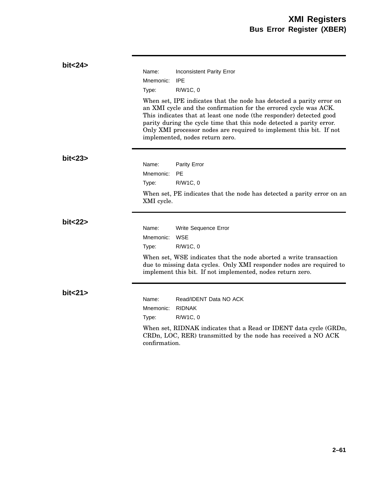| bit < 24 | Name:<br><b>Inconsistent Parity Error</b><br>Mnemonic:<br>IPE<br>Type:<br>R/W1C, 0<br>When set, IPE indicates that the node has detected a parity error on<br>an XMI cycle and the confirmation for the errored cycle was ACK.<br>This indicates that at least one node (the responder) detected good<br>parity during the cycle time that this node detected a parity error.<br>Only XMI processor nodes are required to implement this bit. If not<br>implemented, nodes return zero. |
|----------|-----------------------------------------------------------------------------------------------------------------------------------------------------------------------------------------------------------------------------------------------------------------------------------------------------------------------------------------------------------------------------------------------------------------------------------------------------------------------------------------|
| bit < 23 | Name:<br><b>Parity Error</b><br>Mnemonic:<br>PF.<br>R/W1C, 0<br>Type:<br>When set, PE indicates that the node has detected a parity error on an<br>XMI cycle.                                                                                                                                                                                                                                                                                                                           |
| bit < 22 | Name:<br>Write Sequence Error<br><b>WSE</b><br>Mnemonic:<br>R/W1C, 0<br>Type:<br>When set, WSE indicates that the node aborted a write transaction<br>due to missing data cycles. Only XMI responder nodes are required to<br>implement this bit. If not implemented, nodes return zero.                                                                                                                                                                                                |
| bit < 21 | Name:<br>Read/IDENT Data NO ACK<br>Mnemonic:<br><b>RIDNAK</b><br>R/W1C, 0<br>Type:<br>When set, RIDNAK indicates that a Read or IDENT data cycle (GRDn,<br>CRDn, LOC, RER) transmitted by the node has received a NO ACK<br>confirmation.                                                                                                                                                                                                                                               |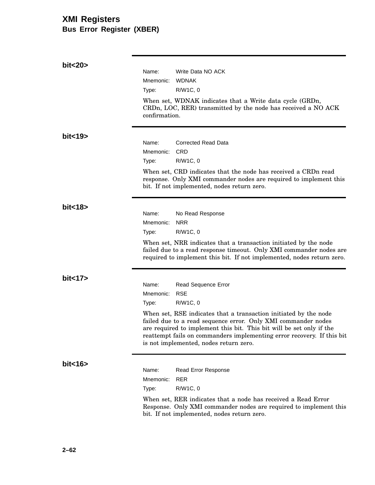## **XMI Registers Bus Error Register (XBER)**

| bit < 20 |                                                                                                                                                                                                                                                                                                                               |                                                                                                                                                                                                                   |
|----------|-------------------------------------------------------------------------------------------------------------------------------------------------------------------------------------------------------------------------------------------------------------------------------------------------------------------------------|-------------------------------------------------------------------------------------------------------------------------------------------------------------------------------------------------------------------|
|          | Name:                                                                                                                                                                                                                                                                                                                         | Write Data NO ACK                                                                                                                                                                                                 |
|          | Mnemonic:                                                                                                                                                                                                                                                                                                                     | <b>WDNAK</b>                                                                                                                                                                                                      |
|          | Type:                                                                                                                                                                                                                                                                                                                         | R/W1C, 0                                                                                                                                                                                                          |
|          | confirmation.                                                                                                                                                                                                                                                                                                                 | When set, WDNAK indicates that a Write data cycle (GRDn,<br>CRDn, LOC, RER) transmitted by the node has received a NO ACK                                                                                         |
| bit < 19 |                                                                                                                                                                                                                                                                                                                               |                                                                                                                                                                                                                   |
|          | Name:                                                                                                                                                                                                                                                                                                                         | Corrected Read Data                                                                                                                                                                                               |
|          | Mnemonic:                                                                                                                                                                                                                                                                                                                     | <b>CRD</b>                                                                                                                                                                                                        |
|          | Type:                                                                                                                                                                                                                                                                                                                         | R/W1C, 0                                                                                                                                                                                                          |
|          |                                                                                                                                                                                                                                                                                                                               | When set, CRD indicates that the node has received a CRDn read<br>response. Only XMI commander nodes are required to implement this<br>bit. If not implemented, nodes return zero.                                |
| bit < 18 |                                                                                                                                                                                                                                                                                                                               |                                                                                                                                                                                                                   |
|          | Name:                                                                                                                                                                                                                                                                                                                         | No Read Response                                                                                                                                                                                                  |
|          | Mnemonic:                                                                                                                                                                                                                                                                                                                     | <b>NRR</b>                                                                                                                                                                                                        |
|          | Type:                                                                                                                                                                                                                                                                                                                         | R/W1C, 0                                                                                                                                                                                                          |
|          |                                                                                                                                                                                                                                                                                                                               | When set, NRR indicates that a transaction initiated by the node<br>failed due to a read response timeout. Only XMI commander nodes are<br>required to implement this bit. If not implemented, nodes return zero. |
| bit < 17 |                                                                                                                                                                                                                                                                                                                               |                                                                                                                                                                                                                   |
|          | Name:                                                                                                                                                                                                                                                                                                                         | Read Sequence Error                                                                                                                                                                                               |
|          | Mnemonic:                                                                                                                                                                                                                                                                                                                     | <b>RSE</b>                                                                                                                                                                                                        |
|          | Type:                                                                                                                                                                                                                                                                                                                         | R/W1C, 0                                                                                                                                                                                                          |
|          | When set, RSE indicates that a transaction initiated by the node<br>failed due to a read sequence error. Only XMI commander nodes<br>are required to implement this bit. This bit will be set only if the<br>reattempt fails on commanders implementing error recovery. If this bit<br>is not implemented, nodes return zero. |                                                                                                                                                                                                                   |
| bit < 16 |                                                                                                                                                                                                                                                                                                                               |                                                                                                                                                                                                                   |
|          | Name:                                                                                                                                                                                                                                                                                                                         | <b>Read Error Response</b>                                                                                                                                                                                        |
|          | Mnemonic:                                                                                                                                                                                                                                                                                                                     | <b>RER</b>                                                                                                                                                                                                        |
|          | Type:                                                                                                                                                                                                                                                                                                                         | R/W1C, 0                                                                                                                                                                                                          |
|          |                                                                                                                                                                                                                                                                                                                               | When set, RER indicates that a node has received a Read Error<br>Response. Only XMI commander nodes are required to implement this<br>bit. If not implemented, nodes return zero.                                 |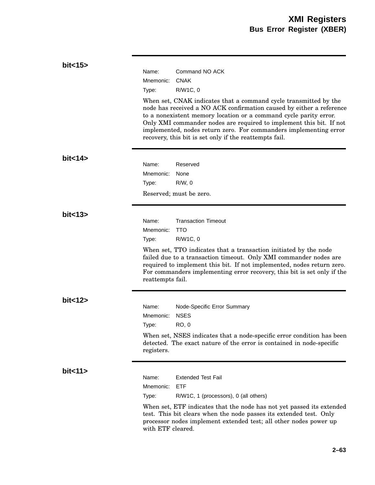| bit < 15 | Name:<br>Command NO ACK                                                                                                                                                                                                                                                                                                                                                                                             |
|----------|---------------------------------------------------------------------------------------------------------------------------------------------------------------------------------------------------------------------------------------------------------------------------------------------------------------------------------------------------------------------------------------------------------------------|
|          | <b>CNAK</b><br>Mnemonic:                                                                                                                                                                                                                                                                                                                                                                                            |
|          | R/W1C, 0<br>Type:                                                                                                                                                                                                                                                                                                                                                                                                   |
|          | When set, CNAK indicates that a command cycle transmitted by the<br>node has received a NO ACK confirmation caused by either a reference<br>to a nonexistent memory location or a command cycle parity error.<br>Only XMI commander nodes are required to implement this bit. If not<br>implemented, nodes return zero. For commanders implementing error<br>recovery, this bit is set only if the reattempts fail. |
| bit < 14 |                                                                                                                                                                                                                                                                                                                                                                                                                     |
|          | Reserved<br>Name:                                                                                                                                                                                                                                                                                                                                                                                                   |
|          | Mnemonic:<br>None                                                                                                                                                                                                                                                                                                                                                                                                   |
|          | $R/W$ , 0<br>Type:                                                                                                                                                                                                                                                                                                                                                                                                  |
|          | Reserved; must be zero.                                                                                                                                                                                                                                                                                                                                                                                             |
| bit < 13 | <b>Transaction Timeout</b><br>Name:<br>Mnemonic:<br><b>TTO</b><br>R/W1C, 0<br>Type:                                                                                                                                                                                                                                                                                                                                 |
|          | When set, TTO indicates that a transaction initiated by the node<br>failed due to a transaction timeout. Only XMI commander nodes are<br>required to implement this bit. If not implemented, nodes return zero.<br>For commanders implementing error recovery, this bit is set only if the<br>reattempts fail.                                                                                                      |
| bit < 12 |                                                                                                                                                                                                                                                                                                                                                                                                                     |
|          | Name:<br>Node-Specific Error Summary                                                                                                                                                                                                                                                                                                                                                                                |
|          | <b>NSES</b><br>Mnemonic:                                                                                                                                                                                                                                                                                                                                                                                            |
|          | <b>RO, 0</b><br>Type:                                                                                                                                                                                                                                                                                                                                                                                               |
|          | When set, NSES indicates that a node-specific error condition has been<br>detected. The exact nature of the error is contained in node-specific<br>registers.                                                                                                                                                                                                                                                       |
| bit < 11 |                                                                                                                                                                                                                                                                                                                                                                                                                     |
|          | Name:<br>Extended Test Fail                                                                                                                                                                                                                                                                                                                                                                                         |
|          | <b>ETF</b><br>Mnemonic:                                                                                                                                                                                                                                                                                                                                                                                             |
|          | R/W1C, 1 (processors), 0 (all others)<br>Type:                                                                                                                                                                                                                                                                                                                                                                      |
|          | When set, ETF indicates that the node has not yet passed its extended<br>test. This bit clears when the node passes its extended test. Only<br>processor nodes implement extended test; all other nodes power up<br>with ETF cleared.                                                                                                                                                                               |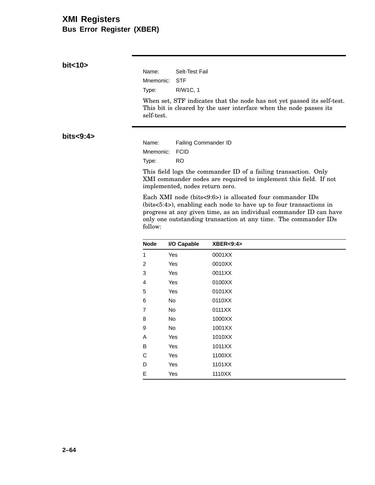## **XMI Registers Bus Error Register (XBER)**

**bit<10>**

Name: Selt-Test Fail Mnemonic: STF Type: R/W1C, 1

When set, STF indicates that the node has not yet passed its self-test. This bit is cleared by the user interface when the node passes its self-test.

**bits<9:4>**

Name: Failing Commander ID Mnemonic: FCID Type: RO

This field logs the commander ID of a failing transaction. Only XMI commander nodes are required to implement this field. If not implemented, nodes return zero.

Each XMI node (bits<9:6>) is allocated four commander IDs (bits<5:4>), enabling each node to have up to four transactions in progress at any given time, as an individual commander ID can have only one outstanding transaction at any time. The commander IDs follow:

| <b>Node</b>    | I/O Capable | <b>XBER&lt;9:4&gt;</b> |
|----------------|-------------|------------------------|
| 1              | Yes         | 0001XX                 |
| 2              | Yes         | 0010XX                 |
| 3              | Yes         | 0011XX                 |
| 4              | Yes         | 0100XX                 |
| 5              | Yes         | 0101XX                 |
| 6              | No          | 0110XX                 |
| $\overline{7}$ | No          | 0111XX                 |
| 8              | No          | 1000XX                 |
| 9              | No          | 1001XX                 |
| Α              | Yes         | 1010XX                 |
| в              | Yes         | 1011XX                 |
| C              | Yes         | 1100XX                 |
| D              | Yes         | 1101XX                 |
| E              | Yes         | 1110XX                 |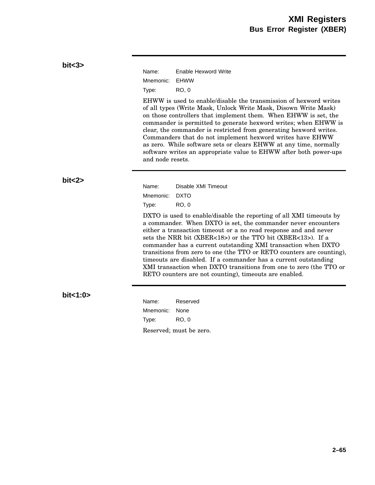| Name:     | Enable Hexword Write |
|-----------|----------------------|
| Mnemonic: | <b>FHWW</b>          |
| Type:     | RO. 0                |

EHWW is used to enable/disable the transmission of hexword writes of all types (Write Mask, Unlock Write Mask, Disown Write Mask) on those controllers that implement them. When EHWW is set, the commander is permitted to generate hexword writes; when EHWW is clear, the commander is restricted from generating hexword writes. Commanders that do not implement hexword writes have EHWW as zero. While software sets or clears EHWW at any time, normally software writes an appropriate value to EHWW after both power-ups and node resets.

**bit<2>**

Name: Disable XMI Timeout Mnemonic: DXTO Type: RO, 0

DXTO is used to enable/disable the reporting of all XMI timeouts by a commander. When DXTO is set, the commander never encounters either a transaction timeout or a no read response and and never sets the NRR bit (XBER<18>) or the TTO bit (XBER<13>). If a commander has a current outstanding XMI transaction when DXTO transitions from zero to one (the TTO or RETO counters are counting), timeouts are disabled. If a commander has a current outstanding XMI transaction when DXTO transitions from one to zero (the TTO or RETO counters are not counting), timeouts are enabled.

### **bit<1:0>**

Name: Reserved Mnemonic: None Type: RO, 0 Reserved; must be zero.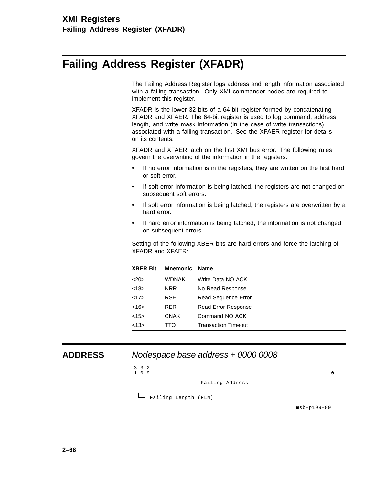# **Failing Address Register (XFADR)**

The Failing Address Register logs address and length information associated with a failing transaction. Only XMI commander nodes are required to implement this register.

XFADR is the lower 32 bits of a 64-bit register formed by concatenating XFADR and XFAER. The 64-bit register is used to log command, address, length, and write mask information (in the case of write transactions) associated with a failing transaction. See the XFAER register for details on its contents.

XFADR and XFAER latch on the first XMI bus error. The following rules govern the overwriting of the information in the registers:

- If no error information is in the registers, they are written on the first hard or soft error.
- If soft error information is being latched, the registers are not changed on subsequent soft errors.
- If soft error information is being latched, the registers are overwritten by a hard error.
- If hard error information is being latched, the information is not changed on subsequent errors.

Setting of the following XBER bits are hard errors and force the latching of XFADR and XFAER:

| <b>XBER Bit</b> | <b>Mnemonic</b> | Name                       |
|-----------------|-----------------|----------------------------|
| 20              | <b>WDNAK</b>    | Write Data NO ACK          |
| <18>            | <b>NRR</b>      | No Read Response           |
| <17>            | <b>RSE</b>      | Read Sequence Error        |
| $<$ 16>         | <b>RER</b>      | <b>Read Error Response</b> |
| <15>            | <b>CNAK</b>     | Command NO ACK             |
| <13>            | TTO             | Transaction Timeout        |

### **ADDRESS** Nodespace base address + 0000 0008



Failing Length (FLN)

msb−p199−89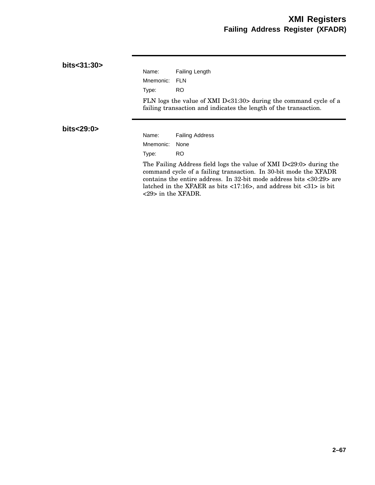| bits<31:30>  |                                    |                                                                                                                                                                                                                                                                                                                                      |
|--------------|------------------------------------|--------------------------------------------------------------------------------------------------------------------------------------------------------------------------------------------------------------------------------------------------------------------------------------------------------------------------------------|
|              | Name:                              | Failing Length                                                                                                                                                                                                                                                                                                                       |
|              | Mnemonic:                          | <b>FLN</b>                                                                                                                                                                                                                                                                                                                           |
|              | Type:                              | RO.                                                                                                                                                                                                                                                                                                                                  |
|              |                                    | FLN logs the value of XMI D<31:30> during the command cycle of a<br>failing transaction and indicates the length of the transaction.                                                                                                                                                                                                 |
| bits < 29:0> | Name:                              | <b>Failing Address</b>                                                                                                                                                                                                                                                                                                               |
|              | Mnemonic:                          | None                                                                                                                                                                                                                                                                                                                                 |
|              | Type:                              | RO.                                                                                                                                                                                                                                                                                                                                  |
|              | $\langle 29 \rangle$ in the XFADR. | The Failing Address field logs the value of XMI D<29:0> during the<br>command cycle of a failing transaction. In 30-bit mode the XFADR<br>contains the entire address. In 32-bit mode address bits $\langle 30:29 \rangle$ are<br>latched in the XFAER as bits $\langle 17:16 \rangle$ , and address bit $\langle 31 \rangle$ is bit |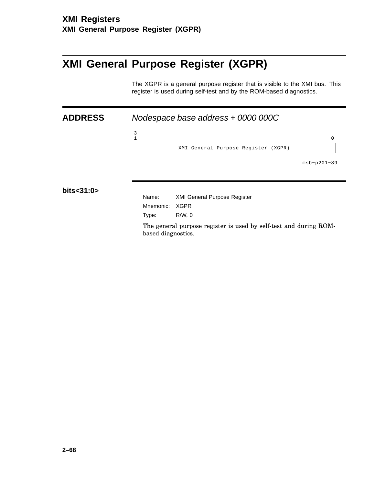3

# **XMI General Purpose Register (XGPR)**

The XGPR is a general purpose register that is visible to the XMI bus. This register is used during self-test and by the ROM-based diagnostics.

 $1$  0

**ADDRESS** Nodespace base address + 0000 000C

XMI General Purpose Register (XGPR)

msb−p201−89

**bits<31:0>**

Name: XMI General Purpose Register

Mnemonic: XGPR Type: R/W, 0

The general purpose register is used by self-test and during ROMbased diagnostics.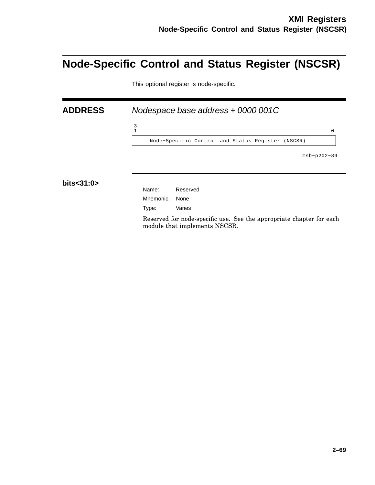# **Node-Specific Control and Status Register (NSCSR)**

This optional register is node-specific.

**ADDRESS** Nodespace base address + 0000 001C  $\frac{3}{1}$  $1$  0 Node−Specific Control and Status Register (NSCSR) msb−p202−89 **bits<31:0>** Name: Reserved Mnemonic: None Type: Varies

> Reserved for node-specific use. See the appropriate chapter for each module that implements NSCSR.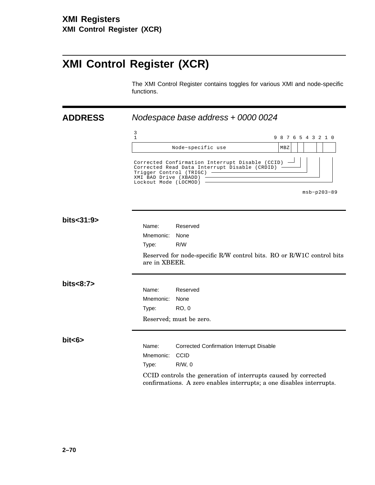# **XMI Control Register (XCR)**

The XMI Control Register contains toggles for various XMI and node-specific functions.

**ADDRESS** Nodespace base address + 0000 0024

|            | 3<br>1                                                                    |                                                                                                                                        | 9 8 7 6 5 4 3 2 1 0 |  |               |  |  |
|------------|---------------------------------------------------------------------------|----------------------------------------------------------------------------------------------------------------------------------------|---------------------|--|---------------|--|--|
|            |                                                                           | Node-specific use                                                                                                                      | MBZ                 |  |               |  |  |
|            | Trigger Control (TRIGC)<br>XMI BAD Drive (XBADD)<br>Lockout Mode (LOCMOD) | Corrected Confirmation Interrupt Disable (CCID)<br>Corrected Read Data Interrupt Disable (CRDID)                                       |                     |  |               |  |  |
|            |                                                                           |                                                                                                                                        |                     |  | $msb-p203-89$ |  |  |
| bits<31:9> |                                                                           |                                                                                                                                        |                     |  |               |  |  |
|            | Name:                                                                     | Reserved                                                                                                                               |                     |  |               |  |  |
|            | Mnemonic:                                                                 | None                                                                                                                                   |                     |  |               |  |  |
|            | Type:                                                                     | R/W                                                                                                                                    |                     |  |               |  |  |
|            | are in XBEER.                                                             | Reserved for node-specific R/W control bits. RO or R/W1C control bits                                                                  |                     |  |               |  |  |
| bits<8:7>  |                                                                           |                                                                                                                                        |                     |  |               |  |  |
|            | Name:                                                                     | Reserved                                                                                                                               |                     |  |               |  |  |
|            | Mnemonic:                                                                 | None                                                                                                                                   |                     |  |               |  |  |
|            | Type:                                                                     | <b>RO, 0</b>                                                                                                                           |                     |  |               |  |  |
|            |                                                                           | Reserved; must be zero.                                                                                                                |                     |  |               |  |  |
| bits       | Name:                                                                     | <b>Corrected Confirmation Interrupt Disable</b>                                                                                        |                     |  |               |  |  |
|            | Mnemonic:                                                                 | CCID                                                                                                                                   |                     |  |               |  |  |
|            | Type:                                                                     | $R/W$ , 0                                                                                                                              |                     |  |               |  |  |
|            |                                                                           | CCID controls the generation of interrupts caused by corrected<br>confirmations. A zero enables interrupts; a one disables interrupts. |                     |  |               |  |  |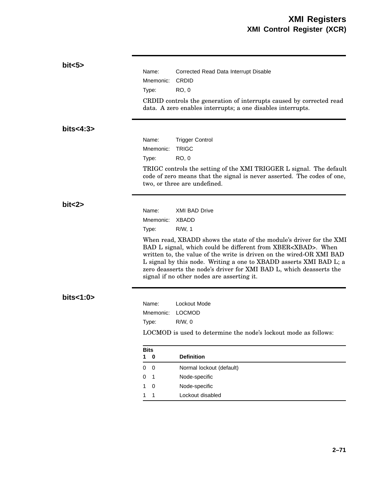| bits >      |                               |                                                                                                                                                                                                                                                                                                                                                                                                                    |
|-------------|-------------------------------|--------------------------------------------------------------------------------------------------------------------------------------------------------------------------------------------------------------------------------------------------------------------------------------------------------------------------------------------------------------------------------------------------------------------|
|             | Name:                         | Corrected Read Data Interrupt Disable                                                                                                                                                                                                                                                                                                                                                                              |
|             | Mnemonic:                     | <b>CRDID</b>                                                                                                                                                                                                                                                                                                                                                                                                       |
|             | Type:                         | <b>RO, 0</b>                                                                                                                                                                                                                                                                                                                                                                                                       |
|             |                               | CRDID controls the generation of interrupts caused by corrected read<br>data. A zero enables interrupts; a one disables interrupts.                                                                                                                                                                                                                                                                                |
| bits < 4:3> |                               |                                                                                                                                                                                                                                                                                                                                                                                                                    |
|             | Name:                         | <b>Trigger Control</b>                                                                                                                                                                                                                                                                                                                                                                                             |
|             | Mnemonic:                     | <b>TRIGC</b>                                                                                                                                                                                                                                                                                                                                                                                                       |
|             | Type:                         | <b>RO, 0</b>                                                                                                                                                                                                                                                                                                                                                                                                       |
|             |                               | TRIGC controls the setting of the XMI TRIGGER L signal. The default<br>code of zero means that the signal is never asserted. The codes of one,<br>two, or three are undefined.                                                                                                                                                                                                                                     |
| bit < 2     |                               |                                                                                                                                                                                                                                                                                                                                                                                                                    |
|             | Name:                         | <b>XMI BAD Drive</b><br>XBADD                                                                                                                                                                                                                                                                                                                                                                                      |
|             | Mnemonic:                     |                                                                                                                                                                                                                                                                                                                                                                                                                    |
|             | Type:                         | R/W, 1                                                                                                                                                                                                                                                                                                                                                                                                             |
|             |                               | When read, XBADD shows the state of the module's driver for the XMI<br>BAD L signal, which could be different from XBER <xbad>. When<br/>written to, the value of the write is driven on the wired-OR XMI BAD<br/>L signal by this node. Writing a one to XBADD asserts XMI BAD L; a<br/>zero deasserts the node's driver for XMI BAD L, which deasserts the<br/>signal if no other nodes are asserting it.</xbad> |
| bits<1:0>   | Name:                         | Lockout Mode                                                                                                                                                                                                                                                                                                                                                                                                       |
|             | Mnemonic:                     | <b>LOCMOD</b>                                                                                                                                                                                                                                                                                                                                                                                                      |
|             | Type:                         | $R/W$ , 0                                                                                                                                                                                                                                                                                                                                                                                                          |
|             |                               |                                                                                                                                                                                                                                                                                                                                                                                                                    |
|             |                               | LOCMOD is used to determine the node's lockout mode as follows:                                                                                                                                                                                                                                                                                                                                                    |
|             | <b>Bits</b><br>$\pmb{0}$<br>1 | <b>Definition</b>                                                                                                                                                                                                                                                                                                                                                                                                  |
|             | $\overline{0}$<br>0           | Normal lockout (default)                                                                                                                                                                                                                                                                                                                                                                                           |
|             | 0<br>1                        | Node-specific                                                                                                                                                                                                                                                                                                                                                                                                      |
|             | 0<br>1                        | Node-specific                                                                                                                                                                                                                                                                                                                                                                                                      |
|             | 1<br>1                        | Lockout disabled                                                                                                                                                                                                                                                                                                                                                                                                   |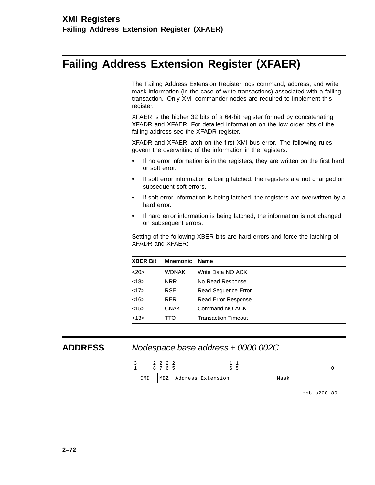# **Failing Address Extension Register (XFAER)**

The Failing Address Extension Register logs command, address, and write mask information (in the case of write transactions) associated with a failing transaction. Only XMI commander nodes are required to implement this register.

XFAER is the higher 32 bits of a 64-bit register formed by concatenating XFADR and XFAER. For detailed information on the low order bits of the failing address see the XFADR register.

XFADR and XFAER latch on the first XMI bus error. The following rules govern the overwriting of the information in the registers:

- If no error information is in the registers, they are written on the first hard or soft error.
- If soft error information is being latched, the registers are not changed on subsequent soft errors.
- If soft error information is being latched, the registers are overwritten by a hard error.
- If hard error information is being latched, the information is not changed on subsequent errors.

Setting of the following XBER bits are hard errors and force the latching of XFADR and XFAER:

| <b>XBER Bit</b> | <b>Mnemonic</b> | <b>Name</b>                |
|-----------------|-----------------|----------------------------|
| <20>            | <b>WDNAK</b>    | Write Data NO ACK          |
| <18>            | NRR.            | No Read Response           |
| <17>            | RSE.            | <b>Read Sequence Error</b> |
| <16             | <b>RER</b>      | <b>Read Error Response</b> |
| <15>            | <b>CNAK</b>     | Command NO ACK             |
| <13>            | TTO             | <b>Transaction Timeout</b> |

### **ADDRESS** Nodespace base address + 0000 002C



msb−p200−89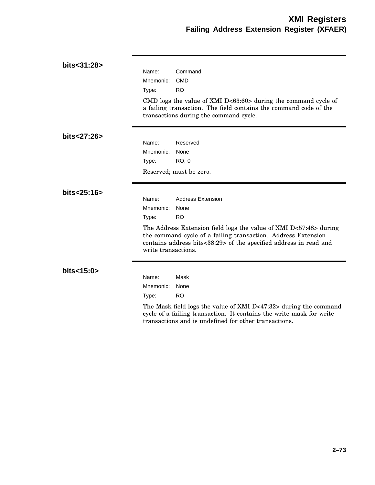| bits<31:28>       | Name:<br>Mnemonic:<br>Type:                        | Command<br><b>CMD</b><br><b>RO</b><br>CMD logs the value of XMI D<63:60> during the command cycle of<br>a failing transaction. The field contains the command code of the<br>transactions during the command cycle.                                      |
|-------------------|----------------------------------------------------|----------------------------------------------------------------------------------------------------------------------------------------------------------------------------------------------------------------------------------------------------------|
| bits<27:26>       | Name:<br>Mnemonic:<br>Type:                        | Reserved<br>None<br><b>RO, 0</b><br>Reserved; must be zero.                                                                                                                                                                                              |
| bits<25:16>       | Name:<br>Mnemonic:<br>Type:<br>write transactions. | <b>Address Extension</b><br>None<br><b>RO</b><br>The Address Extension field logs the value of XMI D<57:48> during<br>the command cycle of a failing transaction. Address Extension<br>contains address bits<38:29> of the specified address in read and |
| bits $<$ 15:0 $>$ | Name:<br>Mnemonic:<br>Type:                        | Mask<br>None<br><b>RO</b><br>The Mask field logs the value of XMI D<47:32> during the command<br>cycle of a failing transaction. It contains the write mask for write<br>transactions and is undefined for other transactions.                           |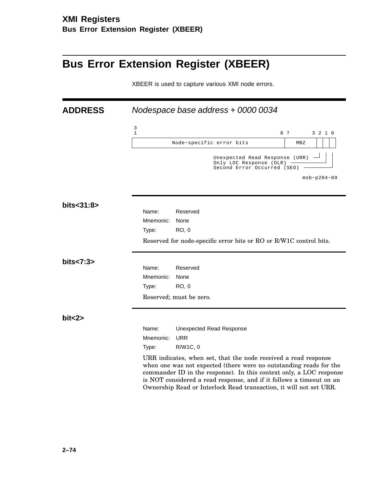# **Bus Error Extension Register (XBEER)**

XBEER is used to capture various XMI node errors.

| <b>ADDRESS</b> |                                                                                          | Nodespace base address + 0000 0034                                                                                                                                                                                                                                                                                                                         |  |     |               |         |  |  |  |
|----------------|------------------------------------------------------------------------------------------|------------------------------------------------------------------------------------------------------------------------------------------------------------------------------------------------------------------------------------------------------------------------------------------------------------------------------------------------------------|--|-----|---------------|---------|--|--|--|
|                | 3<br>$\mathbf{1}$                                                                        |                                                                                                                                                                                                                                                                                                                                                            |  | 8 7 |               | 3 2 1 0 |  |  |  |
|                |                                                                                          | Node-specific error bits                                                                                                                                                                                                                                                                                                                                   |  | MBZ |               |         |  |  |  |
|                | Unexpected Read Response (URR)<br>Only LOC Response (OLR)<br>Second Error Occurred (SEO) |                                                                                                                                                                                                                                                                                                                                                            |  |     |               |         |  |  |  |
|                |                                                                                          |                                                                                                                                                                                                                                                                                                                                                            |  |     | $msb-p204-89$ |         |  |  |  |
| bits<31:8>     |                                                                                          |                                                                                                                                                                                                                                                                                                                                                            |  |     |               |         |  |  |  |
|                | Name:                                                                                    | Reserved                                                                                                                                                                                                                                                                                                                                                   |  |     |               |         |  |  |  |
|                | Mnemonic:                                                                                | None                                                                                                                                                                                                                                                                                                                                                       |  |     |               |         |  |  |  |
|                | Type:                                                                                    | <b>RO, 0</b>                                                                                                                                                                                                                                                                                                                                               |  |     |               |         |  |  |  |
|                |                                                                                          | Reserved for node-specific error bits or RO or R/W1C control bits.                                                                                                                                                                                                                                                                                         |  |     |               |         |  |  |  |
| bits < 7:3>    |                                                                                          |                                                                                                                                                                                                                                                                                                                                                            |  |     |               |         |  |  |  |
|                | Name:                                                                                    | Reserved                                                                                                                                                                                                                                                                                                                                                   |  |     |               |         |  |  |  |
|                | Mnemonic:                                                                                | None                                                                                                                                                                                                                                                                                                                                                       |  |     |               |         |  |  |  |
|                | Type:                                                                                    | <b>RO, 0</b>                                                                                                                                                                                                                                                                                                                                               |  |     |               |         |  |  |  |
|                |                                                                                          | Reserved; must be zero.                                                                                                                                                                                                                                                                                                                                    |  |     |               |         |  |  |  |
| bit < 2>       |                                                                                          |                                                                                                                                                                                                                                                                                                                                                            |  |     |               |         |  |  |  |
|                | Name:                                                                                    | <b>Unexpected Read Response</b>                                                                                                                                                                                                                                                                                                                            |  |     |               |         |  |  |  |
|                | Mnemonic:                                                                                | <b>URR</b>                                                                                                                                                                                                                                                                                                                                                 |  |     |               |         |  |  |  |
|                | Type:                                                                                    | R/W1C, 0                                                                                                                                                                                                                                                                                                                                                   |  |     |               |         |  |  |  |
|                |                                                                                          | URR indicates, when set, that the node received a read response<br>when one was not expected (there were no outstanding reads for the<br>commander ID in the response). In this context only, a LOC response<br>is NOT considered a read response, and if it follows a timeout on an<br>Ownership Read or Interlock Read transaction, it will not set URR. |  |     |               |         |  |  |  |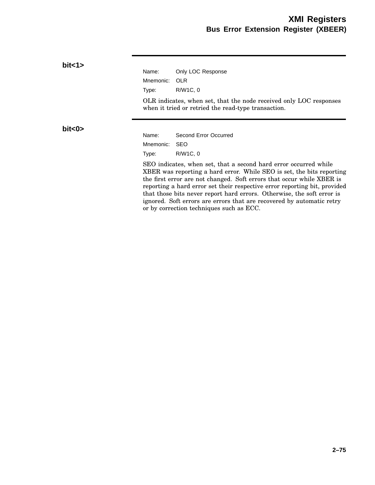| bit < 1>  |           |                                                                                                                                                                                                                                                                                                                                                                                                                                                                                                |
|-----------|-----------|------------------------------------------------------------------------------------------------------------------------------------------------------------------------------------------------------------------------------------------------------------------------------------------------------------------------------------------------------------------------------------------------------------------------------------------------------------------------------------------------|
|           | Name:     | Only LOC Response                                                                                                                                                                                                                                                                                                                                                                                                                                                                              |
|           | Mnemonic: | <b>OLR</b>                                                                                                                                                                                                                                                                                                                                                                                                                                                                                     |
|           | Type:     | R/W1C, 0                                                                                                                                                                                                                                                                                                                                                                                                                                                                                       |
|           |           | OLR indicates, when set, that the node received only LOC responses<br>when it tried or retried the read-type transaction.                                                                                                                                                                                                                                                                                                                                                                      |
| bit < 0 > |           |                                                                                                                                                                                                                                                                                                                                                                                                                                                                                                |
|           | Name:     | Second Error Occurred                                                                                                                                                                                                                                                                                                                                                                                                                                                                          |
|           | Mnemonic: | <b>SEO</b>                                                                                                                                                                                                                                                                                                                                                                                                                                                                                     |
|           | Type:     | R/W1C, 0                                                                                                                                                                                                                                                                                                                                                                                                                                                                                       |
|           |           | SEO indicates, when set, that a second hard error occurred while<br>XBER was reporting a hard error. While SEO is set, the bits reporting<br>the first error are not changed. Soft errors that occur while XBER is<br>reporting a hard error set their respective error reporting bit, provided<br>that those bits never report hard errors. Otherwise, the soft error is<br>ignored. Soft errors are errors that are recovered by automatic retry<br>or by correction techniques such as ECC. |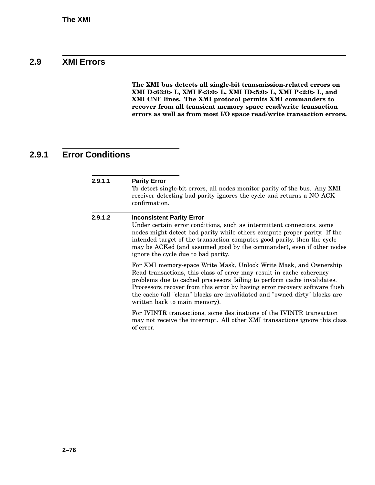## **2.9 XMI Errors**

**The XMI bus detects all single-bit transmission-related errors on XMI D<63:0> L, XMI F<3:0> L, XMI ID<5:0> L, XMI P<2:0> L, and XMI CNF lines. The XMI protocol permits XMI commanders to recover from all transient memory space read/write transaction errors as well as from most I/O space read/write transaction errors.**

# **2.9.1 Error Conditions**

| 2.9.1.1 | <b>Parity Error</b><br>To detect single-bit errors, all nodes monitor parity of the bus. Any XMI<br>receiver detecting bad parity ignores the cycle and returns a NO ACK<br>confirmation.                                                                                                                                                                                                                         |
|---------|-------------------------------------------------------------------------------------------------------------------------------------------------------------------------------------------------------------------------------------------------------------------------------------------------------------------------------------------------------------------------------------------------------------------|
| 2.9.1.2 | <b>Inconsistent Parity Error</b><br>Under certain error conditions, such as intermittent connectors, some<br>nodes might detect bad parity while others compute proper parity. If the<br>intended target of the transaction computes good parity, then the cycle<br>may be ACKed (and assumed good by the commander), even if other nodes<br>ignore the cycle due to bad parity.                                  |
|         | For XMI memory-space Write Mask, Unlock Write Mask, and Ownership<br>Read transactions, this class of error may result in cache coherency<br>problems due to cached processors failing to perform cache invalidates.<br>Processors recover from this error by having error recovery software flush<br>the cache (all "clean" blocks are invalidated and "owned dirty" blocks are<br>written back to main memory). |
|         | For IVINTR transactions, some destinations of the IVINTR transaction<br>may not receive the interrupt. All other XMI transactions ignore this class<br>of error.                                                                                                                                                                                                                                                  |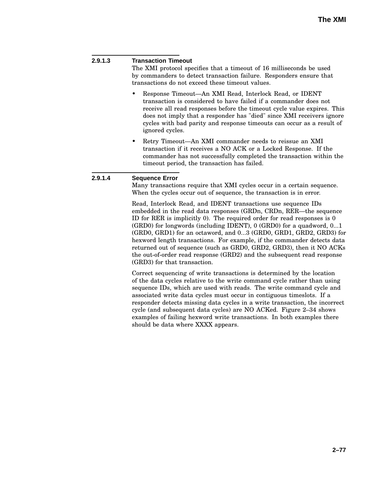#### **2.9.1.3 Transaction Timeout**

The XMI protocol specifies that a timeout of 16 milliseconds be used by commanders to detect transaction failure. Responders ensure that transactions do not exceed these timeout values.

- Response Timeout—An XMI Read, Interlock Read, or IDENT transaction is considered to have failed if a commander does not receive all read responses before the timeout cycle value expires. This does not imply that a responder has "died" since XMI receivers ignore cycles with bad parity and response timeouts can occur as a result of ignored cycles.
- Retry Timeout—An XMI commander needs to reissue an XMI transaction if it receives a NO ACK or a Locked Response. If the commander has not successfully completed the transaction within the timeout period, the transaction has failed.

#### **2.9.1.4 Sequence Error**

Many transactions require that XMI cycles occur in a certain sequence. When the cycles occur out of sequence, the transaction is in error.

Read, Interlock Read, and IDENT transactions use sequence IDs embedded in the read data responses (GRDn, CRDn, RER—the sequence ID for RER is implicitly 0). The required order for read responses is 0 (GRD0) for longwords (including IDENT), 0 (GRD0) for a quadword, 0...1 (GRD0, GRD1) for an octaword, and 0...3 (GRD0, GRD1, GRD2, GRD3) for hexword length transactions. For example, if the commander detects data returned out of sequence (such as GRD0, GRD2, GRD3), then it NO ACKs the out-of-order read response (GRD2) and the subsequent read response (GRD3) for that transaction.

Correct sequencing of write transactions is determined by the location of the data cycles relative to the write command cycle rather than using sequence IDs, which are used with reads. The write command cycle and associated write data cycles must occur in contiguous timeslots. If a responder detects missing data cycles in a write transaction, the incorrect cycle (and subsequent data cycles) are NO ACKed. Figure 2–34 shows examples of failing hexword write transactions. In both examples there should be data where XXXX appears.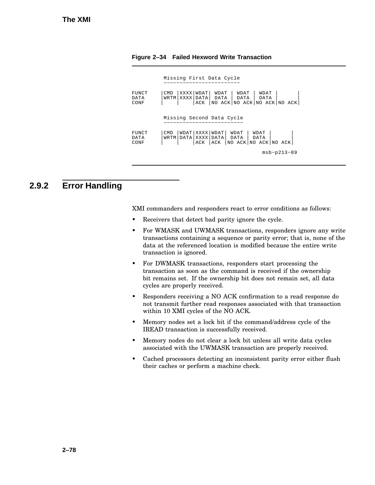|                       | Missing First Data Cycle                                                                                                             |
|-----------------------|--------------------------------------------------------------------------------------------------------------------------------------|
| FUNCT<br>DATA<br>CONF | XXXX WDAT <br>WDAT<br>CM <sub>D</sub><br>WDAT<br>WDAT<br>WRTM XXXX DATA DATA DATA<br>DATA<br>ACK   NO ACK   NO ACK   NO ACK   NO ACK |
|                       | Missing Second Data Cycle                                                                                                            |
| FUNCT<br>DATA<br>CONF | WDAT   XXXX   WDAT  <br>CMD.<br>WDAT<br>WDAT<br>WRTM DATA XXXX DATA  <br>DATA<br>DATA<br>ACK   ACK   NO ACK   NO ACK   NO ACK        |
|                       | $msb-p213-89$                                                                                                                        |

**Figure 2–34 Failed Hexword Write Transaction**

## **2.9.2 Error Handling**

XMI commanders and responders react to error conditions as follows:

- Receivers that detect bad parity ignore the cycle.
- For WMASK and UWMASK transactions, responders ignore any write transactions containing a sequence or parity error; that is, none of the data at the referenced location is modified because the entire write transaction is ignored.
- For DWMASK transactions, responders start processing the transaction as soon as the command is received if the ownership bit remains set. If the ownership bit does not remain set, all data cycles are properly received.
- Responders receiving a NO ACK confirmation to a read response do not transmit further read responses associated with that transaction within 10 XMI cycles of the NO ACK.
- Memory nodes set a lock bit if the command/address cycle of the IREAD transaction is successfully received.
- Memory nodes do not clear a lock bit unless all write data cycles associated with the UWMASK transaction are properly received.
- Cached processors detecting an inconsistent parity error either flush their caches or perform a machine check.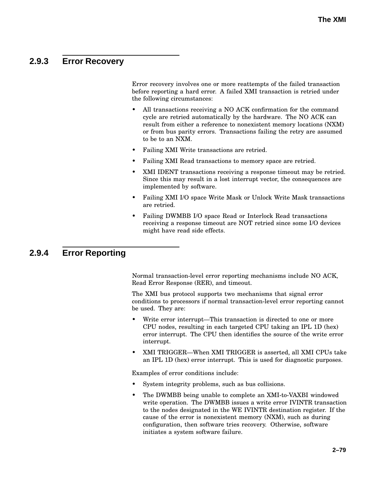# **2.9.3 Error Recovery**

Error recovery involves one or more reattempts of the failed transaction before reporting a hard error. A failed XMI transaction is retried under the following circumstances:

- All transactions receiving a NO ACK confirmation for the command cycle are retried automatically by the hardware. The NO ACK can result from either a reference to nonexistent memory locations (NXM) or from bus parity errors. Transactions failing the retry are assumed to be to an NXM.
- Failing XMI Write transactions are retried.
- Failing XMI Read transactions to memory space are retried.
- XMI IDENT transactions receiving a response timeout may be retried. Since this may result in a lost interrupt vector, the consequences are implemented by software.
- Failing XMI I/O space Write Mask or Unlock Write Mask transactions are retried.
- Failing DWMBB I/O space Read or Interlock Read transactions receiving a response timeout are NOT retried since some I/O devices might have read side effects.

### **2.9.4 Error Reporting**

Normal transaction-level error reporting mechanisms include NO ACK, Read Error Response (RER), and timeout.

The XMI bus protocol supports two mechanisms that signal error conditions to processors if normal transaction-level error reporting cannot be used. They are:

- Write error interrupt—This transaction is directed to one or more CPU nodes, resulting in each targeted CPU taking an IPL 1D (hex) error interrupt. The CPU then identifies the source of the write error interrupt.
- XMI TRIGGER—When XMI TRIGGER is asserted, all XMI CPUs take an IPL 1D (hex) error interrupt. This is used for diagnostic purposes.

Examples of error conditions include:

- System integrity problems, such as bus collisions.
- The DWMBB being unable to complete an XMI-to-VAXBI windowed write operation. The DWMBB issues a write error IVINTR transaction to the nodes designated in the WE IVINTR destination register. If the cause of the error is nonexistent memory (NXM), such as during configuration, then software tries recovery. Otherwise, software initiates a system software failure.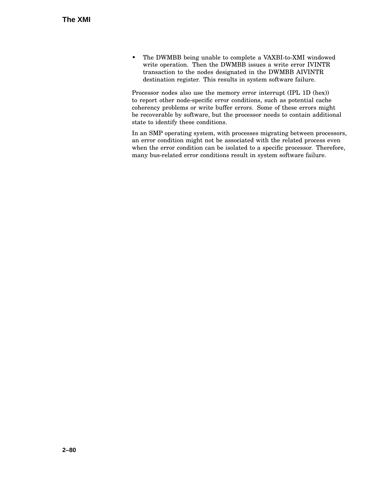• The DWMBB being unable to complete a VAXBI-to-XMI windowed write operation. Then the DWMBB issues a write error IVINTR transaction to the nodes designated in the DWMBB AIVINTR destination register. This results in system software failure.

Processor nodes also use the memory error interrupt (IPL 1D (hex)) to report other node-specific error conditions, such as potential cache coherency problems or write buffer errors. Some of these errors might be recoverable by software, but the processor needs to contain additional state to identify these conditions.

In an SMP operating system, with processes migrating between processors, an error condition might not be associated with the related process even when the error condition can be isolated to a specific processor. Therefore, many bus-related error conditions result in system software failure.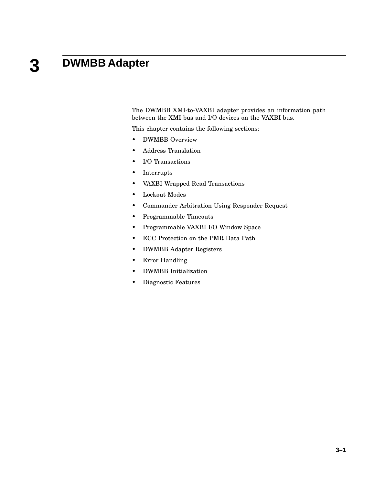#### **3 DWMBB Adapter**

The DWMBB XMI-to-VAXBI adapter provides an information path between the XMI bus and I/O devices on the VAXBI bus.

This chapter contains the following sections:

- DWMBB Overview
- Address Translation
- I/O Transactions
- Interrupts
- VAXBI Wrapped Read Transactions
- Lockout Modes
- Commander Arbitration Using Responder Request
- Programmable Timeouts
- Programmable VAXBI I/O Window Space
- ECC Protection on the PMR Data Path
- DWMBB Adapter Registers
- Error Handling
- DWMBB Initialization
- Diagnostic Features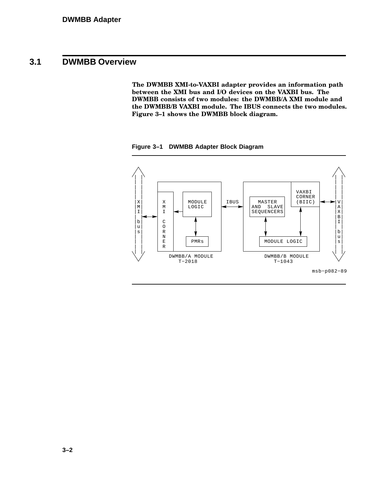# **3.1 DWMBB Overview**

**The DWMBB XMI-to-VAXBI adapter provides an information path between the XMI bus and I/O devices on the VAXBI bus. The DWMBB consists of two modules: the DWMBB/A XMI module and the DWMBB/B VAXBI module. The IBUS connects the two modules. Figure 3–1 shows the DWMBB block diagram.**

**Figure 3–1 DWMBB Adapter Block Diagram**

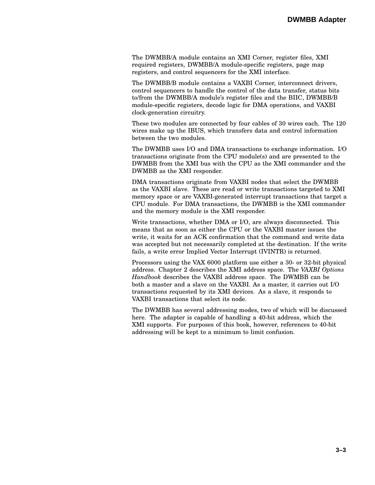The DWMBB/A module contains an XMI Corner, register files, XMI required registers, DWMBB/A module-specific registers, page map registers, and control sequencers for the XMI interface.

The DWMBB/B module contains a VAXBI Corner, interconnect drivers, control sequencers to handle the control of the data transfer, status bits to/from the DWMBB/A module's register files and the BIIC, DWMBB/B module-specific registers, decode logic for DMA operations, and VAXBI clock-generation circuitry.

These two modules are connected by four cables of 30 wires each. The 120 wires make up the IBUS, which transfers data and control information between the two modules.

The DWMBB uses I/O and DMA transactions to exchange information. I/O transactions originate from the CPU module(s) and are presented to the DWMBB from the XMI bus with the CPU as the XMI commander and the DWMBB as the XMI responder.

DMA transactions originate from VAXBI nodes that select the DWMBB as the VAXBI slave. These are read or write transactions targeted to XMI memory space or are VAXBI-generated interrupt transactions that target a CPU module. For DMA transactions, the DWMBB is the XMI commander and the memory module is the XMI responder.

Write transactions, whether DMA or I/O, are always disconnected. This means that as soon as either the CPU or the VAXBI master issues the write, it waits for an ACK confirmation that the command and write data was accepted but not necessarily completed at the destination. If the write fails, a write error Implied Vector Interrupt (IVINTR) is returned.

Processors using the VAX 6000 platform use either a 30- or 32-bit physical address. Chapter 2 describes the XMI address space. The *VAXBI Options Handbook* describes the VAXBI address space. The DWMBB can be both a master and a slave on the VAXBI. As a master, it carries out I/O transactions requested by its XMI devices. As a slave, it responds to VAXBI transactions that select its node.

The DWMBB has several addressing modes, two of which will be discussed here. The adapter is capable of handling a 40-bit address, which the XMI supports. For purposes of this book, however, references to 40-bit addressing will be kept to a minimum to limit confusion.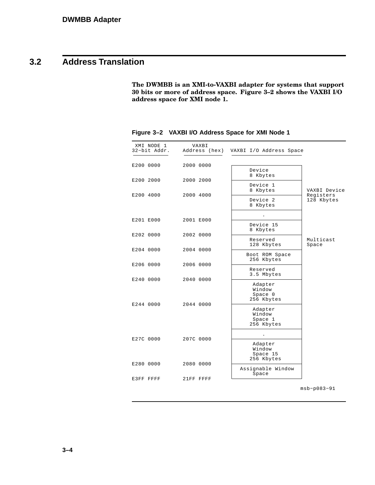# **3.2 Address Translation**

**The DWMBB is an XMI-to-VAXBI adapter for systems that support 30 bits or more of address space. Figure 3–2 shows the VAXBI I/O address space for XMI node 1.**

| XMI NODE 1<br>32-bit Addr. | VAXBI     | Address (hex) VAXBI I/O Address Space |                           |
|----------------------------|-----------|---------------------------------------|---------------------------|
|                            |           |                                       |                           |
| E200 0000                  | 2000 0000 |                                       |                           |
|                            |           | Device<br>8 Kbytes                    |                           |
| E200 2000                  | 2000 2000 | Device 1                              |                           |
| E200 4000                  | 2000 4000 | 8 Kbytes                              | VAXBI Device<br>Registers |
|                            |           | Device 2                              | 128 Kbytes                |
|                            |           | 8 Kbytes                              |                           |
| E201 E000                  | 2001 E000 |                                       |                           |
|                            |           | Device 15                             |                           |
| E202 0000                  | 2002 0000 | 8 Kbytes                              |                           |
|                            |           | Reserved<br>128 Kbytes                | Multicast<br>Space        |
| E204 0000                  | 2004 0000 |                                       |                           |
|                            |           | Boot ROM Space<br>256 Kbytes          |                           |
| E206 0000                  | 2006 0000 | Reserved                              |                           |
|                            |           | 3.5 Mbytes                            |                           |
| E240 0000                  | 2040 0000 | Adapter                               |                           |
|                            |           | Window<br>Space 0                     |                           |
| E244 0000                  | 2044 0000 | 256 Kbytes                            |                           |
|                            |           | Adapter                               |                           |
|                            |           | Window<br>Space 1                     |                           |
|                            |           | 256 Kbytes                            |                           |
|                            |           |                                       |                           |
| E27C 0000                  | 207C 0000 | Adapter                               |                           |
|                            |           | Window<br>Space 15                    |                           |
|                            |           | 256 Kbytes                            |                           |
| E280 0000                  | 2080 0000 | Assignable Window                     |                           |
| E3FF FFFF                  | 21FF FFFF | Space                                 |                           |
|                            |           |                                       |                           |
|                            |           |                                       | $msb-p083-91$             |

**Figure 3–2 VAXBI I/O Address Space for XMI Node 1**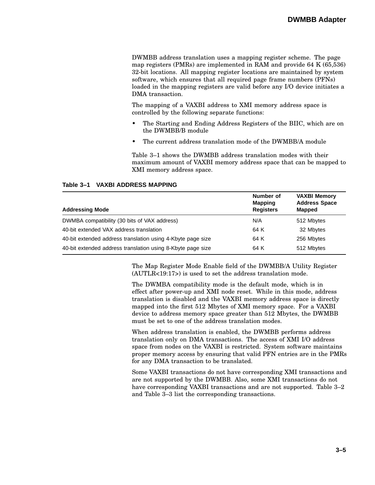DWMBB address translation uses a mapping register scheme. The page map registers (PMRs) are implemented in RAM and provide 64 K (65,536) 32-bit locations. All mapping register locations are maintained by system software, which ensures that all required page frame numbers (PFNs) loaded in the mapping registers are valid before any I/O device initiates a DMA transaction.

The mapping of a VAXBI address to XMI memory address space is controlled by the following separate functions:

- The Starting and Ending Address Registers of the BIIC, which are on the DWMBB/B module
- The current address translation mode of the DWMBB/A module

Table 3–1 shows the DWMBB address translation modes with their maximum amount of VAXBI memory address space that can be mapped to XMI memory address space.

| <b>Addressing Mode</b>                                      | Number of<br><b>Mapping</b><br><b>Registers</b> | <b>VAXBI Memory</b><br><b>Address Space</b><br><b>Mapped</b> |
|-------------------------------------------------------------|-------------------------------------------------|--------------------------------------------------------------|
| DWMBA compatibility (30 bits of VAX address)                | N/A                                             | 512 Mbytes                                                   |
| 40-bit extended VAX address translation                     | 64 K                                            | 32 Mbytes                                                    |
| 40-bit extended address translation using 4-Kbyte page size | 64 K                                            | 256 Mbytes                                                   |
| 40-bit extended address translation using 8-Kbyte page size | 64 K                                            | 512 Mbytes                                                   |

#### **Table 3–1 VAXBI ADDRESS MAPPING**

The Map Register Mode Enable field of the DWMBB/A Utility Register (AUTLR<19:17>) is used to set the address translation mode.

The DWMBA compatibility mode is the default mode, which is in effect after power-up and XMI node reset. While in this mode, address translation is disabled and the VAXBI memory address space is directly mapped into the first 512 Mbytes of XMI memory space. For a VAXBI device to address memory space greater than 512 Mbytes, the DWMBB must be set to one of the address translation modes.

When address translation is enabled, the DWMBB performs address translation only on DMA transactions. The access of XMI I/O address space from nodes on the VAXBI is restricted. System software maintains proper memory access by ensuring that valid PFN entries are in the PMRs for any DMA transaction to be translated.

Some VAXBI transactions do not have corresponding XMI transactions and are not supported by the DWMBB. Also, some XMI transactions do not have corresponding VAXBI transactions and are not supported. Table 3–2 and Table 3–3 list the corresponding transactions.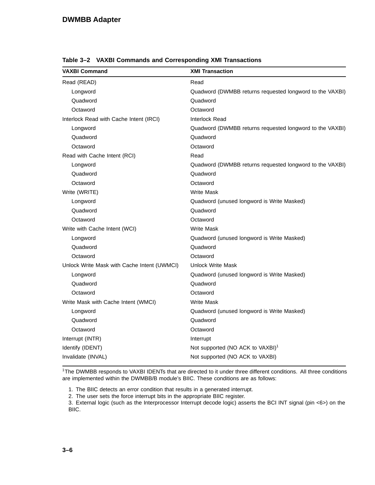| <b>VAXBI Command</b>                        | <b>XMI Transaction</b>                                   |  |  |
|---------------------------------------------|----------------------------------------------------------|--|--|
| Read (READ)                                 | Read                                                     |  |  |
| Longword                                    | Quadword (DWMBB returns requested longword to the VAXBI) |  |  |
| Quadword                                    | Quadword                                                 |  |  |
| Octaword                                    | Octaword                                                 |  |  |
| Interlock Read with Cache Intent (IRCI)     | Interlock Read                                           |  |  |
| Longword                                    | Quadword (DWMBB returns requested longword to the VAXBI) |  |  |
| Quadword                                    | Quadword                                                 |  |  |
| Octaword                                    | Octaword                                                 |  |  |
| Read with Cache Intent (RCI)                | Read                                                     |  |  |
| Longword                                    | Quadword (DWMBB returns requested longword to the VAXBI) |  |  |
| Quadword                                    | Quadword                                                 |  |  |
| Octaword                                    | Octaword                                                 |  |  |
| Write (WRITE)                               | <b>Write Mask</b>                                        |  |  |
| Longword                                    | Quadword (unused longword is Write Masked)               |  |  |
| Quadword                                    | Quadword                                                 |  |  |
| Octaword                                    | Octaword                                                 |  |  |
| Write with Cache Intent (WCI)               | <b>Write Mask</b>                                        |  |  |
| Longword                                    | Quadword (unused longword is Write Masked)               |  |  |
| Quadword                                    | Quadword                                                 |  |  |
| Octaword                                    | Octaword                                                 |  |  |
| Unlock Write Mask with Cache Intent (UWMCI) | <b>Unlock Write Mask</b>                                 |  |  |
| Longword                                    | Quadword (unused longword is Write Masked)               |  |  |
| Quadword                                    | Quadword                                                 |  |  |
| Octaword                                    | Octaword                                                 |  |  |
| Write Mask with Cache Intent (WMCI)         | <b>Write Mask</b>                                        |  |  |
| Longword                                    | Quadword (unused longword is Write Masked)               |  |  |
| Quadword                                    | Quadword                                                 |  |  |
| Octaword                                    | Octaword                                                 |  |  |
| Interrupt (INTR)                            | Interrupt                                                |  |  |
| Identify (IDENT)                            | Not supported (NO ACK to VAXBI) <sup>1</sup>             |  |  |
| Invalidate (INVAL)                          | Not supported (NO ACK to VAXBI)                          |  |  |

**Table 3–2 VAXBI Commands and Corresponding XMI Transactions**

<sup>1</sup>The DWMBB responds to VAXBI IDENTs that are directed to it under three different conditions. All three conditions are implemented within the DWMBB/B module's BIIC. These conditions are as follows:

1. The BIIC detects an error condition that results in a generated interrupt.

2. The user sets the force interrupt bits in the appropriate BIIC register.

3. External logic (such as the Interprocessor Interrupt decode logic) asserts the BCI INT signal (pin <6>) on the BIIC.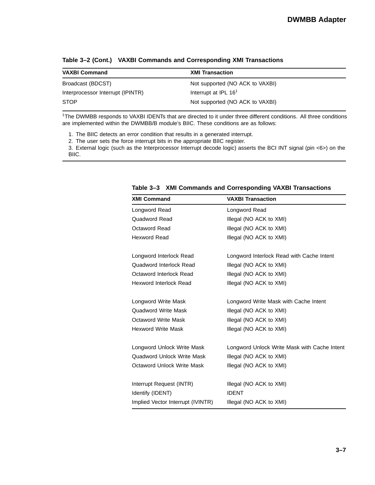| <b>VAXBI Command</b>              | <b>XMI Transaction</b>          |
|-----------------------------------|---------------------------------|
| Broadcast (BDCST)                 | Not supported (NO ACK to VAXBI) |
| Interprocessor Interrupt (IPINTR) | Interrupt at IPL $161$          |
| <b>STOP</b>                       | Not supported (NO ACK to VAXBI) |

**Table 3–2 (Cont.) VAXBI Commands and Corresponding XMI Transactions**

<sup>1</sup>The DWMBB responds to VAXBI IDENTs that are directed to it under three different conditions. All three conditions are implemented within the DWMBB/B module's BIIC. These conditions are as follows:

1. The BIIC detects an error condition that results in a generated interrupt.

2. The user sets the force interrupt bits in the appropriate BIIC register.

3. External logic (such as the Interprocessor Interrupt decode logic) asserts the BCI INT signal (pin <6>) on the BIIC.

| <b>XMI Command</b>                | <b>VAXBI Transaction</b>                     |
|-----------------------------------|----------------------------------------------|
| Longword Read                     | Longword Read                                |
| Quadword Read                     | Illegal (NO ACK to XMI)                      |
| <b>Octaword Read</b>              | Illegal (NO ACK to XMI)                      |
| <b>Hexword Read</b>               | Illegal (NO ACK to XMI)                      |
| Longword Interlock Read           | Longword Interlock Read with Cache Intent    |
| Quadword Interlock Read           | Illegal (NO ACK to XMI)                      |
| Octaword Interlock Read           | Illegal (NO ACK to XMI)                      |
| <b>Hexword Interlock Read</b>     | Illegal (NO ACK to XMI)                      |
| Longword Write Mask               | Longword Write Mask with Cache Intent        |
| <b>Quadword Write Mask</b>        | Illegal (NO ACK to XMI)                      |
| Octaword Write Mask               | Illegal (NO ACK to XMI)                      |
| <b>Hexword Write Mask</b>         | Illegal (NO ACK to XMI)                      |
| Longword Unlock Write Mask        | Longword Unlock Write Mask with Cache Intent |
| Quadword Unlock Write Mask        | Illegal (NO ACK to XMI)                      |
| Octaword Unlock Write Mask        | Illegal (NO ACK to XMI)                      |
| Interrupt Request (INTR)          | Illegal (NO ACK to XMI)                      |
| Identify (IDENT)                  | <b>IDENT</b>                                 |
| Implied Vector Interrupt (IVINTR) | Illegal (NO ACK to XMI)                      |

**Table 3–3 XMI Commands and Corresponding VAXBI Transactions**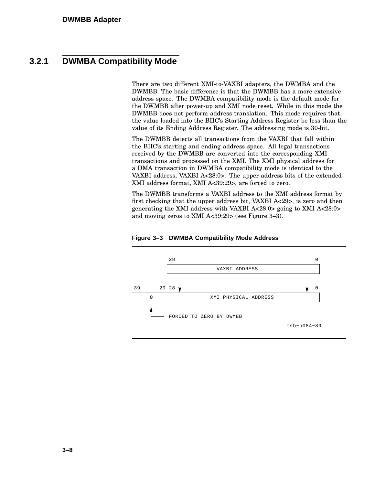## **3.2.1 DWMBA Compatibility Mode**

There are two different XMI-to-VAXBI adapters, the DWMBA and the DWMBB. The basic difference is that the DWMBB has a more extensive address space. The DWMBA compatibility mode is the default mode for the DWMBB after power-up and XMI node reset. While in this mode the DWMBB does not perform address translation. This mode requires that the value loaded into the BIIC's Starting Address Register be less than the value of its Ending Address Register. The addressing mode is 30-bit.

The DWMBB detects all transactions from the VAXBI that fall within the BIIC's starting and ending address space. All legal transactions received by the DWMBB are converted into the corresponding XMI transactions and processed on the XMI. The XMI physical address for a DMA transaction in DWMBA compatibility mode is identical to the VAXBI address, VAXBI A<28:0>. The upper address bits of the extended XMI address format, XMI A<39:29>, are forced to zero.

The DWMBB transforms a VAXBI address to the XMI address format by first checking that the upper address bit, VAXBI A<29>, is zero and then generating the XMI address with VAXBI A<28:0> going to XMI A<28:0> and moving zeros to XMI A<39:29> (see Figure 3–3).



**Figure 3–3 DWMBA Compatibility Mode Address**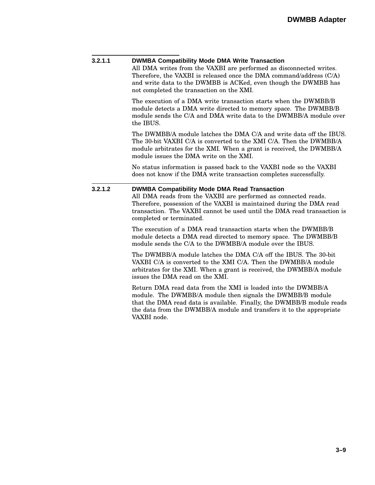| 3.2.1.1 | <b>DWMBA Compatibility Mode DMA Write Transaction</b><br>All DMA writes from the VAXBI are performed as disconnected writes.<br>Therefore, the VAXBI is released once the DMA command/address (C/A)<br>and write data to the DWMBB is ACKed, even though the DWMBB has<br>not completed the transaction on the XMI. |  |  |
|---------|---------------------------------------------------------------------------------------------------------------------------------------------------------------------------------------------------------------------------------------------------------------------------------------------------------------------|--|--|
|         | The execution of a DMA write transaction starts when the DWMBB/B<br>module detects a DMA write directed to memory space. The DWMBB/B<br>module sends the C/A and DMA write data to the DWMBB/A module over<br>the IBUS.                                                                                             |  |  |
|         | The DWMBB/A module latches the DMA C/A and write data off the IBUS.<br>The 30-bit VAXBI C/A is converted to the XMI C/A. Then the DWMBB/A<br>module arbitrates for the XMI. When a grant is received, the DWMBB/A<br>module issues the DMA write on the XMI.                                                        |  |  |
|         | No status information is passed back to the VAXBI node so the VAXBI<br>does not know if the DMA write transaction completes successfully.                                                                                                                                                                           |  |  |
| 3.2.1.2 | <b>DWMBA Compatibility Mode DMA Read Transaction</b><br>All DMA reads from the VAXBI are performed as connected reads.<br>Therefore, possession of the VAXBI is maintained during the DMA read<br>transaction. The VAXBI cannot be used until the DMA read transaction is<br>completed or terminated.               |  |  |
|         | The execution of a DMA read transaction starts when the DWMBB/B<br>module detects a DMA read directed to memory space. The DWMBB/B<br>module sends the C/A to the DWMBB/A module over the IBUS.                                                                                                                     |  |  |
|         | The DWMBB/A module latches the DMA C/A off the IBUS. The 30-bit<br>VAXBI C/A is converted to the XMI C/A. Then the DWMBB/A module<br>arbitrates for the XMI. When a grant is received, the DWMBB/A module<br>issues the DMA read on the XMI.                                                                        |  |  |
|         | Return DMA read data from the XMI is loaded into the DWMBB/A<br>module. The DWMBB/A module then signals the DWMBB/B module<br>that the DMA read data is available. Finally, the DWMBB/B module reads<br>the data from the DWMBB/A module and transfers it to the appropriate<br>VAXBI node.                         |  |  |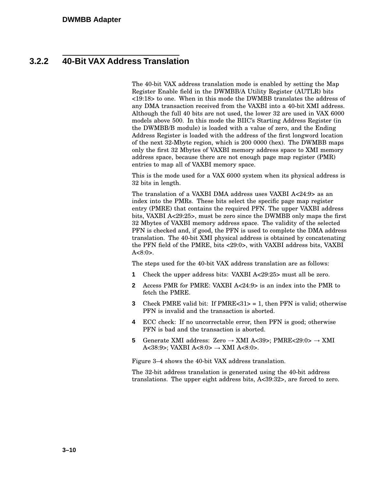# **3.2.2 40-Bit VAX Address Translation**

The 40-bit VAX address translation mode is enabled by setting the Map Register Enable field in the DWMBB/A Utility Register (AUTLR) bits <19:18> to one. When in this mode the DWMBB translates the address of any DMA transaction received from the VAXBI into a 40-bit XMI address. Although the full 40 bits are not used, the lower 32 are used in VAX 6000 models above 500. In this mode the BIIC's Starting Address Register (in the DWMBB/B module) is loaded with a value of zero, and the Ending Address Register is loaded with the address of the first longword location of the next 32-Mbyte region, which is 200 0000 (hex). The DWMBB maps only the first 32 Mbytes of VAXBI memory address space to XMI memory address space, because there are not enough page map register (PMR) entries to map all of VAXBI memory space.

This is the mode used for a VAX 6000 system when its physical address is 32 bits in length.

The translation of a VAXBI DMA address uses VAXBI A<24:9> as an index into the PMRs. These bits select the specific page map register entry (PMRE) that contains the required PFN. The upper VAXBI address bits, VAXBI A<29:25>, must be zero since the DWMBB only maps the first 32 Mbytes of VAXBI memory address space. The validity of the selected PFN is checked and, if good, the PFN is used to complete the DMA address translation. The 40-bit XMI physical address is obtained by concatenating the PFN field of the PMRE, bits <29:0>, with VAXBI address bits, VAXBI  $A < 8:0$ .

The steps used for the 40-bit VAX address translation are as follows:

- **1** Check the upper address bits: VAXBI A<29:25> must all be zero.
- **2** Access PMR for PMRE: VAXBI A<24:9> is an index into the PMR to fetch the PMRE.
- **3** Check PMRE valid bit: If  $PMRE < 31$  > = 1, then PFN is valid; otherwise PFN is invalid and the transaction is aborted.
- **4** ECC check: If no uncorrectable error, then PFN is good; otherwise PFN is bad and the transaction is aborted.
- **5** Generate XMI address: Zero  $\rightarrow$  XMI A<39>; PMRE<29:0>  $\rightarrow$  XMI A<38:9>; VAXBI A<8:0>  $\rightarrow$  XMI A<8:0>.

Figure 3–4 shows the 40-bit VAX address translation.

The 32-bit address translation is generated using the 40-bit address translations. The upper eight address bits, A<39:32>, are forced to zero.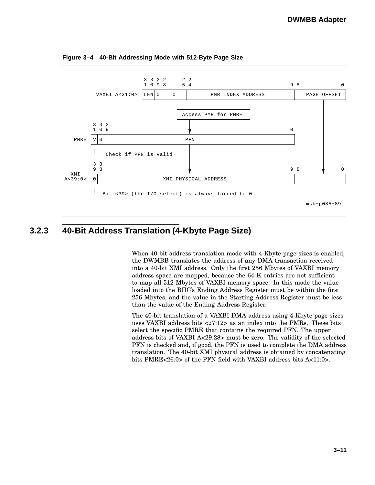

**Figure 3–4 40-Bit Addressing Mode with 512-Byte Page Size**

# **3.2.3 40-Bit Address Translation (4-Kbyte Page Size)**

When 40-bit address translation mode with 4-Kbyte page sizes is enabled, the DWMBB translates the address of any DMA transaction received into a 40-bit XMI address. Only the first 256 Mbytes of VAXBI memory address space are mapped, because the 64 K entries are not sufficient to map all 512 Mbytes of VAXBI memory space. In this mode the value loaded into the BIIC's Ending Address Register must be within the first 256 Mbytes, and the value in the Starting Address Register must be less than the value of the Ending Address Register.

The 40-bit translation of a VAXBI DMA address using 4-Kbyte page sizes uses VAXBI address bits <27:12> as an index into the PMRs. These bits select the specific PMRE that contains the required PFN. The upper address bits of VAXBI A<29:28> must be zero. The validity of the selected PFN is checked and, if good, the PFN is used to complete the DMA address translation. The 40-bit XMI physical address is obtained by concatenating bits PMRE<26:0> of the PFN field with VAXBI address bits A<11:0>.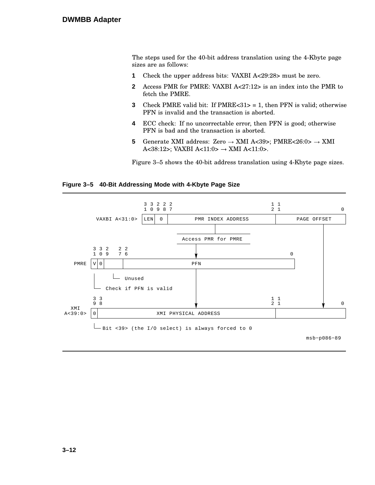The steps used for the 40-bit address translation using the 4-Kbyte page sizes are as follows:

- **1** Check the upper address bits: VAXBI A<29:28> must be zero.
- **2** Access PMR for PMRE: VAXBI A<27:12> is an index into the PMR to fetch the PMRE.
- **3** Check PMRE valid bit: If PMRE<31> = 1, then PFN is valid; otherwise PFN is invalid and the transaction is aborted.
- **4** ECC check: If no uncorrectable error, then PFN is good; otherwise PFN is bad and the transaction is aborted.
- **5** Generate XMI address: Zero  $\rightarrow$  XMI A<39>; PMRE<26:0>  $\rightarrow$  XMI A<38:12>; VAXBI A<11:0>  $\rightarrow$  XMI A<11:0>.

Figure 3–5 shows the 40-bit address translation using 4-Kbyte page sizes.

#### **Figure 3–5 40-Bit Addressing Mode with 4-Kbyte Page Size**

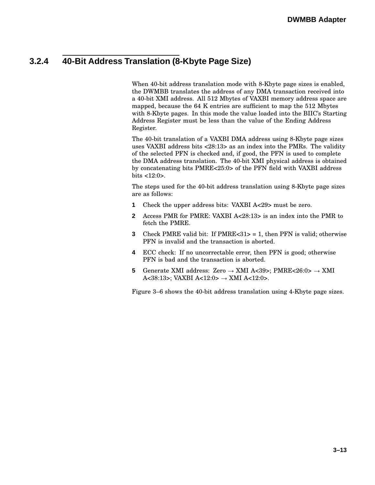# **3.2.4 40-Bit Address Translation (8-Kbyte Page Size)**

When 40-bit address translation mode with 8-Kbyte page sizes is enabled, the DWMBB translates the address of any DMA transaction received into a 40-bit XMI address. All 512 Mbytes of VAXBI memory address space are mapped, because the 64 K entries are sufficient to map the 512 Mbytes with 8-Kbyte pages. In this mode the value loaded into the BIIC's Starting Address Register must be less than the value of the Ending Address Register.

The 40-bit translation of a VAXBI DMA address using 8-Kbyte page sizes uses VAXBI address bits <28:13> as an index into the PMRs. The validity of the selected PFN is checked and, if good, the PFN is used to complete the DMA address translation. The 40-bit XMI physical address is obtained by concatenating bits PMRE<25:0> of the PFN field with VAXBI address bits <12:0>.

The steps used for the 40-bit address translation using 8-Kbyte page sizes are as follows:

- **1** Check the upper address bits: VAXBI A<29> must be zero.
- **2** Access PMR for PMRE: VAXBI A<28:13> is an index into the PMR to fetch the PMRE.
- **3** Check PMRE valid bit: If  $PMRE < 31 > 1$ , then PFN is valid; otherwise PFN is invalid and the transaction is aborted.
- **4** ECC check: If no uncorrectable error, then PFN is good; otherwise PFN is bad and the transaction is aborted.
- **5** Generate XMI address: Zero  $\rightarrow$  XMI A<39>; PMRE<26:0>  $\rightarrow$  XMI A<38:13>; VAXBI A<12:0>  $\rightarrow$  XMI A<12:0>.

Figure 3–6 shows the 40-bit address translation using 4-Kbyte page sizes.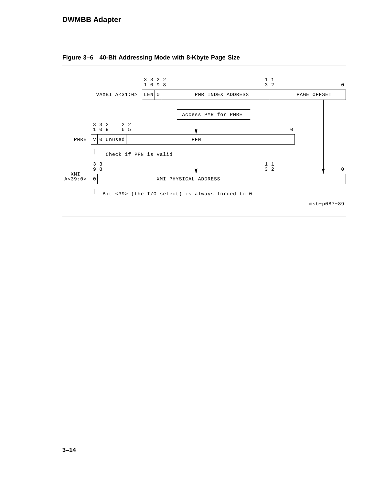### **DWMBB Adapter**



**Figure 3–6 40-Bit Addressing Mode with 8-Kbyte Page Size**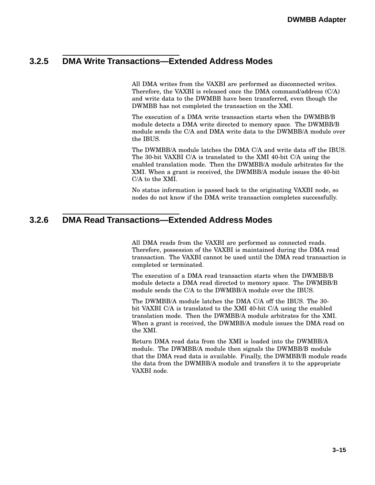## **3.2.5 DMA Write Transactions—Extended Address Modes**

All DMA writes from the VAXBI are performed as disconnected writes. Therefore, the VAXBI is released once the DMA command/address (C/A) and write data to the DWMBB have been transferred, even though the DWMBB has not completed the transaction on the XMI.

The execution of a DMA write transaction starts when the DWMBB/B module detects a DMA write directed to memory space. The DWMBB/B module sends the C/A and DMA write data to the DWMBB/A module over the IBUS.

The DWMBB/A module latches the DMA C/A and write data off the IBUS. The 30-bit VAXBI C/A is translated to the XMI 40-bit C/A using the enabled translation mode. Then the DWMBB/A module arbitrates for the XMI. When a grant is received, the DWMBB/A module issues the 40-bit C/A to the XMI.

No status information is passed back to the originating VAXBI node, so nodes do not know if the DMA write transaction completes successfully.

### **3.2.6 DMA Read Transactions—Extended Address Modes**

All DMA reads from the VAXBI are performed as connected reads. Therefore, possession of the VAXBI is maintained during the DMA read transaction. The VAXBI cannot be used until the DMA read transaction is completed or terminated.

The execution of a DMA read transaction starts when the DWMBB/B module detects a DMA read directed to memory space. The DWMBB/B module sends the C/A to the DWMBB/A module over the IBUS.

The DWMBB/A module latches the DMA C/A off the IBUS. The 30 bit VAXBI C/A is translated to the XMI 40-bit C/A using the enabled translation mode. Then the DWMBB/A module arbitrates for the XMI. When a grant is received, the DWMBB/A module issues the DMA read on the XMI.

Return DMA read data from the XMI is loaded into the DWMBB/A module. The DWMBB/A module then signals the DWMBB/B module that the DMA read data is available. Finally, the DWMBB/B module reads the data from the DWMBB/A module and transfers it to the appropriate VAXBI node.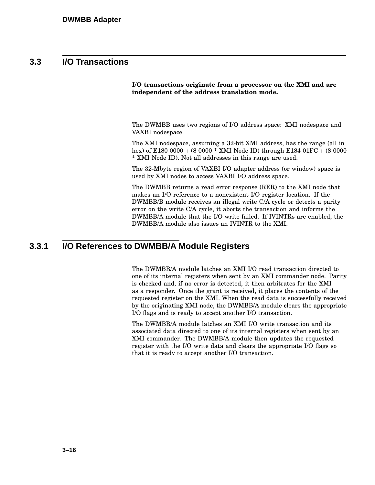## **3.3 I/O Transactions**

**I/O transactions originate from a processor on the XMI and are independent of the address translation mode.**

The DWMBB uses two regions of I/O address space: XMI nodespace and VAXBI nodespace.

The XMI nodespace, assuming a 32-bit XMI address, has the range (all in hex) of E180 0000 + (8 0000 \* XMI Node ID) through E184 01FC + (8 0000 \* XMI Node ID). Not all addresses in this range are used.

The 32-Mbyte region of VAXBI I/O adapter address (or window) space is used by XMI nodes to access VAXBI I/O address space.

The DWMBB returns a read error response (RER) to the XMI node that makes an I/O reference to a nonexistent I/O register location. If the DWMBB/B module receives an illegal write C/A cycle or detects a parity error on the write C/A cycle, it aborts the transaction and informs the DWMBB/A module that the I/O write failed. If IVINTRs are enabled, the DWMBB/A module also issues an IVINTR to the XMI.

### **3.3.1 I/O References to DWMBB/A Module Registers**

The DWMBB/A module latches an XMI I/O read transaction directed to one of its internal registers when sent by an XMI commander node. Parity is checked and, if no error is detected, it then arbitrates for the XMI as a responder. Once the grant is received, it places the contents of the requested register on the XMI. When the read data is successfully received by the originating XMI node, the DWMBB/A module clears the appropriate I/O flags and is ready to accept another I/O transaction.

The DWMBB/A module latches an XMI I/O write transaction and its associated data directed to one of its internal registers when sent by an XMI commander. The DWMBB/A module then updates the requested register with the I/O write data and clears the appropriate I/O flags so that it is ready to accept another I/O transaction.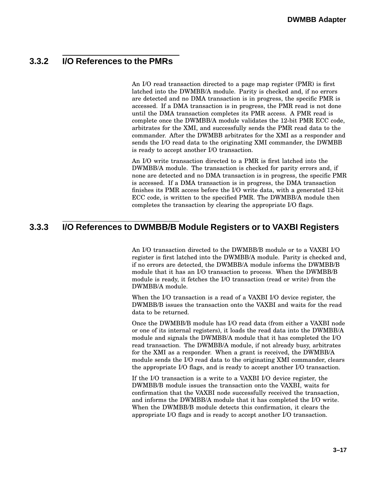### **3.3.2 I/O References to the PMRs**

An I/O read transaction directed to a page map register (PMR) is first latched into the DWMBB/A module. Parity is checked and, if no errors are detected and no DMA transaction is in progress, the specific PMR is accessed. If a DMA transaction is in progress, the PMR read is not done until the DMA transaction completes its PMR access. A PMR read is complete once the DWMBB/A module validates the 12-bit PMR ECC code, arbitrates for the XMI, and successfully sends the PMR read data to the commander. After the DWMBB arbitrates for the XMI as a responder and sends the I/O read data to the originating XMI commander, the DWMBB is ready to accept another I/O transaction.

An I/O write transaction directed to a PMR is first latched into the DWMBB/A module. The transaction is checked for parity errors and, if none are detected and no DMA transaction is in progress, the specific PMR is accessed. If a DMA transaction is in progress, the DMA transaction finishes its PMR access before the I/O write data, with a generated 12-bit ECC code, is written to the specified PMR. The DWMBB/A module then completes the transaction by clearing the appropriate I/O flags.

### **3.3.3 I/O References to DWMBB/B Module Registers or to VAXBI Registers**

An I/O transaction directed to the DWMBB/B module or to a VAXBI I/O register is first latched into the DWMBB/A module. Parity is checked and, if no errors are detected, the DWMBB/A module informs the DWMBB/B module that it has an I/O transaction to process. When the DWMBB/B module is ready, it fetches the I/O transaction (read or write) from the DWMBB/A module.

When the I/O transaction is a read of a VAXBI I/O device register, the DWMBB/B issues the transaction onto the VAXBI and waits for the read data to be returned.

Once the DWMBB/B module has I/O read data (from either a VAXBI node or one of its internal registers), it loads the read data into the DWMBB/A module and signals the DWMBB/A module that it has completed the I/O read transaction. The DWMBB/A module, if not already busy, arbitrates for the XMI as a responder. When a grant is received, the DWMBB/A module sends the I/O read data to the originating XMI commander, clears the appropriate I/O flags, and is ready to accept another I/O transaction.

If the I/O transaction is a write to a VAXBI I/O device register, the DWMBB/B module issues the transaction onto the VAXBI, waits for confirmation that the VAXBI node successfully received the transaction, and informs the DWMBB/A module that it has completed the I/O write. When the DWMBB/B module detects this confirmation, it clears the appropriate I/O flags and is ready to accept another I/O transaction.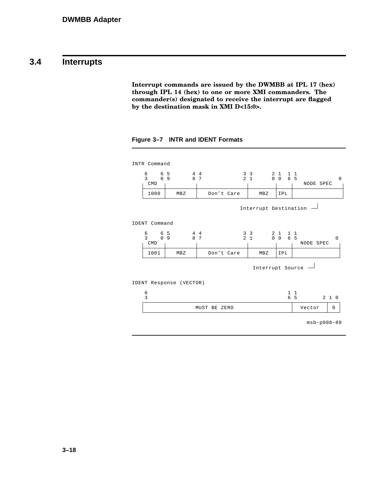### **3.4 Interrupts**

**Interrupt commands are issued by the DWMBB at IPL 17 (hex) through IPL 14 (hex) to one or more XMI commanders. The commander(s) designated to receive the interrupt are flagged by the destination mask in XMI D<15:0>.**

**Figure 3–7 INTR and IDENT Formats**

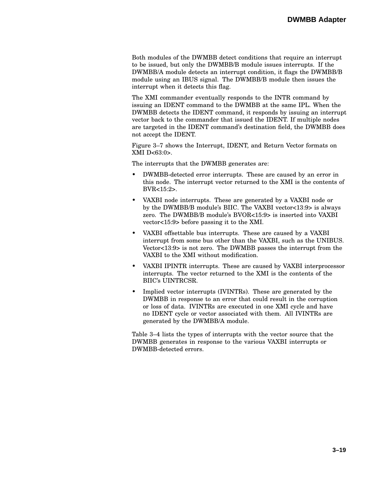Both modules of the DWMBB detect conditions that require an interrupt to be issued, but only the DWMBB/B module issues interrupts. If the DWMBB/A module detects an interrupt condition, it flags the DWMBB/B module using an IBUS signal. The DWMBB/B module then issues the interrupt when it detects this flag.

The XMI commander eventually responds to the INTR command by issuing an IDENT command to the DWMBB at the same IPL. When the DWMBB detects the IDENT command, it responds by issuing an interrupt vector back to the commander that issued the IDENT. If multiple nodes are targeted in the IDENT command's destination field, the DWMBB does not accept the IDENT.

Figure 3–7 shows the Interrupt, IDENT, and Return Vector formats on XMI D<63:0>.

The interrupts that the DWMBB generates are:

- DWMBB-detected error interrupts. These are caused by an error in this node. The interrupt vector returned to the XMI is the contents of BVR<15:2>.
- VAXBI node interrupts. These are generated by a VAXBI node or by the DWMBB/B module's BIIC. The VAXBI vector<13:9> is always zero. The DWMBB/B module's BVOR<15:9> is inserted into VAXBI vector<15:9> before passing it to the XMI.
- VAXBI offsettable bus interrupts. These are caused by a VAXBI interrupt from some bus other than the VAXBI, such as the UNIBUS. Vector<13:9> is not zero. The DWMBB passes the interrupt from the VAXBI to the XMI without modification.
- VAXBI IPINTR interrupts. These are caused by VAXBI interprocessor interrupts. The vector returned to the XMI is the contents of the BIIC's UINTRCSR.
- Implied vector interrupts (IVINTRs). These are generated by the DWMBB in response to an error that could result in the corruption or loss of data. IVINTRs are executed in one XMI cycle and have no IDENT cycle or vector associated with them. All IVINTRs are generated by the DWMBB/A module.

Table 3–4 lists the types of interrupts with the vector source that the DWMBB generates in response to the various VAXBI interrupts or DWMBB-detected errors.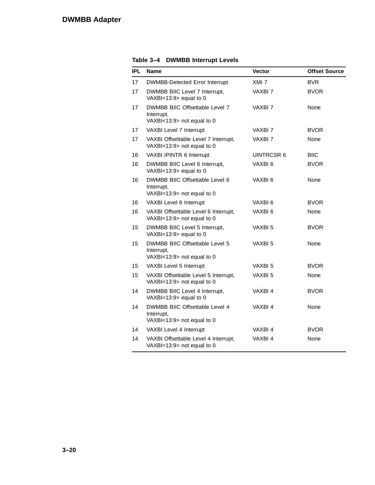| IPL | <b>Name</b>                                                                | <b>Vector</b>      | <b>Offset Source</b> |
|-----|----------------------------------------------------------------------------|--------------------|----------------------|
| 17  | <b>DWMBB-Detected Error Interrupt</b>                                      | XMI <sub>7</sub>   | <b>BVR</b>           |
| 17  | DWMBB BIIC Level 7 Interrupt,<br>VAXBI<13:9> equal to 0                    | VAXBI 7            | <b>BVOR</b>          |
| 17  | DWMBB BIIC Offsettable Level 7<br>Interrupt,<br>VAXBI<13:9> not equal to 0 | VAXBI 7            | None                 |
| 17  | VAXBI Level 7 Interrupt                                                    | VAXBI 7            | <b>BVOR</b>          |
| 17  | VAXBI Offsettable Level 7 Interrupt,<br>VAXBI<13:9> not equal to 0         | VAXBI 7            | None                 |
| 16  | VAXBI IPINTR 6 Interrupt                                                   | UINTRCSR 6         | <b>BIIC</b>          |
| 16  | DWMBB BIIC Level 6 Interrupt,<br>VAXBI<13:9> equal to 0                    | VAXBI 6            | <b>BVOR</b>          |
| 16  | DWMBB BIIC Offsettable Level 6<br>Interrupt,<br>VAXBI<13:9> not equal to 0 | VAXBI 6            | None                 |
| 16  | VAXBI Level 6 Interrupt                                                    | VAXBI 6            | <b>BVOR</b>          |
| 16  | VAXBI Offsettable Level 6 Interrupt,<br>VAXBI<13:9> not equal to 0         | VAXBI <sub>6</sub> | None                 |
| 15  | DWMBB BIIC Level 5 Interrupt,<br>VAXBI<13:9> equal to 0                    | VAXBI 5            | <b>BVOR</b>          |
| 15  | DWMBB BIIC Offsettable Level 5<br>Interrupt,<br>VAXBI<13:9> not equal to 0 | VAXBI 5            | None                 |
| 15  | VAXBI Level 5 Interrupt                                                    | VAXBI 5            | <b>BVOR</b>          |
| 15  | VAXBI Offsettable Level 5 Interrupt,<br>VAXBI<13:9> not equal to 0         | VAXBI 5            | None                 |
| 14  | DWMBB BIIC Level 4 Interrupt,<br>VAXBI<13:9> equal to 0                    | VAXBI 4            | <b>BVOR</b>          |
| 14  | DWMBB BIIC Offsettable Level 4<br>Interrupt,<br>VAXBI<13:9> not equal to 0 | VAXBI4             | None                 |
| 14  | VAXBI Level 4 Interrupt                                                    | VAXBI4             | <b>BVOR</b>          |
| 14  | VAXBI Offsettable Level 4 Interrupt,<br>VAXBI<13:9> not equal to 0         | VAXBI4             | None                 |

**Table 3–4 DWMBB Interrupt Levels**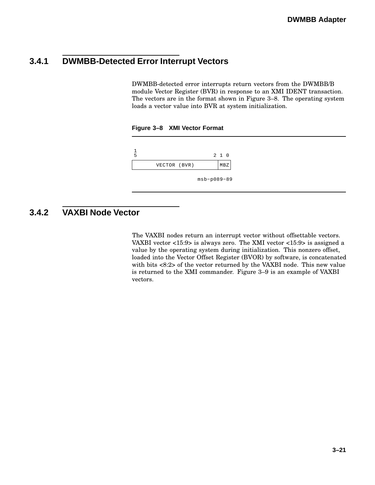# **3.4.1 DWMBB-Detected Error Interrupt Vectors**

DWMBB-detected error interrupts return vectors from the DWMBB/B module Vector Register (BVR) in response to an XMI IDENT transaction. The vectors are in the format shown in Figure 3–8. The operating system loads a vector value into BVR at system initialization.





# **3.4.2 VAXBI Node Vector**

The VAXBI nodes return an interrupt vector without offsettable vectors. VAXBI vector <15:9> is always zero. The XMI vector <15:9> is assigned a value by the operating system during initialization. This nonzero offset, loaded into the Vector Offset Register (BVOR) by software, is concatenated with bits <8:2> of the vector returned by the VAXBI node. This new value is returned to the XMI commander. Figure 3–9 is an example of VAXBI vectors.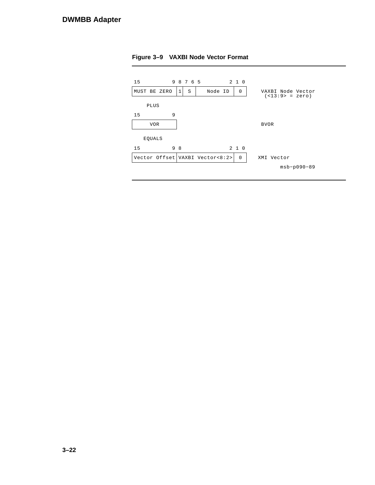

**Figure 3–9 VAXBI Node Vector Format**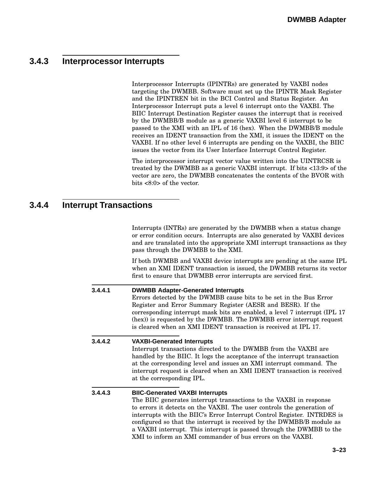# **3.4.3 Interprocessor Interrupts**

Interprocessor Interrupts (IPINTRs) are generated by VAXBI nodes targeting the DWMBB. Software must set up the IPINTR Mask Register and the IPINTREN bit in the BCI Control and Status Register. An Interprocessor Interrupt puts a level 6 interrupt onto the VAXBI. The BIIC Interrupt Destination Register causes the interrupt that is received by the DWMBB/B module as a generic VAXBI level 6 interrupt to be passed to the XMI with an IPL of 16 (hex). When the DWMBB/B module receives an IDENT transaction from the XMI, it issues the IDENT on the VAXBI. If no other level 6 interrupts are pending on the VAXBI, the BIIC issues the vector from its User Interface Interrupt Control Register.

The interprocessor interrupt vector value written into the UINTRCSR is treated by the DWMBB as a generic VAXBI interrupt. If bits <13:9> of the vector are zero, the DWMBB concatenates the contents of the BVOR with bits <8:0> of the vector.

### **3.4.4 Interrupt Transactions**

Interrupts (INTRs) are generated by the DWMBB when a status change or error condition occurs. Interrupts are also generated by VAXBI devices and are translated into the appropriate XMI interrupt transactions as they pass through the DWMBB to the XMI.

If both DWMBB and VAXBI device interrupts are pending at the same IPL when an XMI IDENT transaction is issued, the DWMBB returns its vector first to ensure that DWMBB error interrupts are serviced first.

#### **3.4.4.1 DWMBB Adapter-Generated Interrupts**

Errors detected by the DWMBB cause bits to be set in the Bus Error Register and Error Summary Register (AESR and BESR). If the corresponding interrupt mask bits are enabled, a level 7 interrupt (IPL 17 (hex)) is requested by the DWMBB. The DWMBB error interrupt request is cleared when an XMI IDENT transaction is received at IPL 17.

# **3.4.4.2 VAXBI-Generated Interrupts** Interrupt transactions directed to the DWMBB from the VAXBI are

handled by the BIIC. It logs the acceptance of the interrupt transaction at the corresponding level and issues an XMI interrupt command. The interrupt request is cleared when an XMI IDENT transaction is received at the corresponding IPL.

#### **3.4.4.3 BIIC-Generated VAXBI Interrupts**

The BIIC generates interrupt transactions to the VAXBI in response to errors it detects on the VAXBI. The user controls the generation of interrupts with the BIIC's Error Interrupt Control Register. INTRDES is configured so that the interrupt is received by the DWMBB/B module as a VAXBI interrupt. This interrupt is passed through the DWMBB to the XMI to inform an XMI commander of bus errors on the VAXBI.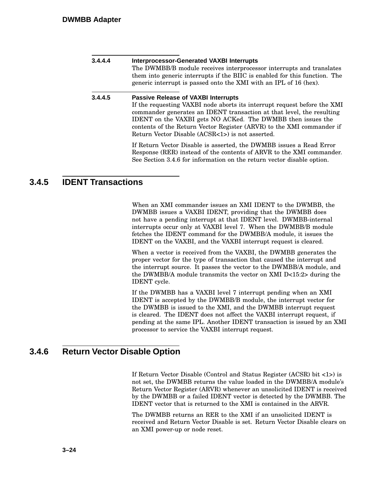| 3.4.4.4 | <b>Interprocessor-Generated VAXBI Interrupts</b><br>The DWMBB/B module receives interprocessor interrupts and translates<br>them into generic interrupts if the BIIC is enabled for this function. The<br>generic interrupt is passed onto the XMI with an IPL of 16 (hex).                                                                                                                 |
|---------|---------------------------------------------------------------------------------------------------------------------------------------------------------------------------------------------------------------------------------------------------------------------------------------------------------------------------------------------------------------------------------------------|
| 3.4.4.5 | <b>Passive Release of VAXBI Interrupts</b><br>If the requesting VAXBI node aborts its interrupt request before the XMI<br>commander generates an IDENT transaction at that level, the resulting<br>IDENT on the VAXBI gets NO ACKed. The DWMBB then issues the<br>contents of the Return Vector Register (ARVR) to the XMI commander if<br>Return Vector Disable (ACSR<1>) is not asserted. |
|         | If Return Vector Disable is asserted, the DWMBB issues a Read Error<br>Response (RER) instead of the contents of ARVR to the XMI commander.<br>See Section 3.4.6 for information on the return vector disable option.                                                                                                                                                                       |

### **3.4.5 IDENT Transactions**

When an XMI commander issues an XMI IDENT to the DWMBB, the DWMBB issues a VAXBI IDENT, providing that the DWMBB does not have a pending interrupt at that IDENT level. DWMBB-internal interrupts occur only at VAXBI level 7. When the DWMBB/B module fetches the IDENT command for the DWMBB/A module, it issues the IDENT on the VAXBI, and the VAXBI interrupt request is cleared.

When a vector is received from the VAXBI, the DWMBB generates the proper vector for the type of transaction that caused the interrupt and the interrupt source. It passes the vector to the DWMBB/A module, and the DWMBB/A module transmits the vector on XMI D<15:2> during the IDENT cycle.

If the DWMBB has a VAXBI level 7 interrupt pending when an XMI IDENT is accepted by the DWMBB/B module, the interrupt vector for the DWMBB is issued to the XMI, and the DWMBB interrupt request is cleared. The IDENT does not affect the VAXBI interrupt request, if pending at the same IPL. Another IDENT transaction is issued by an XMI processor to service the VAXBI interrupt request.

### **3.4.6 Return Vector Disable Option**

If Return Vector Disable (Control and Status Register (ACSR) bit <1>) is not set, the DWMBB returns the value loaded in the DWMBB/A module's Return Vector Register (ARVR) whenever an unsolicited IDENT is received by the DWMBB or a failed IDENT vector is detected by the DWMBB. The IDENT vector that is returned to the XMI is contained in the ARVR.

The DWMBB returns an RER to the XMI if an unsolicited IDENT is received and Return Vector Disable is set. Return Vector Disable clears on an XMI power-up or node reset.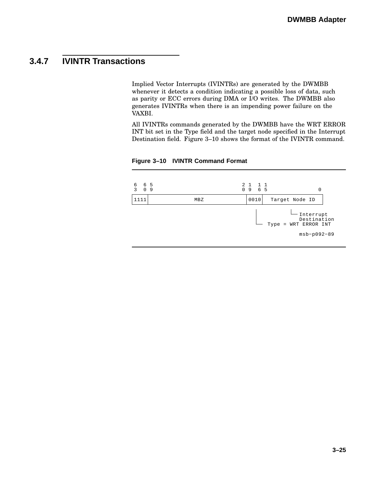# **3.4.7 IVINTR Transactions**

Implied Vector Interrupts (IVINTRs) are generated by the DWMBB whenever it detects a condition indicating a possible loss of data, such as parity or ECC errors during DMA or I/O writes. The DWMBB also generates IVINTRs when there is an impending power failure on the VAXBI.

All IVINTRs commands generated by the DWMBB have the WRT ERROR INT bit set in the Type field and the target node specified in the Interrupt Destination field. Figure 3–10 shows the format of the IVINTR command.



**Figure 3–10 IVINTR Command Format**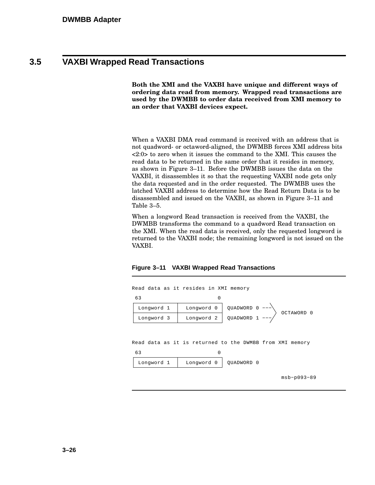### **3.5 VAXBI Wrapped Read Transactions**

**Both the XMI and the VAXBI have unique and different ways of ordering data read from memory. Wrapped read transactions are used by the DWMBB to order data received from XMI memory to an order that VAXBI devices expect.**

When a VAXBI DMA read command is received with an address that is not quadword- or octaword-aligned, the DWMBB forces XMI address bits <2:0> to zero when it issues the command to the XMI. This causes the read data to be returned in the same order that it resides in memory, as shown in Figure 3–11. Before the DWMBB issues the data on the VAXBI, it disassembles it so that the requesting VAXBI node gets only the data requested and in the order requested. The DWMBB uses the latched VAXBI address to determine how the Read Return Data is to be disassembled and issued on the VAXBI, as shown in Figure 3–11 and Table 3–5.

When a longword Read transaction is received from the VAXBI, the DWMBB transforms the command to a quadword Read transaction on the XMI. When the read data is received, only the requested longword is returned to the VAXBI node; the remaining longword is not issued on the VAXBI.



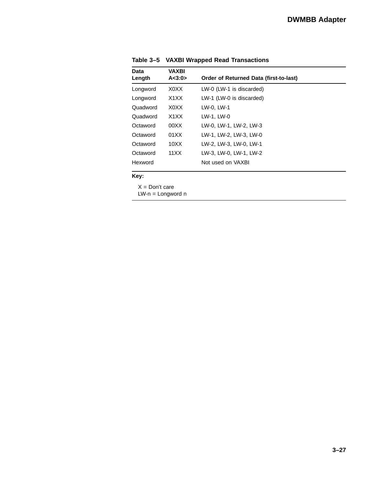| Data<br>Length | <b>VAXBI</b><br>A < 3:0> | Order of Returned Data (first-to-last) |  |
|----------------|--------------------------|----------------------------------------|--|
|                |                          |                                        |  |
| Longword       | X0XX                     | LW-0 (LW-1 is discarded)               |  |
| Longword       | X1XX                     | LW-1 (LW-0 is discarded)               |  |
| Quadword       | X0XX                     | LW-0. LW-1                             |  |
| Quadword       | X1XX                     | LW-1. LW-0                             |  |
| Octaword       | 00XX                     | LW-0, LW-1, LW-2, LW-3                 |  |
| Octaword       | 01XX                     | LW-1. LW-2. LW-3. LW-0                 |  |
| Octaword       | 10XX                     | LW-2, LW-3, LW-0, LW-1                 |  |
| Octaword       | 11XX                     | LW-3. LW-0. LW-1. LW-2                 |  |
| Hexword        |                          | Not used on VAXBI                      |  |
|                |                          |                                        |  |

**Table 3–5 VAXBI Wrapped Read Transactions**

**Key:**

 $X = Don't care$ 

LW-n = Longword n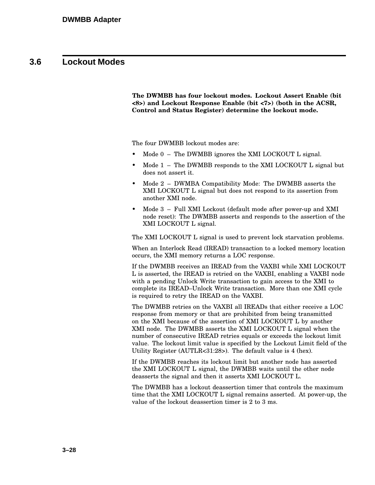### **3.6 Lockout Modes**

**The DWMBB has four lockout modes. Lockout Assert Enable (bit <8>) and Lockout Response Enable (bit <7>) (both in the ACSR, Control and Status Register) determine the lockout mode.**

The four DWMBB lockout modes are:

- Mode  $0 -$  The DWMBB ignores the XMI LOCKOUT L signal.
- Mode  $1$  The DWMBB responds to the XMI LOCKOUT L signal but does not assert it.
- Mode 2 DWMBA Compatibility Mode: The DWMBB asserts the XMI LOCKOUT L signal but does not respond to its assertion from another XMI node.
- Mode 3 Full XMI Lockout (default mode after power-up and XMI node reset): The DWMBB asserts and responds to the assertion of the XMI LOCKOUT L signal.

The XMI LOCKOUT L signal is used to prevent lock starvation problems.

When an Interlock Read (IREAD) transaction to a locked memory location occurs, the XMI memory returns a LOC response.

If the DWMBB receives an IREAD from the VAXBI while XMI LOCKOUT L is asserted, the IREAD is retried on the VAXBI, enabling a VAXBI node with a pending Unlock Write transaction to gain access to the XMI to complete its IREAD–Unlock Write transaction. More than one XMI cycle is required to retry the IREAD on the VAXBI.

The DWMBB retries on the VAXBI all IREADs that either receive a LOC response from memory or that are prohibited from being transmitted on the XMI because of the assertion of XMI LOCKOUT L by another XMI node. The DWMBB asserts the XMI LOCKOUT L signal when the number of consecutive IREAD retries equals or exceeds the lockout limit value. The lockout limit value is specified by the Lockout Limit field of the Utility Register (AUTLR<31:28>). The default value is 4 (hex).

If the DWMBB reaches its lockout limit but another node has asserted the XMI LOCKOUT L signal, the DWMBB waits until the other node deasserts the signal and then it asserts XMI LOCKOUT L.

The DWMBB has a lockout deassertion timer that controls the maximum time that the XMI LOCKOUT L signal remains asserted. At power-up, the value of the lockout deassertion timer is 2 to 3 ms.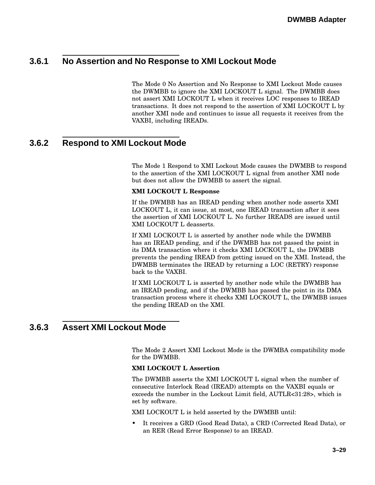# **3.6.1 No Assertion and No Response to XMI Lockout Mode**

The Mode 0 No Assertion and No Response to XMI Lockout Mode causes the DWMBB to ignore the XMI LOCKOUT L signal. The DWMBB does not assert XMI LOCKOUT L when it receives LOC responses to IREAD transactions. It does not respond to the assertion of XMI LOCKOUT L by another XMI node and continues to issue all requests it receives from the VAXBI, including IREADs.

### **3.6.2 Respond to XMI Lockout Mode**

The Mode 1 Respond to XMI Lockout Mode causes the DWMBB to respond to the assertion of the XMI LOCKOUT L signal from another XMI node but does not allow the DWMBB to assert the signal.

#### **XMI LOCKOUT L Response**

If the DWMBB has an IREAD pending when another node asserts XMI LOCKOUT L, it can issue, at most, one IREAD transaction after it sees the assertion of XMI LOCKOUT L. No further IREADS are issued until XMI LOCKOUT L deasserts.

If XMI LOCKOUT L is asserted by another node while the DWMBB has an IREAD pending, and if the DWMBB has not passed the point in its DMA transaction where it checks XMI LOCKOUT L, the DWMBB prevents the pending IREAD from getting issued on the XMI. Instead, the DWMBB terminates the IREAD by returning a LOC (RETRY) response back to the VAXBI.

If XMI LOCKOUT L is asserted by another node while the DWMBB has an IREAD pending, and if the DWMBB has passed the point in its DMA transaction process where it checks XMI LOCKOUT L, the DWMBB issues the pending IREAD on the XMI.

### **3.6.3 Assert XMI Lockout Mode**

The Mode 2 Assert XMI Lockout Mode is the DWMBA compatibility mode for the DWMBB.

#### **XMI LOCKOUT L Assertion**

The DWMBB asserts the XMI LOCKOUT L signal when the number of consecutive Interlock Read (IREAD) attempts on the VAXBI equals or exceeds the number in the Lockout Limit field, AUTLR<31:28>, which is set by software.

XMI LOCKOUT L is held asserted by the DWMBB until:

• It receives a GRD (Good Read Data), a CRD (Corrected Read Data), or an RER (Read Error Response) to an IREAD.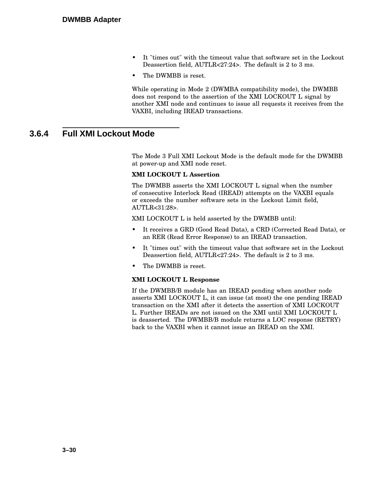- It "times out" with the timeout value that software set in the Lockout Deassertion field, AUTLR<27:24>. The default is 2 to 3 ms.
- The DWMBB is reset.

While operating in Mode 2 (DWMBA compatibility mode), the DWMBB does not respond to the assertion of the XMI LOCKOUT L signal by another XMI node and continues to issue all requests it receives from the VAXBI, including IREAD transactions.

### **3.6.4 Full XMI Lockout Mode**

The Mode 3 Full XMI Lockout Mode is the default mode for the DWMBB at power-up and XMI node reset.

#### **XMI LOCKOUT L Assertion**

The DWMBB asserts the XMI LOCKOUT L signal when the number of consecutive Interlock Read (IREAD) attempts on the VAXBI equals or exceeds the number software sets in the Lockout Limit field, AUTLR<31:28>.

XMI LOCKOUT L is held asserted by the DWMBB until:

- It receives a GRD (Good Read Data), a CRD (Corrected Read Data), or an RER (Read Error Response) to an IREAD transaction.
- It "times out" with the timeout value that software set in the Lockout Deassertion field, AUTLR<27:24>. The default is 2 to 3 ms.
- The DWMBB is reset.

#### **XMI LOCKOUT L Response**

If the DWMBB/B module has an IREAD pending when another node asserts XMI LOCKOUT L, it can issue (at most) the one pending IREAD transaction on the XMI after it detects the assertion of XMI LOCKOUT L. Further IREADs are not issued on the XMI until XMI LOCKOUT L is deasserted. The DWMBB/B module returns a LOC response (RETRY) back to the VAXBI when it cannot issue an IREAD on the XMI.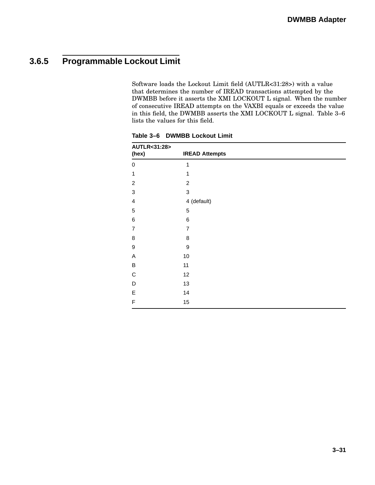# **3.6.5 Programmable Lockout Limit**

Software loads the Lockout Limit field (AUTLR<31:28>) with a value that determines the number of IREAD transactions attempted by the DWMBB before it asserts the XMI LOCKOUT L signal. When the number of consecutive IREAD attempts on the VAXBI equals or exceeds the value in this field, the DWMBB asserts the XMI LOCKOUT L signal. Table 3–6 lists the values for this field.

| AUTLR<31:28><br>(hex)   | <b>IREAD Attempts</b> |
|-------------------------|-----------------------|
| 0                       | $\mathbf{1}$          |
| 1                       | 1                     |
| $\overline{c}$          | $\overline{c}$        |
| $\mathbf{3}$            | 3                     |
| $\overline{\mathbf{4}}$ | 4 (default)           |
| $\mathbf 5$             | 5                     |
| $\,6$                   | 6                     |
| $\overline{7}$          | $\overline{7}$        |
| 8                       | 8                     |
| 9                       | $\boldsymbol{9}$      |
| Α                       | 10                    |
| B                       | 11                    |
| $\mathsf C$             | 12                    |
| D                       | 13                    |
| E                       | 14                    |
| F                       | 15                    |

**Table 3–6 DWMBB Lockout Limit**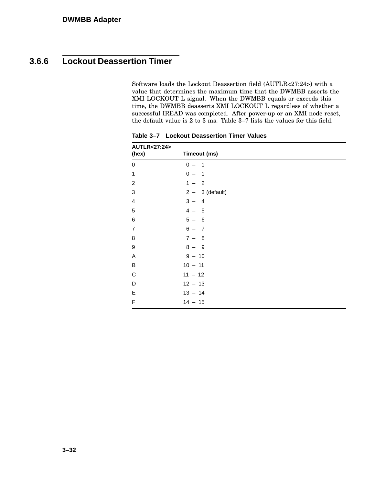# **3.6.6 Lockout Deassertion Timer**

Software loads the Lockout Deassertion field (AUTLR<27:24>) with a value that determines the maximum time that the DWMBB asserts the XMI LOCKOUT L signal. When the DWMBB equals or exceeds this time, the DWMBB deasserts XMI LOCKOUT L regardless of whether a successful IREAD was completed. After power-up or an XMI node reset, the default value is 2 to 3 ms. Table 3–7 lists the values for this field.

| AUTLR<27:24><br>(hex)   | Timeout (ms)      |
|-------------------------|-------------------|
| 0                       | $0 - 1$           |
| 1                       | $0 - 1$           |
| $\overline{c}$          | $1 - 2$           |
| $\mathbf 3$             | $2 - 3$ (default) |
| $\overline{\mathbf{4}}$ | $3 - 4$           |
| $\mathbf 5$             | $4 - 5$           |
| $\,6$                   | $5 - 6$           |
| $\overline{7}$          | $6 - 7$           |
| 8                       | $7 - 8$           |
| $\boldsymbol{9}$        | $8 - 9$           |
| A                       | $9 - 10$          |
| $\sf B$                 | $10 - 11$         |
| $\mathsf C$             | $11 - 12$         |
| D                       | $12 - 13$         |
| $\mathsf E$             | $13 - 14$         |
| F                       | $14 - 15$         |

**Table 3–7 Lockout Deassertion Timer Values**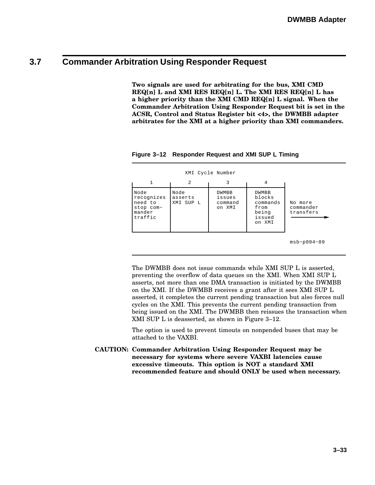# **3.7 Commander Arbitration Using Responder Request**

**Two signals are used for arbitrating for the bus, XMI CMD REQ[n] L and XMI RES REQ[n] L. The XMI RES REQ[n] L has a higher priority than the XMI CMD REQ[n] L signal. When the Commander Arbitration Using Responder Request bit is set in the ACSR, Control and Status Register bit <4>, the DWMBB adapter arbitrates for the XMI at a higher priority than XMI commanders.**

|                                                                 |                              | XMI Cycle Number                     |                                                                  |                                   |
|-----------------------------------------------------------------|------------------------------|--------------------------------------|------------------------------------------------------------------|-----------------------------------|
| 1                                                               | 2                            | 3                                    | 4                                                                |                                   |
| Node<br>recognizes<br>need to<br>stop com-<br>mander<br>traffic | Node<br>asserts<br>XMI SUP L | DWMBB<br>issues<br>command<br>on XMI | DWMBB<br>blocks<br>commands<br>from<br>being<br>issued<br>on XMI | No more<br>commander<br>transfers |
|                                                                 |                              |                                      |                                                                  | $msb-p094-89$                     |

**Figure 3–12 Responder Request and XMI SUP L Timing**

The DWMBB does not issue commands while XMI SUP L is asserted, preventing the overflow of data queues on the XMI. When XMI SUP L asserts, not more than one DMA transaction is initiated by the DWMBB on the XMI. If the DWMBB receives a grant after it sees XMI SUP L asserted, it completes the current pending transaction but also forces null cycles on the XMI. This prevents the current pending transaction from being issued on the XMI. The DWMBB then reissues the transaction when XMI SUP L is deasserted, as shown in Figure 3–12.

The option is used to prevent timouts on nonpended buses that may be attached to the VAXBI.

**CAUTION: Commander Arbitration Using Responder Request may be necessary for systems where severe VAXBI latencies cause excessive timeouts. This option is NOT a standard XMI recommended feature and should ONLY be used when necessary.**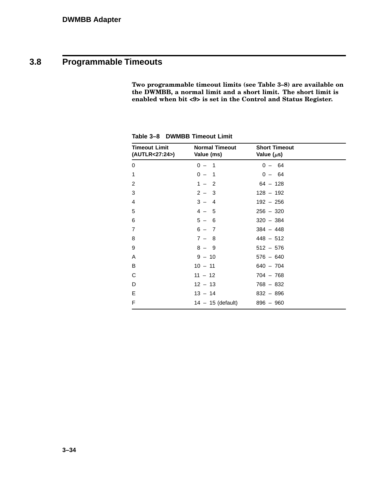# **3.8 Programmable Timeouts**

**Two programmable timeout limits (see Table 3–8) are available on the DWMBB, a normal limit and a short limit. The short limit is enabled when bit <9> is set in the Control and Status Register.**

| <b>Timeout Limit</b><br>(AUTLR<27:24>) | <b>Normal Timeout</b><br>Value (ms) | <b>Short Timeout</b><br>Value $(\mu s)$ |  |
|----------------------------------------|-------------------------------------|-----------------------------------------|--|
| 0                                      | $0 - 1$                             | $0 - 64$                                |  |
| 1                                      | $0 - 1$                             | $0 - 64$                                |  |
| 2                                      | $1 - 2$                             | $64 - 128$                              |  |
| 3                                      | $2 - 3$                             | $128 - 192$                             |  |
| 4                                      | $3 -$<br>$\overline{4}$             | $192 - 256$                             |  |
| 5                                      | $4 - 5$                             | $256 - 320$                             |  |
| 6                                      | $5 - 6$                             | $320 - 384$                             |  |
| $\overline{7}$                         | $6 - 7$                             | $384 - 448$                             |  |
| 8                                      | $7 - 8$                             | $448 - 512$                             |  |
| 9                                      | $8 - 9$                             | $512 - 576$                             |  |
| Α                                      | $9 - 10$                            | $576 - 640$                             |  |
| B                                      | $10 - 11$                           | $640 - 704$                             |  |
| C                                      | $11 - 12$                           | $704 - 768$                             |  |
| D                                      | $12 - 13$                           | $768 - 832$                             |  |
| E                                      | $13 - 14$                           | $832 - 896$                             |  |
| F                                      | $14 - 15$ (default)                 | $896 - 960$                             |  |

**Table 3–8 DWMBB Timeout Limit**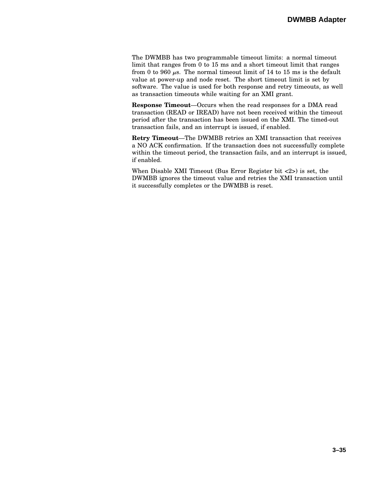The DWMBB has two programmable timeout limits: a normal timeout limit that ranges from 0 to 15 ms and a short timeout limit that ranges from 0 to 960  $\mu$ s. The normal timeout limit of 14 to 15 ms is the default value at power-up and node reset. The short timeout limit is set by software. The value is used for both response and retry timeouts, as well as transaction timeouts while waiting for an XMI grant.

**Response Timeout**—Occurs when the read responses for a DMA read transaction (READ or IREAD) have not been received within the timeout period after the transaction has been issued on the XMI. The timed-out transaction fails, and an interrupt is issued, if enabled.

**Retry Timeout**—The DWMBB retries an XMI transaction that receives a NO ACK confirmation. If the transaction does not successfully complete within the timeout period, the transaction fails, and an interrupt is issued, if enabled.

When Disable XMI Timeout (Bus Error Register bit <2>) is set, the DWMBB ignores the timeout value and retries the XMI transaction until it successfully completes or the DWMBB is reset.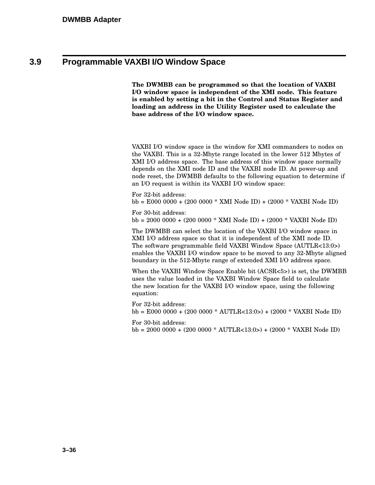### **3.9 Programmable VAXBI I/O Window Space**

**The DWMBB can be programmed so that the location of VAXBI I/O window space is independent of the XMI node. This feature is enabled by setting a bit in the Control and Status Register and loading an address in the Utility Register used to calculate the base address of the I/O window space.**

VAXBI I/O window space is the window for XMI commanders to nodes on the VAXBI. This is a 32-Mbyte range located in the lower 512 Mbytes of XMI I/O address space. The base address of this window space normally depends on the XMI node ID and the VAXBI node ID. At power-up and node reset, the DWMBB defaults to the following equation to determine if an I/O request is within its VAXBI I/O window space:

For 32-bit address: bb = E000 0000 + (200 0000 \* XMI Node ID) + (2000 \* VAXBI Node ID)

For 30-bit address: bb = 2000 0000 + (200 0000 \* XMI Node ID) + (2000 \* VAXBI Node ID)

The DWMBB can select the location of the VAXBI I/O window space in XMI I/O address space so that it is independent of the XMI node ID. The software programmable field VAXBI Window Space (AUTLR<13:0>) enables the VAXBI I/O window space to be moved to any 32-Mbyte aligned boundary in the 512-Mbyte range of extended XMI I/O address space.

When the VAXBI Window Space Enable bit (ACSR<5>) is set, the DWMBB uses the value loaded in the VAXBI Window Space field to calculate the new location for the VAXBI I/O window space, using the following equation:

For 32-bit address: bb = E000 0000 + (200 0000 \* AUTLR<13:0>) + (2000 \* VAXBI Node ID)

For 30-bit address:

bb = 2000 0000 + (200 0000 \* AUTLR<13:0>) + (2000 \* VAXBI Node ID)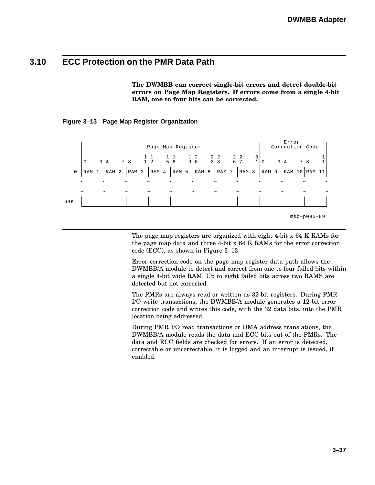### **3.10 ECC Protection on the PMR Data Path**

**The DWMBB can correct single-bit errors and detect double-bit errors on Page Map Registers. If errors come from a single 4-bit RAM, one to four bits can be corrected.**

|             |                       |                       |                  | Page Map Register                                                                                                    |                  |                       |                  |            |                                          | Error<br>Correction Code |                       |               |            |
|-------------|-----------------------|-----------------------|------------------|----------------------------------------------------------------------------------------------------------------------|------------------|-----------------------|------------------|------------|------------------------------------------|--------------------------|-----------------------|---------------|------------|
|             | $\mathbf 0$           | $3 \quad 4$           | 78               | $\begin{array}{cccccccc} 1 & 1 & 1 & 1 & 1 & 2 & 2 & 2 & 2 & 2 \\ 1 & 2 & 5 & 6 & 9 & 0 & 2 & 3 & 6 & 7 \end{array}$ |                  |                       |                  |            | $\begin{bmatrix} 3 \\ 1 \end{bmatrix}$ 0 | $3 \quad 4$              | 7 8                   |               |            |
| $\mathbf 0$ | RAM 1                 | RAM <sub>2</sub>      | RAM <sub>3</sub> | RAM 4                                                                                                                | RAM <sub>5</sub> | RAM 6                 | RAM <sub>7</sub> | RAM 8      | RAM 9                                    | RAM 10                   |                       | RAM 11        |            |
|             | $\tilde{\phantom{a}}$ | $\tilde{\phantom{a}}$ | $\tilde{}$       | $\tilde{\phantom{a}}$                                                                                                |                  | $\tilde{\phantom{a}}$ | $\tilde{}$       | $\tilde{}$ | $\tilde{}$                               | $\tilde{}$               |                       |               | $\tilde{}$ |
| 64K         | $\tilde{\phantom{a}}$ | $\sim$                | $\tilde{}$       | $\tilde{}$                                                                                                           | $\tilde{}$       | $\tilde{\phantom{a}}$ | $\tilde{}$       | $\tilde{}$ | $\tilde{}$                               | $\sim$                   | $\tilde{\phantom{a}}$ |               | $\tilde{}$ |
|             |                       |                       |                  |                                                                                                                      |                  |                       |                  |            |                                          |                          |                       | $msb-p095-89$ |            |

#### **Figure 3–13 Page Map Register Organization**

The page map registers are organized with eight 4-bit x 64 K RAMs for the page map data and three 4-bit x 64 K RAMs for the error correction code (ECC), as shown in Figure 3–13.

Error correction code on the page map register data path allows the DWMBB/A module to detect and correct from one to four failed bits within a single 4-bit wide RAM. Up to eight failed bits across two RAMS are detected but not corrected.

The PMRs are always read or written as 32-bit registers. During PMR I/O write transactions, the DWMBB/A module generates a 12-bit error correction code and writes this code, with the 32 data bits, into the PMR location being addressed.

During PMR I/O read transactions or DMA address translations, the DWMBB/A module reads the data and ECC bits out of the PMRs. The data and ECC fields are checked for errors. If an error is detected, correctable or uncorrectable, it is logged and an interrupt is issued, if enabled.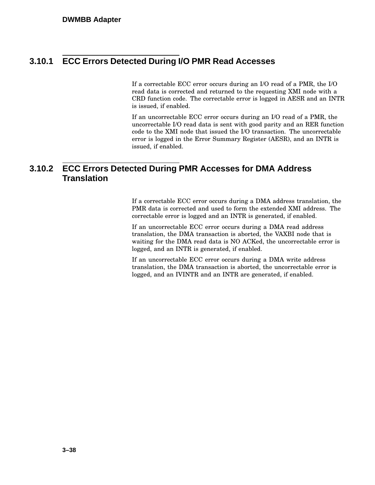### **3.10.1 ECC Errors Detected During I/O PMR Read Accesses**

If a correctable ECC error occurs during an I/O read of a PMR, the I/O read data is corrected and returned to the requesting XMI node with a CRD function code. The correctable error is logged in AESR and an INTR is issued, if enabled.

If an uncorrectable ECC error occurs during an I/O read of a PMR, the uncorrectable I/O read data is sent with good parity and an RER function code to the XMI node that issued the I/O transaction. The uncorrectable error is logged in the Error Summary Register (AESR), and an INTR is issued, if enabled.

### **3.10.2 ECC Errors Detected During PMR Accesses for DMA Address Translation**

If a correctable ECC error occurs during a DMA address translation, the PMR data is corrected and used to form the extended XMI address. The correctable error is logged and an INTR is generated, if enabled.

If an uncorrectable ECC error occurs during a DMA read address translation, the DMA transaction is aborted, the VAXBI node that is waiting for the DMA read data is NO ACKed, the uncorrectable error is logged, and an INTR is generated, if enabled.

If an uncorrectable ECC error occurs during a DMA write address translation, the DMA transaction is aborted, the uncorrectable error is logged, and an IVINTR and an INTR are generated, if enabled.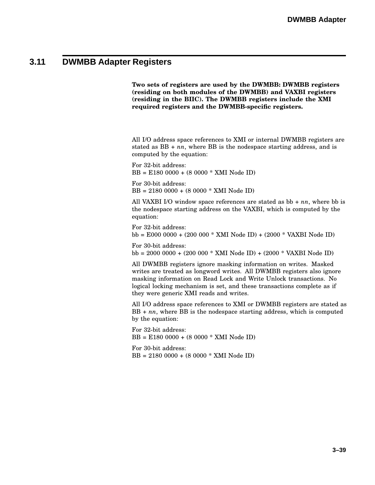### **3.11 DWMBB Adapter Registers**

**Two sets of registers are used by the DWMBB: DWMBB registers (residing on both modules of the DWMBB) and VAXBI registers (residing in the BIIC). The DWMBB registers include the XMI required registers and the DWMBB-specific registers.**

All I/O address space references to XMI or internal DWMBB registers are stated as BB + *nn*, where BB is the nodespace starting address, and is computed by the equation:

For 32-bit address: BB = E180 0000 + (8 0000 \* XMI Node ID)

For 30-bit address: BB = 2180 0000 + (8 0000 \* XMI Node ID)

All VAXBI I/O window space references are stated as bb + *nn*, where bb is the nodespace starting address on the VAXBI, which is computed by the equation:

For 32-bit address: bb = E000 0000 + (200 000 \* XMI Node ID) + (2000 \* VAXBI Node ID)

For 30-bit address: bb = 2000 0000 + (200 000 \* XMI Node ID) + (2000 \* VAXBI Node ID)

All DWMBB registers ignore masking information on writes. Masked writes are treated as longword writes. All DWMBB registers also ignore masking information on Read Lock and Write Unlock transactions. No logical locking mechanism is set, and these transactions complete as if they were generic XMI reads and writes.

All I/O address space references to XMI or DWMBB registers are stated as BB + *nn*, where BB is the nodespace starting address, which is computed by the equation:

For 32-bit address: BB = E180 0000 + (8 0000 \* XMI Node ID)

For 30-bit address: BB = 2180 0000 + (8 0000 \* XMI Node ID)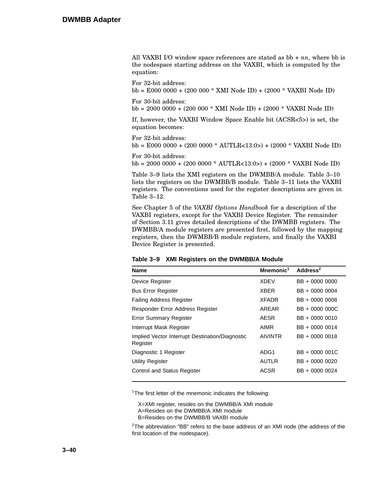All VAXBI I/O window space references are stated as bb + *nn*, where bb is the nodespace starting address on the VAXBI, which is computed by the equation:

For 32-bit address: bb = E000 0000 + (200 000 \* XMI Node ID) + (2000 \* VAXBI Node ID)

For 30-bit address:

bb = 2000 0000 + (200 000 \* XMI Node ID) + (2000 \* VAXBI Node ID)

If, however, the VAXBI Window Space Enable bit (ACSR<5>) is set, the equation becomes:

For 32-bit address:

bb = E000 0000 + (200 0000 \* AUTLR<13:0>) + (2000 \* VAXBI Node ID)

For 30-bit address: bb = 2000 0000 + (200 0000 \* AUTLR<13:0>) + (2000 \* VAXBI Node ID)

Table 3–9 lists the XMI registers on the DWMBB/A module. Table 3–10 lists the registers on the DWMBB/B module. Table 3–11 lists the VAXBI registers. The conventions used for the register descriptions are given in Table 3–12.

See Chapter 5 of the *VAXBI Options Handbook* for a description of the VAXBI registers, except for the VAXBI Device Register. The remainder of Section 3.11 gives detailed descriptions of the DWMBB registers. The DWMBB/A module registers are presented first, followed by the mapping registers, then the DWMBB/B module registers, and finally the VAXBI Device Register is presented.

| Table 3-9 AMI Registers on the Dividibility Module          |                       |                      |  |  |
|-------------------------------------------------------------|-----------------------|----------------------|--|--|
| <b>Name</b>                                                 | Mnemonic <sup>1</sup> | Address <sup>2</sup> |  |  |
| Device Register                                             | <b>XDEV</b>           | BB + 0000 0000       |  |  |
| <b>Bus Error Register</b>                                   | <b>XBER</b>           | BB + 0000 0004       |  |  |
| <b>Failing Address Register</b>                             | <b>XFADR</b>          | BB + 0000 0008       |  |  |
| Responder Error Address Register                            | AREAR                 | BB + 0000 000C       |  |  |
| <b>Error Summary Register</b>                               | <b>AESR</b>           | BB + 0000 0010       |  |  |
| Interrupt Mask Register                                     | AIMR                  | BB + 0000 0014       |  |  |
| Implied Vector Interrupt Destination/Diagnostic<br>Register | <b>AIVINTR</b>        | BB + 0000 0018       |  |  |
| Diagnostic 1 Register                                       | ADG1                  | BB + 0000 001C       |  |  |
| <b>Utility Register</b>                                     | <b>AUTLR</b>          | BB + 0000 0020       |  |  |
| <b>Control and Status Register</b>                          | <b>ACSR</b>           | BB + 0000 0024       |  |  |

**Table 3–9 XMI Registers on the DWMBB/A Module**

<sup>1</sup>The first letter of the mnemonic indicates the following:

X=XMI register, resides on the DWMBB/A XMI module

A=Resides on the DWMBB/A XMI module

B=Resides on the DWMBB/B VAXBI module

 $2$ The abbreviation "BB" refers to the base address of an XMI node (the address of the first location of the nodespace).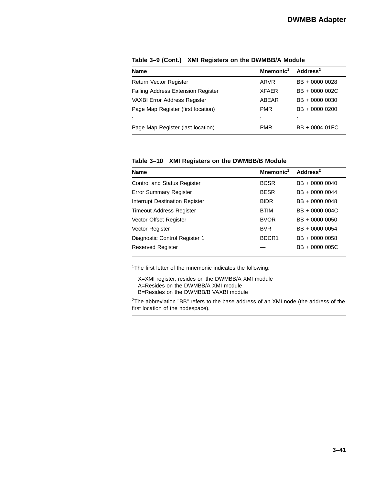| <b>Name</b>                               | Mnemonic <sup>1</sup> | Address <sup>2</sup> |
|-------------------------------------------|-----------------------|----------------------|
| <b>Return Vector Register</b>             | ARVR                  | BB + 0000 0028       |
| <b>Failing Address Extension Register</b> | <b>XFAFR</b>          | BB + 0000 002C       |
| <b>VAXBI Error Address Register</b>       | ABFAR                 | BB + 0000 0030       |
| Page Map Register (first location)        | <b>PMR</b>            | BB + 0000 0200       |
|                                           | ٠                     |                      |
| Page Map Register (last location)         | <b>PMR</b>            | BB + 0004 01FC       |

**Table 3–9 (Cont.) XMI Registers on the DWMBB/A Module**

**Table 3–10 XMI Registers on the DWMBB/B Module**

| <b>Name</b>                        | Mnemonic <sup>1</sup> | Address <sup>2</sup> |
|------------------------------------|-----------------------|----------------------|
| <b>Control and Status Register</b> | <b>BCSR</b>           | BB + 0000 0040       |
| <b>Error Summary Register</b>      | <b>BESR</b>           | BB + 0000 0044       |
| Interrupt Destination Register     | <b>BIDR</b>           | BB + 0000 0048       |
| <b>Timeout Address Register</b>    | <b>BTIM</b>           | BB + 0000 004C       |
| Vector Offset Register             | <b>BVOR</b>           | BB + 0000 0050       |
| Vector Register                    | <b>BVR</b>            | BB + 0000 0054       |
| Diagnostic Control Register 1      | BDCR <sub>1</sub>     | BB + 0000 0058       |
| Reserved Register                  |                       | BB + 0000 005C       |

<sup>1</sup>The first letter of the mnemonic indicates the following:

X=XMI register, resides on the DWMBB/A XMI module

- A=Resides on the DWMBB/A XMI module
- B=Resides on the DWMBB/B VAXBI module

 $2$ The abbreviation "BB" refers to the base address of an XMI node (the address of the first location of the nodespace).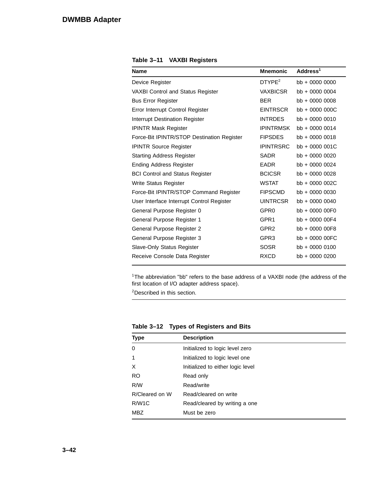| <b>Name</b>                                | <b>Mnemonic</b>  | Address <sup>1</sup> |
|--------------------------------------------|------------------|----------------------|
| Device Register                            | $D$ TYPE $2$     | $bb + 0000 0000$     |
| <b>VAXBI Control and Status Register</b>   | <b>VAXBICSR</b>  | $bb + 000000004$     |
| <b>Bus Error Register</b>                  | <b>BER</b>       | $bb + 0000 0008$     |
| Error Interrupt Control Register           | <b>EINTRSCR</b>  | bb + 0000 000C       |
| <b>Interrupt Destination Register</b>      | <b>INTRDES</b>   | $bb + 00000010$      |
| <b>IPINTR Mask Register</b>                | <b>IPINTRMSK</b> | $bb + 00000014$      |
| Force-Bit IPINTR/STOP Destination Register | <b>FIPSDES</b>   | $bb + 00000018$      |
| <b>IPINTR Source Register</b>              | <b>IPINTRSRC</b> | bb + 0000 001C       |
| <b>Starting Address Register</b>           | <b>SADR</b>      | bb + 0000 0020       |
| <b>Ending Address Register</b>             | <b>EADR</b>      | $bb + 00000024$      |
| <b>BCI Control and Status Register</b>     | <b>BCICSR</b>    | bb + 0000 0028       |
| Write Status Register                      | <b>WSTAT</b>     | bb + 0000 002C       |
| Force-Bit IPINTR/STOP Command Register     | <b>FIPSCMD</b>   | $bb + 00000030$      |
| User Interface Interrupt Control Register  | <b>UINTRCSR</b>  | $bb + 000000040$     |
| General Purpose Register 0                 | GPR <sub>0</sub> | bb + 0000 00F0       |
| General Purpose Register 1                 | GPR1             | bb + 0000 00F4       |
| General Purpose Register 2                 | GPR <sub>2</sub> | $bb + 0000000F8$     |
| General Purpose Register 3                 | GPR <sub>3</sub> | bb + 0000 00FC       |
| Slave-Only Status Register                 | <b>SOSR</b>      | $bb + 00000100$      |
| Receive Console Data Register              | <b>RXCD</b>      | bb + 0000 0200       |

**Table 3–11 VAXBI Registers**

<sup>1</sup>The abbreviation "bb" refers to the base address of a VAXBI node (the address of the first location of I/O adapter address space).

<sup>2</sup>Described in this section.

| <b>Type</b>        | <b>Description</b>                |
|--------------------|-----------------------------------|
| 0                  | Initialized to logic level zero   |
| 1                  | Initialized to logic level one    |
| X                  | Initialized to either logic level |
| RO.                | Read only                         |
| R/W                | Read/write                        |
| R/Cleared on W     | Read/cleared on write             |
| R/W <sub>1</sub> C | Read/cleared by writing a one     |
| <b>MBZ</b>         | Must be zero                      |

**Table 3–12 Types of Registers and Bits**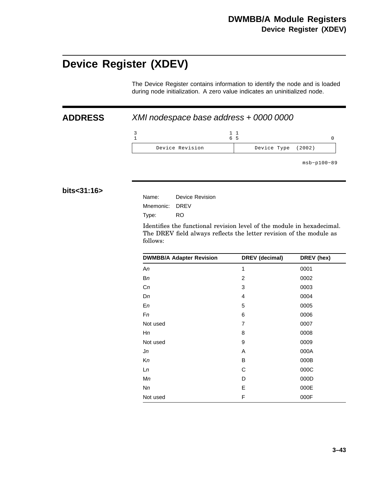# **Device Register (XDEV)**

The Device Register contains information to identify the node and is loaded during node initialization. A zero value indicates an uninitialized node.

### **ADDRESS** XMI nodespace base address + 0000 0000

3 1 1 6 1 5 0 Device Revision Device Type (2002)

msb−p100−89

#### **bits<31:16>**

| Name:          | Device Revision |
|----------------|-----------------|
| Mnemonic: DREV |                 |
| Type:          | RO.             |

Identifies the functional revision level of the module in hexadecimal. The DREV field always reflects the letter revision of the module as follows:

| <b>DWMBB/A Adapter Revision</b> | DREV (decimal) | DREV (hex) |
|---------------------------------|----------------|------------|
| An                              | 1              | 0001       |
| Вn                              | 2              | 0002       |
| Cn                              | 3              | 0003       |
| Dn                              | 4              | 0004       |
| En                              | 5              | 0005       |
| Fn                              | 6              | 0006       |
| Not used                        | 7              | 0007       |
| Нn                              | 8              | 0008       |
| Not used                        | 9              | 0009       |
| Jn                              | A              | 000A       |
| Кn                              | B              | 000B       |
| Ln                              | C              | 000C       |
| Мn                              | D              | 000D       |
| Nn                              | E              | 000E       |
| Not used                        | F              | 000F       |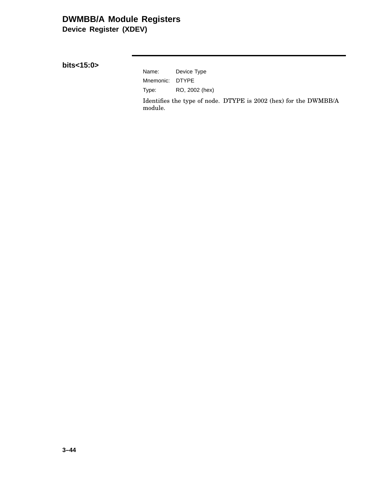### **DWMBB/A Module Registers Device Register (XDEV)**

**bits<15:0>**

Name: Device Type Mnemonic: DTYPE Type: RO, 2002 (hex)

Identifies the type of node. DTYPE is 2002 (hex) for the DWMBB/A module.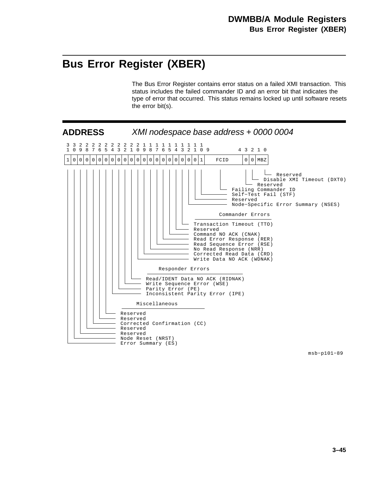# **Bus Error Register (XBER)**

The Bus Error Register contains error status on a failed XMI transaction. This status includes the failed commander ID and an error bit that indicates the type of error that occurred. This status remains locked up until software resets the error bit(s).



msb−p101−89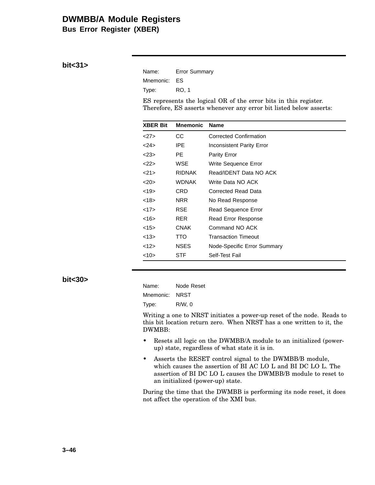**Bus Error Register (XBER)**

#### **bit<31>**

| Name:        | <b>Error Summary</b> |
|--------------|----------------------|
| Mnemonic: ES |                      |
| Type:        | RO. 1                |

ES represents the logical OR of the error bits in this register. Therefore, ES asserts whenever any error bit listed below asserts:

| <b>XBER Bit</b> | <b>Mnemonic</b> | <b>Name</b>                      |
|-----------------|-----------------|----------------------------------|
| <27>            | CС              | Corrected Confirmation           |
| $<$ 24>         | IPE.            | <b>Inconsistent Parity Error</b> |
| $<$ 23>         | PE.             | <b>Parity Error</b>              |
| 22              | WSE             | Write Sequence Error             |
| <21>            | <b>RIDNAK</b>   | Read/IDENT Data NO ACK           |
| <20             | <b>WDNAK</b>    | Write Data NO ACK                |
| <19>            | CRD             | Corrected Read Data              |
| <18>            | NRR             | No Read Response                 |
| <17>            | RSE             | Read Sequence Error              |
| <16             | <b>RER</b>      | Read Error Response              |
| <15>            | CNAK            | Command NO ACK                   |
| <13>            | TTO             | <b>Transaction Timeout</b>       |
| 12>             | <b>NSES</b>     | Node-Specific Error Summary      |
| $<10$ >         | STF             | Self-Test Fail                   |

#### **bit<30>**

| Name:          | Node Reset |
|----------------|------------|
| Mnemonic: NRST |            |
| Type:          | R/W.0      |

Writing a one to NRST initiates a power-up reset of the node. Reads to this bit location return zero. When NRST has a one written to it, the DWMBB:

- Resets all logic on the DWMBB/A module to an initialized (powerup) state, regardless of what state it is in.
- Asserts the RESET control signal to the DWMBB/B module, which causes the assertion of BI AC LO L and BI DC LO L. The assertion of BI DC LO L causes the DWMBB/B module to reset to an initialized (power-up) state.

During the time that the DWMBB is performing its node reset, it does not affect the operation of the XMI bus.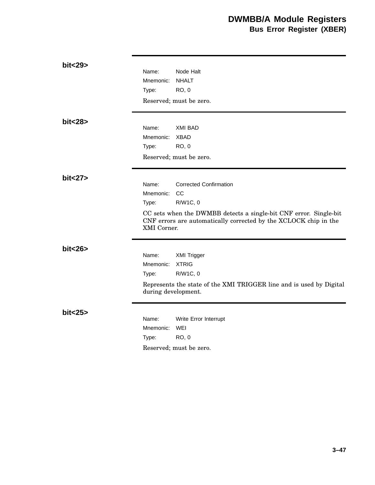| bit<29>  | Name:<br>Node Halt<br><b>NHALT</b><br>Mnemonic:<br><b>RO, 0</b><br>Type:<br>Reserved; must be zero.                                                                                                                                    |
|----------|----------------------------------------------------------------------------------------------------------------------------------------------------------------------------------------------------------------------------------------|
| bit<28>  | Name:<br><b>XMI BAD</b><br>Mnemonic:<br><b>XBAD</b><br><b>RO, 0</b><br>Type:<br>Reserved; must be zero.                                                                                                                                |
| bit < 27 | <b>Corrected Confirmation</b><br>Name:<br>CC<br>Mnemonic:<br>R/W1C, 0<br>Type:<br>CC sets when the DWMBB detects a single-bit CNF error. Single-bit<br>CNF errors are automatically corrected by the XCLOCK chip in the<br>XMI Corner. |
| bit < 26 | Name:<br><b>XMI Trigger</b><br><b>XTRIG</b><br>Mnemonic:<br>R/W1C, 0<br>Type:<br>Represents the state of the XMI TRIGGER line and is used by Digital<br>during development.                                                            |
| bit<25>  | Name:<br>Write Error Interrupt<br>Mnemonic:<br>WEI<br><b>RO, 0</b><br>Type:<br>Reserved; must be zero.                                                                                                                                 |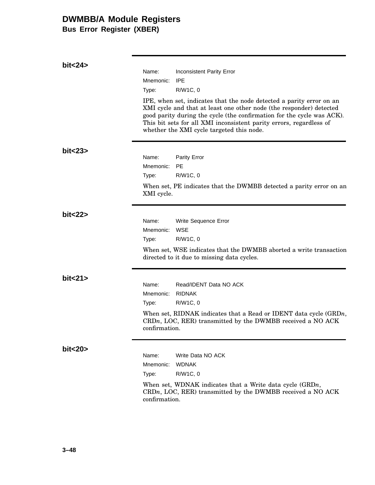**Bus Error Register (XBER)**

| bit < 24 |                                                                                                                                                       |                                                                                                                                                                                                                                                                                                                                           |
|----------|-------------------------------------------------------------------------------------------------------------------------------------------------------|-------------------------------------------------------------------------------------------------------------------------------------------------------------------------------------------------------------------------------------------------------------------------------------------------------------------------------------------|
|          | Name:                                                                                                                                                 | <b>Inconsistent Parity Error</b>                                                                                                                                                                                                                                                                                                          |
|          | Mnemonic:                                                                                                                                             | <b>IPE</b>                                                                                                                                                                                                                                                                                                                                |
|          | Type:                                                                                                                                                 | R/W1C, 0                                                                                                                                                                                                                                                                                                                                  |
|          |                                                                                                                                                       | IPE, when set, indicates that the node detected a parity error on an<br>XMI cycle and that at least one other node (the responder) detected<br>good parity during the cycle (the confirmation for the cycle was ACK).<br>This bit sets for all XMI inconsistent parity errors, regardless of<br>whether the XMI cycle targeted this node. |
| bit < 23 |                                                                                                                                                       |                                                                                                                                                                                                                                                                                                                                           |
|          | Name:                                                                                                                                                 | Parity Error                                                                                                                                                                                                                                                                                                                              |
|          | Mnemonic:                                                                                                                                             | <b>PE</b>                                                                                                                                                                                                                                                                                                                                 |
|          | Type:                                                                                                                                                 | R/W1C, 0                                                                                                                                                                                                                                                                                                                                  |
|          | XMI cycle.                                                                                                                                            | When set, PE indicates that the DWMBB detected a parity error on an                                                                                                                                                                                                                                                                       |
| bit < 22 |                                                                                                                                                       |                                                                                                                                                                                                                                                                                                                                           |
|          | Name:                                                                                                                                                 | Write Sequence Error                                                                                                                                                                                                                                                                                                                      |
|          | Mnemonic:                                                                                                                                             | <b>WSE</b>                                                                                                                                                                                                                                                                                                                                |
|          | Type:                                                                                                                                                 | R/W1C, 0                                                                                                                                                                                                                                                                                                                                  |
|          |                                                                                                                                                       | When set, WSE indicates that the DWMBB aborted a write transaction<br>directed to it due to missing data cycles.                                                                                                                                                                                                                          |
| bit < 21 |                                                                                                                                                       |                                                                                                                                                                                                                                                                                                                                           |
|          | Name:                                                                                                                                                 | Read/IDENT Data NO ACK                                                                                                                                                                                                                                                                                                                    |
|          | Mnemonic:                                                                                                                                             | <b>RIDNAK</b>                                                                                                                                                                                                                                                                                                                             |
|          | Type:                                                                                                                                                 | R/W1C, 0                                                                                                                                                                                                                                                                                                                                  |
|          | When set, RIDNAK indicates that a Read or IDENT data cycle $(GRDn,$<br>$CRDn$ , LOC, RER) transmitted by the DWMBB received a NO ACK<br>confirmation. |                                                                                                                                                                                                                                                                                                                                           |
| bit < 20 |                                                                                                                                                       |                                                                                                                                                                                                                                                                                                                                           |
|          | Name:                                                                                                                                                 | Write Data NO ACK                                                                                                                                                                                                                                                                                                                         |
|          | Mnemonic:                                                                                                                                             | <b>WDNAK</b>                                                                                                                                                                                                                                                                                                                              |
|          | Type:                                                                                                                                                 | R/W1C, 0                                                                                                                                                                                                                                                                                                                                  |
|          | confirmation.                                                                                                                                         | When set, WDNAK indicates that a Write data cycle $(GRDn,$<br>$CRDn$ , LOC, RER) transmitted by the DWMBB received a NO ACK                                                                                                                                                                                                               |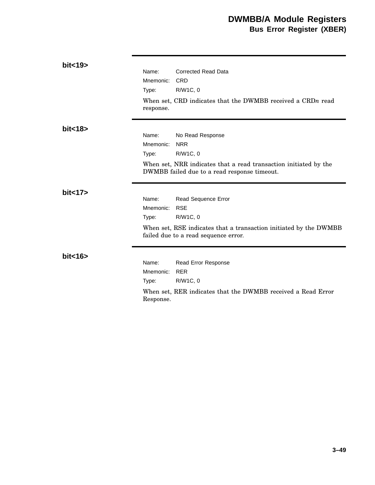### **DWMBB/A Module Registers Bus Error Register (XBER)**

| bit<19>  |           |                                                                                                                  |
|----------|-----------|------------------------------------------------------------------------------------------------------------------|
|          | Name:     | <b>Corrected Read Data</b>                                                                                       |
|          | Mnemonic: | <b>CRD</b>                                                                                                       |
|          | Type:     | R/W1C, 0                                                                                                         |
|          | response. | When set, CRD indicates that the DWMBB received a CRDn read                                                      |
| bit < 18 |           |                                                                                                                  |
|          | Name:     | No Read Response                                                                                                 |
|          | Mnemonic: | <b>NRR</b>                                                                                                       |
|          | Type:     | R/W1C, 0                                                                                                         |
|          |           | When set, NRR indicates that a read transaction initiated by the<br>DWMBB failed due to a read response timeout. |
| bit < 17 |           |                                                                                                                  |
|          | Name:     | Read Sequence Error                                                                                              |
|          | Mnemonic: | <b>RSE</b>                                                                                                       |
|          | Type:     | R/W1C, 0                                                                                                         |
|          |           | When set, RSE indicates that a transaction initiated by the DWMBB<br>failed due to a read sequence error.        |
| bit < 16 |           |                                                                                                                  |
|          | Name:     | Read Error Response                                                                                              |
|          | Mnemonic: | <b>RER</b>                                                                                                       |
|          | Type:     | R/W1C, 0                                                                                                         |
|          | Response. | When set, RER indicates that the DWMBB received a Read Error                                                     |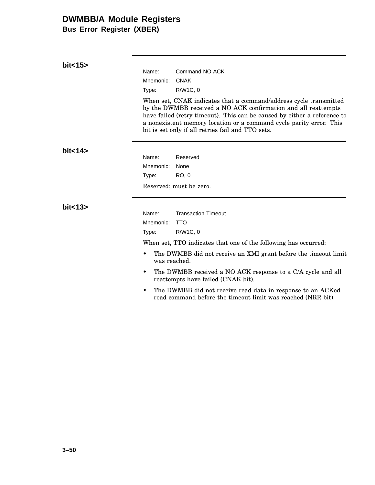**Bus Error Register (XBER)**

| bit < 15          | Name:<br>Mnemonic:<br>Type:                      | Command NO ACK<br><b>CNAK</b><br>R/W1C, 0<br>When set, CNAK indicates that a command/address cycle transmitted<br>by the DWMBB received a NO ACK confirmation and all reattempts<br>have failed (retry timeout). This can be caused by either a reference to<br>a nonexistent memory location or a command cycle parity error. This<br>bit is set only if all retries fail and TTO sets.                                       |
|-------------------|--------------------------------------------------|--------------------------------------------------------------------------------------------------------------------------------------------------------------------------------------------------------------------------------------------------------------------------------------------------------------------------------------------------------------------------------------------------------------------------------|
| bit <sub>14</sub> | Name:<br>Mnemonic:<br>Type:                      | Reserved<br>None<br>RO, 0<br>Reserved; must be zero.                                                                                                                                                                                                                                                                                                                                                                           |
| bit<13            | Name:<br>Mnemonic:<br>Type:<br>was reached.<br>٠ | <b>Transaction Timeout</b><br><b>TTO</b><br>R/W1C, 0<br>When set, TTO indicates that one of the following has occurred:<br>The DWMBB did not receive an XMI grant before the timeout limit<br>The DWMBB received a NO ACK response to a C/A cycle and all<br>reattempts have failed (CNAK bit).<br>The DWMBB did not receive read data in response to an ACKed<br>read command before the timeout limit was reached (NRR bit). |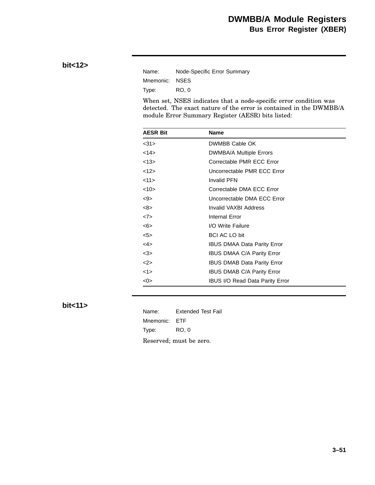### **bit<12>**

| Name:          | Node-Specific Error Summary |
|----------------|-----------------------------|
| Mnemonic: NSES |                             |
| Type:          | RO. 0                       |

When set, NSES indicates that a node-specific error condition was detected. The exact nature of the error is contained in the DWMBB/A module Error Summary Register (AESR) bits listed:

| <b>AESR Bit</b> | Name                                   |  |  |
|-----------------|----------------------------------------|--|--|
| <31>            | DWMBB Cable OK                         |  |  |
| <14>            | <b>DWMBA/A Multiple Errors</b>         |  |  |
| <13>            | Correctable PMR ECC Error              |  |  |
| <12>            | Uncorrectable PMR ECC Error            |  |  |
| <11>            | <b>Invalid PFN</b>                     |  |  |
| <10>            | Correctable DMA ECC Error              |  |  |
| <9>             | Uncorrectable DMA ECC Error            |  |  |
| <8>             | Invalid VAXBI Address                  |  |  |
| <7>             | <b>Internal Error</b>                  |  |  |
| <6>             | I/O Write Failure                      |  |  |
| 5               | <b>BCI AC LO bit</b>                   |  |  |
| $<$ 4>          | <b>IBUS DMAA Data Parity Error</b>     |  |  |
| <3>             | IBUS DMAA C/A Parity Error             |  |  |
| 2               | <b>IBUS DMAB Data Parity Error</b>     |  |  |
| <1>             | <b>IBUS DMAB C/A Parity Error</b>      |  |  |
| <0>             | <b>IBUS I/O Read Data Parity Error</b> |  |  |

#### **bit<11>**

Name: Extended Test Fail Mnemonic: ETF Type: RO, 0 Reserved; must be zero.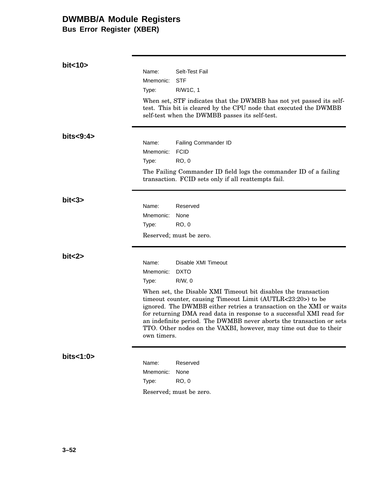**Bus Error Register (XBER)**

| bit < 10    |                                                                                                                                                                                                                                                                                                                                                                                                                                          |
|-------------|------------------------------------------------------------------------------------------------------------------------------------------------------------------------------------------------------------------------------------------------------------------------------------------------------------------------------------------------------------------------------------------------------------------------------------------|
|             | Name:<br>Selt-Test Fail                                                                                                                                                                                                                                                                                                                                                                                                                  |
|             | <b>STF</b><br>Mnemonic:                                                                                                                                                                                                                                                                                                                                                                                                                  |
|             | R/W1C, 1<br>Type:                                                                                                                                                                                                                                                                                                                                                                                                                        |
|             | When set, STF indicates that the DWMBB has not yet passed its self-<br>test. This bit is cleared by the CPU node that executed the DWMBB<br>self-test when the DWMBB passes its self-test.                                                                                                                                                                                                                                               |
| bits < 9:4> |                                                                                                                                                                                                                                                                                                                                                                                                                                          |
|             | Name:<br>Failing Commander ID<br><b>FCID</b><br>Mnemonic:                                                                                                                                                                                                                                                                                                                                                                                |
|             | <b>RO, 0</b><br>Type:                                                                                                                                                                                                                                                                                                                                                                                                                    |
|             | The Failing Commander ID field logs the commander ID of a failing<br>transaction. FCID sets only if all reattempts fail.                                                                                                                                                                                                                                                                                                                 |
| bits3>      |                                                                                                                                                                                                                                                                                                                                                                                                                                          |
|             | Name:<br>Reserved                                                                                                                                                                                                                                                                                                                                                                                                                        |
|             | Mnemonic:<br>None<br>RO, 0<br>Type:                                                                                                                                                                                                                                                                                                                                                                                                      |
|             | Reserved; must be zero.                                                                                                                                                                                                                                                                                                                                                                                                                  |
| bit < 2>    |                                                                                                                                                                                                                                                                                                                                                                                                                                          |
|             | Disable XMI Timeout<br>Name:                                                                                                                                                                                                                                                                                                                                                                                                             |
|             | Mnemonic:<br><b>DXTO</b>                                                                                                                                                                                                                                                                                                                                                                                                                 |
|             | $R/W$ , 0<br>Type:                                                                                                                                                                                                                                                                                                                                                                                                                       |
|             | When set, the Disable XMI Timeout bit disables the transaction<br>timeout counter, causing Timeout Limit (AUTLR<23:20>) to be<br>ignored. The DWMBB either retries a transaction on the XMI or waits<br>for returning DMA read data in response to a successful XMI read for<br>an indefinite period. The DWMBB never aborts the transaction or sets<br>TTO. Other nodes on the VAXBI, however, may time out due to their<br>own timers. |
| bits<1:0>   | Name:<br>Reserved                                                                                                                                                                                                                                                                                                                                                                                                                        |
|             | Mnemonic:<br>None                                                                                                                                                                                                                                                                                                                                                                                                                        |
|             | <b>RO, 0</b><br>Type:                                                                                                                                                                                                                                                                                                                                                                                                                    |
|             | Reserved; must be zero.                                                                                                                                                                                                                                                                                                                                                                                                                  |
|             |                                                                                                                                                                                                                                                                                                                                                                                                                                          |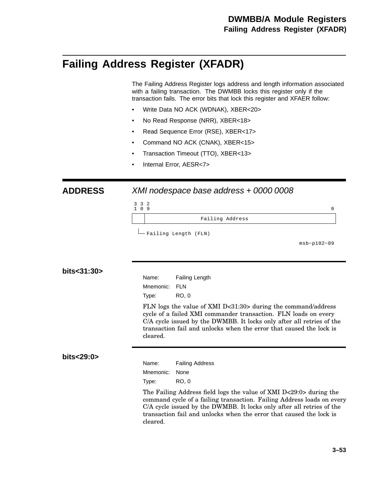# **Failing Address Register (XFADR)**

The Failing Address Register logs address and length information associated with a failing transaction. The DWMBB locks this register only if the transaction fails. The error bits that lock this register and XFAER follow:

- Write Data NO ACK (WDNAK), XBER<20>
- No Read Response (NRR), XBER<18>
- Read Sequence Error (RSE), XBER<17>
- Command NO ACK (CNAK), XBER<15>
- Transaction Timeout (TTO), XBER<13>
- Internal Error, AESR<7>

#### **ADDRESS** XMI nodespace base address + 0000 0008



msb−p102−89

#### **bits<31:30>**

Name: Failing Length Mnemonic: FLN Type: RO, 0

FLN logs the value of XMI D<31:30> during the command/address cycle of a failed XMI commander transaction. FLN loads on every C/A cycle issued by the DWMBB. It locks only after all retries of the transaction fail and unlocks when the error that caused the lock is cleared.

#### **bits<29:0>**

Name: Failing Address Mnemonic: None Type: RO, 0

The Failing Address field logs the value of XMI D<29:0> during the command cycle of a failing transaction. Failing Address loads on every C/A cycle issued by the DWMBB. It locks only after all retries of the transaction fail and unlocks when the error that caused the lock is cleared.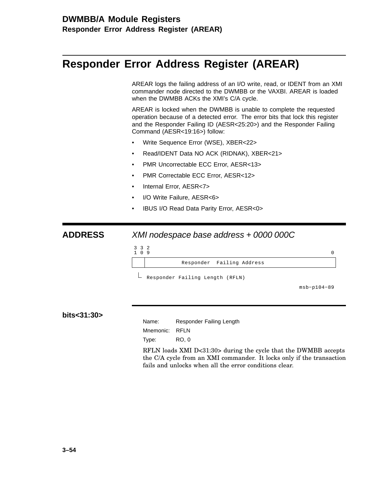# **Responder Error Address Register (AREAR)**

AREAR logs the failing address of an I/O write, read, or IDENT from an XMI commander node directed to the DWMBB or the VAXBI. AREAR is loaded when the DWMBB ACKs the XMI's C/A cycle.

AREAR is locked when the DWMBB is unable to complete the requested operation because of a detected error. The error bits that lock this register and the Responder Failing ID (AESR<25:20>) and the Responder Failing Command (AESR<19:16>) follow:

- Write Sequence Error (WSE), XBER<22>
- Read/IDENT Data NO ACK (RIDNAK), XBER<21>
- PMR Uncorrectable ECC Error, AESR<13>
- PMR Correctable ECC Error, AESR<12>
- Internal Error, AESR<7>
- I/O Write Failure, AESR<6>
- IBUS I/O Read Data Parity Error, AESR<0>

#### **ADDRESS** XMI nodespace base address + 0000 000C



Responder Failing Length (RFLN)

msb−p104−89

**bits<31:30>**

Name: Responder Failing Length Mnemonic: RFLN

Type: RO, 0

RFLN loads XMI D<31:30> during the cycle that the DWMBB accepts the C/A cycle from an XMI commander. It locks only if the transaction fails and unlocks when all the error conditions clear.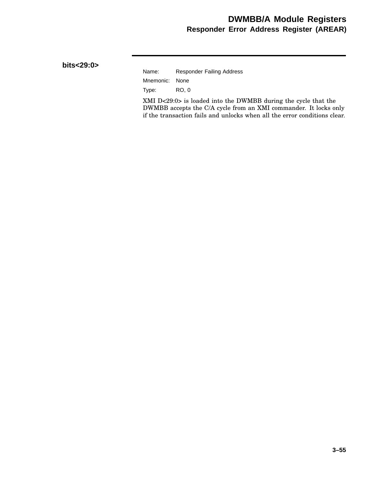### **DWMBB/A Module Registers Responder Error Address Register (AREAR)**

#### **bits<29:0>**

| Name:          | <b>Responder Failing Address</b> |
|----------------|----------------------------------|
| Mnemonic: None |                                  |
| Type:          | RO. 0                            |

XMI D<29:0> is loaded into the DWMBB during the cycle that the DWMBB accepts the C/A cycle from an XMI commander. It locks only if the transaction fails and unlocks when all the error conditions clear.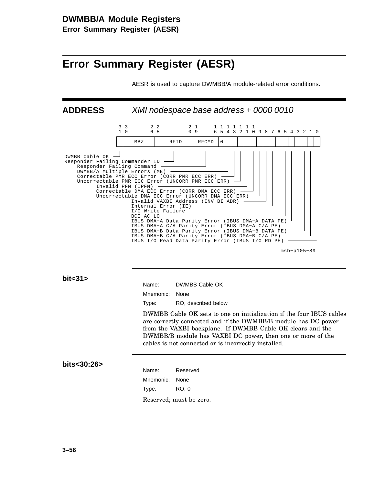**Error Summary Register (AESR)**

# **Error Summary Register (AESR)**

AESR is used to capture DWMBB/A module-related error conditions.



msb−p105−89

**bit<31>**

| Name:          | DWMBB Cable OK      |
|----------------|---------------------|
| Mnemonic: None |                     |
| Type:          | RO, described below |

DWMBB Cable OK sets to one on initialization if the four IBUS cables are correctly connected and if the DWMBB/B module has DC power from the VAXBI backplane. If DWMBB Cable OK clears and the DWMBB/B module has VAXBI DC power, then one or more of the cables is not connected or is incorrectly installed.

#### **bits<30:26>**

| Name:          | Reserved                                                       |
|----------------|----------------------------------------------------------------|
| Mnemonic: None |                                                                |
| Type:          | RO. 0                                                          |
|                | $D_{\alpha\alpha\alpha\mu\nu\alpha}$ $\frac{1}{2}$ must be zer |

Reserved; must be zero.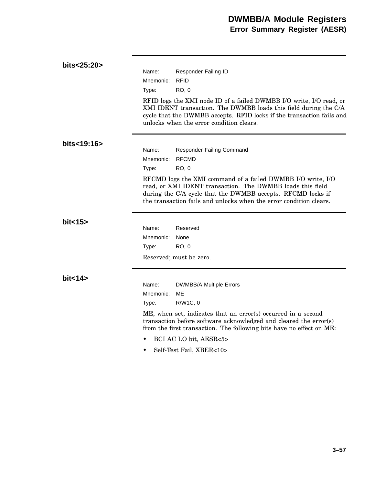| bits<25:20> |           |                                                                                                                                                                                                                                                                |
|-------------|-----------|----------------------------------------------------------------------------------------------------------------------------------------------------------------------------------------------------------------------------------------------------------------|
|             | Name:     | Responder Failing ID                                                                                                                                                                                                                                           |
|             | Mnemonic: | <b>RFID</b>                                                                                                                                                                                                                                                    |
|             | Type:     | <b>RO, 0</b>                                                                                                                                                                                                                                                   |
|             |           | RFID logs the XMI node ID of a failed DWMBB I/O write, I/O read, or<br>XMI IDENT transaction. The DWMBB loads this field during the C/A<br>cycle that the DWMBB accepts. RFID locks if the transaction fails and<br>unlocks when the error condition clears.   |
| bits<19:16> |           |                                                                                                                                                                                                                                                                |
|             | Name:     | <b>Responder Failing Command</b>                                                                                                                                                                                                                               |
|             | Mnemonic: | <b>RFCMD</b>                                                                                                                                                                                                                                                   |
|             | Type:     | <b>RO, 0</b>                                                                                                                                                                                                                                                   |
|             |           | RFCMD logs the XMI command of a failed DWMBB I/O write, I/O<br>read, or XMI IDENT transaction. The DWMBB loads this field<br>during the C/A cycle that the DWMBB accepts. RFCMD locks if<br>the transaction fails and unlocks when the error condition clears. |
| bit < 15    |           |                                                                                                                                                                                                                                                                |
|             | Name:     | Reserved                                                                                                                                                                                                                                                       |
|             | Mnemonic: | None                                                                                                                                                                                                                                                           |
|             | Type:     | <b>RO, 0</b>                                                                                                                                                                                                                                                   |
|             |           | Reserved; must be zero.                                                                                                                                                                                                                                        |
| bit < 14    |           |                                                                                                                                                                                                                                                                |
|             | Name:     | <b>DWMBB/A Multiple Errors</b>                                                                                                                                                                                                                                 |
|             | Mnemonic: | ME                                                                                                                                                                                                                                                             |
|             | Type:     | R/W1C, 0                                                                                                                                                                                                                                                       |
|             |           | ME, when set, indicates that an error(s) occurred in a second<br>transaction before software acknowledged and cleared the error(s)<br>from the first transaction. The following bits have no effect on ME:                                                     |
|             |           | BCI AC LO bit, AESR<5>                                                                                                                                                                                                                                         |
|             |           | Self-Test Fail, XBER<10>                                                                                                                                                                                                                                       |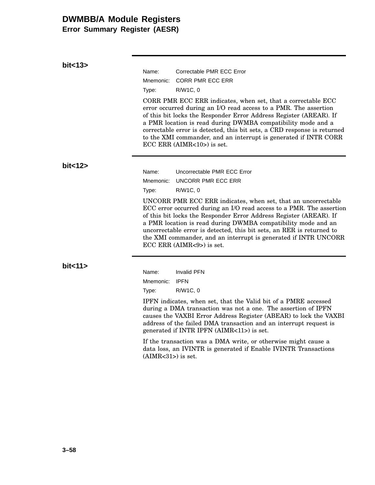**Error Summary Register (AESR)**

| bit < 13 |           |                                                                                                                                                                                                                                                                                                                                                                                                                                                            |
|----------|-----------|------------------------------------------------------------------------------------------------------------------------------------------------------------------------------------------------------------------------------------------------------------------------------------------------------------------------------------------------------------------------------------------------------------------------------------------------------------|
|          | Name:     | Correctable PMR ECC Error                                                                                                                                                                                                                                                                                                                                                                                                                                  |
|          | Mnemonic: | <b>CORR PMR ECC ERR</b>                                                                                                                                                                                                                                                                                                                                                                                                                                    |
|          | Type:     | R/W1C, 0                                                                                                                                                                                                                                                                                                                                                                                                                                                   |
|          |           | CORR PMR ECC ERR indicates, when set, that a correctable ECC<br>error occurred during an I/O read access to a PMR. The assertion<br>of this bit locks the Responder Error Address Register (AREAR). If<br>a PMR location is read during DWMBA compatibility mode and a<br>correctable error is detected, this bit sets, a CRD response is returned<br>to the XMI commander, and an interrupt is generated if INTR CORR<br>$ECC$ ERR (AIMR $<10$ ) is set.  |
| bit<12   |           |                                                                                                                                                                                                                                                                                                                                                                                                                                                            |
|          | Name:     | Uncorrectable PMR ECC Error                                                                                                                                                                                                                                                                                                                                                                                                                                |
|          | Mnemonic: | UNCORR PMR ECC ERR                                                                                                                                                                                                                                                                                                                                                                                                                                         |
|          | Type:     | R/W1C, 0                                                                                                                                                                                                                                                                                                                                                                                                                                                   |
|          |           | UNCORR PMR ECC ERR indicates, when set, that an uncorrectable<br>ECC error occurred during an I/O read access to a PMR. The assertion<br>of this bit locks the Responder Error Address Register (AREAR). If<br>a PMR location is read during DWMBA compatibility mode and an<br>uncorrectable error is detected, this bit sets, an RER is returned to<br>the XMI commander, and an interrupt is generated if INTR UNCORR<br>$ECC$ ERR (AIMR $<9$ ) is set. |
| bit < 11 |           |                                                                                                                                                                                                                                                                                                                                                                                                                                                            |
|          | Name:     | <b>Invalid PFN</b>                                                                                                                                                                                                                                                                                                                                                                                                                                         |
|          | Mnemonic: | <b>IPFN</b>                                                                                                                                                                                                                                                                                                                                                                                                                                                |
|          | Type:     | R/W1C, 0                                                                                                                                                                                                                                                                                                                                                                                                                                                   |
|          |           | IPFN indicates, when set, that the Valid bit of a PMRE accessed<br>during a DMA transaction was not a one. The assertion of IPFN<br>causes the VAXBI Error Address Register (ABEAR) to lock the VAXBI<br>address of the failed DMA transaction and an interrupt request is<br>generated if INTR IPFN (AIMR<11>) is set.                                                                                                                                    |

If the transaction was a DMA write, or otherwise might cause a data loss, an IVINTR is generated if Enable IVINTR Transactions (AIMR<31>) is set.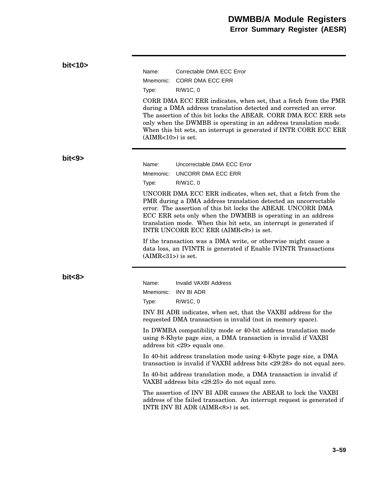### **bit<10>** Name: Correctable DMA ECC Error Mnemonic: CORR DMA ECC ERR Type: R/W1C, 0 CORR DMA ECC ERR indicates, when set, that a fetch from the PMR during a DMA address translation detected and corrected an error. The assertion of this bit locks the ABEAR. CORR DMA ECC ERR sets only when the DWMBB is operating in an address translation mode. When this bit sets, an interrupt is generated if INTR CORR ECC ERR  $(AIMR<10>)$  is set. **bit<9>** Name: Uncorrectable DMA ECC Error Mnemonic: UNCORR DMA ECC ERR Type: R/W1C, 0 UNCORR DMA ECC ERR indicates, when set, that a fetch from the PMR during a DMA address translation detected an uncorrectable error. The assertion of this bit locks the ABEAR. UNCORR DMA ECC ERR sets only when the DWMBB is operating in an address translation mode. When this bit sets, an interrupt is generated if INTR UNCORR ECC ERR (AIMR<9>) is set. If the transaction was a DMA write, or otherwise might cause a data loss, an IVINTR is generated if Enable IVINTR Transactions  $(AIMR<31)$  is set. **bit<8>** Name: Invalid VAXBI Address Mnemonic: INV BI ADR Type: R/W1C, 0 INV BI ADR indicates, when set, that the VAXBI address for the requested DMA transaction is invalid (not in memory space). In DWMBA compatibility mode or 40-bit address translation mode using 8-Kbyte page size, a DMA transaction is invalid if VAXBI address bit <29> equals one. In 40-bit address translation mode using 4-Kbyte page size, a DMA transaction is invalid if VAXBI address bits <29:28> do not equal zero. In 40-bit address translation mode, a DMA transaction is invalid if VAXBI address bits <28:25> do not equal zero. The assertion of INV BI ADR causes the ABEAR to lock the VAXBI address of the failed transaction. An interrupt request is generated if INTR INV BI ADR (AIMR<8>) is set.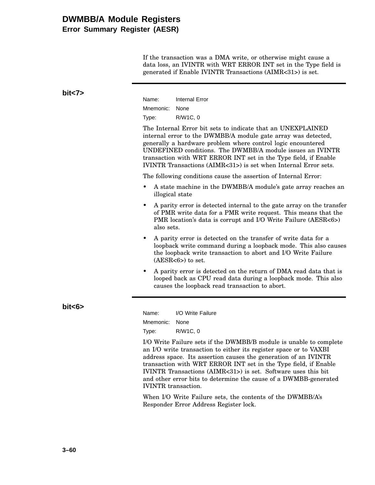### **DWMBB/A Module Registers Error Summary Register (AESR)**

If the transaction was a DMA write, or otherwise might cause a data loss, an IVINTR with WRT ERROR INT set in the Type field is generated if Enable IVINTR Transactions (AIMR<31>) is set.

| bits | Name:<br>Mnemonic:<br>Type:                               | <b>Internal Error</b><br>None<br>R/W1C, 0<br>The Internal Error bit sets to indicate that an UNEXPLAINED<br>internal error to the DWMBB/A module gate array was detected,<br>generally a hardware problem where control logic encountered<br>UNDEFINED conditions. The DWMBB/A module issues an IVINTR<br>transaction with WRT ERROR INT set in the Type field, if Enable                                                                                                                                                                                           |
|------|-----------------------------------------------------------|---------------------------------------------------------------------------------------------------------------------------------------------------------------------------------------------------------------------------------------------------------------------------------------------------------------------------------------------------------------------------------------------------------------------------------------------------------------------------------------------------------------------------------------------------------------------|
|      | ٠<br>illogical state                                      | IVINTR Transactions (AIMR<31>) is set when Internal Error sets.<br>The following conditions cause the assertion of Internal Error:<br>A state machine in the DWMBB/A module's gate array reaches an                                                                                                                                                                                                                                                                                                                                                                 |
|      | ٠<br>also sets.                                           | A parity error is detected internal to the gate array on the transfer<br>of PMR write data for a PMR write request. This means that the<br>PMR location's data is corrupt and I/O Write Failure (AESR<6>)                                                                                                                                                                                                                                                                                                                                                           |
|      | ٠                                                         | A parity error is detected on the transfer of write data for a<br>loopback write command during a loopback mode. This also causes<br>the loopback write transaction to abort and I/O Write Failure<br>$(AESR<6)$ to set.                                                                                                                                                                                                                                                                                                                                            |
|      |                                                           | A parity error is detected on the return of DMA read data that is<br>looped back as CPU read data during a loopback mode. This also<br>causes the loopback read transaction to abort.                                                                                                                                                                                                                                                                                                                                                                               |
| bits | Name:<br>Mnemonic:<br>Type:<br><b>IVINTR</b> transaction. | I/O Write Failure<br>None<br>R/W1C, 0<br>I/O Write Failure sets if the DWMBB/B module is unable to complete<br>an I/O write transaction to either its register space or to VAXBI<br>address space. Its assertion causes the generation of an IVINTR<br>transaction with WRT ERROR INT set in the Type field, if Enable<br>IVINTR Transactions (AIMR<31>) is set. Software uses this bit<br>and other error bits to determine the cause of a DWMBB-generated<br>When I/O Write Failure sets, the contents of the DWMBB/A's<br>Responder Error Address Register lock. |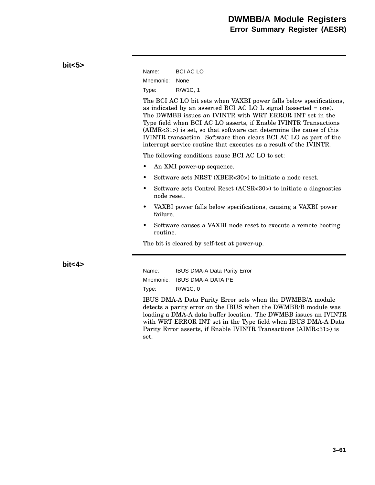| bits > |                                                                                                                                                                                                                                                                                                                                                                                                                                                                                               |                                                                  |  |  |
|--------|-----------------------------------------------------------------------------------------------------------------------------------------------------------------------------------------------------------------------------------------------------------------------------------------------------------------------------------------------------------------------------------------------------------------------------------------------------------------------------------------------|------------------------------------------------------------------|--|--|
|        | Name:                                                                                                                                                                                                                                                                                                                                                                                                                                                                                         | <b>BCI AC LO</b>                                                 |  |  |
|        | Mnemonic:                                                                                                                                                                                                                                                                                                                                                                                                                                                                                     | None                                                             |  |  |
|        | Type:                                                                                                                                                                                                                                                                                                                                                                                                                                                                                         | R/W1C, 1                                                         |  |  |
|        | The BCI AC LO bit sets when VAXBI power falls below specifications,<br>as indicated by an asserted BCI AC LO $L$ signal (asserted = one).<br>The DWMBB issues an IVINTR with WRT ERROR INT set in the<br>Type field when BCI AC LO asserts, if Enable IVINTR Transactions<br>$(AIMR<31>)$ is set, so that software can determine the cause of this<br>IVINTR transaction. Software then clears BCI AC LO as part of the<br>interrupt service routine that executes as a result of the IVINTR. |                                                                  |  |  |
|        | The following conditions cause BCI AC LO to set:                                                                                                                                                                                                                                                                                                                                                                                                                                              |                                                                  |  |  |
|        | An XMI power-up sequence.<br>٠                                                                                                                                                                                                                                                                                                                                                                                                                                                                |                                                                  |  |  |
|        | Software sets NRST (XBER<30>) to initiate a node reset.<br>٠                                                                                                                                                                                                                                                                                                                                                                                                                                  |                                                                  |  |  |
|        | node reset.                                                                                                                                                                                                                                                                                                                                                                                                                                                                                   | Software sets Control Reset (ACSR<30>) to initiate a diagnostics |  |  |
|        | VAXBI power falls below specifications, causing a VAXBI power<br>٠<br>failure.                                                                                                                                                                                                                                                                                                                                                                                                                |                                                                  |  |  |
|        | Software causes a VAXBI node reset to execute a remote booting<br>٠<br>routine.                                                                                                                                                                                                                                                                                                                                                                                                               |                                                                  |  |  |
|        | The bit is cleared by self-test at power-up.                                                                                                                                                                                                                                                                                                                                                                                                                                                  |                                                                  |  |  |
| bit<4> |                                                                                                                                                                                                                                                                                                                                                                                                                                                                                               |                                                                  |  |  |
|        | Name:                                                                                                                                                                                                                                                                                                                                                                                                                                                                                         | <b>IBUS DMA-A Data Parity Error</b>                              |  |  |
|        | Mnemonic:                                                                                                                                                                                                                                                                                                                                                                                                                                                                                     | <b>IBUS DMA-A DATA PE</b>                                        |  |  |
|        | Type:                                                                                                                                                                                                                                                                                                                                                                                                                                                                                         | R/W1C, 0                                                         |  |  |
|        | IBUS DMA-A Data Parity Error sets when the DWMBB/A module                                                                                                                                                                                                                                                                                                                                                                                                                                     |                                                                  |  |  |

detects a parity error on the IBUS when the DWMBB/B module was loading a DMA-A data buffer location. The DWMBB issues an IVINTR with WRT ERROR INT set in the Type field when IBUS DMA-A Data Parity Error asserts, if Enable IVINTR Transactions (AIMR<31>) is set.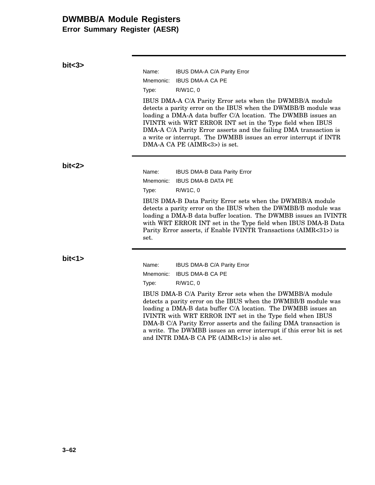**Error Summary Register (AESR)**

**bit<3>**

| bits3>   |                                                                                                                                                                                                                                                                                                                                                                                                                                       |                                     |  |  |
|----------|---------------------------------------------------------------------------------------------------------------------------------------------------------------------------------------------------------------------------------------------------------------------------------------------------------------------------------------------------------------------------------------------------------------------------------------|-------------------------------------|--|--|
|          | Name:                                                                                                                                                                                                                                                                                                                                                                                                                                 | IBUS DMA-A C/A Parity Error         |  |  |
|          | Mnemonic:                                                                                                                                                                                                                                                                                                                                                                                                                             | <b>IBUS DMA-A CA PE</b>             |  |  |
|          | Type:                                                                                                                                                                                                                                                                                                                                                                                                                                 | R/W1C, 0                            |  |  |
|          | IBUS DMA-A C/A Parity Error sets when the DWMBB/A module<br>detects a parity error on the IBUS when the DWMBB/B module was<br>loading a DMA-A data buffer C/A location. The DWMBB issues an<br>IVINTR with WRT ERROR INT set in the Type field when IBUS<br>DMA-A C/A Parity Error asserts and the failing DMA transaction is<br>a write or interrupt. The DWMBB issues an error interrupt if INTR<br>$DMA-A CA PE (AIMR<3>)$ is set. |                                     |  |  |
| bit < 2  | Name:                                                                                                                                                                                                                                                                                                                                                                                                                                 | <b>IBUS DMA-B Data Parity Error</b> |  |  |
|          | Mnemonic:                                                                                                                                                                                                                                                                                                                                                                                                                             | <b>IBUS DMA-B DATA PE</b>           |  |  |
|          | Type:                                                                                                                                                                                                                                                                                                                                                                                                                                 | R/W1C, 0                            |  |  |
|          | IBUS DMA-B Data Parity Error sets when the DWMBB/A module<br>detects a parity error on the IBUS when the DWMBB/B module was<br>loading a DMA-B data buffer location. The DWMBB issues an IVINTR<br>with WRT ERROR INT set in the Type field when IBUS DMA-B Data<br>Parity Error asserts, if Enable IVINTR Transactions (AIMR<31>) is<br>set.                                                                                         |                                     |  |  |
| bit < 1> | Name:                                                                                                                                                                                                                                                                                                                                                                                                                                 | IBUS DMA-B C/A Parity Error         |  |  |

| Name: | <b>IBUS DMA-B C/A Parity Erro</b> |
|-------|-----------------------------------|
|       | Mnemonic: IBUS DMA-B CA PE        |
| Type: | R/W1C, 0                          |

IBUS DMA-B C/A Parity Error sets when the DWMBB/A module detects a parity error on the IBUS when the DWMBB/B module was loading a DMA-B data buffer C/A location. The DWMBB issues an IVINTR with WRT ERROR INT set in the Type field when IBUS DMA-B C/A Parity Error asserts and the failing DMA transaction is a write. The DWMBB issues an error interrupt if this error bit is set and INTR DMA-B CA PE (AIMR<1>) is also set.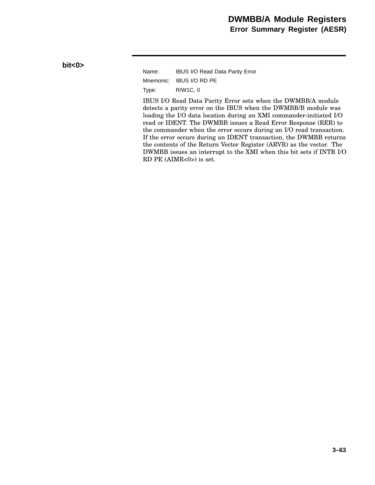Name: IBUS I/O Read Data Parity Error Mnemonic: IBUS I/O RD PE Type: R/W1C, 0

IBUS I/O Read Data Parity Error sets when the DWMBB/A module detects a parity error on the IBUS when the DWMBB/B module was loading the I/O data location during an XMI commander-initiated I/O read or IDENT. The DWMBB issues a Read Error Response (RER) to the commander when the error occurs during an I/O read transaction. If the error occurs during an IDENT transaction, the DWMBB returns the contents of the Return Vector Register (ARVR) as the vector. The DWMBB issues an interrupt to the XMI when this bit sets if INTR I/O RD PE (AIMR<0>) is set.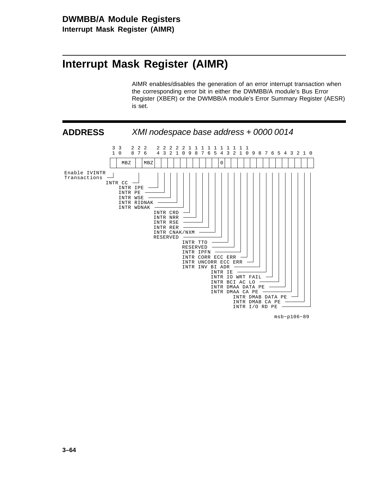# **Interrupt Mask Register (AIMR)**

AIMR enables/disables the generation of an error interrupt transaction when the corresponding error bit in either the DWMBB/A module's Bus Error Register (XBER) or the DWMBB/A module's Error Summary Register (AESR) is set.



msb−p106−89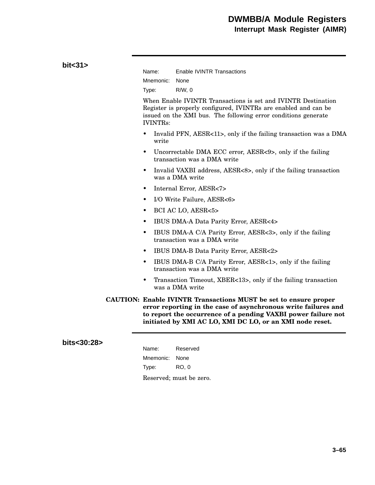| bit < 31 | Name:<br>Mnemonic:                                                                                                                                                                                                                                                     | <b>Enable IVINTR Transactions</b><br>None                                                                                                                                                          |
|----------|------------------------------------------------------------------------------------------------------------------------------------------------------------------------------------------------------------------------------------------------------------------------|----------------------------------------------------------------------------------------------------------------------------------------------------------------------------------------------------|
|          | Type:                                                                                                                                                                                                                                                                  | $R/W$ , 0                                                                                                                                                                                          |
|          | <b>IVINTRs:</b>                                                                                                                                                                                                                                                        | When Enable IVINTR Transactions is set and IVINTR Destination<br>Register is properly configured, IVINTRs are enabled and can be<br>issued on the XMI bus. The following error conditions generate |
|          | $\bullet$<br>write                                                                                                                                                                                                                                                     | Invalid PFN, AESR<11>, only if the failing transaction was a DMA                                                                                                                                   |
|          | $\bullet$                                                                                                                                                                                                                                                              | Uncorrectable DMA ECC error, AESR<9>, only if the failing<br>transaction was a DMA write                                                                                                           |
|          | $\bullet$                                                                                                                                                                                                                                                              | Invalid VAXBI address, AESR<8>, only if the failing transaction<br>was a DMA write                                                                                                                 |
|          | $\bullet$                                                                                                                                                                                                                                                              | Internal Error, AESR<7>                                                                                                                                                                            |
|          | $\bullet$                                                                                                                                                                                                                                                              | I/O Write Failure, AESR<6>                                                                                                                                                                         |
|          | $\bullet$                                                                                                                                                                                                                                                              | BCI AC LO, AESR<5>                                                                                                                                                                                 |
|          | IBUS DMA-A Data Parity Error, AESR<4><br>$\bullet$                                                                                                                                                                                                                     |                                                                                                                                                                                                    |
|          | $\bullet$                                                                                                                                                                                                                                                              | IBUS DMA-A C/A Parity Error, AESR<3>, only if the failing<br>transaction was a DMA write                                                                                                           |
|          | $\bullet$                                                                                                                                                                                                                                                              | IBUS DMA-B Data Parity Error, AESR<2>                                                                                                                                                              |
|          | ٠                                                                                                                                                                                                                                                                      | IBUS DMA-B C/A Parity Error, AESR<1>, only if the failing<br>transaction was a DMA write                                                                                                           |
|          | $\bullet$                                                                                                                                                                                                                                                              | Transaction Timeout, XBER<13>, only if the failing transaction<br>was a DMA write                                                                                                                  |
|          | <b>CAUTION: Enable IVINTR Transactions MUST be set to ensure proper</b><br>error reporting in the case of asynchronous write failures and<br>to report the occurrence of a pending VAXBI power failure not<br>initiated by XMI AC LO, XMI DC LO, or an XMI node reset. |                                                                                                                                                                                                    |

### **bits<30:28>**

| Name:          | Reserved                |
|----------------|-------------------------|
| Mnemonic: None |                         |
| Type:          | RO. 0                   |
|                | Reserved; must be zero. |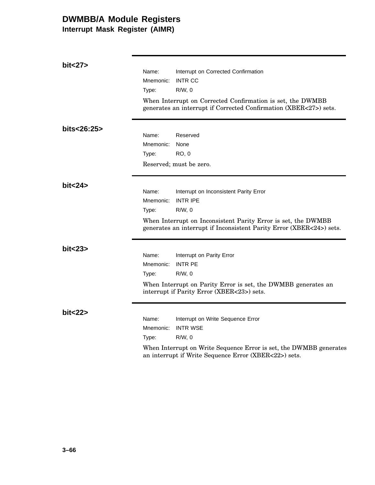**Interrupt Mask Register (AIMR)**

| bit<27>     | Name:<br>Mnemonic:<br>Type: | Interrupt on Corrected Confirmation<br><b>INTR CC</b><br>$R/W$ , 0                                                                                                                                              |
|-------------|-----------------------------|-----------------------------------------------------------------------------------------------------------------------------------------------------------------------------------------------------------------|
|             |                             | When Interrupt on Corrected Confirmation is set, the DWMBB<br>generates an interrupt if Corrected Confirmation (XBER<27>) sets.                                                                                 |
| bits<26:25> | Name:<br>Mnemonic:<br>Type: | Reserved<br>None<br>RO, 0<br>Reserved; must be zero.                                                                                                                                                            |
| bit < 24    | Name:<br>Mnemonic:<br>Type: | Interrupt on Inconsistent Parity Error<br><b>INTR IPE</b><br>$R/W$ , 0<br>When Interrupt on Inconsistent Parity Error is set, the DWMBB<br>generates an interrupt if Inconsistent Parity Error (XBER<24>) sets. |
| bit < 23    | Name:<br>Mnemonic:<br>Type: | Interrupt on Parity Error<br><b>INTR PE</b><br>$R/W$ , 0<br>When Interrupt on Parity Error is set, the DWMBB generates an<br>interrupt if Parity Error (XBER<23>) sets.                                         |
| bit < 22    | Name:<br>Mnemonic:<br>Type: | Interrupt on Write Sequence Error<br><b>INTR WSE</b><br>$R/W$ , 0<br>When Interrupt on Write Sequence Error is set, the DWMBB generates<br>an interrupt if Write Sequence Error (XBER<22>) sets.                |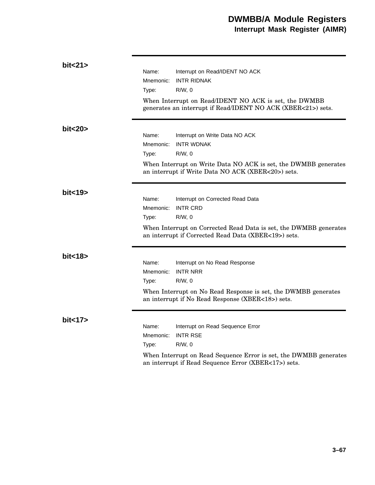| bit < 21 |                                                                                                                       |                                                                                                                           |  |
|----------|-----------------------------------------------------------------------------------------------------------------------|---------------------------------------------------------------------------------------------------------------------------|--|
|          | Name:                                                                                                                 | Interrupt on Read/IDENT NO ACK                                                                                            |  |
|          | Mnemonic:                                                                                                             | <b>INTR RIDNAK</b>                                                                                                        |  |
|          | Type:                                                                                                                 | R/W.0                                                                                                                     |  |
|          |                                                                                                                       | When Interrupt on Read/IDENT NO ACK is set, the DWMBB<br>generates an interrupt if Read/IDENT NO ACK (XBER<21>) sets.     |  |
| bit<20>  |                                                                                                                       |                                                                                                                           |  |
|          | Name:                                                                                                                 | Interrupt on Write Data NO ACK                                                                                            |  |
|          | Mnemonic:                                                                                                             | <b>INTR WDNAK</b>                                                                                                         |  |
|          | Type:                                                                                                                 | $R/W$ , $0$                                                                                                               |  |
|          | When Interrupt on Write Data NO ACK is set, the DWMBB generates<br>an interrupt if Write Data NO ACK (XBER<20>) sets. |                                                                                                                           |  |
| bit < 19 |                                                                                                                       |                                                                                                                           |  |
|          | Name:                                                                                                                 | Interrupt on Corrected Read Data                                                                                          |  |
|          | Mnemonic:                                                                                                             | <b>INTR CRD</b>                                                                                                           |  |
|          | Type:                                                                                                                 | $R/W$ , 0                                                                                                                 |  |
|          |                                                                                                                       | When Interrupt on Corrected Read Data is set, the DWMBB generates<br>an interrupt if Corrected Read Data (XBER<19>) sets. |  |
| bit < 18 |                                                                                                                       |                                                                                                                           |  |
|          | Name:                                                                                                                 | Interrupt on No Read Response                                                                                             |  |
|          | Mnemonic:                                                                                                             | <b>INTR NRR</b>                                                                                                           |  |
|          | Type:                                                                                                                 | $R/W$ , 0                                                                                                                 |  |
|          | When Interrupt on No Read Response is set, the DWMBB generates<br>an interrupt if No Read Response (XBER<18>) sets.   |                                                                                                                           |  |
| bit<17>  |                                                                                                                       |                                                                                                                           |  |
|          | Name:                                                                                                                 | Interrupt on Read Sequence Error                                                                                          |  |
|          | Mnemonic:                                                                                                             | <b>INTR RSE</b>                                                                                                           |  |
|          | Type:                                                                                                                 | $R/W$ , 0                                                                                                                 |  |
|          |                                                                                                                       | When Interrupt on Read Sequence Error is set, the DWMBB generates<br>an interrupt if Read Sequence Error (XBER<17>) sets. |  |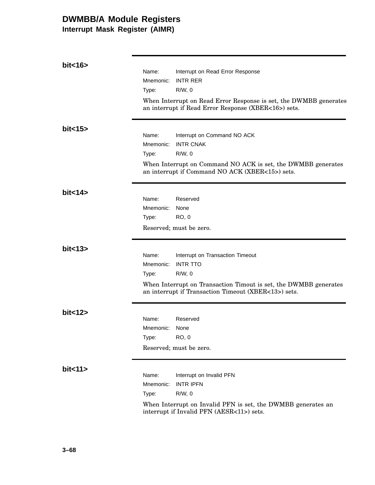**Interrupt Mask Register (AIMR)**

| bit < 16 |                    |                                                                                                                           |
|----------|--------------------|---------------------------------------------------------------------------------------------------------------------------|
|          | Name:              | Interrupt on Read Error Response                                                                                          |
|          | Mnemonic:          | <b>INTR RER</b>                                                                                                           |
|          | Type:              | $R/W$ , 0                                                                                                                 |
|          |                    | When Interrupt on Read Error Response is set, the DWMBB generates<br>an interrupt if Read Error Response (XBER<16>) sets. |
| bit < 15 |                    |                                                                                                                           |
|          | Name:              | Interrupt on Command NO ACK                                                                                               |
|          | Mnemonic:          | <b>INTR CNAK</b>                                                                                                          |
|          | Type:              | $R/W$ , 0                                                                                                                 |
|          |                    | When Interrupt on Command NO ACK is set, the DWMBB generates<br>an interrupt if Command NO ACK (XBER<15>) sets.           |
| bit < 14 |                    |                                                                                                                           |
|          | Name:<br>Mnemonic: | Reserved                                                                                                                  |
|          |                    | None<br><b>RO, 0</b>                                                                                                      |
|          | Type:              |                                                                                                                           |
|          |                    | Reserved; must be zero.                                                                                                   |
| bit < 13 |                    |                                                                                                                           |
|          | Name:              | Interrupt on Transaction Timeout                                                                                          |
|          | Mnemonic:          | <b>INTR TTO</b>                                                                                                           |
|          | Type:              | $R/W$ , 0                                                                                                                 |
|          |                    | When Interrupt on Transaction Timout is set, the DWMBB generates<br>an interrupt if Transaction Timeout (XBER<13>) sets.  |
| bit<12   |                    |                                                                                                                           |
|          | Name:              | Reserved                                                                                                                  |
|          | Mnemonic:          | None                                                                                                                      |
|          | Type:              | <b>RO, 0</b>                                                                                                              |
|          |                    | Reserved; must be zero.                                                                                                   |
| bit < 11 |                    |                                                                                                                           |
|          | Name:              | Interrupt on Invalid PFN                                                                                                  |
|          | Mnemonic:          | <b>INTR IPFN</b>                                                                                                          |
|          | Type:              | $R/W$ , 0                                                                                                                 |
|          |                    | When Interrupt on Invalid PFN is set, the DWMBB generates an<br>interrupt if Invalid PFN (AESR<11>) sets.                 |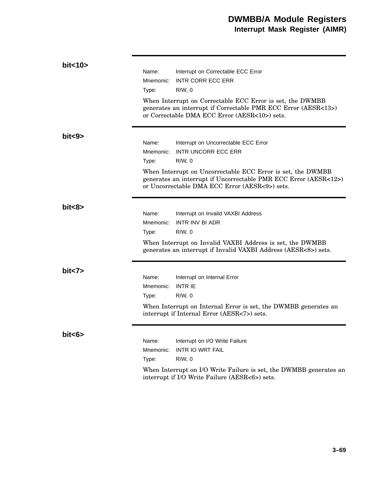| bit<10> |                    |                                                                                                                                                                                   |
|---------|--------------------|-----------------------------------------------------------------------------------------------------------------------------------------------------------------------------------|
|         | Name:              | Interrupt on Correctable ECC Error                                                                                                                                                |
|         | Mnemonic:          | <b>INTR CORR ECC ERR</b>                                                                                                                                                          |
|         | Type:              | $R/W$ , 0                                                                                                                                                                         |
|         |                    | When Interrupt on Correctable ECC Error is set, the DWMBB<br>generates an interrupt if Correctable PMR ECC Error (AESR<13>)<br>or Correctable DMA ECC Error (AESR<10>) sets.      |
| bits >  | Name:<br>Mnemonic: | Interrupt on Uncorrectable ECC Error<br><b>INTR UNCORR ECC ERR</b>                                                                                                                |
|         | Type:              | $R/W$ , 0                                                                                                                                                                         |
|         |                    | When Interrupt on Uncorrectable ECC Error is set, the DWMBB<br>generates an interrupt if Uncorrectable PMR ECC Error (AESR<12>)<br>or Uncorrectable DMA ECC Error (AESR<9>) sets. |
| bits >  |                    |                                                                                                                                                                                   |
|         | Name:              | Interrupt on Invalid VAXBI Address                                                                                                                                                |
|         | Mnemonic:          | INTR INV BI ADR                                                                                                                                                                   |
|         | Type:              | $R/W$ , 0                                                                                                                                                                         |
|         |                    | When Interrupt on Invalid VAXBI Address is set, the DWMBB<br>generates an interrupt if Invalid VAXBI Address (AESR<8>) sets.                                                      |
| bits    |                    |                                                                                                                                                                                   |
|         | Name:              | Interrupt on Internal Error                                                                                                                                                       |
|         | Mnemonic:          | <b>INTR IE</b>                                                                                                                                                                    |
|         | Type:              | $R/W$ , 0                                                                                                                                                                         |
|         |                    | When Interrupt on Internal Error is set, the DWMBB generates an<br>interrupt if Internal Error (AESR<7>) sets.                                                                    |
| bit<6>  |                    |                                                                                                                                                                                   |
|         | Name:              | Interrupt on I/O Write Failure                                                                                                                                                    |
|         | Mnemonic:          | <b>INTR IO WRT FAIL</b>                                                                                                                                                           |
|         | Type:              | $R/W$ , 0                                                                                                                                                                         |
|         |                    | When Interrupt on I/O Write Failure is set, the DWMBB generates an<br>interrupt if I/O Write Failure (AESR<6>) sets.                                                              |
|         |                    |                                                                                                                                                                                   |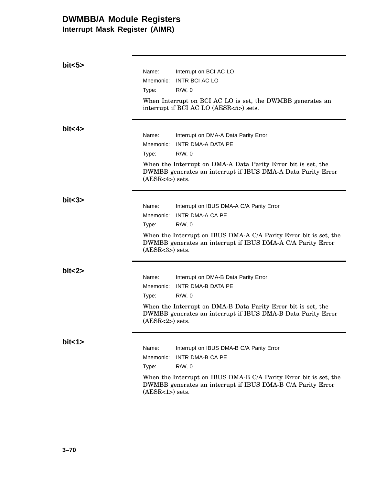**Interrupt Mask Register (AIMR)**

| bits >   |                   |                                                                                                                                  |
|----------|-------------------|----------------------------------------------------------------------------------------------------------------------------------|
|          | Name:             | Interrupt on BCI AC LO                                                                                                           |
|          | Mnemonic:         | <b>INTR BCI AC LO</b>                                                                                                            |
|          | Type:             | $R/W$ , 0                                                                                                                        |
|          |                   | When Interrupt on BCI AC LO is set, the DWMBB generates an<br>interrupt if BCI AC LO (AESR<5>) sets.                             |
| bit < 4  |                   |                                                                                                                                  |
|          | Name:             | Interrupt on DMA-A Data Parity Error                                                                                             |
|          | Mnemonic:         | INTR DMA-A DATA PE                                                                                                               |
|          | Type:             | $R/W$ , 0                                                                                                                        |
|          | $(AESR<4>)$ sets. | When the Interrupt on DMA-A Data Parity Error bit is set, the<br>DWMBB generates an interrupt if IBUS DMA-A Data Parity Error    |
| bits3>   |                   |                                                                                                                                  |
|          | Name:             | Interrupt on IBUS DMA-A C/A Parity Error                                                                                         |
|          | Mnemonic:         | INTR DMA-A CA PE                                                                                                                 |
|          | Type:             | $R/W$ , 0                                                                                                                        |
|          | $(AESR<3>)$ sets. | When the Interrupt on IBUS DMA-A C/A Parity Error bit is set, the<br>DWMBB generates an interrupt if IBUS DMA-A C/A Parity Error |
| bit < 2> |                   |                                                                                                                                  |
|          | Name:             | Interrupt on DMA-B Data Parity Error                                                                                             |
|          | Mnemonic:         | INTR DMA-B DATA PE                                                                                                               |
|          | Type:             | $R/W$ , 0                                                                                                                        |
|          | $(AESR<2>)$ sets. | When the Interrupt on DMA-B Data Parity Error bit is set, the<br>DWMBB generates an interrupt if IBUS DMA-B Data Parity Error    |
| bit < 1> |                   |                                                                                                                                  |
|          | Name:             | Interrupt on IBUS DMA-B C/A Parity Error                                                                                         |
|          | Mnemonic:         | <b>INTR DMA-B CA PE</b>                                                                                                          |
|          | Type:             | $R/W$ , 0                                                                                                                        |
|          | $(AESR<1>)$ sets. | When the Interrupt on IBUS DMA-B C/A Parity Error bit is set, the<br>DWMBB generates an interrupt if IBUS DMA-B C/A Parity Error |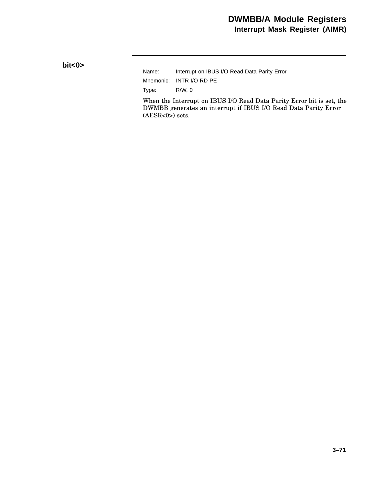**bit<0>**

Name: Interrupt on IBUS I/O Read Data Parity Error Mnemonic: INTR I/O RD PE Type: R/W, 0

When the Interrupt on IBUS I/O Read Data Parity Error bit is set, the DWMBB generates an interrupt if IBUS I/O Read Data Parity Error  $(AESR<0>)$  sets.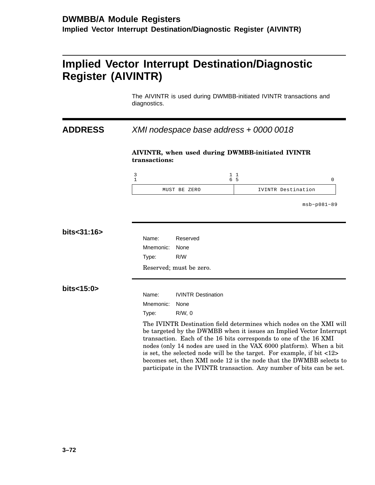# **Implied Vector Interrupt Destination/Diagnostic Register (AIVINTR)**

The AIVINTR is used during DWMBB-initiated IVINTR transactions and diagnostics.

## **ADDRESS** XMI nodespace base address + 0000 0018

#### **AIVINTR, when used during DWMBB-initiated IVINTR transactions:**

| MUST BE ZERO | IVINTR Destination |
|--------------|--------------------|

msb−p081−89

| bits<31:16> |           |                                                                                                                                                                                                                                                                                                                                                                                                                                                                                                                                  |
|-------------|-----------|----------------------------------------------------------------------------------------------------------------------------------------------------------------------------------------------------------------------------------------------------------------------------------------------------------------------------------------------------------------------------------------------------------------------------------------------------------------------------------------------------------------------------------|
|             | Name:     | Reserved                                                                                                                                                                                                                                                                                                                                                                                                                                                                                                                         |
|             | Mnemonic: | None                                                                                                                                                                                                                                                                                                                                                                                                                                                                                                                             |
|             | Type:     | R/W                                                                                                                                                                                                                                                                                                                                                                                                                                                                                                                              |
|             |           | Reserved; must be zero.                                                                                                                                                                                                                                                                                                                                                                                                                                                                                                          |
| bits<15:0>  |           |                                                                                                                                                                                                                                                                                                                                                                                                                                                                                                                                  |
|             | Name:     | <b>IVINTR Destination</b>                                                                                                                                                                                                                                                                                                                                                                                                                                                                                                        |
|             | Mnemonic: | None                                                                                                                                                                                                                                                                                                                                                                                                                                                                                                                             |
|             | Type:     | $R/W$ , 0                                                                                                                                                                                                                                                                                                                                                                                                                                                                                                                        |
|             |           | The IVINTR Destination field determines which nodes on the XMI will<br>be targeted by the DWMBB when it issues an Implied Vector Interrupt<br>transaction. Each of the 16 bits corresponds to one of the 16 XMI<br>nodes (only 14 nodes are used in the VAX 6000 platform). When a bit<br>is set, the selected node will be the target. For example, if bit $\langle 12 \rangle$<br>becomes set, then XMI node 12 is the node that the DWMBB selects to<br>participate in the IVINTR transaction. Any number of bits can be set. |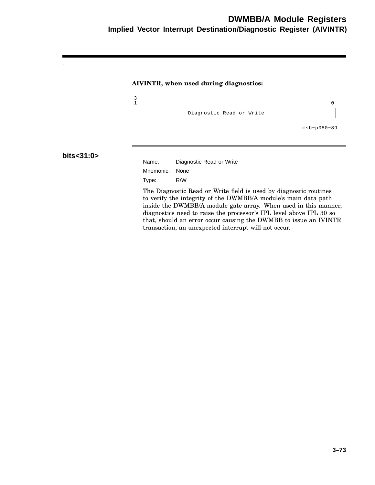## **DWMBB/A Module Registers Implied Vector Interrupt Destination/Diagnostic Register (AIVINTR)**

#### **AIVINTR, when used during diagnostics:**



msb−p080−89

#### **bits<31:0>**

Name: Diagnostic Read or Write Mnemonic: None Type: R/W

The Diagnostic Read or Write field is used by diagnostic routines to verify the integrity of the DWMBB/A module's main data path inside the DWMBB/A module gate array. When used in this manner, diagnostics need to raise the processor's IPL level above IPL 30 so that, should an error occur causing the DWMBB to issue an IVINTR transaction, an unexpected interrupt will not occur.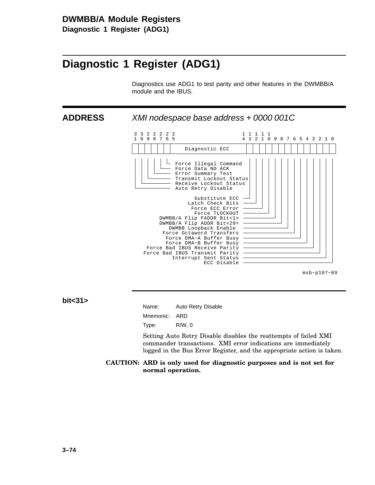**Diagnostic 1 Register (ADG1)**

# **Diagnostic 1 Register (ADG1)**

Diagnostics use ADG1 to test parity and other features in the DWMBB/A module and the IBUS.

**ADDRESS** XMI nodespace base address + 0000 001C



msb−p107−89

**bit<31>**

| Name:         | Auto Retry Disable |
|---------------|--------------------|
| Mnemonic: ARD |                    |
| Type:         | R/W.0              |

Setting Auto Retry Disable disables the reattempts of failed XMI commander transactions. XMI error indications are immediately logged in the Bus Error Register, and the appropriate action is taken.

**CAUTION: ARD is only used for diagnostic purposes and is not set for normal operation.**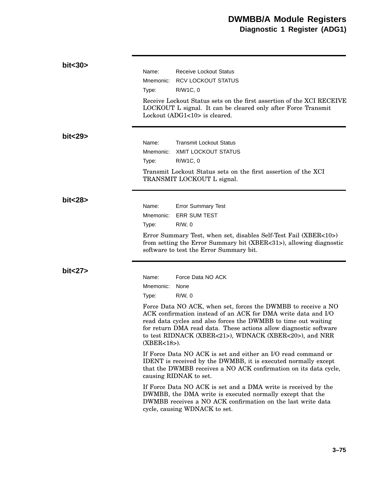| bit<30>  |                             |                                                                                                                                                                                                                                                                                                                                 |
|----------|-----------------------------|---------------------------------------------------------------------------------------------------------------------------------------------------------------------------------------------------------------------------------------------------------------------------------------------------------------------------------|
|          | Name:                       | <b>Receive Lockout Status</b>                                                                                                                                                                                                                                                                                                   |
|          | Mnemonic:                   | <b>RCV LOCKOUT STATUS</b>                                                                                                                                                                                                                                                                                                       |
|          | Type:                       | R/W1C, 0                                                                                                                                                                                                                                                                                                                        |
|          |                             | Receive Lockout Status sets on the first assertion of the XCI RECEIVE<br>LOCKOUT L signal. It can be cleared only after Force Transmit<br>Lockout (ADG1<10> is cleared.                                                                                                                                                         |
| bit < 29 | Name:<br>Mnemonic:<br>Type: | <b>Transmit Lockout Status</b><br><b>XMIT LOCKOUT STATUS</b><br>R/W1C, 0                                                                                                                                                                                                                                                        |
|          |                             | Transmit Lockout Status sets on the first assertion of the XCI<br>TRANSMIT LOCKOUT L signal.                                                                                                                                                                                                                                    |
| bit < 28 |                             |                                                                                                                                                                                                                                                                                                                                 |
|          | Name:                       | <b>Error Summary Test</b>                                                                                                                                                                                                                                                                                                       |
|          | Mnemonic:                   | <b>ERR SUM TEST</b>                                                                                                                                                                                                                                                                                                             |
|          | Type:                       | $R/W$ , 0                                                                                                                                                                                                                                                                                                                       |
|          |                             | Error Summary Test, when set, disables Self-Test Fail (XBER<10>)<br>from setting the Error Summary bit (XBER<31>), allowing diagnostic<br>software to test the Error Summary bit.                                                                                                                                               |
| bit < 27 | Name:<br>Mnemonic:<br>Type: | Force Data NO ACK<br>None<br>$R/W$ , 0                                                                                                                                                                                                                                                                                          |
|          | $(XBER<18)$ .               | Force Data NO ACK, when set, forces the DWMBB to receive a NO<br>ACK confirmation instead of an ACK for DMA write data and I/O<br>read data cycles and also forces the DWMBB to time out waiting<br>for return DMA read data. These actions allow diagnostic software<br>to test RIDNACK (XBER<21>), WDNACK (XBER<20>), and NRR |
|          |                             | If Force Data NO ACK is set and either an I/O read command or<br>IDENT is received by the DWMBB, it is executed normally except<br>that the DWMBB receives a NO ACK confirmation on its data cycle,<br>causing RIDNAK to set.                                                                                                   |
|          |                             | If Force Data NO ACK is set and a DMA write is received by the<br>DWMBB, the DMA write is executed normally except that the<br>DWMBB receives a NO ACK confirmation on the last write data<br>cycle, causing WDNACK to set.                                                                                                     |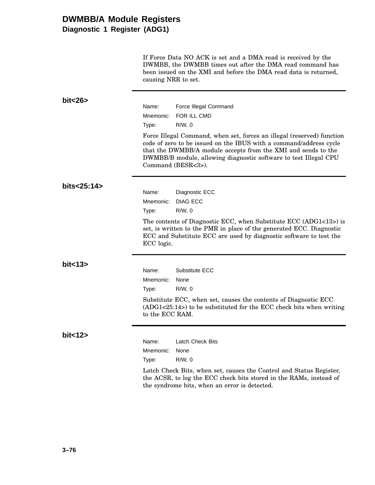## **DWMBB/A Module Registers Diagnostic 1 Register (ADG1)**

If Force Data NO ACK is set and a DMA read is received by the DWMBB, the DWMBB times out after the DMA read command has been issued on the XMI and before the DMA read data is returned, causing NRR to set.

| bit < 26    |                                                                                                                                                                                                                                                                                                         |                                                                                                                                                                                                                  |
|-------------|---------------------------------------------------------------------------------------------------------------------------------------------------------------------------------------------------------------------------------------------------------------------------------------------------------|------------------------------------------------------------------------------------------------------------------------------------------------------------------------------------------------------------------|
|             | Name:                                                                                                                                                                                                                                                                                                   | Force Illegal Command                                                                                                                                                                                            |
|             | Mnemonic:                                                                                                                                                                                                                                                                                               | FOR ILL CMD                                                                                                                                                                                                      |
|             | Type:                                                                                                                                                                                                                                                                                                   | R/W, 0                                                                                                                                                                                                           |
|             | Force Illegal Command, when set, forces an illegal (reserved) function<br>code of zero to be issued on the IBUS with a command/address cycle<br>that the DWMBB/A module accepts from the XMI and sends to the<br>DWMBB/B module, allowing diagnostic software to test Illegal CPU<br>Command (BESR<3>). |                                                                                                                                                                                                                  |
| bits<25:14> |                                                                                                                                                                                                                                                                                                         |                                                                                                                                                                                                                  |
|             | Name:                                                                                                                                                                                                                                                                                                   | Diagnostic ECC                                                                                                                                                                                                   |
|             | Mnemonic:                                                                                                                                                                                                                                                                                               | DIAG ECC                                                                                                                                                                                                         |
|             | Type:                                                                                                                                                                                                                                                                                                   | $R/W$ , 0                                                                                                                                                                                                        |
|             | ECC logic.                                                                                                                                                                                                                                                                                              | The contents of Diagnostic ECC, when Substitute ECC $(ADG1<13)$ is<br>set, is written to the PMR in place of the generated ECC. Diagnostic<br>ECC and Substitute ECC are used by diagnostic software to test the |
| bit < 13    |                                                                                                                                                                                                                                                                                                         |                                                                                                                                                                                                                  |
|             | Name:                                                                                                                                                                                                                                                                                                   | Substitute ECC                                                                                                                                                                                                   |
|             | Mnemonic:                                                                                                                                                                                                                                                                                               | None                                                                                                                                                                                                             |
|             | Type:                                                                                                                                                                                                                                                                                                   | $R/W$ , 0                                                                                                                                                                                                        |
|             | to the ECC RAM.                                                                                                                                                                                                                                                                                         | Substitute ECC, when set, causes the contents of Diagnostic ECC<br>$(ADG1<25:14)$ to be substituted for the ECC check bits when writing                                                                          |
| bit < 12    |                                                                                                                                                                                                                                                                                                         |                                                                                                                                                                                                                  |
|             | Name:                                                                                                                                                                                                                                                                                                   | <b>Latch Check Bits</b>                                                                                                                                                                                          |
|             | Mnemonic:                                                                                                                                                                                                                                                                                               | None                                                                                                                                                                                                             |
|             | Type:                                                                                                                                                                                                                                                                                                   | R/W, 0                                                                                                                                                                                                           |
|             |                                                                                                                                                                                                                                                                                                         | Latch Check Bits, when set, causes the Control and Status Register,<br>the ACSR, to log the ECC check bits stored in the RAMs, instead of                                                                        |

the syndrome bits, when an error is detected.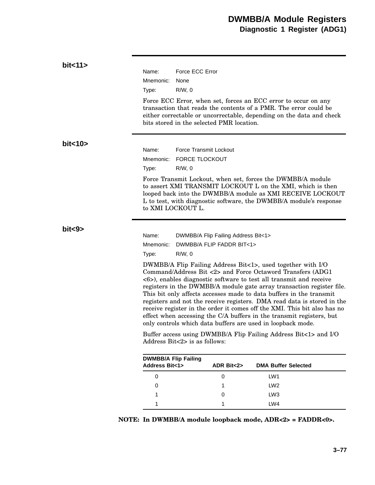| bit<11   |                                                            |                                                |                                           |                                                                                                                                                                                                                                                                                                                                                                                                                                                                                                                                                                                                                                               |
|----------|------------------------------------------------------------|------------------------------------------------|-------------------------------------------|-----------------------------------------------------------------------------------------------------------------------------------------------------------------------------------------------------------------------------------------------------------------------------------------------------------------------------------------------------------------------------------------------------------------------------------------------------------------------------------------------------------------------------------------------------------------------------------------------------------------------------------------------|
|          | Name:                                                      | Force ECC Error                                |                                           |                                                                                                                                                                                                                                                                                                                                                                                                                                                                                                                                                                                                                                               |
|          | Mnemonic:                                                  | None                                           |                                           |                                                                                                                                                                                                                                                                                                                                                                                                                                                                                                                                                                                                                                               |
|          | Type:                                                      | $R/W$ , 0                                      |                                           |                                                                                                                                                                                                                                                                                                                                                                                                                                                                                                                                                                                                                                               |
|          |                                                            |                                                | bits stored in the selected PMR location. | Force ECC Error, when set, forces an ECC error to occur on any<br>transaction that reads the contents of a PMR. The error could be<br>either correctable or uncorrectable, depending on the data and check                                                                                                                                                                                                                                                                                                                                                                                                                                    |
| bit < 10 |                                                            |                                                |                                           |                                                                                                                                                                                                                                                                                                                                                                                                                                                                                                                                                                                                                                               |
|          | Name:                                                      | Force Transmit Lockout                         |                                           |                                                                                                                                                                                                                                                                                                                                                                                                                                                                                                                                                                                                                                               |
|          | Mnemonic:                                                  | <b>FORCE TLOCKOUT</b>                          |                                           |                                                                                                                                                                                                                                                                                                                                                                                                                                                                                                                                                                                                                                               |
|          | Type:                                                      | $R/W$ , 0                                      |                                           |                                                                                                                                                                                                                                                                                                                                                                                                                                                                                                                                                                                                                                               |
|          |                                                            | to XMI LOCKOUT L.                              |                                           | Force Transmit Lockout, when set, forces the DWMBB/A module<br>to assert XMI TRANSMIT LOCKOUT L on the XMI, which is then<br>looped back into the DWMBB/A module as XMI RECEIVE LOCKOUT<br>L to test, with diagnostic software, the DWMBB/A module's response                                                                                                                                                                                                                                                                                                                                                                                 |
| bits3>   |                                                            |                                                |                                           |                                                                                                                                                                                                                                                                                                                                                                                                                                                                                                                                                                                                                                               |
|          | Name:                                                      |                                                | DWMBB/A Flip Failing Address Bit<1>       |                                                                                                                                                                                                                                                                                                                                                                                                                                                                                                                                                                                                                                               |
|          | Mnemonic:                                                  |                                                | DWMBB/A FLIP FADDR BIT<1>                 |                                                                                                                                                                                                                                                                                                                                                                                                                                                                                                                                                                                                                                               |
|          | Type:                                                      | $R/W$ , 0                                      |                                           |                                                                                                                                                                                                                                                                                                                                                                                                                                                                                                                                                                                                                                               |
|          |                                                            |                                                |                                           | DWMBB/A Flip Failing Address Bit<1>, used together with I/O<br>Command/Address Bit <2> and Force Octaword Transfers (ADG1<br><6>), enables diagnostic software to test all transmit and receive<br>registers in the DWMBB/A module gate array transaction register file.<br>This bit only affects accesses made to data buffers in the transmit<br>registers and not the receive registers. DMA read data is stored in the<br>receive register in the order it comes off the XMI. This bit also has no<br>effect when accessing the C/A buffers in the transmit registers, but<br>only controls which data buffers are used in loopback mode. |
|          |                                                            | Address Bit $\langle 2 \rangle$ is as follows: |                                           | Buffer access using DWMBB/A Flip Failing Address Bit<1> and I/O                                                                                                                                                                                                                                                                                                                                                                                                                                                                                                                                                                               |
|          | <b>DWMBB/A Flip Failing</b><br><b>Address Bit&lt;1&gt;</b> |                                                | ADR Bit<2>                                | <b>DMA Buffer Selected</b>                                                                                                                                                                                                                                                                                                                                                                                                                                                                                                                                                                                                                    |
|          | $\mathbf 0$                                                |                                                | 0                                         | LW1                                                                                                                                                                                                                                                                                                                                                                                                                                                                                                                                                                                                                                           |
|          | 0                                                          |                                                | 1                                         | LW <sub>2</sub>                                                                                                                                                                                                                                                                                                                                                                                                                                                                                                                                                                                                                               |
|          | 1                                                          |                                                | 0                                         | LW3                                                                                                                                                                                                                                                                                                                                                                                                                                                                                                                                                                                                                                           |
|          | 1                                                          |                                                | 1                                         | LW4                                                                                                                                                                                                                                                                                                                                                                                                                                                                                                                                                                                                                                           |
|          |                                                            |                                                |                                           |                                                                                                                                                                                                                                                                                                                                                                                                                                                                                                                                                                                                                                               |

**NOTE: In DWMBB/A module loopback mode, ADR<2> = FADDR<0>.**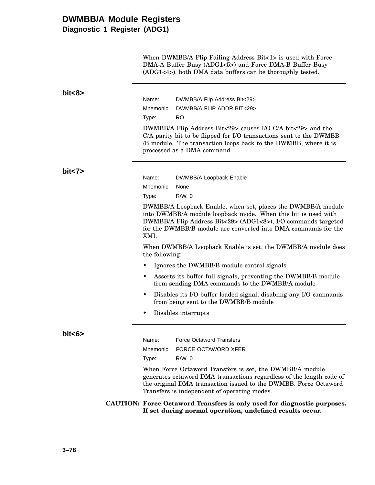# **DWMBB/A Module Registers**

**Diagnostic 1 Register (ADG1)**

When DWMBB/A Flip Failing Address Bit<1> is used with Force DMA-A Buffer Busy (ADG1<5>) and Force DMA-B Buffer Busy (ADG1<4>), both DMA data buffers can be thoroughly tested.

| bit<8>  |                                                                                                                                                                                                                                                                          |
|---------|--------------------------------------------------------------------------------------------------------------------------------------------------------------------------------------------------------------------------------------------------------------------------|
|         | Name:<br>DWMBB/A Flip Address Bit<29>                                                                                                                                                                                                                                    |
|         | Mnemonic:<br>DWMBB/A FLIP ADDR BIT<29>                                                                                                                                                                                                                                   |
|         | <b>RO</b><br>Type:                                                                                                                                                                                                                                                       |
|         | DWMBB/A Flip Address Bit<29> causes I/O C/A bit<29> and the<br>C/A parity bit to be flipped for I/O transactions sent to the DWMBB<br>/B module. The transaction loops back to the DWMBB, where it is<br>processed as a DMA command.                                     |
| bit < 7 | Name:<br>DWMBB/A Loopback Enable                                                                                                                                                                                                                                         |
|         | None<br>Mnemonic:                                                                                                                                                                                                                                                        |
|         | $R/W$ , 0<br>Type:                                                                                                                                                                                                                                                       |
|         | DWMBB/A Loopback Enable, when set, places the DWMBB/A module<br>into DWMBB/A module loopback mode. When this bit is used with<br>DWMBB/A Flip Address Bit<29> (ADG1<8>), I/O commands targeted<br>for the DWMBB/B module are converted into DMA commands for the<br>XMI. |
|         | When DWMBB/A Loopback Enable is set, the DWMBB/A module does<br>the following:                                                                                                                                                                                           |
|         | Ignores the DWMBB/B module control signals                                                                                                                                                                                                                               |
|         | Asserts its buffer full signals, preventing the DWMBB/B module<br>٠<br>from sending DMA commands to the DWMBB/A module                                                                                                                                                   |
|         | Disables its I/O buffer loaded signal, disabling any I/O commands<br>٠<br>from being sent to the DWMBB/B module                                                                                                                                                          |
|         | Disables interrupts                                                                                                                                                                                                                                                      |
| bit<6>  | Name:<br><b>Force Octaword Transfers</b><br><b>FORCE OCTAWORD XFER</b><br>Mnemonic:<br>$R/W$ , 0<br>Type:                                                                                                                                                                |
|         | When Force Octaword Transfers is set, the DWMBB/A module<br>generates octaword DMA transactions regardless of the length code of<br>the original DMA transaction issued to the DWMBB. Force Octaword<br>Transfers is independent of operating modes.                     |
|         | CAUTION: Force Octaword Transfers is only used for diagnostic purposes.<br>If set during normal operation, undefined results occur.                                                                                                                                      |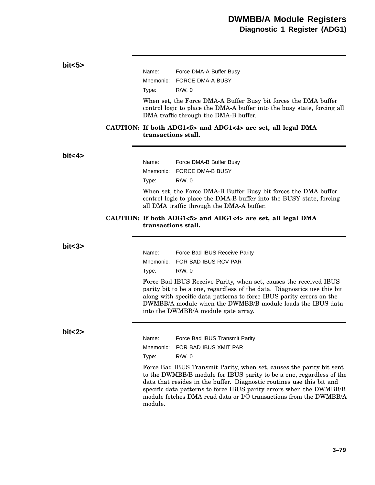# Name: Force DMA-A Buffer Busy Mnemonic: FORCE DMA-A BUSY Type: R/W, 0 When set, the Force DMA-A Buffer Busy bit forces the DMA buffer control logic to place the DMA-A buffer into the busy state, forcing all DMA traffic through the DMA-B buffer. **CAUTION: If both ADG1<5> and ADG1<4> are set, all legal DMA transactions stall.** Name: Force DMA-B Buffer Busy Mnemonic: FORCE DMA-B BUSY Type: R/W, 0 When set, the Force DMA-B Buffer Busy bit forces the DMA buffer control logic to place the DMA-B buffer into the BUSY state, forcing all DMA traffic through the DMA-A buffer. **CAUTION: If both ADG1<5> and ADG1<4> are set, all legal DMA transactions stall.** Name: Force Bad IBUS Receive Parity Mnemonic: FOR BAD IBUS RCV PAR Type: R/W, 0 Force Bad IBUS Receive Parity, when set, causes the received IBUS parity bit to be a one, regardless of the data. Diagnostics use this bit along with specific data patterns to force IBUS parity errors on the DWMBB/A module when the DWMBB/B module loads the IBUS data into the DWMBB/A module gate array. Name: Force Bad IBUS Transmit Parity Mnemonic: FOR BAD IBUS XMIT PAR Type: R/W, 0

**bit<5>**

**bit<4>**

**bit<3>**

**bit<2>**

Force Bad IBUS Transmit Parity, when set, causes the parity bit sent to the DWMBB/B module for IBUS parity to be a one, regardless of the data that resides in the buffer. Diagnostic routines use this bit and specific data patterns to force IBUS parity errors when the DWMBB/B module fetches DMA read data or I/O transactions from the DWMBB/A module.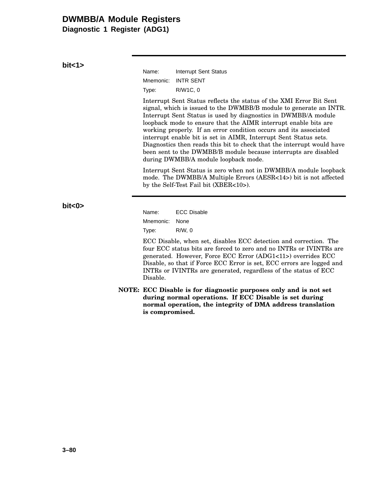## **DWMBB/A Module Registers**

**Diagnostic 1 Register (ADG1)**

**bit<1>**

| Name:     | Interrupt Sent Status |
|-----------|-----------------------|
| Mnemonic: | <b>INTR SENT</b>      |
| Type:     | R/W1C, 0              |

Interrupt Sent Status reflects the status of the XMI Error Bit Sent signal, which is issued to the DWMBB/B module to generate an INTR. Interrupt Sent Status is used by diagnostics in DWMBB/A module loopback mode to ensure that the AIMR interrupt enable bits are working properly. If an error condition occurs and its associated interrupt enable bit is set in AIMR, Interrupt Sent Status sets. Diagnostics then reads this bit to check that the interrupt would have been sent to the DWMBB/B module because interrupts are disabled during DWMBB/A module loopback mode.

Interrupt Sent Status is zero when not in DWMBB/A module loopback mode. The DWMBB/A Multiple Errors (AESR<14>) bit is not affected by the Self-Test Fail bit (XBER<10>).

**bit<0>**

Name: ECC Disable Mnemonic: None Type: R/W, 0

ECC Disable, when set, disables ECC detection and correction. The four ECC status bits are forced to zero and no INTRs or IVINTRs are generated. However, Force ECC Error (ADG1<11>) overrides ECC Disable, so that if Force ECC Error is set, ECC errors are logged and INTRs or IVINTRs are generated, regardless of the status of ECC Disable.

**NOTE: ECC Disable is for diagnostic purposes only and is not set during normal operations. If ECC Disable is set during normal operation, the integrity of DMA address translation is compromised.**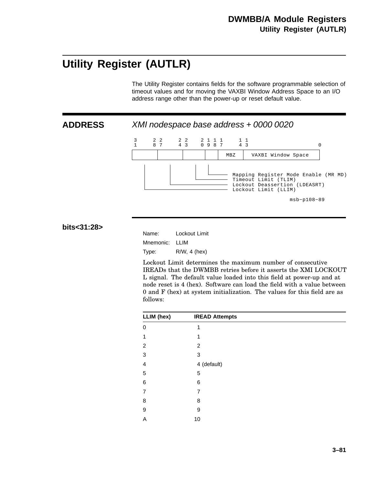# **Utility Register (AUTLR)**

The Utility Register contains fields for the software programmable selection of timeout values and for moving the VAXBI Window Address Space to an I/O address range other than the power-up or reset default value.

**ADDRESS** XMI nodespace base address + 0000 0020



#### **bits<31:28>**

| Name:     | Lockout Limit   |
|-----------|-----------------|
| Mnemonic: | LLIM            |
| Type:     | $R/W$ , 4 (hex) |

Lockout Limit determines the maximum number of consecutive IREADs that the DWMBB retries before it asserts the XMI LOCKOUT L signal. The default value loaded into this field at power-up and at node reset is 4 (hex). Software can load the field with a value between 0 and F (hex) at system initialization. The values for this field are as follows:

| LLIM (hex) | <b>IREAD Attempts</b> |  |
|------------|-----------------------|--|
| 0          | 1                     |  |
| 1          | 1                     |  |
| 2          | 2                     |  |
| 3          | 3                     |  |
| 4          | 4 (default)           |  |
| 5          | 5                     |  |
| 6          | 6                     |  |
| 7          | 7                     |  |
| 8          | 8                     |  |
| 9          | 9                     |  |
| A          | 10                    |  |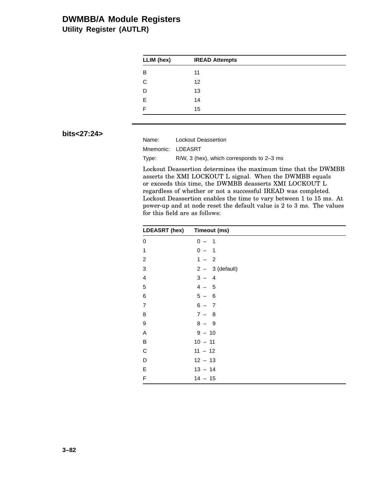## **DWMBB/A Module Registers Utility Register (AUTLR)**

| <b>IREAD Attempts</b> |  |
|-----------------------|--|
| 11                    |  |
| 12                    |  |
| 13                    |  |
| 14                    |  |
| 15                    |  |
|                       |  |

### **bits<27:24>**

Name: Lockout Deassertion Mnemonic: LDEASRT Type: R/W, 3 (hex), which corresponds to 2–3 ms

Lockout Deassertion determines the maximum time that the DWMBB asserts the XMI LOCKOUT L signal. When the DWMBB equals or exceeds this time, the DWMBB deasserts XMI LOCKOUT L regardless of whether or not a successful IREAD was completed. Lockout Deassertion enables the time to vary between 1 to 15 ms. At power-up and at node reset the default value is 2 to 3 ms. The values for this field are as follows:

| LDEASRT (hex) Timeout (ms) |                                     |
|----------------------------|-------------------------------------|
| 0                          | $0 -$<br>$\overline{1}$             |
| 1                          | $0 -$<br>$\overline{\phantom{0}}$ 1 |
| $\overline{c}$             | $1 - 2$                             |
| 3                          | $2 - 3$ (default)                   |
| 4                          | $3 - 4$                             |
| 5                          | $4 -$<br>- 5                        |
| 6                          | $5 -$<br>- 6                        |
| $\overline{7}$             | $6 - 7$                             |
| 8                          | $7 - 8$                             |
| 9                          | $8 - 9$                             |
| A                          | $9 - 10$                            |
| B                          | $10 - 11$                           |
| C                          | $11 - 12$                           |
| D                          | $12 - 13$                           |
| E                          | $13 - 14$                           |
| F                          | $14 - 15$                           |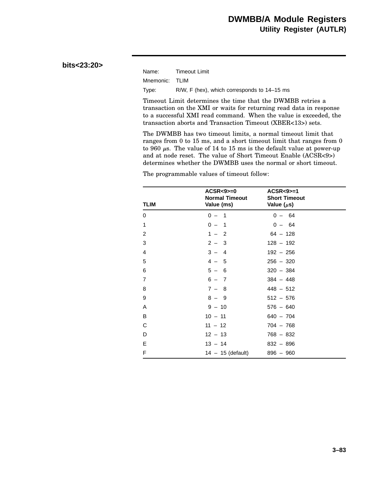#### **bits<23:20>**

| Name:          | <b>Timeout Limit</b>                        |
|----------------|---------------------------------------------|
| Mnemonic: TLIM |                                             |
| Type:          | R/W, F (hex), which corresponds to 14–15 ms |

Timeout Limit determines the time that the DWMBB retries a transaction on the XMI or waits for returning read data in response to a successful XMI read command. When the value is exceeded, the transaction aborts and Transaction Timeout (XBER<13>) sets.

The DWMBB has two timeout limits, a normal timeout limit that ranges from 0 to 15 ms, and a short timeout limit that ranges from 0 to 960  $\mu$ s. The value of 14 to 15 ms is the default value at power-up and at node reset. The value of Short Timeout Enable (ACSR<9>) determines whether the DWMBB uses the normal or short timeout.

The programmable values of timeout follow:

| <b>TLIM</b>    | $ACSR < 9$ = 0<br><b>Normal Timeout</b><br>Value (ms) | $ACSR < 9$ = 1<br><b>Short Timeout</b><br>Value $(\mu s)$ |  |
|----------------|-------------------------------------------------------|-----------------------------------------------------------|--|
| $\Omega$       | $0 -$<br>$\overline{\phantom{1}}$                     | $0 - 64$                                                  |  |
| 1              | $0 -$<br>$\overline{\phantom{1}}$                     | $0 - 64$                                                  |  |
| $\overline{2}$ | $1 - 2$                                               | $64 - 128$                                                |  |
| 3              | $2 - 3$                                               | $128 - 192$                                               |  |
| $\overline{4}$ | $3 - 4$                                               | $192 - 256$                                               |  |
| 5              | $4 - 5$                                               | $256 - 320$                                               |  |
| 6              | $5 - 6$                                               | $320 - 384$                                               |  |
| $\overline{7}$ | $6 - 7$                                               | $384 - 448$                                               |  |
| 8              | $7 - 8$                                               | $448 - 512$                                               |  |
| 9              | $8 - 9$                                               | $512 - 576$                                               |  |
| A              | $9 - 10$                                              | $576 - 640$                                               |  |
| B              | $10 - 11$                                             | $640 - 704$                                               |  |
| C              | $11 - 12$                                             | $704 - 768$                                               |  |
| D              | $12 - 13$                                             | $768 - 832$                                               |  |
| E              | $13 - 14$                                             | $832 - 896$                                               |  |
| F              | $14 - 15$ (default)                                   | $896 - 960$                                               |  |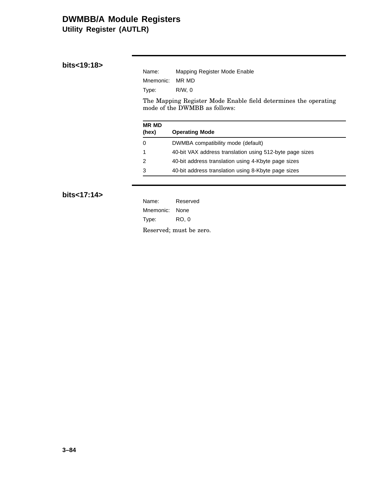## **DWMBB/A Module Registers Utility Register (AUTLR)**

| Name:           | Mapping Register Mode Enable |
|-----------------|------------------------------|
| Mnemonic: MR MD |                              |
| Type:           | R/W.0                        |

The Mapping Register Mode Enable field determines the operating mode of the DWMBB as follows:

| <b>MR MD</b><br>(hex) | <b>Operating Mode</b>                                    |
|-----------------------|----------------------------------------------------------|
| 0                     | DWMBA compatibility mode (default)                       |
|                       | 40-bit VAX address translation using 512-byte page sizes |
| 2                     | 40-bit address translation using 4-Kbyte page sizes      |
| 3                     | 40-bit address translation using 8-Kbyte page sizes      |

### **bits<17:14>**

| Name:          | Reserved                |
|----------------|-------------------------|
| Mnemonic: None |                         |
| Type:          | RO. 0                   |
|                | Reserved; must be zero. |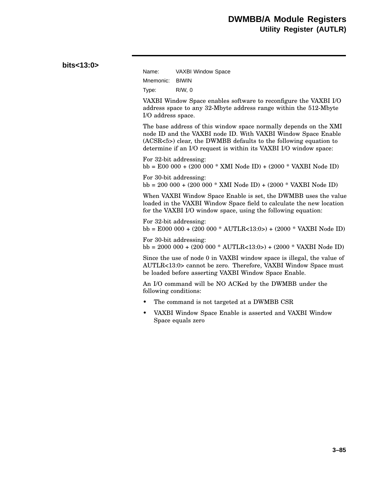| bits<13:0> |  |
|------------|--|
|------------|--|

| Name:     | <b>VAXBI Window Space</b> |
|-----------|---------------------------|
| Mnemonic: | <b>BIWIN</b>              |
| Type:     | R/W.0                     |

VAXBI Window Space enables software to reconfigure the VAXBI I/O address space to any 32-Mbyte address range within the 512-Mbyte I/O address space.

The base address of this window space normally depends on the XMI node ID and the VAXBI node ID. With VAXBI Window Space Enable (ACSR<5>) clear, the DWMBB defaults to the following equation to determine if an I/O request is within its VAXBI I/O window space:

For 32-bit addressing: bb = E00 000 + (200 000 \* XMI Node ID) + (2000 \* VAXBI Node ID)

For 30-bit addressing: bb = 200 000 + (200 000 \* XMI Node ID) + (2000 \* VAXBI Node ID)

When VAXBI Window Space Enable is set, the DWMBB uses the value loaded in the VAXBI Window Space field to calculate the new location for the VAXBI I/O window space, using the following equation:

For 32-bit addressing: bb = E000 000 + (200 000 \* AUTLR<13:0>) + (2000 \* VAXBI Node ID)

For 30-bit addressing: bb = 2000 000 + (200 000 \* AUTLR<13:0>) + (2000 \* VAXBI Node ID)

Since the use of node 0 in VAXBI window space is illegal, the value of AUTLR<13:0> cannot be zero. Therefore, VAXBI Window Space must be loaded before asserting VAXBI Window Space Enable.

An I/O command will be NO ACKed by the DWMBB under the following conditions:

- The command is not targeted at a DWMBB CSR
- VAXBI Window Space Enable is asserted and VAXBI Window Space equals zero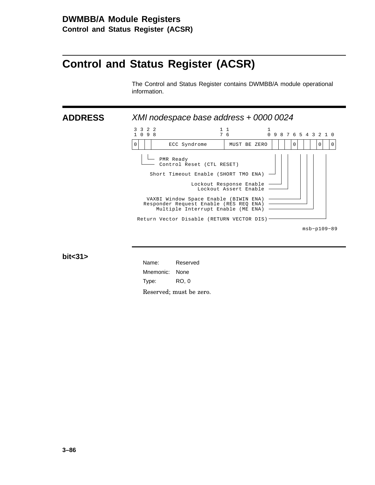# **Control and Status Register (ACSR)**

The Control and Status Register contains DWMBB/A module operational information.

**ADDRESS** XMI nodespace base address + 0000 0024



**bit<31>**

| Name:          | Reserved                |
|----------------|-------------------------|
| Mnemonic: None |                         |
| Type:          | RO. 0                   |
|                | Reserved; must be zero. |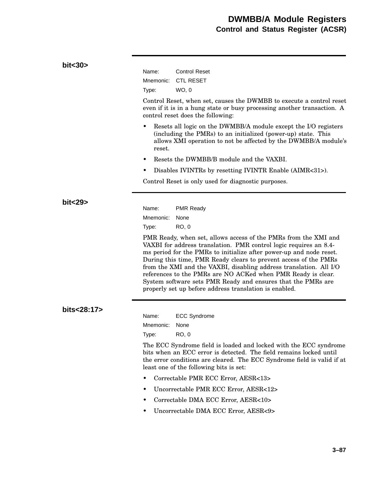| bit<30>     |                    |                                                                                                                                                                                                                                                                                                                                                                                                                                                                                                                                                 |
|-------------|--------------------|-------------------------------------------------------------------------------------------------------------------------------------------------------------------------------------------------------------------------------------------------------------------------------------------------------------------------------------------------------------------------------------------------------------------------------------------------------------------------------------------------------------------------------------------------|
|             | Name:<br>Mnemonic: | <b>Control Reset</b><br><b>CTL RESET</b>                                                                                                                                                                                                                                                                                                                                                                                                                                                                                                        |
|             | Type:              | WO, 0                                                                                                                                                                                                                                                                                                                                                                                                                                                                                                                                           |
|             |                    | Control Reset, when set, causes the DWMBB to execute a control reset<br>even if it is in a hung state or busy processing another transaction. A<br>control reset does the following:                                                                                                                                                                                                                                                                                                                                                            |
|             | ٠<br>reset.        | Resets all logic on the DWMBB/A module except the I/O registers<br>(including the PMRs) to an initialized (power-up) state. This<br>allows XMI operation to not be affected by the DWMBB/A module's                                                                                                                                                                                                                                                                                                                                             |
|             | $\bullet$          | Resets the DWMBB/B module and the VAXBI.                                                                                                                                                                                                                                                                                                                                                                                                                                                                                                        |
|             | ٠                  | Disables IVINTRs by resetting IVINTR Enable (AIMR<31>).                                                                                                                                                                                                                                                                                                                                                                                                                                                                                         |
|             |                    | Control Reset is only used for diagnostic purposes.                                                                                                                                                                                                                                                                                                                                                                                                                                                                                             |
|             |                    |                                                                                                                                                                                                                                                                                                                                                                                                                                                                                                                                                 |
| bit<29>     | Name:              | <b>PMR Ready</b>                                                                                                                                                                                                                                                                                                                                                                                                                                                                                                                                |
|             | Mnemonic:          | None                                                                                                                                                                                                                                                                                                                                                                                                                                                                                                                                            |
|             | Type:              | <b>RO, 0</b>                                                                                                                                                                                                                                                                                                                                                                                                                                                                                                                                    |
|             |                    | PMR Ready, when set, allows access of the PMRs from the XMI and<br>VAXBI for address translation. PMR control logic requires an 8.4-<br>ms period for the PMRs to initialize after power-up and node reset.<br>During this time, PMR Ready clears to prevent access of the PMRs<br>from the XMI and the VAXBI, disabling address translation. All I/O<br>references to the PMRs are NO ACKed when PMR Ready is clear.<br>System software sets PMR Ready and ensures that the PMRs are<br>properly set up before address translation is enabled. |
| bits<28:17> |                    |                                                                                                                                                                                                                                                                                                                                                                                                                                                                                                                                                 |
|             | Name:              | <b>ECC Syndrome</b>                                                                                                                                                                                                                                                                                                                                                                                                                                                                                                                             |
|             | Mnemonic:          | None                                                                                                                                                                                                                                                                                                                                                                                                                                                                                                                                            |
|             | Type:              | <b>RO, 0</b>                                                                                                                                                                                                                                                                                                                                                                                                                                                                                                                                    |
|             |                    | The ECC Syndrome field is loaded and locked with the ECC syndrome<br>bits when an ECC error is detected. The field remains locked until<br>the error conditions are cleared. The ECC Syndrome field is valid if at<br>least one of the following bits is set:                                                                                                                                                                                                                                                                                   |
|             |                    | Correctable PMR ECC Error, AESR<13>                                                                                                                                                                                                                                                                                                                                                                                                                                                                                                             |
|             |                    | Uncorrectable PMR ECC Error, AESR<12>                                                                                                                                                                                                                                                                                                                                                                                                                                                                                                           |
|             |                    | Correctable DMA ECC Error, AESR<10>                                                                                                                                                                                                                                                                                                                                                                                                                                                                                                             |
|             | $\bullet$          | Uncorrectable DMA ECC Error, AESR<9>                                                                                                                                                                                                                                                                                                                                                                                                                                                                                                            |
|             |                    |                                                                                                                                                                                                                                                                                                                                                                                                                                                                                                                                                 |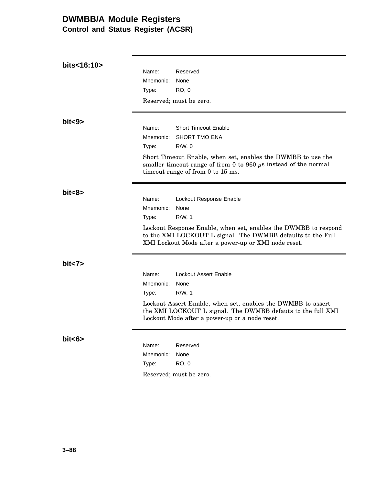## **DWMBB/A Module Registers Control and Status Register (ACSR)**

| bits<16:10> |           |                                                                                                                                                                                        |
|-------------|-----------|----------------------------------------------------------------------------------------------------------------------------------------------------------------------------------------|
|             | Name:     | Reserved                                                                                                                                                                               |
|             | Mnemonic: | None                                                                                                                                                                                   |
|             | Type:     | <b>RO, 0</b>                                                                                                                                                                           |
|             |           | Reserved; must be zero.                                                                                                                                                                |
| bits >      |           |                                                                                                                                                                                        |
|             | Name:     | <b>Short Timeout Enable</b>                                                                                                                                                            |
|             | Mnemonic: | <b>SHORT TMO ENA</b>                                                                                                                                                                   |
|             | Type:     | $R/W$ , 0                                                                                                                                                                              |
|             |           | Short Timeout Enable, when set, enables the DWMBB to use the<br>smaller timeout range of from 0 to 960 $\mu$ s instead of the normal<br>timeout range of from 0 to 15 ms.              |
| bit<8>      |           |                                                                                                                                                                                        |
|             | Name:     | Lockout Response Enable                                                                                                                                                                |
|             | Mnemonic: | None                                                                                                                                                                                   |
|             | Type:     | $R/W$ , 1                                                                                                                                                                              |
|             |           | Lockout Response Enable, when set, enables the DWMBB to respond<br>to the XMI LOCKOUT L signal. The DWMBB defaults to the Full<br>XMI Lockout Mode after a power-up or XMI node reset. |
| bit < 7     |           |                                                                                                                                                                                        |
|             | Name:     | Lockout Assert Enable                                                                                                                                                                  |
|             | Mnemonic: | None                                                                                                                                                                                   |
|             | Type:     | $R/W$ , 1                                                                                                                                                                              |
|             |           | Lockout Assert Enable, when set, enables the DWMBB to assert<br>the XMI LOCKOUT L signal. The DWMBB defauts to the full XMI<br>Lockout Mode after a power-up or a node reset.          |
| bits        | Name:     | Reserved                                                                                                                                                                               |
|             | Mnemonic: | None                                                                                                                                                                                   |
|             | Type:     | <b>RO, 0</b>                                                                                                                                                                           |
|             |           | Reserved; must be zero.                                                                                                                                                                |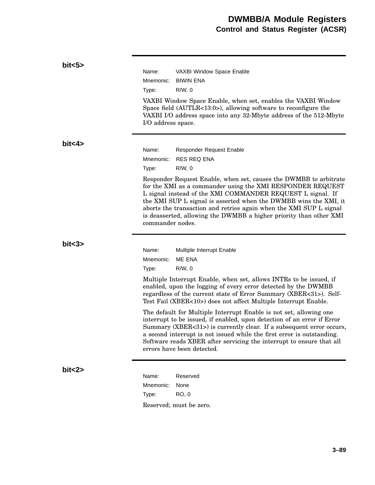| bits5    |                             |                                                                                                                                                                                                                                                                                                                                                                                                               |
|----------|-----------------------------|---------------------------------------------------------------------------------------------------------------------------------------------------------------------------------------------------------------------------------------------------------------------------------------------------------------------------------------------------------------------------------------------------------------|
|          | Name:                       | VAXBI Window Space Enable                                                                                                                                                                                                                                                                                                                                                                                     |
|          | Mnemonic:                   | <b>BIWIN ENA</b>                                                                                                                                                                                                                                                                                                                                                                                              |
|          | Type:                       | $R/W$ , 0                                                                                                                                                                                                                                                                                                                                                                                                     |
|          | I/O address space.          | VAXBI Window Space Enable, when set, enables the VAXBI Window<br>Space field $(AUTLR<13:0)$ , allowing software to reconfigure the<br>VAXBI I/O address space into any 32-Mbyte address of the 512-Mbyte                                                                                                                                                                                                      |
| bit < 4> |                             |                                                                                                                                                                                                                                                                                                                                                                                                               |
|          | Name:                       | <b>Responder Request Enable</b>                                                                                                                                                                                                                                                                                                                                                                               |
|          | Mnemonic:                   | <b>RES REQ ENA</b>                                                                                                                                                                                                                                                                                                                                                                                            |
|          | Type:                       | $R/W$ , 0                                                                                                                                                                                                                                                                                                                                                                                                     |
|          | commander nodes.            | Responder Request Enable, when set, causes the DWMBB to arbitrate<br>for the XMI as a commander using the XMI RESPONDER REQUEST<br>L signal instead of the XMI COMMANDER REQUEST L signal. If<br>the XMI SUP L signal is asserted when the DWMBB wins the XMI, it<br>aborts the transaction and retries again when the XMI SUP L signal<br>is deasserted, allowing the DWMBB a higher priority than other XMI |
| bits3>   |                             |                                                                                                                                                                                                                                                                                                                                                                                                               |
|          | Name:<br>Mnemonic:          | Multiple Interrupt Enable<br>ME ENA                                                                                                                                                                                                                                                                                                                                                                           |
|          | Type:                       | $R/W$ , 0<br>Multiple Interrupt Enable, when set, allows INTRs to be issued, if<br>enabled, upon the logging of every error detected by the DWMBB<br>regardless of the current state of Error Summary (XBER<31>). Self-<br>Test Fail (XBER<10>) does not affect Multiple Interrupt Enable.                                                                                                                    |
|          |                             | The default for Multiple Interrupt Enable is not set, allowing one<br>interrupt to be issued, if enabled, upon detection of an error if Error<br>Summary (XBER<31>) is currently clear. If a subsequent error occurs,<br>a second interrupt is not issued while the first error is outstanding.<br>Software reads XBER after servicing the interrupt to ensure that all<br>errors have been detected.         |
| bit < 2> | Name:<br>Mnemonic:<br>Type: | Reserved<br>None<br><b>RO, 0</b><br>Reserved; must be zero.                                                                                                                                                                                                                                                                                                                                                   |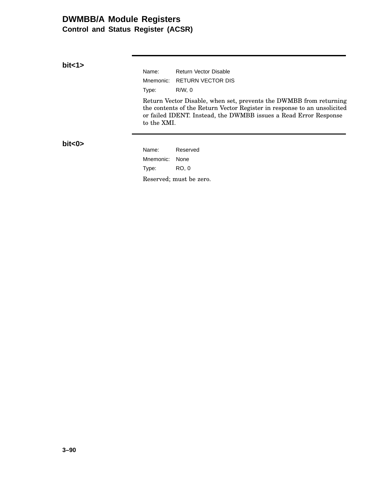## **DWMBB/A Module Registers Control and Status Register (ACSR)**

**bit<1>**

Name: Return Vector Disable Mnemonic: RETURN VECTOR DIS Type: R/W, 0 Return Vector Disable, when set, prevents the DWMBB from returning the contents of the Return Vector Register in response to an unsolicited or failed IDENT. Instead, the DWMBB issues a Read Error Response to the XMI.

**bit<0>**

Name: Reserved Mnemonic: None Type: RO, 0 Reserved; must be zero.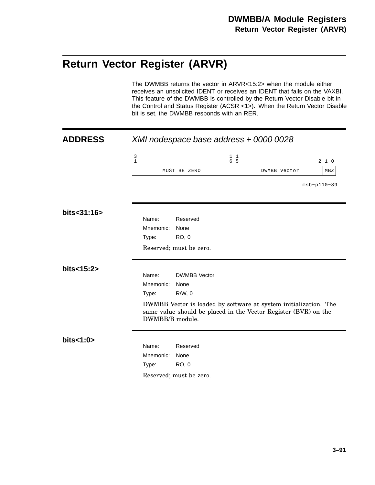# **Return Vector Register (ARVR)**

The DWMBB returns the vector in ARVR<15:2> when the module either receives an unsolicited IDENT or receives an IDENT that fails on the VAXBI. This feature of the DWMBB is controlled by the Return Vector Disable bit in the Control and Status Register (ACSR <1>). When the Return Vector Disable bit is set, the DWMBB responds with an RER.

| <b>ADDRESS</b>                        |                 |                         | XMI nodespace base address + 0000 0028                                                                                              |               |
|---------------------------------------|-----------------|-------------------------|-------------------------------------------------------------------------------------------------------------------------------------|---------------|
| $\begin{array}{c} 3 \\ 1 \end{array}$ |                 |                         | $1\quad1$<br>6 5                                                                                                                    | 210           |
|                                       |                 | MUST BE ZERO            | DWMBB Vector                                                                                                                        | MBZ           |
|                                       |                 |                         |                                                                                                                                     | $msb-p110-89$ |
| bits<31:16>                           |                 |                         |                                                                                                                                     |               |
|                                       | Name:           | Reserved                |                                                                                                                                     |               |
|                                       | Mnemonic:       | None                    |                                                                                                                                     |               |
|                                       | Type:           | <b>RO, 0</b>            |                                                                                                                                     |               |
|                                       |                 | Reserved; must be zero. |                                                                                                                                     |               |
| bits<15:2>                            |                 |                         |                                                                                                                                     |               |
|                                       | Name:           | <b>DWMBB</b> Vector     |                                                                                                                                     |               |
|                                       | Mnemonic:       | None                    |                                                                                                                                     |               |
|                                       | Type:           | $R/W$ , 0               |                                                                                                                                     |               |
|                                       | DWMBB/B module. |                         | DWMBB Vector is loaded by software at system initialization. The<br>same value should be placed in the Vector Register (BVR) on the |               |
| bits<1:0>                             |                 |                         |                                                                                                                                     |               |
|                                       | Name:           | Reserved                |                                                                                                                                     |               |
|                                       | Mnemonic:       | None                    |                                                                                                                                     |               |
|                                       | Type:           | <b>RO, 0</b>            |                                                                                                                                     |               |
|                                       |                 | Reserved; must be zero. |                                                                                                                                     |               |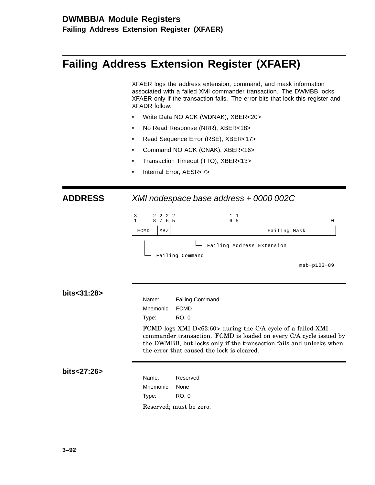## **DWMBB/A Module Registers Failing Address Extension Register (XFAER)**

# **Failing Address Extension Register (XFAER)**

XFAER logs the address extension, command, and mask information associated with a failed XMI commander transaction. The DWMBB locks XFAER only if the transaction fails. The error bits that lock this register and XFADR follow:

- Write Data NO ACK (WDNAK), XBER<20>
- No Read Response (NRR), XBER<18>
- Read Sequence Error (RSE), XBER<17>
- Command NO ACK (CNAK), XBER<16>
- Transaction Timeout (TTO), XBER<13>
- Internal Error, AESR<7>

### **ADDRESS** XMI nodespace base address + 0000 002C



| bits<31:28> |  |
|-------------|--|
|-------------|--|

| Name:                         | <b>Failing Command</b> |  |
|-------------------------------|------------------------|--|
| Mnemonic: FCMD                |                        |  |
| Type:                         | RO. 0                  |  |
| $EOMD 1, \ldots$ VMI D.co.co. |                        |  |

FCMD logs XMI D<63:60> during the C/A cycle of a failed XMI commander transaction. FCMD is loaded on every C/A cycle issued by the DWMBB, but locks only if the transaction fails and unlocks when the error that caused the lock is cleared.

#### **bits<27:26>**

Name: Reserved Mnemonic: None Type: RO, 0 Reserved; must be zero.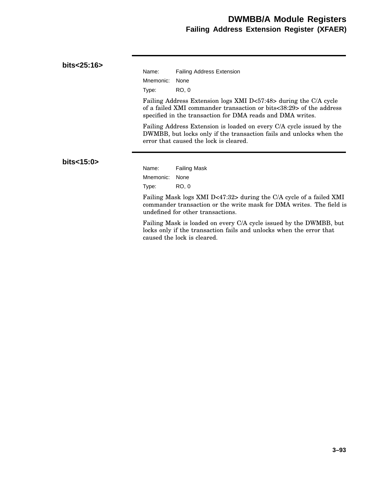## **DWMBB/A Module Registers Failing Address Extension Register (XFAER)**

#### **bits<25:16>**

| Name:          | <b>Failing Address Extension</b> |
|----------------|----------------------------------|
| Mnemonic: None |                                  |
| Type:          | RO. 0                            |

Failing Address Extension logs XMI D<57:48> during the C/A cycle of a failed XMI commander transaction or bits<38:29> of the address specified in the transaction for DMA reads and DMA writes.

Failing Address Extension is loaded on every C/A cycle issued by the DWMBB, but locks only if the transaction fails and unlocks when the error that caused the lock is cleared.

#### **bits<15:0>**

Name: Failing Mask Mnemonic: None Type: RO, 0

Failing Mask logs XMI D<47:32> during the C/A cycle of a failed XMI commander transaction or the write mask for DMA writes. The field is undefined for other transactions.

Failing Mask is loaded on every C/A cycle issued by the DWMBB, but locks only if the transaction fails and unlocks when the error that caused the lock is cleared.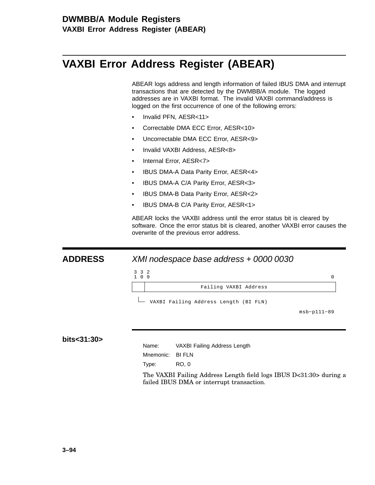## **DWMBB/A Module Registers VAXBI Error Address Register (ABEAR)**

# **VAXBI Error Address Register (ABEAR)**

ABEAR logs address and length information of failed IBUS DMA and interrupt transactions that are detected by the DWMBB/A module. The logged addresses are in VAXBI format. The invalid VAXBI command/address is logged on the first occurrence of one of the following errors:

- Invalid PFN, AESR<11>
- Correctable DMA ECC Error, AESR<10>
- Uncorrectable DMA ECC Error, AESR<9>
- Invalid VAXBI Address, AESR<8>
- Internal Error, AESR<7>
- IBUS DMA-A Data Parity Error, AESR<4>
- IBUS DMA-A C/A Parity Error, AESR<3>
- IBUS DMA-B Data Parity Error, AESR<2>
- IBUS DMA-B C/A Parity Error, AESR<1>

ABEAR locks the VAXBI address until the error status bit is cleared by software. Once the error status bit is cleared, another VAXBI error causes the overwrite of the previous error address.

#### **ADDRESS** XMI nodespace base address + 0000 0030



#### **bits<31:30>**

| Name: | VAXBI Failing Address Length |  |
|-------|------------------------------|--|
|       |                              |  |

Mnemonic: BI FLN

Type: RO, 0

The VAXBI Failing Address Length field logs IBUS D<31:30> during a failed IBUS DMA or interrupt transaction.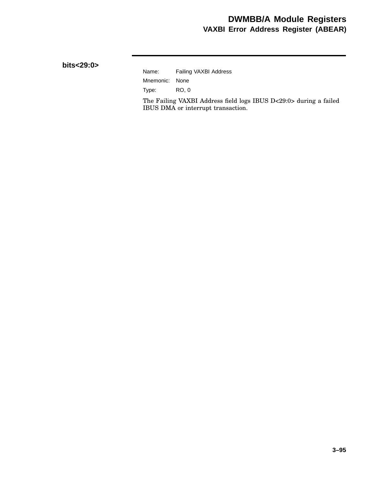## **DWMBB/A Module Registers VAXBI Error Address Register (ABEAR)**

#### **bits<29:0>**

## Name: Failing VAXBI Address Mnemonic: None Type: RO, 0

The Failing VAXBI Address field logs IBUS D<29:0> during a failed IBUS DMA or interrupt transaction.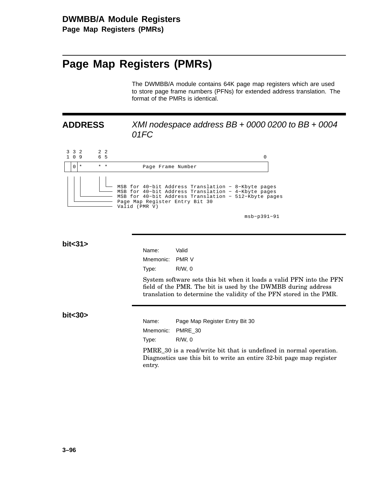# **Page Map Registers (PMRs)**

The DWMBB/A module contains 64K page map registers which are used to store page frame numbers (PFNs) for extended address translation. The format of the PMRs is identical.

## **ADDRESS** XMI nodespace address BB + 0000 0200 to BB + 0004 01FC



msb−p391−91

**bit<31>**

| Name:     | Valid       |
|-----------|-------------|
| Mnemonic: | PMR V       |
| Type:     | $R/W$ , $0$ |

System software sets this bit when it loads a valid PFN into the PFN field of the PMR. The bit is used by the DWMBB during address translation to determine the validity of the PFN stored in the PMR.

**bit<30>**

| Name: | Page Map Register Entry Bit 30 |
|-------|--------------------------------|
|       | Mnemonic: PMRE 30              |
| Tvpe: | R/W. 0                         |

PMRE\_30 is a read/write bit that is undefined in normal operation. Diagnostics use this bit to write an entire 32-bit page map register entry.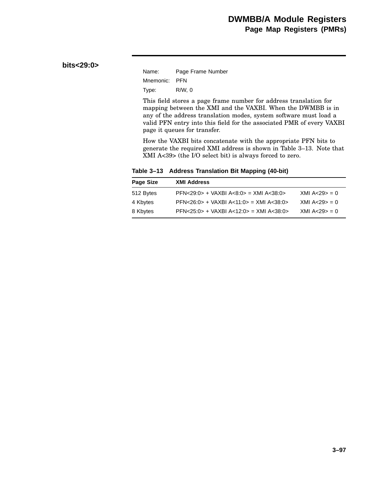#### **bits<29:0>**

| Name:         | Page Frame Number |
|---------------|-------------------|
| Mnemonic: PFN |                   |
| Type:         | $R/W$ , 0         |

This field stores a page frame number for address translation for mapping between the XMI and the VAXBI. When the DWMBB is in any of the address translation modes, system software must load a valid PFN entry into this field for the associated PMR of every VAXBI page it queues for transfer.

How the VAXBI bits concatenate with the appropriate PFN bits to generate the required XMI address is shown in Table 3–13. Note that XMI A<39> (the I/O select bit) is always forced to zero.

**Table 3–13 Address Translation Bit Mapping (40-bit)**

| Page Size | <b>XMI Address</b>                              |                |
|-----------|-------------------------------------------------|----------------|
| 512 Bytes | $PFN < 29:0> + VAXBI A < 8:0> = XMI A < 38:0>$  | XML A < 29 > 0 |
| 4 Kbytes  | $PFN < 26:0> + VAXBI A < 11:0> = XMI A < 38:0>$ | XML A < 29 > 0 |
| 8 Kbytes  | $PFN < 25:0> + VAXBI A < 12:0> = XMI A < 38:0>$ | XML A < 29 > 0 |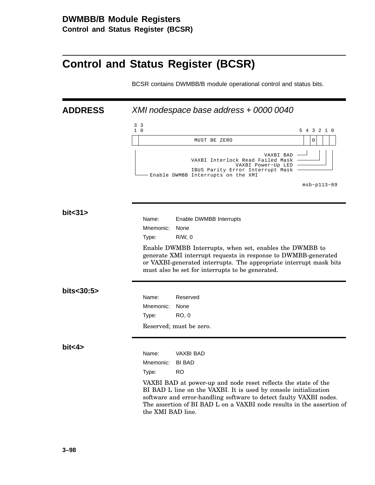# **Control and Status Register (BCSR)**

BCSR contains DWMBB/B module operational control and status bits.

| <b>ADDRESS</b> | XMI nodespace base address + 0000 0040                                                                                                                                                                                                                                                                 |  |  |
|----------------|--------------------------------------------------------------------------------------------------------------------------------------------------------------------------------------------------------------------------------------------------------------------------------------------------------|--|--|
|                | 3 <sup>3</sup><br>$1\quad$ 0<br>5 4 3 2 1 0                                                                                                                                                                                                                                                            |  |  |
|                | $\mathbf 0$<br>MUST BE ZERO                                                                                                                                                                                                                                                                            |  |  |
|                | VAXBI BAD<br>VAXBI Interlock Read Failed Mask<br>VAXBI Power-Up LED<br>IBUS Parity Error Interrupt Mask<br>Enable DWMBB Interrupts on the XMI<br>$msb-p113-89$                                                                                                                                         |  |  |
| bit < 31       |                                                                                                                                                                                                                                                                                                        |  |  |
|                | Name:<br>Enable DWMBB Interrupts                                                                                                                                                                                                                                                                       |  |  |
|                | Mnemonic:<br>None<br>$R/W$ , 0<br>Type:                                                                                                                                                                                                                                                                |  |  |
|                | Enable DWMBB Interrupts, when set, enables the DWMBB to<br>generate XMI interrupt requests in response to DWMBB-generated<br>or VAXBI-generated interrupts. The appropriate interrupt mask bits<br>must also be set for interrupts to be generated.                                                    |  |  |
| bits<30:5>     |                                                                                                                                                                                                                                                                                                        |  |  |
|                | Reserved<br>Name:<br>Mnemonic:<br>None                                                                                                                                                                                                                                                                 |  |  |
|                | Type:<br>RO, 0                                                                                                                                                                                                                                                                                         |  |  |
|                | Reserved; must be zero.                                                                                                                                                                                                                                                                                |  |  |
| bit < 4        | Name:<br><b>VAXBI BAD</b><br><b>BI BAD</b><br>Mnemonic:                                                                                                                                                                                                                                                |  |  |
|                | <b>RO</b><br>Type:                                                                                                                                                                                                                                                                                     |  |  |
|                | VAXBI BAD at power-up and node reset reflects the state of the<br>BI BAD L line on the VAXBI. It is used by console initialization<br>software and error-handling software to detect faulty VAXBI nodes.<br>The assertion of BI BAD L on a VAXBI node results in the assertion of<br>the XMI BAD line. |  |  |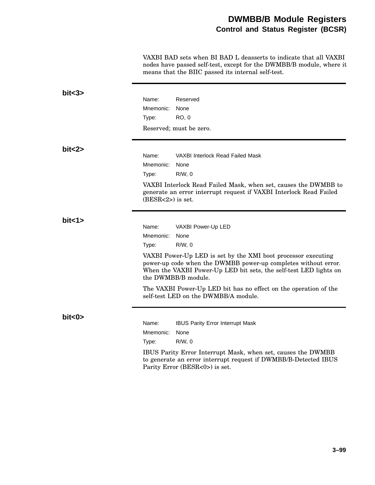## **DWMBB/B Module Registers Control and Status Register (BCSR)**

VAXBI BAD sets when BI BAD L deasserts to indicate that all VAXBI nodes have passed self-test, except for the DWMBB/B module, where it means that the BIIC passed its internal self-test.

| bits3>    |                     |                                                                                                                                                                                                                             |
|-----------|---------------------|-----------------------------------------------------------------------------------------------------------------------------------------------------------------------------------------------------------------------------|
|           | Name:               | Reserved                                                                                                                                                                                                                    |
|           | Mnemonic:           | None                                                                                                                                                                                                                        |
|           | Type:               | <b>RO, 0</b>                                                                                                                                                                                                                |
|           |                     | Reserved; must be zero.                                                                                                                                                                                                     |
| bit < 2>  |                     |                                                                                                                                                                                                                             |
|           | Name:               | VAXBI Interlock Read Failed Mask                                                                                                                                                                                            |
|           | Mnemonic:           | None                                                                                                                                                                                                                        |
|           | Type:               | $R/W$ , 0                                                                                                                                                                                                                   |
|           | $(BESR<2>)$ is set. | VAXBI Interlock Read Failed Mask, when set, causes the DWMBB to<br>generate an error interrupt request if VAXBI Interlock Read Failed                                                                                       |
| bit < 1>  |                     |                                                                                                                                                                                                                             |
|           | Name:               | VAXBI Power-Up LED                                                                                                                                                                                                          |
|           | Mnemonic:           | None                                                                                                                                                                                                                        |
|           | Type:               | $R/W$ , 0                                                                                                                                                                                                                   |
|           |                     | VAXBI Power-Up LED is set by the XMI boot processor executing<br>power-up code when the DWMBB power-up completes without error.<br>When the VAXBI Power-Up LED bit sets, the self-test LED lights on<br>the DWMBB/B module. |
|           |                     | The VAXBI Power-Up LED bit has no effect on the operation of the<br>self-test LED on the DWMBB/A module.                                                                                                                    |
| bit < 0 > |                     |                                                                                                                                                                                                                             |
|           | Name:               | <b>IBUS Parity Error Interrupt Mask</b>                                                                                                                                                                                     |
|           | Mnemonic:           | None                                                                                                                                                                                                                        |
|           | Type:               | $R/W$ , 0                                                                                                                                                                                                                   |
|           |                     | IBUS Parity Error Interrupt Mask, when set, causes the DWMBB<br>to generate an error interrupt request if DWMBB/B-Detected IBUS<br>Parity Error (BESR<0>) is set.                                                           |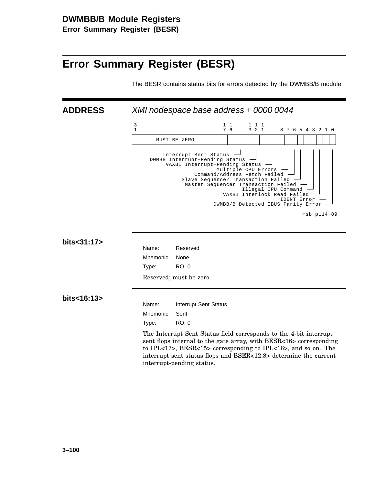# **Error Summary Register (BESR)**

The BESR contains status bits for errors detected by the DWMBB/B module.

**ADDRESS** XMI nodespace base address + 0000 0044



| bits<31:17>        | Name:                                                                                                                                                                                                                                                                                                              | Reserved                |
|--------------------|--------------------------------------------------------------------------------------------------------------------------------------------------------------------------------------------------------------------------------------------------------------------------------------------------------------------|-------------------------|
|                    | Mnemonic:                                                                                                                                                                                                                                                                                                          | None                    |
|                    | Type:                                                                                                                                                                                                                                                                                                              | RO, 0                   |
|                    |                                                                                                                                                                                                                                                                                                                    | Reserved; must be zero. |
| bits $<$ 16:13 $>$ |                                                                                                                                                                                                                                                                                                                    |                         |
|                    | Name:                                                                                                                                                                                                                                                                                                              | Interrupt Sent Status   |
|                    | Mnemonic:                                                                                                                                                                                                                                                                                                          | Sent                    |
|                    | Type:                                                                                                                                                                                                                                                                                                              | RO, 0                   |
|                    | The Interrupt Sent Status field corresponds to the 4-bit interrupt<br>sent flops internal to the gate array, with BESR<16> corresponding<br>to IPL $<17$ , BESR $<15$ corresponding to IPL $<16$ , and so on. The<br>interrupt sent status flops and BSER<12:8> determine the current<br>interrupt-pending status. |                         |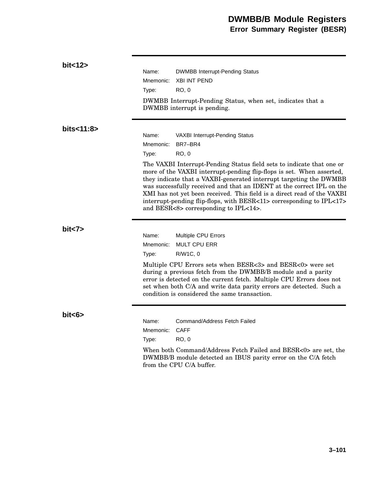| bit < 12   |                                                                                                                                                                                                                                                                                                                                                                                                                                                                                           |                                                                                           |  |
|------------|-------------------------------------------------------------------------------------------------------------------------------------------------------------------------------------------------------------------------------------------------------------------------------------------------------------------------------------------------------------------------------------------------------------------------------------------------------------------------------------------|-------------------------------------------------------------------------------------------|--|
|            | Name:                                                                                                                                                                                                                                                                                                                                                                                                                                                                                     | <b>DWMBB Interrupt-Pending Status</b>                                                     |  |
|            | Mnemonic:                                                                                                                                                                                                                                                                                                                                                                                                                                                                                 | <b>XBI INT PEND</b>                                                                       |  |
|            | Type:                                                                                                                                                                                                                                                                                                                                                                                                                                                                                     | RO. 0                                                                                     |  |
|            |                                                                                                                                                                                                                                                                                                                                                                                                                                                                                           | DWMBB Interrupt-Pending Status, when set, indicates that a<br>DWMBB interrupt is pending. |  |
| bits<11:8> |                                                                                                                                                                                                                                                                                                                                                                                                                                                                                           |                                                                                           |  |
|            | Name:                                                                                                                                                                                                                                                                                                                                                                                                                                                                                     | VAXBI Interrupt-Pending Status                                                            |  |
|            | Mnemonic:                                                                                                                                                                                                                                                                                                                                                                                                                                                                                 | BR7-BR4                                                                                   |  |
|            | Type:                                                                                                                                                                                                                                                                                                                                                                                                                                                                                     | <b>RO, 0</b>                                                                              |  |
|            | The VAXBI Interrupt-Pending Status field sets to indicate that one or<br>more of the VAXBI interrupt-pending flip-flops is set. When asserted,<br>they indicate that a VAXBI-generated interrupt targeting the DWMBB<br>was successfully received and that an IDENT at the correct IPL on the<br>XMI has not yet been received. This field is a direct read of the VAXBI<br>interrupt-pending flip-flops, with BESR<11> corresponding to IPL<17><br>and BESR<8> corresponding to IPL<14>. |                                                                                           |  |
| bit < 7    | Name:<br>Mnemonic:                                                                                                                                                                                                                                                                                                                                                                                                                                                                        | <b>Multiple CPU Errors</b><br><b>MULT CPU ERR</b>                                         |  |
|            | Type:                                                                                                                                                                                                                                                                                                                                                                                                                                                                                     | R/W1C, 0                                                                                  |  |
|            | Multiple CPU Errors sets when BESR<3> and BESR<0> were set<br>during a previous fetch from the DWMBB/B module and a parity<br>error is detected on the current fetch. Multiple CPU Errors does not<br>set when both C/A and write data parity errors are detected. Such a<br>condition is considered the same transaction.                                                                                                                                                                |                                                                                           |  |
| bits >     | Name:                                                                                                                                                                                                                                                                                                                                                                                                                                                                                     | Command/Address Fetch Failed                                                              |  |
|            | Mnemonic:                                                                                                                                                                                                                                                                                                                                                                                                                                                                                 | <b>CAFF</b>                                                                               |  |
|            |                                                                                                                                                                                                                                                                                                                                                                                                                                                                                           | <b>RO, 0</b>                                                                              |  |
|            | Type:                                                                                                                                                                                                                                                                                                                                                                                                                                                                                     |                                                                                           |  |
|            | When both Command/Address Fetch Failed and BESR<0> are set, the<br>DWMBB/B module detected an IBUS parity error on the C/A fetch<br>from the CPU C/A buffer.                                                                                                                                                                                                                                                                                                                              |                                                                                           |  |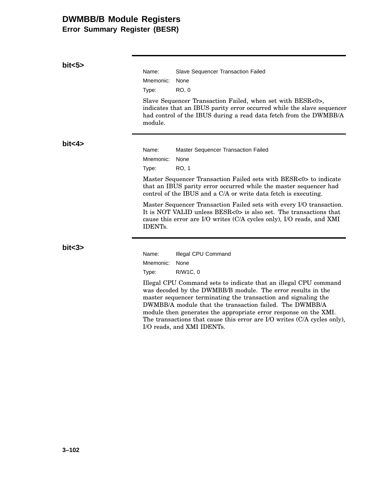# **DWMBB/B Module Registers**

**Error Summary Register (BESR)**

| bits >  |                                                                                                                                                                                                                                                              |  |  |
|---------|--------------------------------------------------------------------------------------------------------------------------------------------------------------------------------------------------------------------------------------------------------------|--|--|
|         | Name:<br>Slave Sequencer Transaction Failed                                                                                                                                                                                                                  |  |  |
|         | Mnemonic:<br>None                                                                                                                                                                                                                                            |  |  |
|         | <b>RO, 0</b><br>Type:                                                                                                                                                                                                                                        |  |  |
|         | Slave Sequencer Transaction Failed, when set with BESR<0>,<br>indicates that an IBUS parity error occurred while the slave sequencer<br>had control of the IBUS during a read data fetch from the DWMBB/A<br>module.                                         |  |  |
| bit < 4 |                                                                                                                                                                                                                                                              |  |  |
|         | Master Sequencer Transaction Failed<br>Name:                                                                                                                                                                                                                 |  |  |
|         | Mnemonic:<br>None                                                                                                                                                                                                                                            |  |  |
|         | <b>RO, 1</b><br>Type:                                                                                                                                                                                                                                        |  |  |
|         | Master Sequencer Transaction Failed sets with BESR<0> to indicate<br>that an IBUS parity error occurred while the master sequencer had<br>control of the IBUS and a C/A or write data fetch is executing.                                                    |  |  |
|         | Master Sequencer Transaction Failed sets with every I/O transaction.<br>It is NOT VALID unless $BESR<0>$ is also set. The transactions that<br>cause this error are I/O writes (C/A cycles only), I/O reads, and XMI<br><b>IDENTs.</b>                       |  |  |
| bits3>  |                                                                                                                                                                                                                                                              |  |  |
|         | Name:<br>Illegal CPU Command                                                                                                                                                                                                                                 |  |  |
|         | Mnemonic:<br>None                                                                                                                                                                                                                                            |  |  |
|         | R/W1C, 0<br>Type:                                                                                                                                                                                                                                            |  |  |
|         | Illegal CPU Command sets to indicate that an illegal CPU command<br>was decoded by the DWMBB/B module. The error results in the<br>master sequencer terminating the transaction and signaling the<br>DWMBB/A module that the transaction failed. The DWMBB/A |  |  |

module then generates the appropriate error response on the XMI. The transactions that cause this error are I/O writes (C/A cycles only), I/O reads, and XMI IDENTs.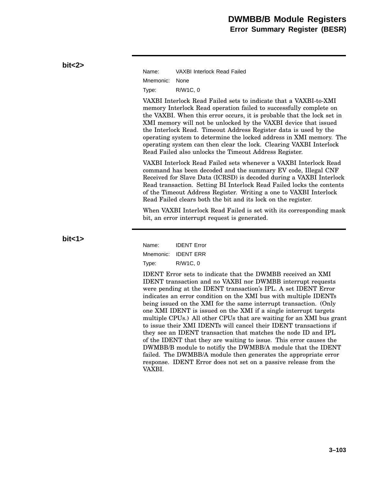| Name:          | VAXBI Interlock Read Failed |
|----------------|-----------------------------|
| Mnemonic: None |                             |
| Type:          | R/W1C, 0                    |

VAXBI Interlock Read Failed sets to indicate that a VAXBI-to-XMI memory Interlock Read operation failed to successfully complete on the VAXBI. When this error occurs, it is probable that the lock set in XMI memory will not be unlocked by the VAXBI device that issued the Interlock Read. Timeout Address Register data is used by the operating system to determine the locked address in XMI memory. The operating system can then clear the lock. Clearing VAXBI Interlock Read Failed also unlocks the Timeout Address Register.

VAXBI Interlock Read Failed sets whenever a VAXBI Interlock Read command has been decoded and the summary EV code, Illegal CNF Received for Slave Data (ICRSD) is decoded during a VAXBI Interlock Read transaction. Setting BI Interlock Read Failed locks the contents of the Timeout Address Register. Writing a one to VAXBI Interlock Read Failed clears both the bit and its lock on the register.

When VAXBI Interlock Read Failed is set with its corresponding mask bit, an error interrupt request is generated.

**bit<1>**

**bit<2>**

Name: IDENT Error Mnemonic: IDENT ERR Type: R/W1C, 0

IDENT Error sets to indicate that the DWMBB received an XMI IDENT transaction and no VAXBI nor DWMBB interrupt requests were pending at the IDENT transaction's IPL. A set IDENT Error indicates an error condition on the XMI bus with multiple IDENTs being issued on the XMI for the same interrupt transaction. (Only one XMI IDENT is issued on the XMI if a single interrupt targets multiple CPUs.) All other CPUs that are waiting for an XMI bus grant to issue their XMI IDENTs will cancel their IDENT transactions if they see an IDENT transaction that matches the node ID and IPL of the IDENT that they are waiting to issue. This error causes the DWMBB/B module to notifiy the DWMBB/A module that the IDENT failed. The DWMBB/A module then generates the appropriate error response. IDENT Error does not set on a passive release from the VAXBI.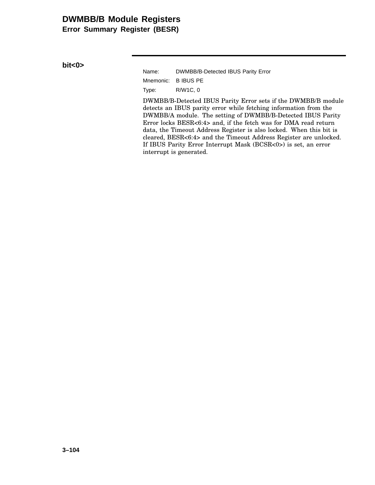# **DWMBB/B Module Registers**

**Error Summary Register (BESR)**

**bit<0>**

Name: DWMBB/B-Detected IBUS Parity Error Mnemonic: B IBUS PE Type: R/W1C, 0

DWMBB/B-Detected IBUS Parity Error sets if the DWMBB/B module detects an IBUS parity error while fetching information from the DWMBB/A module. The setting of DWMBB/B-Detected IBUS Parity Error locks BESR<6:4> and, if the fetch was for DMA read return data, the Timeout Address Register is also locked. When this bit is cleared, BESR<6:4> and the Timeout Address Register are unlocked. If IBUS Parity Error Interrupt Mask (BCSR<0>) is set, an error interrupt is generated.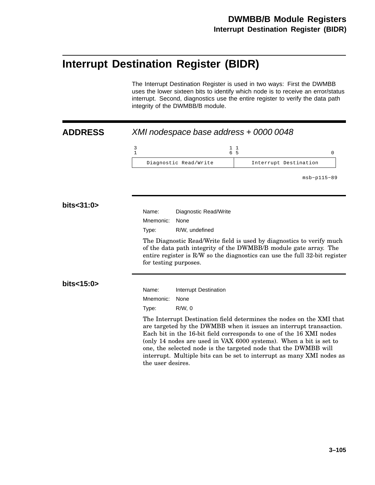# **Interrupt Destination Register (BIDR)**

The Interrupt Destination Register is used in two ways: First the DWMBB uses the lower sixteen bits to identify which node is to receive an error/status interrupt. Second, diagnostics use the entire register to verify the data path integrity of the DWMBB/B module.

| <b>ADDRESS</b> | XMI nodespace base address + 0000 0048                                                                                                                                                                                                                                                                                                                                                                                                                   |  |  |  |
|----------------|----------------------------------------------------------------------------------------------------------------------------------------------------------------------------------------------------------------------------------------------------------------------------------------------------------------------------------------------------------------------------------------------------------------------------------------------------------|--|--|--|
|                | 3<br>$1\quad1$<br>$\mathbf{1}$<br>6, 5<br>0                                                                                                                                                                                                                                                                                                                                                                                                              |  |  |  |
|                | Diagnostic Read/Write<br>Interrupt Destination                                                                                                                                                                                                                                                                                                                                                                                                           |  |  |  |
|                | $msb-p115-89$                                                                                                                                                                                                                                                                                                                                                                                                                                            |  |  |  |
| bits<31:0>     | Name:<br>Diagnostic Read/Write                                                                                                                                                                                                                                                                                                                                                                                                                           |  |  |  |
|                | Mnemonic:<br>None                                                                                                                                                                                                                                                                                                                                                                                                                                        |  |  |  |
|                | R/W, undefined<br>Type:                                                                                                                                                                                                                                                                                                                                                                                                                                  |  |  |  |
|                | The Diagnostic Read/Write field is used by diagnostics to verify much<br>of the data path integrity of the DWMBB/B module gate array. The<br>entire register is R/W so the diagnostics can use the full 32-bit register<br>for testing purposes.                                                                                                                                                                                                         |  |  |  |
| bits<15:0>     | Name:<br>Interrupt Destination                                                                                                                                                                                                                                                                                                                                                                                                                           |  |  |  |
|                | Mnemonic:<br>None                                                                                                                                                                                                                                                                                                                                                                                                                                        |  |  |  |
|                | $R/W$ , 0<br>Type:                                                                                                                                                                                                                                                                                                                                                                                                                                       |  |  |  |
|                | The Interrupt Destination field determines the nodes on the XMI that<br>are targeted by the DWMBB when it issues an interrupt transaction.<br>Each bit in the 16-bit field corresponds to one of the 16 XMI nodes<br>(only 14 nodes are used in VAX 6000 systems). When a bit is set to<br>one, the selected node is the targeted node that the DWMBB will<br>interrupt. Multiple bits can be set to interrupt as many XMI nodes as<br>the user desires. |  |  |  |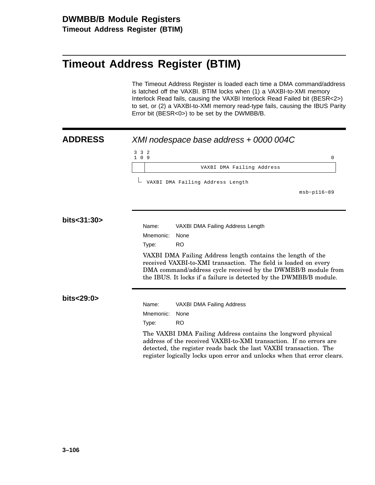# **Timeout Address Register (BTIM)**

The Timeout Address Register is loaded each time a DMA command/address is latched off the VAXBI. BTIM locks when (1) a VAXBI-to-XMI memory Interlock Read fails, causing the VAXBI Interlock Read Failed bit (BESR<2>) to set, or (2) a VAXBI-to-XMI memory read-type fails, causing the IBUS Parity Error bit (BESR<0>) to be set by the DWMBB/B.

### **ADDRESS** XMI nodespace base address + 0000 004C 3 1 3 0 2  $9$  0 VAXBI DMA Failing Address msb−p116−89 VAXBI DMA Failing Address Length **bits<31:30>** Name: VAXBI DMA Failing Address Length Mnemonic: None Type: RO VAXBI DMA Failing Address length contains the length of the received VAXBI-to-XMI transaction. The field is loaded on every DMA command/address cycle received by the DWMBB/B module from the IBUS. It locks if a failure is detected by the DWMBB/B module. **bits<29:0>** Name: VAXBI DMA Failing Address Mnemonic: None Type: RO The VAXBI DMA Failing Address contains the longword physical address of the received VAXBI-to-XMI transaction. If no errors are detected, the register reads back the last VAXBI transaction. The register logically locks upon error and unlocks when that error clears.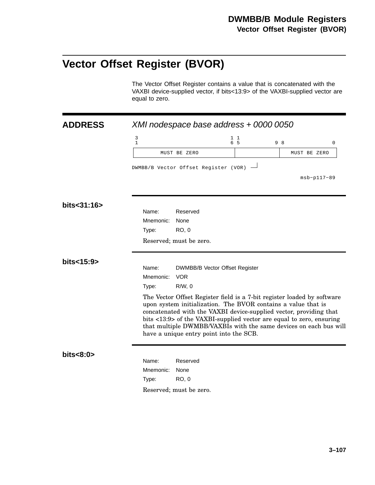# **Vector Offset Register (BVOR)**

The Vector Offset Register contains a value that is concatenated with the VAXBI device-supplied vector, if bits<13:9> of the VAXBI-supplied vector are equal to zero.

| <b>ADDRESS</b> | XMI nodespace base address + 0000 0050                                                                                                                                                                                                                                                                                                                                                                 |                                                             |           |               |
|----------------|--------------------------------------------------------------------------------------------------------------------------------------------------------------------------------------------------------------------------------------------------------------------------------------------------------------------------------------------------------------------------------------------------------|-------------------------------------------------------------|-----------|---------------|
|                | 3<br>$1\,$                                                                                                                                                                                                                                                                                                                                                                                             |                                                             | 11<br>6 5 | 9 8<br>0      |
|                |                                                                                                                                                                                                                                                                                                                                                                                                        | MUST BE ZERO                                                |           | MUST BE ZERO  |
|                |                                                                                                                                                                                                                                                                                                                                                                                                        | DWMBB/B Vector Offset Register (VOR)                        |           | $msb-p117-89$ |
| bits<31:16>    | Name:<br>Mnemonic:<br>Type:                                                                                                                                                                                                                                                                                                                                                                            | Reserved<br>None<br><b>RO, 0</b>                            |           |               |
|                |                                                                                                                                                                                                                                                                                                                                                                                                        | Reserved; must be zero.                                     |           |               |
| bits<15:9>     | Name:<br>Mnemonic:<br>Type:                                                                                                                                                                                                                                                                                                                                                                            | DWMBB/B Vector Offset Register<br><b>VOR</b><br>$R/W$ , 0   |           |               |
|                | The Vector Offset Register field is a 7-bit register loaded by software<br>upon system initialization. The BVOR contains a value that is<br>concatenated with the VAXBI device-supplied vector, providing that<br>bits <13:9> of the VAXBI-supplied vector are equal to zero, ensuring<br>that multiple DWMBB/VAXBIs with the same devices on each bus will<br>have a unique entry point into the SCB. |                                                             |           |               |
| bits < 8:0     | Name:<br>Mnemonic:<br>Type:                                                                                                                                                                                                                                                                                                                                                                            | Reserved<br>None<br><b>RO, 0</b><br>Reserved; must be zero. |           |               |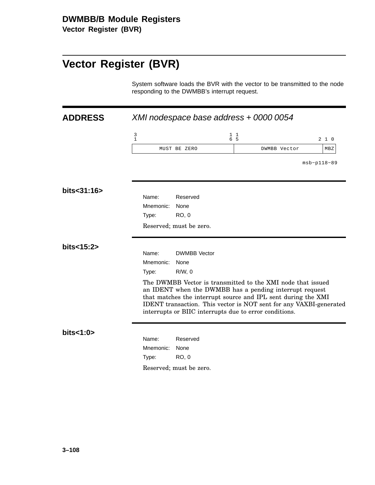**Vector Register (BVR)**

# **Vector Register (BVR)**

System software loads the BVR with the vector to be transmitted to the node responding to the DWMBB's interrupt request.

| <b>ADDRESS</b> |                                       |                         | XMI nodespace base address + 0000 0054                                                                                                                                                                                                                                                                                  |                 |
|----------------|---------------------------------------|-------------------------|-------------------------------------------------------------------------------------------------------------------------------------------------------------------------------------------------------------------------------------------------------------------------------------------------------------------------|-----------------|
|                | $\begin{array}{c} 3 \\ 1 \end{array}$ |                         | $1\quad1$<br>6 5                                                                                                                                                                                                                                                                                                        | $2\quad1\quad0$ |
|                |                                       | MUST BE ZERO            | DWMBB Vector                                                                                                                                                                                                                                                                                                            | MBZ             |
|                |                                       |                         |                                                                                                                                                                                                                                                                                                                         | $msb-p118-89$   |
| bits<31:16>    | Name:                                 | Reserved                |                                                                                                                                                                                                                                                                                                                         |                 |
|                | Mnemonic:                             | None                    |                                                                                                                                                                                                                                                                                                                         |                 |
|                | Type:                                 | <b>RO, 0</b>            |                                                                                                                                                                                                                                                                                                                         |                 |
|                |                                       | Reserved; must be zero. |                                                                                                                                                                                                                                                                                                                         |                 |
| bits<15:2>     |                                       |                         |                                                                                                                                                                                                                                                                                                                         |                 |
|                | Name:                                 | <b>DWMBB</b> Vector     |                                                                                                                                                                                                                                                                                                                         |                 |
|                | Mnemonic:                             | None                    |                                                                                                                                                                                                                                                                                                                         |                 |
|                | Type:                                 | $R/W$ , 0               |                                                                                                                                                                                                                                                                                                                         |                 |
|                |                                       |                         | The DWMBB Vector is transmitted to the XMI node that issued<br>an IDENT when the DWMBB has a pending interrupt request<br>that matches the interrupt source and IPL sent during the XMI<br>IDENT transaction. This vector is NOT sent for any VAXBI-generated<br>interrupts or BIIC interrupts due to error conditions. |                 |
| bits<1:0>      | Name:                                 | Reserved                |                                                                                                                                                                                                                                                                                                                         |                 |
|                | Mnemonic:                             | None                    |                                                                                                                                                                                                                                                                                                                         |                 |
|                | Type:                                 | <b>RO, 0</b>            |                                                                                                                                                                                                                                                                                                                         |                 |
|                |                                       | Reserved; must be zero. |                                                                                                                                                                                                                                                                                                                         |                 |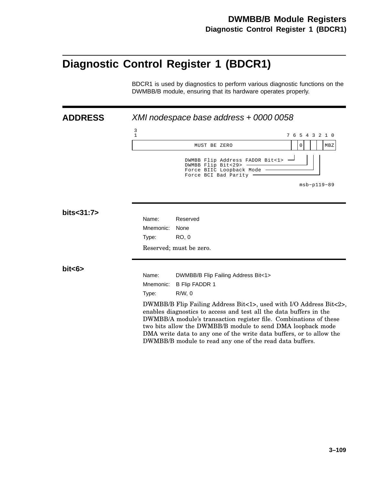## **Diagnostic Control Register 1 (BDCR1)**

BDCR1 is used by diagnostics to perform various diagnostic functions on the DWMBB/B module, ensuring that its hardware operates properly.

| <b>ADDRESS</b> |                   | XMI nodespace base address + 0000 0058                                                                                                                                                                                                                                                                                                                                                                           |                 |
|----------------|-------------------|------------------------------------------------------------------------------------------------------------------------------------------------------------------------------------------------------------------------------------------------------------------------------------------------------------------------------------------------------------------------------------------------------------------|-----------------|
|                | 3<br>$\mathbf{1}$ |                                                                                                                                                                                                                                                                                                                                                                                                                  | 7 6 5 4 3 2 1 0 |
|                |                   | MUST BE ZERO                                                                                                                                                                                                                                                                                                                                                                                                     | 0<br>MBZ        |
|                |                   | DWMBB Flip Address FADDR Bit<1> .<br>DWMBB Flip Bit<29><br>Force BIIC Loopback Mode<br>Force BCI Bad Parity                                                                                                                                                                                                                                                                                                      |                 |
|                |                   |                                                                                                                                                                                                                                                                                                                                                                                                                  | $msb-p119-89$   |
| bits<31:7>     | Name:             | Reserved                                                                                                                                                                                                                                                                                                                                                                                                         |                 |
|                | Mnemonic:         | None                                                                                                                                                                                                                                                                                                                                                                                                             |                 |
|                | Type:             | RO, 0                                                                                                                                                                                                                                                                                                                                                                                                            |                 |
|                |                   | Reserved; must be zero.                                                                                                                                                                                                                                                                                                                                                                                          |                 |
| bits           |                   |                                                                                                                                                                                                                                                                                                                                                                                                                  |                 |
|                | Name:             | DWMBB/B Flip Failing Address Bit<1>                                                                                                                                                                                                                                                                                                                                                                              |                 |
|                | Mnemonic:         | <b>B Flip FADDR 1</b>                                                                                                                                                                                                                                                                                                                                                                                            |                 |
|                | Type:             | $R/W$ , $0$                                                                                                                                                                                                                                                                                                                                                                                                      |                 |
|                |                   | DWMBB/B Flip Failing Address Bit<1>, used with I/O Address Bit<2>,<br>enables diagnostics to access and test all the data buffers in the<br>DWMBB/A module's transaction register file. Combinations of these<br>two bits allow the DWMBB/B module to send DMA loopback mode<br>DMA write data to any one of the write data buffers, or to allow the<br>DWMBB/B module to read any one of the read data buffers. |                 |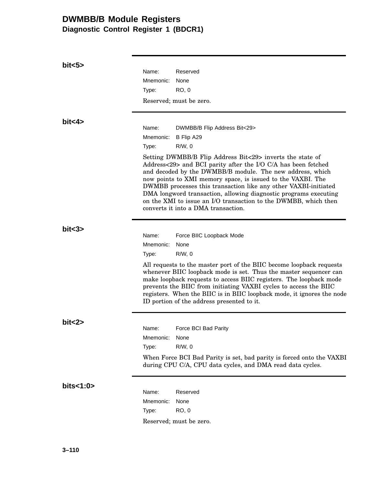## **DWMBB/B Module Registers Diagnostic Control Register 1 (BDCR1)**

| bits5     |                                                                                                                                                                                                                                                                                                                                                                                                                                                                                                         |
|-----------|---------------------------------------------------------------------------------------------------------------------------------------------------------------------------------------------------------------------------------------------------------------------------------------------------------------------------------------------------------------------------------------------------------------------------------------------------------------------------------------------------------|
|           | Name:<br>Reserved                                                                                                                                                                                                                                                                                                                                                                                                                                                                                       |
|           | Mnemonic:<br>None                                                                                                                                                                                                                                                                                                                                                                                                                                                                                       |
|           | <b>RO, 0</b><br>Type:                                                                                                                                                                                                                                                                                                                                                                                                                                                                                   |
|           | Reserved; must be zero.                                                                                                                                                                                                                                                                                                                                                                                                                                                                                 |
|           |                                                                                                                                                                                                                                                                                                                                                                                                                                                                                                         |
| bit < 4   | Name:<br>DWMBB/B Flip Address Bit<29>                                                                                                                                                                                                                                                                                                                                                                                                                                                                   |
|           | Mnemonic:<br>B Flip A29                                                                                                                                                                                                                                                                                                                                                                                                                                                                                 |
|           | Type:<br>$R/W$ , 0                                                                                                                                                                                                                                                                                                                                                                                                                                                                                      |
|           | Setting DWMBB/B Flip Address Bit<29> inverts the state of<br>Address<29> and BCI parity after the I/O C/A has been fetched<br>and decoded by the DWMBB/B module. The new address, which<br>now points to XMI memory space, is issued to the VAXBI. The<br>DWMBB processes this transaction like any other VAXBI-initiated<br>DMA longword transaction, allowing diagnostic programs executing<br>on the XMI to issue an I/O transaction to the DWMBB, which then<br>converts it into a DMA transaction. |
| bits3>    |                                                                                                                                                                                                                                                                                                                                                                                                                                                                                                         |
|           | Name:<br>Force BIIC Loopback Mode                                                                                                                                                                                                                                                                                                                                                                                                                                                                       |
|           | Mnemonic:<br>None                                                                                                                                                                                                                                                                                                                                                                                                                                                                                       |
|           | $R/W$ , 0<br>Type:                                                                                                                                                                                                                                                                                                                                                                                                                                                                                      |
|           | All requests to the master port of the BIIC become loopback requests<br>whenever BIIC loopback mode is set. Thus the master sequencer can<br>make loopback requests to access BIIC registers. The loopback mode<br>prevents the BIIC from initiating VAXBI cycles to access the BIIC<br>registers. When the BIIC is in BIIC loopback mode, it ignores the node<br>ID portion of the address presented to it.                                                                                            |
|           |                                                                                                                                                                                                                                                                                                                                                                                                                                                                                                         |
| bit < 2>  | Force BCI Bad Parity<br>Name:                                                                                                                                                                                                                                                                                                                                                                                                                                                                           |
|           | Mnemonic:<br>None                                                                                                                                                                                                                                                                                                                                                                                                                                                                                       |
|           | $R/W$ , 0<br>Type:                                                                                                                                                                                                                                                                                                                                                                                                                                                                                      |
|           | When Force BCI Bad Parity is set, bad parity is forced onto the VAXBI<br>during CPU C/A, CPU data cycles, and DMA read data cycles.                                                                                                                                                                                                                                                                                                                                                                     |
| bits<1:0> |                                                                                                                                                                                                                                                                                                                                                                                                                                                                                                         |
|           | Name:<br>Reserved                                                                                                                                                                                                                                                                                                                                                                                                                                                                                       |
|           | Mnemonic:<br>None                                                                                                                                                                                                                                                                                                                                                                                                                                                                                       |
|           | <b>RO, 0</b><br>Type:                                                                                                                                                                                                                                                                                                                                                                                                                                                                                   |
|           | Reserved; must be zero.                                                                                                                                                                                                                                                                                                                                                                                                                                                                                 |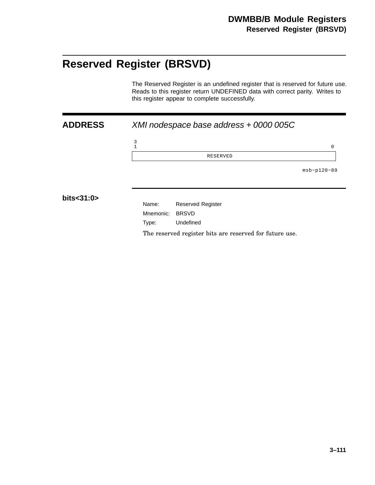## **Reserved Register (BRSVD)**

The Reserved Register is an undefined register that is reserved for future use. Reads to this register return UNDEFINED data with correct parity. Writes to this register appear to complete successfully.

| <b>ADDRESS</b> |               | XMI nodespace base address + 0000 005C                  |               |
|----------------|---------------|---------------------------------------------------------|---------------|
|                | $\frac{3}{1}$ |                                                         | $\mathbf 0$   |
|                |               | RESERVED                                                |               |
|                |               |                                                         | $msb-p120-89$ |
| bits<31:0>     |               |                                                         |               |
|                | Name:         | <b>Reserved Register</b>                                |               |
|                | Mnemonic:     | <b>BRSVD</b>                                            |               |
|                | Type:         | Undefined                                               |               |
|                |               | The reserved register bits are reserved for future use. |               |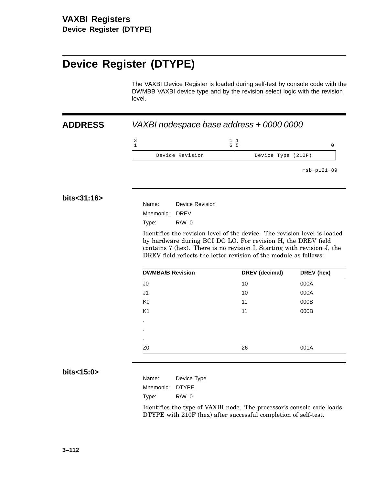## **Device Register (DTYPE)**

The VAXBI Device Register is loaded during self-test by console code with the DWMBB VAXBI device type and by the revision select logic with the revision level.

### **ADDRESS** VAXBI nodespace base address + 0000 0000

|                 | 65                 |
|-----------------|--------------------|
| Device Revision | Device Type (210F) |

msb−p121−89

#### **bits<31:16>**

| Name:          | Device Revision |
|----------------|-----------------|
| Mnemonic: DREV |                 |
| Type:          | R/W.0           |

Identifies the revision level of the device. The revision level is loaded by hardware during BCI DC LO. For revision H, the DREV field contains 7 (hex). There is no revision I. Starting with revision J, the DREV field reflects the letter revision of the module as follows:

| <b>DWMBA/B Revision</b> | DREV (decimal) | DREV (hex) |
|-------------------------|----------------|------------|
| J <sub>0</sub>          | 10             | 000A       |
| J <sub>1</sub>          | 10             | 000A       |
| K <sub>0</sub>          | 11             | 000B       |
| K <sub>1</sub>          | 11             | 000B       |
| ٠                       |                |            |
| ٠                       |                |            |
| ٠                       |                |            |
| Z <sub>0</sub>          | 26             | 001A       |

#### **bits<15:0>**

| Name:     | Device Type |
|-----------|-------------|
| Mnemonic: | DTYPE       |
| Type:     | R/W.0       |

Identifies the type of VAXBI node. The processor's console code loads DTYPE with 210F (hex) after successful completion of self-test.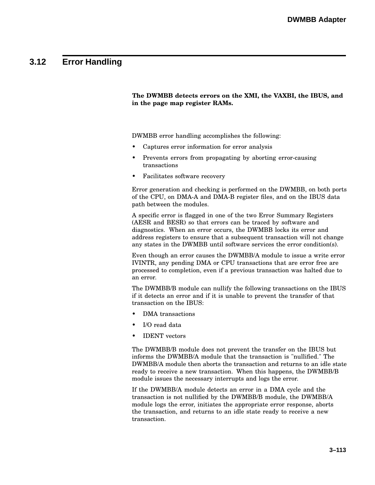### **3.12 Error Handling**

#### **The DWMBB detects errors on the XMI, the VAXBI, the IBUS, and in the page map register RAMs.**

DWMBB error handling accomplishes the following:

- Captures error information for error analysis
- Prevents errors from propagating by aborting error-causing transactions
- Facilitates software recovery

Error generation and checking is performed on the DWMBB, on both ports of the CPU, on DMA-A and DMA-B register files, and on the IBUS data path between the modules.

A specific error is flagged in one of the two Error Summary Registers (AESR and BESR) so that errors can be traced by software and diagnostics. When an error occurs, the DWMBB locks its error and address registers to ensure that a subsequent transaction will not change any states in the DWMBB until software services the error condition(s).

Even though an error causes the DWMBB/A module to issue a write error IVINTR, any pending DMA or CPU transactions that are error free are processed to completion, even if a previous transaction was halted due to an error.

The DWMBB/B module can nullify the following transactions on the IBUS if it detects an error and if it is unable to prevent the transfer of that transaction on the IBUS:

- DMA transactions
- I/O read data
- IDENT vectors

The DWMBB/B module does not prevent the transfer on the IBUS but informs the DWMBB/A module that the transaction is "nullified." The DWMBB/A module then aborts the transaction and returns to an idle state ready to receive a new transaction. When this happens, the DWMBB/B module issues the necessary interrupts and logs the error.

If the DWMBB/A module detects an error in a DMA cycle and the transaction is not nullified by the DWMBB/B module, the DWMBB/A module logs the error, initiates the appropriate error response, aborts the transaction, and returns to an idle state ready to receive a new transaction.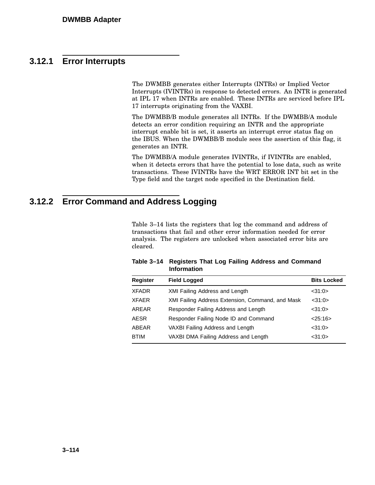### **3.12.1 Error Interrupts**

The DWMBB generates either Interrupts (INTRs) or Implied Vector Interrupts (IVINTRs) in response to detected errors. An INTR is generated at IPL 17 when INTRs are enabled. These INTRs are serviced before IPL 17 interrupts originating from the VAXBI.

The DWMBB/B module generates all INTRs. If the DWMBB/A module detects an error condition requiring an INTR and the appropriate interrupt enable bit is set, it asserts an interrupt error status flag on the IBUS. When the DWMBB/B module sees the assertion of this flag, it generates an INTR.

The DWMBB/A module generates IVINTRs, if IVINTRs are enabled, when it detects errors that have the potential to lose data, such as write transactions. These IVINTRs have the WRT ERROR INT bit set in the Type field and the target node specified in the Destination field.

### **3.12.2 Error Command and Address Logging**

Table 3–14 lists the registers that log the command and address of transactions that fail and other error information needed for error analysis. The registers are unlocked when associated error bits are cleared.

| <b>Field Logged</b>                              | <b>Bits Locked</b> |
|--------------------------------------------------|--------------------|
| <b>XMI Failing Address and Length</b>            | <31:0>             |
| XMI Failing Address Extension, Command, and Mask | <31:0>             |
| Responder Failing Address and Length             | <31:0>             |
| Responder Failing Node ID and Command            | 25:16>             |
| VAXBI Failing Address and Length                 | <31:0>             |
| VAXBI DMA Failing Address and Length             | $<$ 31:0 $>$       |
|                                                  |                    |

#### **Table 3–14 Registers That Log Failing Address and Command Information**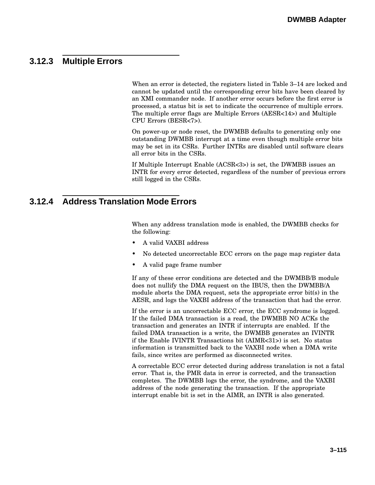### **3.12.3 Multiple Errors**

When an error is detected, the registers listed in Table 3–14 are locked and cannot be updated until the corresponding error bits have been cleared by an XMI commander node. If another error occurs before the first error is processed, a status bit is set to indicate the occurrence of multiple errors. The multiple error flags are Multiple Errors (AESR<14>) and Multiple CPU Errors (BESR<7>).

On power-up or node reset, the DWMBB defaults to generating only one outstanding DWMBB interrupt at a time even though multiple error bits may be set in its CSRs. Further INTRs are disabled until software clears all error bits in the CSRs.

If Multiple Interrupt Enable (ACSR<3>) is set, the DWMBB issues an INTR for every error detected, regardless of the number of previous errors still logged in the CSRs.

### **3.12.4 Address Translation Mode Errors**

When any address translation mode is enabled, the DWMBB checks for the following:

- A valid VAXBI address
- No detected uncorrectable ECC errors on the page map register data
- A valid page frame number

If any of these error conditions are detected and the DWMBB/B module does not nullify the DMA request on the IBUS, then the DWMBB/A module aborts the DMA request, sets the appropriate error bit(s) in the AESR, and logs the VAXBI address of the transaction that had the error.

If the error is an uncorrectable ECC error, the ECC syndrome is logged. If the failed DMA transaction is a read, the DWMBB NO ACKs the transaction and generates an INTR if interrupts are enabled. If the failed DMA transaction is a write, the DWMBB generates an IVINTR if the Enable IVINTR Transactions bit (AIMR<31>) is set. No status information is transmitted back to the VAXBI node when a DMA write fails, since writes are performed as disconnected writes.

A correctable ECC error detected during address translation is not a fatal error. That is, the PMR data in error is corrected, and the transaction completes. The DWMBB logs the error, the syndrome, and the VAXBI address of the node generating the transaction. If the appropriate interrupt enable bit is set in the AIMR, an INTR is also generated.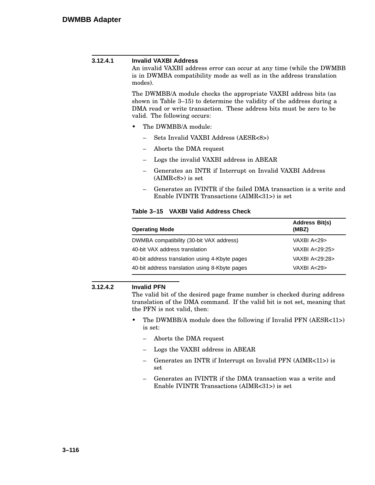| 3.12.4.1 | <b>Invalid VAXBI Address</b><br>An invalid VAXBI address error can occur at any time (while the DWMBB<br>is in DWMBA compatibility mode as well as in the address translation<br>modes).                                                            |
|----------|-----------------------------------------------------------------------------------------------------------------------------------------------------------------------------------------------------------------------------------------------------|
|          | The DWMBB/A module checks the appropriate VAXBI address bits (as<br>shown in Table $3-15$ to determine the validity of the address during a<br>DMA read or write transaction. These address bits must be zero to be<br>valid. The following occurs: |
|          | The DWMBB/A module:<br>٠                                                                                                                                                                                                                            |
|          | - Sets Invalid VAXBI Address (AESR<8>)                                                                                                                                                                                                              |
|          | Aborts the DMA request                                                                                                                                                                                                                              |
|          | Logs the invalid VAXBI address in ABEAR                                                                                                                                                                                                             |
|          | Generates an INTR if Interrupt on Invalid VAXBI Address<br>$(AIMR<8>)$ is set                                                                                                                                                                       |
|          | Generates an IVINTR if the failed DMA transaction is a write and<br>$\overline{\phantom{0}}$<br>Enable IVINTR Transactions (AIMR<31>) is set                                                                                                        |

### **Table 3–15 VAXBI Valid Address Check**

| <b>Operating Mode</b>                          | <b>Address Bit(s)</b><br>(MBZ) |
|------------------------------------------------|--------------------------------|
| DWMBA compatibility (30-bit VAX address)       | VAXBI A<29>                    |
| 40-bit VAX address translation                 | VAXBI A<29:25>                 |
| 40-bit address translation using 4-Kbyte pages | VAXBI A<29:28>                 |
| 40-bit address translation using 8-Kbyte pages | VAXBI A<29>                    |

### **3.12.4.2 Invalid PFN**

The valid bit of the desired page frame number is checked during address translation of the DMA command. If the valid bit is not set, meaning that the PFN is not valid, then:

- The DWMBB/A module does the following if Invalid PFN (AESR<11>) is set:
	- Aborts the DMA request
	- Logs the VAXBI address in ABEAR
	- Generates an INTR if Interrupt on Invalid PFN (AIMR<11>) is set
	- Generates an IVINTR if the DMA transaction was a write and Enable IVINTR Transactions (AIMR<31>) is set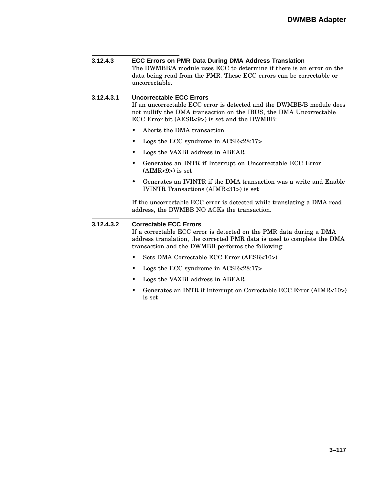| 3.12.4.3   | <b>ECC Errors on PMR Data During DMA Address Translation</b><br>The DWMBB/A module uses ECC to determine if there is an error on the<br>data being read from the PMR. These ECC errors can be correctable or<br>uncorrectable.       |  |  |  |
|------------|--------------------------------------------------------------------------------------------------------------------------------------------------------------------------------------------------------------------------------------|--|--|--|
| 3.12.4.3.1 | <b>Uncorrectable ECC Errors</b><br>If an uncorrectable ECC error is detected and the DWMBB/B module does<br>not nullify the DMA transaction on the IBUS, the DMA Uncorrectable<br>ECC Error bit (AESR<9>) is set and the DWMBB:      |  |  |  |
|            | Aborts the DMA transaction                                                                                                                                                                                                           |  |  |  |
|            | Logs the ECC syndrome in ACSR<28:17>                                                                                                                                                                                                 |  |  |  |
|            | Logs the VAXBI address in ABEAR                                                                                                                                                                                                      |  |  |  |
|            | Generates an INTR if Interrupt on Uncorrectable ECC Error<br>$(AIMR<9>)$ is set                                                                                                                                                      |  |  |  |
|            | Generates an IVINTR if the DMA transaction was a write and Enable<br>IVINTR Transactions (AIMR<31>) is set                                                                                                                           |  |  |  |
|            | If the uncorrectable ECC error is detected while translating a DMA read<br>address, the DWMBB NO ACKs the transaction.                                                                                                               |  |  |  |
| 3.12.4.3.2 | <b>Correctable ECC Errors</b><br>If a correctable ECC error is detected on the PMR data during a DMA<br>address translation, the corrected PMR data is used to complete the DMA<br>transaction and the DWMBB performs the following: |  |  |  |
|            | Sets DMA Correctable ECC Error (AESR<10>)<br>٠                                                                                                                                                                                       |  |  |  |
|            | Logs the ECC syndrome in ACSR<28:17>                                                                                                                                                                                                 |  |  |  |
|            | Logs the VAXBI address in ABEAR                                                                                                                                                                                                      |  |  |  |
|            | Generates an INTR if Interrupt on Correctable ECC Error (AIMR<10>)<br>is set                                                                                                                                                         |  |  |  |
|            |                                                                                                                                                                                                                                      |  |  |  |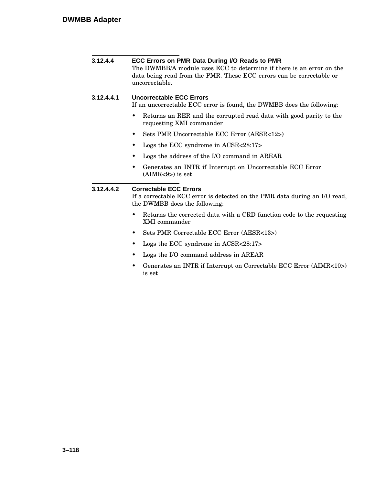| 3.12.4.4   | ECC Errors on PMR Data During I/O Reads to PMR<br>The DWMBB/A module uses ECC to determine if there is an error on the<br>data being read from the PMR. These ECC errors can be correctable or<br>uncorrectable. |  |  |  |
|------------|------------------------------------------------------------------------------------------------------------------------------------------------------------------------------------------------------------------|--|--|--|
| 3.12.4.4.1 | <b>Uncorrectable ECC Errors</b><br>If an uncorrectable ECC error is found, the DWMBB does the following:                                                                                                         |  |  |  |
|            | Returns an RER and the corrupted read data with good parity to the<br>٠<br>requesting XMI commander                                                                                                              |  |  |  |
|            | Sets PMR Uncorrectable ECC Error (AESR<12>)<br>٠                                                                                                                                                                 |  |  |  |
|            | Logs the ECC syndrome in ACSR<28:17>                                                                                                                                                                             |  |  |  |
|            | Logs the address of the I/O command in AREAR                                                                                                                                                                     |  |  |  |
|            | Generates an INTR if Interrupt on Uncorrectable ECC Error<br>$(AIMR<9>)$ is set                                                                                                                                  |  |  |  |
| 3.12.4.4.2 | <b>Correctable ECC Errors</b><br>If a correctable ECC error is detected on the PMR data during an I/O read,<br>the DWMBB does the following:                                                                     |  |  |  |
|            | Returns the corrected data with a CRD function code to the requesting<br>XMI commander                                                                                                                           |  |  |  |
|            | Sets PMR Correctable ECC Error (AESR<13>)<br>٠                                                                                                                                                                   |  |  |  |
|            | Logs the ECC syndrome in ACSR<28:17>                                                                                                                                                                             |  |  |  |
|            | Logs the I/O command address in AREAR                                                                                                                                                                            |  |  |  |
|            | Generates an INTR if Interrupt on Correctable ECC Error (AIMR<10>)<br>٠<br>is set                                                                                                                                |  |  |  |
|            |                                                                                                                                                                                                                  |  |  |  |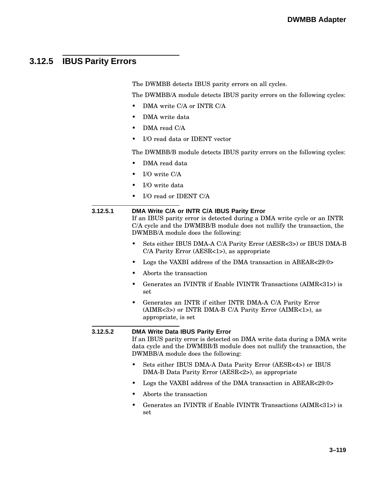### **3.12.5 IBUS Parity Errors**

The DWMBB detects IBUS parity errors on all cycles.

The DWMBB/A module detects IBUS parity errors on the following cycles:

- DMA write C/A or INTR C/A
- DMA write data
- DMA read C/A
- I/O read data or IDENT vector

The DWMBB/B module detects IBUS parity errors on the following cycles:

- DMA read data
- I/O write C/A
- I/O write data
- I/O read or IDENT C/A

#### **3.12.5.1 DMA Write C/A or INTR C/A IBUS Parity Error**

If an IBUS parity error is detected during a DMA write cycle or an INTR C/A cycle and the DWMBB/B module does not nullify the transaction, the DWMBB/A module does the following:

- Sets either IBUS DMA-A C/A Parity Error (AESR<3>) or IBUS DMA-B C/A Parity Error (AESR<1>), as appropriate
- Logs the VAXBI address of the DMA transaction in ABEAR<29:0>
- Aborts the transaction
- Generates an IVINTR if Enable IVINTR Transactions (AIMR<31>) is set
- Generates an INTR if either INTR DMA-A C/A Parity Error (AIMR<3>) or INTR DMA-B C/A Parity Error (AIMR<1>), as appropriate, is set

#### **3.12.5.2 DMA Write Data IBUS Parity Error**

If an IBUS parity error is detected on DMA write data during a DMA write data cycle and the DWMBB/B module does not nullify the transaction, the DWMBB/A module does the following:

- Sets either IBUS DMA-A Data Parity Error (AESR<4>) or IBUS DMA-B Data Parity Error (AESR<2>), as appropriate
- Logs the VAXBI address of the DMA transaction in ABEAR<29:0>
- Aborts the transaction
- Generates an IVINTR if Enable IVINTR Transactions (AIMR<31>) is set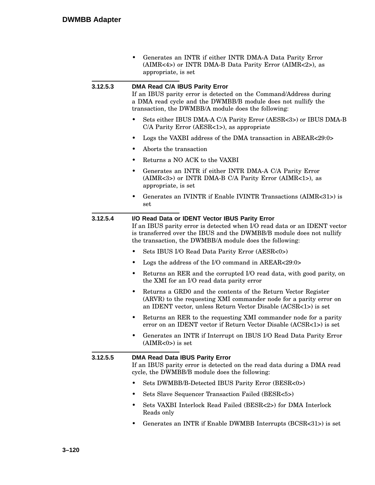|          | Generates an INTR if either INTR DMA-A Data Parity Error<br>٠<br>(AIMR<4>) or INTR DMA-B Data Parity Error (AIMR<2>), as<br>appropriate, is set                                                                                                                 |  |  |
|----------|-----------------------------------------------------------------------------------------------------------------------------------------------------------------------------------------------------------------------------------------------------------------|--|--|
| 3.12.5.3 | <b>DMA Read C/A IBUS Parity Error</b><br>If an IBUS parity error is detected on the Command/Address during<br>a DMA read cycle and the DWMBB/B module does not nullify the<br>transaction, the DWMBB/A module does the following:                               |  |  |
|          | Sets either IBUS DMA-A C/A Parity Error (AESR<3>) or IBUS DMA-B<br>C/A Parity Error (AESR<1>), as appropriate                                                                                                                                                   |  |  |
|          | Logs the VAXBI address of the DMA transaction in ABEAR<29:0>                                                                                                                                                                                                    |  |  |
|          | Aborts the transaction                                                                                                                                                                                                                                          |  |  |
|          | Returns a NO ACK to the VAXBI<br>٠                                                                                                                                                                                                                              |  |  |
|          | Generates an INTR if either INTR DMA-A C/A Parity Error<br>٠<br>(AIMR<3>) or INTR DMA-B C/A Parity Error (AIMR<1>), as<br>appropriate, is set                                                                                                                   |  |  |
|          | Generates an IVINTR if Enable IVINTR Transactions (AIMR<31>) is<br>٠<br>set                                                                                                                                                                                     |  |  |
| 3.12.5.4 | I/O Read Data or IDENT Vector IBUS Parity Error<br>If an IBUS parity error is detected when I/O read data or an IDENT vector<br>is transferred over the IBUS and the DWMBB/B module does not nullify<br>the transaction, the DWMBB/A module does the following: |  |  |
|          | Sets IBUS I/O Read Data Parity Error (AESR<0>)                                                                                                                                                                                                                  |  |  |
|          | Logs the address of the I/O command in AREAR<29:0>                                                                                                                                                                                                              |  |  |
|          | Returns an RER and the corrupted I/O read data, with good parity, on<br>٠<br>the XMI for an I/O read data parity error                                                                                                                                          |  |  |
|          | Returns a GRD0 and the contents of the Return Vector Register<br>٠<br>(ARVR) to the requesting XMI commander node for a parity error on<br>an IDENT vector, unless Return Vector Disable (ACSR<1>) is set                                                       |  |  |
|          | Returns an RER to the requesting XMI commander node for a parity<br>٠<br>error on an IDENT vector if Return Vector Disable (ACSR<1>) is set                                                                                                                     |  |  |
|          | Generates an INTR if Interrupt on IBUS I/O Read Data Parity Error<br>٠<br>$(AIMR<0>)$ is set                                                                                                                                                                    |  |  |
| 3.12.5.5 | <b>DMA Read Data IBUS Parity Error</b><br>If an IBUS parity error is detected on the read data during a DMA read<br>cycle, the DWMBB/B module does the following:                                                                                               |  |  |
|          | Sets DWMBB/B-Detected IBUS Parity Error (BESR<0>)                                                                                                                                                                                                               |  |  |
|          | Sets Slave Sequencer Transaction Failed (BESR<5>)<br>٠                                                                                                                                                                                                          |  |  |
|          | Sets VAXBI Interlock Read Failed (BESR<2>) for DMA Interlock<br>٠<br>Reads only                                                                                                                                                                                 |  |  |
|          | Generates an INTR if Enable DWMBB Interrupts (BCSR<31>) is set<br>٠                                                                                                                                                                                             |  |  |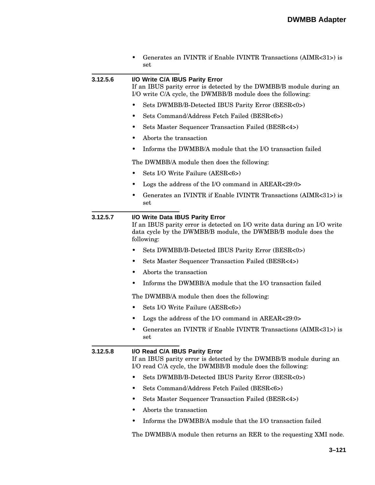| • Generates an IVINTR if Enable IVINTR Transactions $(AIMR<31>)$ is |
|---------------------------------------------------------------------|
| set                                                                 |

**3.12.5.6 I/O Write C/A IBUS Parity Error**

If an IBUS parity error is detected by the DWMBB/B module during an I/O write C/A cycle, the DWMBB/B module does the following:

- Sets DWMBB/B-Detected IBUS Parity Error (BESR<0>)
- Sets Command/Address Fetch Failed (BESR<6>)
- Sets Master Sequencer Transaction Failed (BESR<4>)
- Aborts the transaction
- Informs the DWMBB/A module that the I/O transaction failed

The DWMBB/A module then does the following:

- Sets I/O Write Failure (AESR<6>)
- Logs the address of the I/O command in AREAR<29:0>
- Generates an IVINTR if Enable IVINTR Transactions (AIMR<31>) is set

#### **3.12.5.7 I/O Write Data IBUS Parity Error**

If an IBUS parity error is detected on I/O write data during an I/O write data cycle by the DWMBB/B module, the DWMBB/B module does the following:

- Sets DWMBB/B-Detected IBUS Parity Error (BESR<0>)
- Sets Master Sequencer Transaction Failed (BESR<4>)
- Aborts the transaction
- Informs the DWMBB/A module that the I/O transaction failed

The DWMBB/A module then does the following:

- Sets I/O Write Failure (AESR<6>)
- Logs the address of the I/O command in AREAR<29:0>
- Generates an IVINTR if Enable IVINTR Transactions (AIMR<31>) is set

#### **3.12.5.8 I/O Read C/A IBUS Parity Error**

If an IBUS parity error is detected by the DWMBB/B module during an I/O read C/A cycle, the DWMBB/B module does the following:

- Sets DWMBB/B-Detected IBUS Parity Error (BESR<0>)
- Sets Command/Address Fetch Failed (BESR<6>)
- Sets Master Sequencer Transaction Failed (BESR<4>)
- Aborts the transaction
- Informs the DWMBB/A module that the I/O transaction failed

The DWMBB/A module then returns an RER to the requesting XMI node.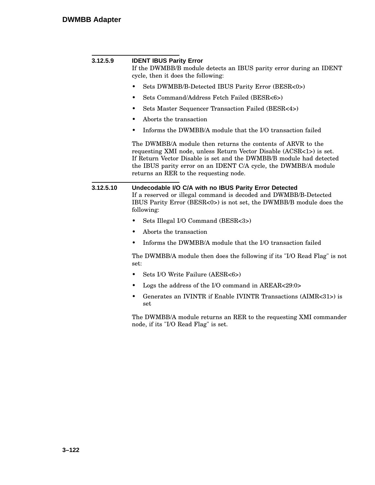| 3.12.5.9  | <b>IDENT IBUS Parity Error</b><br>If the DWMBB/B module detects an IBUS parity error during an IDENT<br>cycle, then it does the following:                                                                                                                                                                             |  |  |  |
|-----------|------------------------------------------------------------------------------------------------------------------------------------------------------------------------------------------------------------------------------------------------------------------------------------------------------------------------|--|--|--|
|           | Sets DWMBB/B-Detected IBUS Parity Error (BESR<0>)<br>٠                                                                                                                                                                                                                                                                 |  |  |  |
|           | Sets Command/Address Fetch Failed (BESR<6>)<br>٠                                                                                                                                                                                                                                                                       |  |  |  |
|           | Sets Master Sequencer Transaction Failed (BESR<4>)<br>٠                                                                                                                                                                                                                                                                |  |  |  |
|           | Aborts the transaction<br>٠                                                                                                                                                                                                                                                                                            |  |  |  |
|           | Informs the DWMBB/A module that the I/O transaction failed<br>٠                                                                                                                                                                                                                                                        |  |  |  |
|           | The DWMBB/A module then returns the contents of ARVR to the<br>requesting XMI node, unless Return Vector Disable (ACSR<1>) is set.<br>If Return Vector Disable is set and the DWMBB/B module had detected<br>the IBUS parity error on an IDENT C/A cycle, the DWMBB/A module<br>returns an RER to the requesting node. |  |  |  |
| 3.12.5.10 | Undecodable I/O C/A with no IBUS Parity Error Detected<br>If a reserved or illegal command is decoded and DWMBB/B-Detected<br>IBUS Parity Error (BESR<0>) is not set, the DWMBB/B module does the<br>following:                                                                                                        |  |  |  |
|           | Sets Illegal I/O Command (BESR<3>)<br>٠                                                                                                                                                                                                                                                                                |  |  |  |
|           | Aborts the transaction<br>٠                                                                                                                                                                                                                                                                                            |  |  |  |
|           | Informs the DWMBB/A module that the I/O transaction failed<br>٠                                                                                                                                                                                                                                                        |  |  |  |
|           | The DWMBB/A module then does the following if its "I/O Read Flag" is not<br>set:                                                                                                                                                                                                                                       |  |  |  |
|           | Sets I/O Write Failure (AESR<6>)<br>٠                                                                                                                                                                                                                                                                                  |  |  |  |
|           | Logs the address of the I/O command in AREAR<29:0><br>٠                                                                                                                                                                                                                                                                |  |  |  |
|           | Generates an IVINTR if Enable IVINTR Transactions (AIMR<31>) is<br>٠<br>set                                                                                                                                                                                                                                            |  |  |  |
|           | The DWMBB/A module returns an RER to the requesting XMI commander<br>node, if its "I/O Read Flag" is set.                                                                                                                                                                                                              |  |  |  |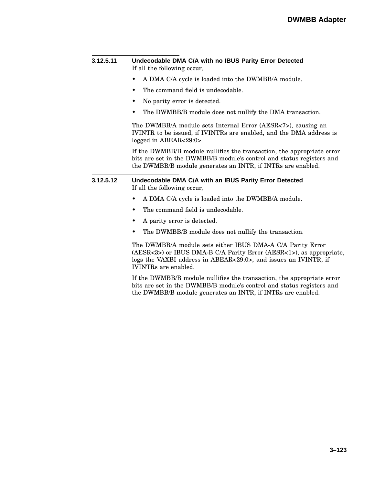| 3.12.5.11 | Undecodable DMA C/A with no IBUS Parity Error Detected<br>If all the following occur,                                                                                                                          |  |  |
|-----------|----------------------------------------------------------------------------------------------------------------------------------------------------------------------------------------------------------------|--|--|
|           | A DMA C/A cycle is loaded into the DWMBB/A module.<br>٠                                                                                                                                                        |  |  |
|           | The command field is undecodable.<br>٠                                                                                                                                                                         |  |  |
|           | No parity error is detected.<br>٠                                                                                                                                                                              |  |  |
|           | The DWMBB/B module does not nullify the DMA transaction.                                                                                                                                                       |  |  |
|           | The DWMBB/A module sets Internal Error (AESR<7>), causing an<br>IVINTR to be issued, if IVINTRs are enabled, and the DMA address is<br>logged in ABEAR<29:0>.                                                  |  |  |
|           | If the DWMBB/B module nullifies the transaction, the appropriate error<br>bits are set in the DWMBB/B module's control and status registers and<br>the DWMBB/B module generates an INTR, if INTRs are enabled. |  |  |
| 3.12.5.12 | Undecodable DMA C/A with an IBUS Parity Error Detected<br>If all the following occur,                                                                                                                          |  |  |
|           | A DMA C/A cycle is loaded into the DWMBB/A module.<br>٠                                                                                                                                                        |  |  |
|           | The command field is undecodable.<br>٠                                                                                                                                                                         |  |  |
|           | A parity error is detected.<br>٠                                                                                                                                                                               |  |  |
|           | The DWMBB/B module does not nullify the transaction.<br>٠                                                                                                                                                      |  |  |
|           | The DWMBB/A module sets either IBUS DMA-A C/A Parity Error                                                                                                                                                     |  |  |

(AESR<3>) or IBUS DMA-B C/A Parity Error (AESR<1>), as appropriate, logs the VAXBI address in ABEAR<29:0>, and issues an IVINTR, if IVINTRs are enabled.

If the DWMBB/B module nullifies the transaction, the appropriate error bits are set in the DWMBB/B module's control and status registers and the DWMBB/B module generates an INTR, if INTRs are enabled.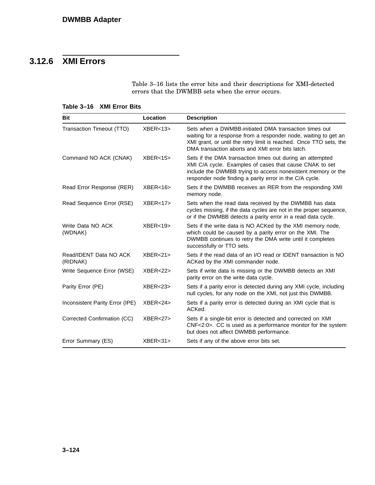## **3.12.6 XMI Errors**

Table 3–16 lists the error bits and their descriptions for XMI-detected errors that the DWMBB sets when the error occurs.

#### **Table 3–16 XMI Error Bits**

| <b>Bit</b>                         | Location           | <b>Description</b>                                                                                                                                                                                                                                 |
|------------------------------------|--------------------|----------------------------------------------------------------------------------------------------------------------------------------------------------------------------------------------------------------------------------------------------|
| Transaction Timeout (TTO)          | XBER<13            | Sets when a DWMBB-initiated DMA transaction times out<br>waiting for a response from a responder node, waiting to get an<br>XMI grant, or until the retry limit is reached. Once TTO sets, the<br>DMA transaction aborts and XMI error bits latch. |
| Command NO ACK (CNAK)              | XBER<15            | Sets if the DMA transaction times out during an attempted<br>XMI C/A cycle. Examples of cases that cause CNAK to set<br>include the DWMBB trying to access nonexistent memory or the<br>responder node finding a parity error in the C/A cycle.    |
| Read Error Response (RER)          | XBER<16            | Sets if the DWMBB receives an RER from the responding XMI<br>memory node.                                                                                                                                                                          |
| Read Sequence Error (RSE)          | XBER<17            | Sets when the read data received by the DWMBB has data<br>cycles missing, if the data cycles are not in the proper sequence,<br>or if the DWMBB detects a parity error in a read data cycle.                                                       |
| Write Data NO ACK<br>(WDNAK)       | XBER<19            | Sets if the write data is NO ACKed by the XMI memory node,<br>which could be caused by a parity error on the XMI. The<br>DWMBB continues to retry the DMA write until it completes<br>successfully or TTO sets.                                    |
| Read/IDENT Data NO ACK<br>(RIDNAK) | XBER<21            | Sets if the read data of an I/O read or IDENT transaction is NO<br>ACKed by the XMI commander node.                                                                                                                                                |
| Write Sequence Error (WSE)         | XBER<22            | Sets if write data is missing or the DWMBB detects an XMI<br>parity error on the write data cycle.                                                                                                                                                 |
| Parity Error (PE)                  | XBER<23            | Sets if a parity error is detected during any XMI cycle, including<br>null cycles, for any node on the XMI, not just this DWMBB.                                                                                                                   |
| Inconsistent Parity Error (IPE)    | XBER < 24          | Sets if a parity error is detected during an XMI cycle that is<br>ACKed.                                                                                                                                                                           |
| Corrected Confirmation (CC)        | XBER <sub>27</sub> | Sets if a single-bit error is detected and corrected on XMI<br>CNF<2:0>. CC is used as a performance monitor for the system<br>but does not affect DWMBB performance.                                                                              |
| Error Summary (ES)                 | XBER<31            | Sets if any of the above error bits set.                                                                                                                                                                                                           |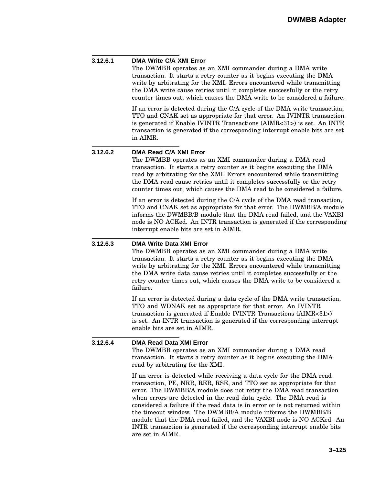#### **3.12.6.1 DMA Write C/A XMI Error**

The DWMBB operates as an XMI commander during a DMA write transaction. It starts a retry counter as it begins executing the DMA write by arbitrating for the XMI. Errors encountered while transmitting the DMA write cause retries until it completes successfully or the retry counter times out, which causes the DMA write to be considered a failure.

If an error is detected during the C/A cycle of the DMA write transaction, TTO and CNAK set as appropriate for that error. An IVINTR transaction is generated if Enable IVINTR Transactions (AIMR<31>) is set. An INTR transaction is generated if the corresponding interrupt enable bits are set in AIMR.

#### **3.12.6.2 DMA Read C/A XMI Error**

The DWMBB operates as an XMI commander during a DMA read transaction. It starts a retry counter as it begins executing the DMA read by arbitrating for the XMI. Errors encountered while transmitting the DMA read cause retries until it completes successfully or the retry counter times out, which causes the DMA read to be considered a failure.

If an error is detected during the C/A cycle of the DMA read transaction, TTO and CNAK set as appropriate for that error. The DWMBB/A module informs the DWMBB/B module that the DMA read failed, and the VAXBI node is NO ACKed. An INTR transaction is generated if the corresponding interrupt enable bits are set in AIMR.

#### **3.12.6.3 DMA Write Data XMI Error**

The DWMBB operates as an XMI commander during a DMA write transaction. It starts a retry counter as it begins executing the DMA write by arbitrating for the XMI. Errors encountered while transmitting the DMA write data cause retries until it completes successfully or the retry counter times out, which causes the DMA write to be considered a failure.

If an error is detected during a data cycle of the DMA write transaction, TTO and WDNAK set as appropriate for that error. An IVINTR transaction is generated if Enable IVINTR Transactions (AIMR<31>) is set. An INTR transaction is generated if the corresponding interrupt enable bits are set in AIMR.

#### **3.12.6.4 DMA Read Data XMI Error** The DWMBB operates as an XMI commander during a DMA read transaction. It starts a retry counter as it begins executing the DMA read by arbitrating for the XMI.

If an error is detected while receiving a data cycle for the DMA read transaction, PE, NRR, RER, RSE, and TTO set as appropriate for that error. The DWMBB/A module does not retry the DMA read transaction when errors are detected in the read data cycle. The DMA read is considered a failure if the read data is in error or is not returned within the timeout window. The DWMBB/A module informs the DWMBB/B module that the DMA read failed, and the VAXBI node is NO ACKed. An INTR transaction is generated if the corresponding interrupt enable bits are set in AIMR.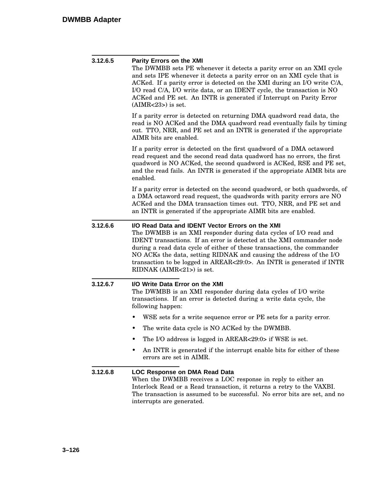| 3.12.6.5 | Parity Errors on the XMI<br>The DWMBB sets PE whenever it detects a parity error on an XMI cycle<br>and sets IPE whenever it detects a parity error on an XMI cycle that is<br>ACKed. If a parity error is detected on the XMI during an I/O write C/A,<br>I/O read C/A, I/O write data, or an IDENT cycle, the transaction is NO<br>ACKed and PE set. An INTR is generated if Interrupt on Parity Error<br>$(AIMR<23)$ is set.                               |  |  |
|----------|---------------------------------------------------------------------------------------------------------------------------------------------------------------------------------------------------------------------------------------------------------------------------------------------------------------------------------------------------------------------------------------------------------------------------------------------------------------|--|--|
|          | If a parity error is detected on returning DMA quadword read data, the<br>read is NO ACKed and the DMA quadword read eventually fails by timing<br>out. TTO, NRR, and PE set and an INTR is generated if the appropriate<br>AIMR bits are enabled.                                                                                                                                                                                                            |  |  |
|          | If a parity error is detected on the first quadword of a DMA octaword<br>read request and the second read data quadword has no errors, the first<br>quadword is NO ACKed, the second quadword is ACKed, RSE and PE set,<br>and the read fails. An INTR is generated if the appropriate AIMR bits are<br>enabled.                                                                                                                                              |  |  |
|          | If a parity error is detected on the second quadword, or both quadwords, of<br>a DMA octaword read request, the quadwords with parity errors are NO<br>ACKed and the DMA transaction times out. TTO, NRR, and PE set and<br>an INTR is generated if the appropriate AIMR bits are enabled.                                                                                                                                                                    |  |  |
| 3.12.6.6 | I/O Read Data and IDENT Vector Errors on the XMI<br>The DWMBB is an XMI responder during data cycles of I/O read and<br><b>IDENT</b> transactions. If an error is detected at the XMI commander node<br>during a read data cycle of either of these transactions, the commander<br>NO ACKs the data, setting RIDNAK and causing the address of the I/O<br>transaction to be logged in AREAR<29:0>. An INTR is generated if INTR<br>$RIDNAK (AIMR<21)$ is set. |  |  |
| 3.12.6.7 | I/O Write Data Error on the XMI<br>The DWMBB is an XMI responder during data cycles of I/O write<br>transactions. If an error is detected during a write data cycle, the<br>following happen:                                                                                                                                                                                                                                                                 |  |  |
|          | WSE sets for a write sequence error or PE sets for a parity error.<br>٠                                                                                                                                                                                                                                                                                                                                                                                       |  |  |
|          | The write data cycle is NO ACKed by the DWMBB.<br>٠                                                                                                                                                                                                                                                                                                                                                                                                           |  |  |
|          | The I/O address is logged in AREAR<29:0> if WSE is set.<br>٠                                                                                                                                                                                                                                                                                                                                                                                                  |  |  |
|          | An INTR is generated if the interrupt enable bits for either of these<br>٠<br>errors are set in AIMR.                                                                                                                                                                                                                                                                                                                                                         |  |  |
| 3.12.6.8 | LOC Response on DMA Read Data<br>When the DWMBB receives a LOC response in reply to either an<br>Interlock Read or a Read transaction, it returns a retry to the VAXBI.<br>The transaction is assumed to be successful. No error bits are set, and no<br>interrupts are generated.                                                                                                                                                                            |  |  |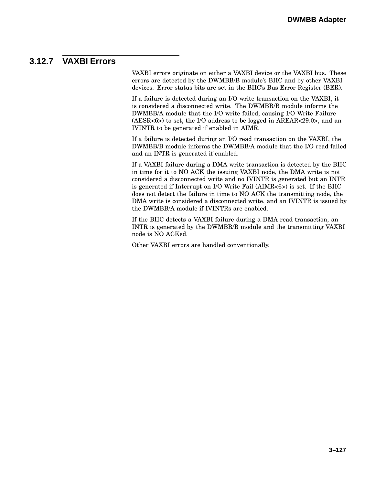### **3.12.7 VAXBI Errors**

VAXBI errors originate on either a VAXBI device or the VAXBI bus. These errors are detected by the DWMBB/B module's BIIC and by other VAXBI devices. Error status bits are set in the BIIC's Bus Error Register (BER).

If a failure is detected during an I/O write transaction on the VAXBI, it is considered a disconnected write. The DWMBB/B module informs the DWMBB/A module that the I/O write failed, causing I/O Write Failure (AESR<6>) to set, the I/O address to be logged in AREAR<29:0>, and an IVINTR to be generated if enabled in AIMR.

If a failure is detected during an I/O read transaction on the VAXBI, the DWMBB/B module informs the DWMBB/A module that the I/O read failed and an INTR is generated if enabled.

If a VAXBI failure during a DMA write transaction is detected by the BIIC in time for it to NO ACK the issuing VAXBI node, the DMA write is not considered a disconnected write and no IVINTR is generated but an INTR is generated if Interrupt on I/O Write Fail (AIMR<6>) is set. If the BIIC does not detect the failure in time to NO ACK the transmitting node, the DMA write is considered a disconnected write, and an IVINTR is issued by the DWMBB/A module if IVINTRs are enabled.

If the BIIC detects a VAXBI failure during a DMA read transaction, an INTR is generated by the DWMBB/B module and the transmitting VAXBI node is NO ACKed.

Other VAXBI errors are handled conventionally.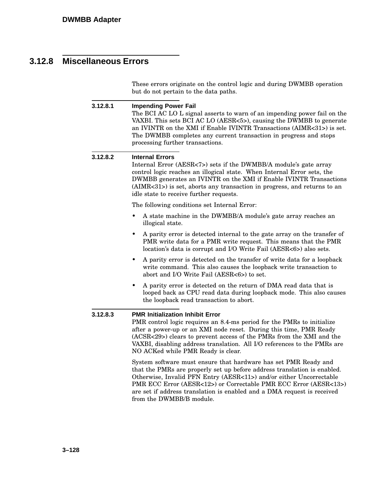## **3.12.8 Miscellaneous Errors**

These errors originate on the control logic and during DWMBB operation but do not pertain to the data paths.

| 3.12.8.1 | <b>Impending Power Fail</b><br>The BCI AC LO L signal asserts to warn of an impending power fail on the<br>VAXBI. This sets BCI AC LO (AESR<5>), causing the DWMBB to generate<br>an IVINTR on the XMI if Enable IVINTR Transactions (AIMR<31>) is set.<br>The DWMBB completes any current transaction in progress and stops<br>processing further transactions.                              |  |
|----------|-----------------------------------------------------------------------------------------------------------------------------------------------------------------------------------------------------------------------------------------------------------------------------------------------------------------------------------------------------------------------------------------------|--|
| 3.12.8.2 | <b>Internal Errors</b><br>Internal Error (AESR<7>) sets if the DWMBB/A module's gate array<br>control logic reaches an illogical state. When Internal Error sets, the<br>DWMBB generates an IVINTR on the XMI if Enable IVINTR Transactions<br>(AIMR<31>) is set, aborts any transaction in progress, and returns to an<br>idle state to receive further requests.                            |  |
|          | The following conditions set Internal Error:                                                                                                                                                                                                                                                                                                                                                  |  |
|          | A state machine in the DWMBB/A module's gate array reaches an<br>illogical state.                                                                                                                                                                                                                                                                                                             |  |
|          | A parity error is detected internal to the gate array on the transfer of<br>PMR write data for a PMR write request. This means that the PMR<br>location's data is corrupt and I/O Write Fail (AESR<6>) also sets.                                                                                                                                                                             |  |
|          | A parity error is detected on the transfer of write data for a loopback<br>write command. This also causes the loopback write transaction to<br>abort and I/O Write Fail (AESR<6>) to set.                                                                                                                                                                                                    |  |
|          | A parity error is detected on the return of DMA read data that is<br>looped back as CPU read data during loopback mode. This also causes<br>the loopback read transaction to abort.                                                                                                                                                                                                           |  |
| 3.12.8.3 | <b>PMR Initialization Inhibit Error</b><br>PMR control logic requires an 8.4-ms period for the PMRs to initialize<br>after a power-up or an XMI node reset. During this time, PMR Ready<br>(ACSR<29>) clears to prevent access of the PMRs from the XMI and the<br>VAXBI, disabling address translation. All I/O references to the PMRs are<br>NO ACKed while PMR Ready is clear.             |  |
|          | System software must ensure that hardware has set PMR Ready and<br>that the PMRs are properly set up before address translation is enabled.<br>Otherwise, Invalid PFN Entry (AESR<11>) and/or either Uncorrectable<br>PMR ECC Error (AESR<12>) or Correctable PMR ECC Error (AESR<13>)<br>are set if address translation is enabled and a DMA request is received<br>from the DWMBB/B module. |  |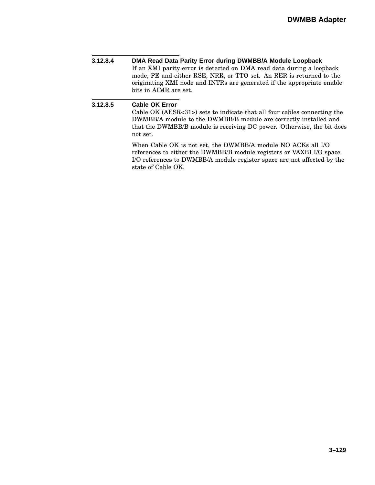**3.12.8.4 DMA Read Data Parity Error during DWMBB/A Module Loopback** If an XMI parity error is detected on DMA read data during a loopback mode, PE and either RSE, NRR, or TTO set. An RER is returned to the originating XMI node and INTRs are generated if the appropriate enable bits in AIMR are set.

#### **3.12.8.5 Cable OK Error**

Cable OK (AESR<31>) sets to indicate that all four cables connecting the DWMBB/A module to the DWMBB/B module are correctly installed and that the DWMBB/B module is receiving DC power. Otherwise, the bit does not set.

When Cable OK is not set, the DWMBB/A module NO ACKs all I/O references to either the DWMBB/B module registers or VAXBI I/O space. I/O references to DWMBB/A module register space are not affected by the state of Cable OK.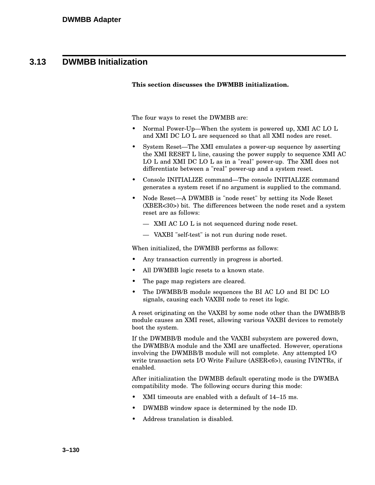### **3.13 DWMBB Initialization**

#### **This section discusses the DWMBB initialization.**

The four ways to reset the DWMBB are:

- Normal Power-Up—When the system is powered up, XMI AC LO L and XMI DC LO L are sequenced so that all XMI nodes are reset.
- System Reset—The XMI emulates a power-up sequence by asserting the XMI RESET L line, causing the power supply to sequence XMI AC LO L and XMI DC LO L as in a "real" power-up. The XMI does not differentiate between a "real" power-up and a system reset.
- Console INITIALIZE command—The console INITIALIZE command generates a system reset if no argument is supplied to the command.
- Node Reset—A DWMBB is "node reset" by setting its Node Reset (XBER<30>) bit. The differences between the node reset and a system reset are as follows:
	- XMI AC LO L is not sequenced during node reset.
	- VAXBI "self-test" is not run during node reset.

When initialized, the DWMBB performs as follows:

- Any transaction currently in progress is aborted.
- All DWMBB logic resets to a known state.
- The page map registers are cleared.
- The DWMBB/B module sequences the BI AC LO and BI DC LO signals, causing each VAXBI node to reset its logic.

A reset originating on the VAXBI by some node other than the DWMBB/B module causes an XMI reset, allowing various VAXBI devices to remotely boot the system.

If the DWMBB/B module and the VAXBI subsystem are powered down, the DWMBB/A module and the XMI are unaffected. However, operations involving the DWMBB/B module will not complete. Any attempted I/O write transaction sets I/O Write Failure (ASER<6>), causing IVINTRs, if enabled.

After initialization the DWMBB default operating mode is the DWMBA compatibility mode. The following occurs during this mode:

- XMI timeouts are enabled with a default of 14–15 ms.
- DWMBB window space is determined by the node ID.
- Address translation is disabled.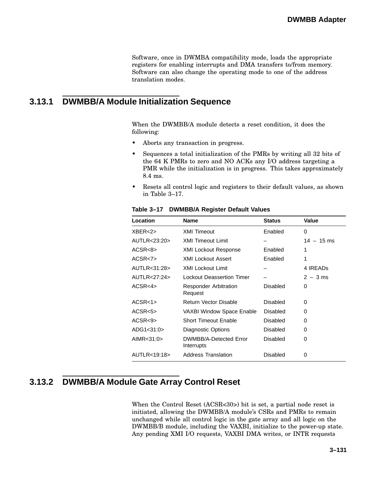Software, once in DWMBA compatibility mode, loads the appropriate registers for enabling interrupts and DMA transfers to/from memory. Software can also change the operating mode to one of the address translation modes.

### **3.13.1 DWMBB/A Module Initialization Sequence**

When the DWMBB/A module detects a reset condition, it does the following:

- Aborts any transaction in progress.
- Sequences a total initialization of the PMRs by writing all 32 bits of the 64 K PMRs to zero and NO ACKs any I/O address targeting a PMR while the initialization is in progress. This takes approximately 8.4 ms.
- Resets all control logic and registers to their default values, as shown in Table 3–17.

| Location     | <b>Name</b>                             | <b>Status</b>   | Value        |
|--------------|-----------------------------------------|-----------------|--------------|
| XBER<2>      | <b>XMI Timeout</b>                      | Enabled         | 0            |
| AUTLR<23:20> | <b>XMI Timeout Limit</b>                |                 | $14 - 15$ ms |
| ACSR<8>      | <b>XMI Lockout Response</b>             | Enabled         | 1            |
| ACSR<7>      | <b>XMI Lockout Assert</b>               | Enabled         | 1            |
| AUTLR<31:28> | <b>XMI Lockout Limit</b>                |                 | 4 IREADS     |
| AUTLR<27:24> | <b>Lockout Deassertion Timer</b>        |                 | $2 - 3$ ms   |
| ACSR<4>      | <b>Responder Arbitration</b><br>Request | Disabled        | 0            |
| ACSR<1>      | <b>Return Vector Disable</b>            | Disabled        | 0            |
| ACSR<5>      | VAXBI Window Space Enable               | <b>Disabled</b> | 0            |
| ACSR<9>      | <b>Short Timeout Enable</b>             | Disabled        | 0            |
| ADG1<31:0>   | Diagnostic Options                      | <b>Disabled</b> | 0            |
| AIMR<31:0>   | DWMBB/A-Detected Error<br>Interrupts    | <b>Disabled</b> | 0            |
| AUTLR<19:18> | <b>Address Translation</b>              | Disabled        | 0            |

**Table 3–17 DWMBB/A Register Default Values**

### **3.13.2 DWMBB/A Module Gate Array Control Reset**

When the Control Reset (ACSR<30>) bit is set, a partial node reset is initiated, allowing the DWMBB/A module's CSRs and PMRs to remain unchanged while all control logic in the gate array and all logic on the DWMBB/B module, including the VAXBI, initialize to the power-up state. Any pending XMI I/O requests, VAXBI DMA writes, or INTR requests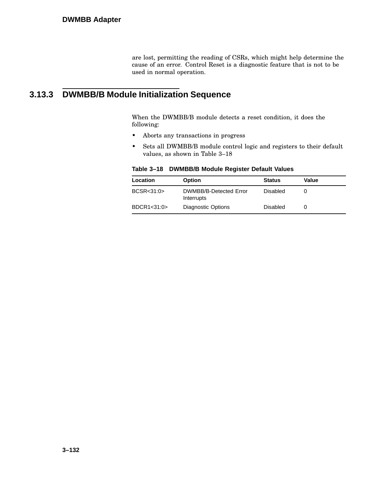are lost, permitting the reading of CSRs, which might help determine the cause of an error. Control Reset is a diagnostic feature that is not to be used in normal operation.

### **3.13.3 DWMBB/B Module Initialization Sequence**

When the DWMBB/B module detects a reset condition, it does the following:

- Aborts any transactions in progress
- Sets all DWMBB/B module control logic and registers to their default values, as shown in Table 3–18

| Location    | <b>Option</b>                        | <b>Status</b> | Value |
|-------------|--------------------------------------|---------------|-------|
| BCSR < 31:0 | DWMBB/B-Detected Error<br>Interrupts | Disabled      |       |
| BDCR1<31:0> | Diagnostic Options                   | Disabled      |       |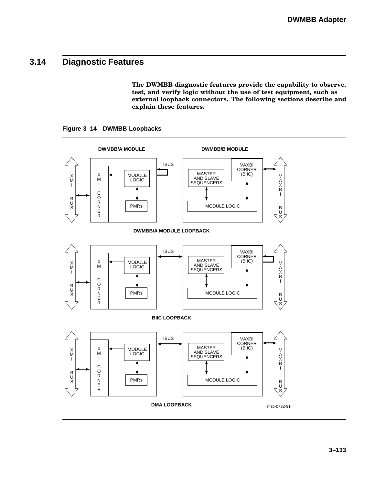### **3.14 Diagnostic Features**

**The DWMBB diagnostic features provide the capability to observe, test, and verify logic without the use of test equipment, such as external loopback connectors. The following sections describe and explain these features.**

**Figure 3–14 DWMBB Loopbacks**

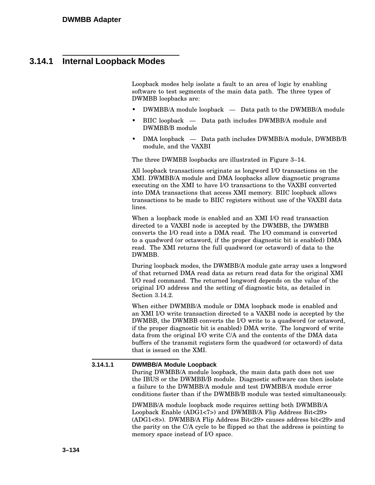### **3.14.1 Internal Loopback Modes**

Loopback modes help isolate a fault to an area of logic by enabling software to test segments of the main data path. The three types of DWMBB loopbacks are:

- DWMBB/A module loopback Data path to the DWMBB/A module
- BIIC loopback Data path includes DWMBB/A module and DWMBB/B module
- DMA loopback Data path includes DWMBB/A module, DWMBB/B module, and the VAXBI

The three DWMBB loopbacks are illustrated in Figure 3–14.

All loopback transactions originate as longword I/O transactions on the XMI. DWMBB/A module and DMA loopbacks allow diagnostic programs executing on the XMI to have I/O transactions to the VAXBI converted into DMA transactions that access XMI memory. BIIC loopback allows transactions to be made to BIIC registers without use of the VAXBI data lines.

When a loopback mode is enabled and an XMI I/O read transaction directed to a VAXBI node is accepted by the DWMBB, the DWMBB converts the I/O read into a DMA read. The I/O command is converted to a quadword (or octaword, if the proper diagnostic bit is enabled) DMA read. The XMI returns the full quadword (or octaword) of data to the DWMBB.

During loopback modes, the DWMBB/A module gate array uses a longword of that returned DMA read data as return read data for the original XMI I/O read command. The returned longword depends on the value of the original I/O address and the setting of diagnostic bits, as detailed in Section 3.14.2.

When either DWMBB/A module or DMA loopback mode is enabled and an XMI I/O write transaction directed to a VAXBI node is accepted by the DWMBB, the DWMBB converts the I/O write to a quadword (or octaword, if the proper diagnostic bit is enabled) DMA write. The longword of write data from the original I/O write C/A and the contents of the DMA data buffers of the transmit registers form the quadword (or octaword) of data that is issued on the XMI.

#### **3.14.1.1 DWMBB/A Module Loopback**

During DWMBB/A module loopback, the main data path does not use the IBUS or the DWMBB/B module. Diagnostic software can then isolate a failure to the DWMBB/A module and test DWMBB/A module error conditions faster than if the DWMBB/B module was tested simultaneously.

DWMBB/A module loopback mode requires setting both DWMBB/A Loopback Enable (ADG1<7>) and DWMBB/A Flip Address Bit<29> (ADG1<8>). DWMBB/A Flip Address Bit<29> causes address bit<29> and the parity on the C/A cycle to be flipped so that the address is pointing to memory space instead of I/O space.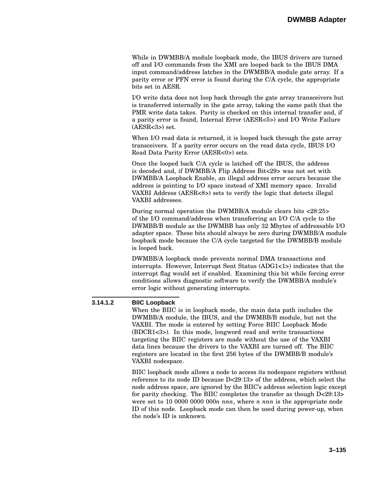While in DWMBB/A module loopback mode, the IBUS drivers are turned off and I/O commands from the XMI are looped back to the IBUS DMA input command/address latches in the DWMBB/A module gate array. If a parity error or PFN error is found during the C/A cycle, the appropriate bits set in AESR.

I/O write data does not loop back through the gate array transceivers but is transferred internally in the gate array, taking the same path that the PMR write data takes. Parity is checked on this internal transfer and, if a parity error is found, Internal Error (AESR<5>) and I/O Write Failure  $(AESR < 3)$  set.

When I/O read data is returned, it is looped back through the gate array transceivers. If a parity error occurs on the read data cycle, IBUS I/O Read Data Parity Error (AESR<0>) sets.

Once the looped back C/A cycle is latched off the IBUS, the address is decoded and, if DWMBB/A Flip Address Bit<29> was not set with DWMBB/A Loopback Enable, an illegal address error occurs because the address is pointing to I/O space instead of XMI memory space. Invalid VAXBI Address (AESR<8>) sets to verify the logic that detects illegal VAXBI addresses.

During normal operation the DWMBB/A module clears bits <28:25> of the I/O command/address when transferring an I/O C/A cycle to the DWMBB/B module as the DWMBB has only 32 Mbytes of addressable I/O adapter space. These bits should always be zero during DWMBB/A module loopback mode because the C/A cycle targeted for the DWMBB/B module is looped back.

DWMBB/A loopback mode prevents normal DMA transactions and interrupts. However, Interrupt Sent Status (ADG1<1>) indicates that the interrupt flag would set if enabled. Examining this bit while forcing error conditions allows diagnostic software to verify the DWMBB/A module's error logic without generating interrupts.

#### **3.14.1.2 BIIC Loopback**

When the BIIC is in loopback mode, the main data path includes the DWMBB/A module, the IBUS, and the DWMBB/B module, but not the VAXBI. The mode is entered by setting Force BIIC Loopback Mode (BDCR1<3>). In this mode, longword read and write transactions targeting the BIIC registers are made without the use of the VAXBI data lines because the drivers to the VAXBI are turned off. The BIIC registers are located in the first 256 bytes of the DWMBB/B module's VAXBI nodespace.

BIIC loopback mode allows a node to access its nodespace registers without reference to its node ID because D<29:13> of the address, which select the node address space, are ignored by the BIIC's address selection logic except for parity checking. The BIIC completes the transfer as though D<29:13> were set to 10 0000 0000 000*n nnn*, where *n nnn* is the appropriate node ID of this node. Loopback mode can then be used during power-up, when the node's ID is unknown.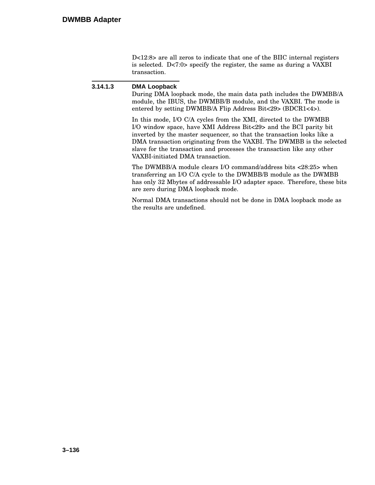D<12:8> are all zeros to indicate that one of the BIIC internal registers is selected. D<7:0> specify the register, the same as during a VAXBI transaction.

#### **3.14.1.3 DMA Loopback**

During DMA loopback mode, the main data path includes the DWMBB/A module, the IBUS, the DWMBB/B module, and the VAXBI. The mode is entered by setting DWMBB/A Flip Address Bit<29> (BDCR1<4>).

In this mode, I/O C/A cycles from the XMI, directed to the DWMBB I/O window space, have XMI Address Bit<29> and the BCI parity bit inverted by the master sequencer, so that the transaction looks like a DMA transaction originating from the VAXBI. The DWMBB is the selected slave for the transaction and processes the transaction like any other VAXBI-initiated DMA transaction.

The DWMBB/A module clears I/O command/address bits <28:25> when transferring an I/O C/A cycle to the DWMBB/B module as the DWMBB has only 32 Mbytes of addressable I/O adapter space. Therefore, these bits are zero during DMA loopback mode.

Normal DMA transactions should not be done in DMA loopback mode as the results are undefined.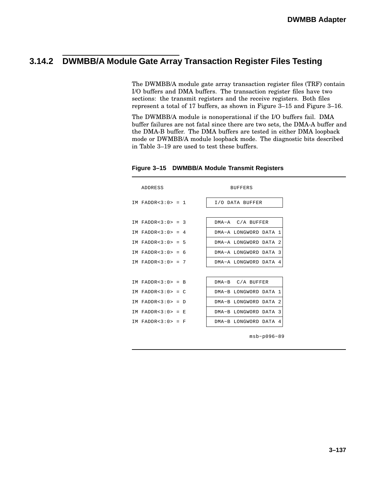### **3.14.2 DWMBB/A Module Gate Array Transaction Register Files Testing**

The DWMBB/A module gate array transaction register files (TRF) contain I/O buffers and DMA buffers. The transaction register files have two sections: the transmit registers and the receive registers. Both files represent a total of 17 buffers, as shown in Figure 3–15 and Figure 3–16.

The DWMBB/A module is nonoperational if the I/O buffers fail. DMA buffer failures are not fatal since there are two sets, the DMA-A buffer and the DMA-B buffer. The DMA buffers are tested in either DMA loopback mode or DWMBB/A module loopback mode. The diagnostic bits described in Table 3–19 are used to test these buffers.

| <b>ADDRESS</b>       |  | <b>BUFFERS</b>        |  |  |  |  |
|----------------------|--|-----------------------|--|--|--|--|
| IM FADDR<3:0> = 1    |  | I/O DATA BUFFER       |  |  |  |  |
|                      |  |                       |  |  |  |  |
| IM FADDR<3:0> = 3    |  | DMA-A C/A BUFFER      |  |  |  |  |
| IM FADDR<3:0> = 4    |  | DMA-A LONGWORD DATA 1 |  |  |  |  |
| IM FADDR<3:0> = 5    |  | DMA-A LONGWORD DATA 2 |  |  |  |  |
| IM FADDR< $3:0> = 6$ |  | DMA-A LONGWORD DATA 3 |  |  |  |  |
| TM FADDR< $3:0> = 7$ |  | DMA-A LONGWORD DATA 4 |  |  |  |  |
|                      |  |                       |  |  |  |  |
| IM FADDR<3:0> = B    |  | DMA-B C/A BUFFER      |  |  |  |  |
| IM FADDR<3:0> = $C$  |  | DMA-B LONGWORD DATA 1 |  |  |  |  |
| IM FADDR<3:0> = D    |  | DMA-B LONGWORD DATA 2 |  |  |  |  |
| IM FADDR<3:0> = E    |  | DMA-B LONGWORD DATA 3 |  |  |  |  |
| IM FADDR<3:0> = F    |  | DMA-B LONGWORD DATA 4 |  |  |  |  |
|                      |  |                       |  |  |  |  |

#### **Figure 3–15 DWMBB/A Module Transmit Registers**

msb−p096−89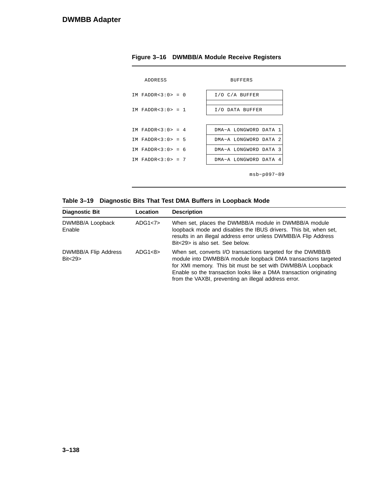| ADDRESS           | <b>BUFFERS</b>        |  |  |  |  |  |
|-------------------|-----------------------|--|--|--|--|--|
| IM FADDR<3:0> = 0 | $I/O$ $C/A$ BUFFER    |  |  |  |  |  |
| IM FADDR<3:0> = 1 | I/O DATA BUFFER       |  |  |  |  |  |
|                   |                       |  |  |  |  |  |
| IM FADDR<3:0> = 4 | DMA-A LONGWORD DATA 1 |  |  |  |  |  |
| IM FADDR<3:0> = 5 | DMA-A LONGWORD DATA 2 |  |  |  |  |  |
| IM FADDR<3:0> = 6 | DMA-A LONGWORD DATA 3 |  |  |  |  |  |
| IM FADDR<3:0> = 7 | DMA-A LONGWORD DATA 4 |  |  |  |  |  |
| $msb-p097-89$     |                       |  |  |  |  |  |

#### **Figure 3–16 DWMBB/A Module Receive Registers**



| <b>Diagnostic Bit</b>            | Location | <b>Description</b>                                                                                                                                                                                                                                                                                                        |
|----------------------------------|----------|---------------------------------------------------------------------------------------------------------------------------------------------------------------------------------------------------------------------------------------------------------------------------------------------------------------------------|
| DWMBB/A Loopback<br>Enable       | ADG1<7>  | When set, places the DWMBB/A module in DWMBB/A module<br>loopback mode and disables the IBUS drivers. This bit, when set,<br>results in an illegal address error unless DWMBB/A Flip Address<br>Bit<29> is also set. See below.                                                                                           |
| DWMBB/A Flip Address<br>Bit < 29 | ADG1<8>  | When set, converts I/O transactions targeted for the DWMBB/B<br>module into DWMBB/A module loopback DMA transactions targeted<br>for XMI memory. This bit must be set with DWMBB/A Loopback<br>Enable so the transaction looks like a DMA transaction originating<br>from the VAXBI, preventing an illegal address error. |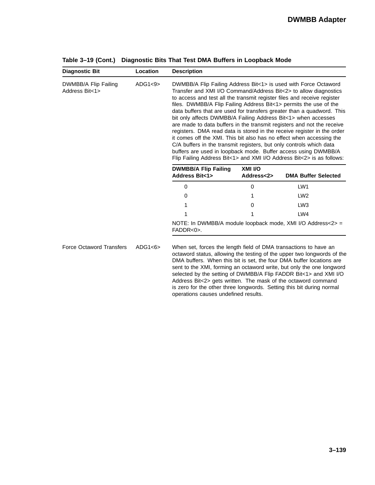| <b>Diagnostic Bit</b>                  | Location | <b>Description</b>                                                                                                                                                                                                                                                                                                                                                                                                                                                                                                                                                                                                                                                                                                                                                                                                                                                            |                       |                                                                                                                                                                                                                                                                                              |  |  |
|----------------------------------------|----------|-------------------------------------------------------------------------------------------------------------------------------------------------------------------------------------------------------------------------------------------------------------------------------------------------------------------------------------------------------------------------------------------------------------------------------------------------------------------------------------------------------------------------------------------------------------------------------------------------------------------------------------------------------------------------------------------------------------------------------------------------------------------------------------------------------------------------------------------------------------------------------|-----------------------|----------------------------------------------------------------------------------------------------------------------------------------------------------------------------------------------------------------------------------------------------------------------------------------------|--|--|
| DWMBB/A Flip Failing<br>Address Bit<1> | ADG1<9>  | DWMBB/A Flip Failing Address Bit<1> is used with Force Octaword<br>Transfer and XMI I/O Command/Address Bit<2> to allow diagnostics<br>to access and test all the transmit register files and receive register<br>files. DWMBB/A Flip Failing Address Bit<1> permits the use of the<br>data buffers that are used for transfers greater than a quadword. This<br>bit only affects DWMBB/A Failing Address Bit<1> when accesses<br>are made to data buffers in the transmit registers and not the receive<br>registers. DMA read data is stored in the receive register in the order<br>it comes off the XMI. This bit also has no effect when accessing the<br>C/A buffers in the transmit registers, but only controls which data<br>buffers are used in loopback mode. Buffer access using DWMBB/A<br>Flip Failing Address Bit<1> and XMI I/O Address Bit<2> is as follows: |                       |                                                                                                                                                                                                                                                                                              |  |  |
|                                        |          | <b>DWMBB/A Flip Failing</b><br><b>Address Bit&lt;1&gt;</b>                                                                                                                                                                                                                                                                                                                                                                                                                                                                                                                                                                                                                                                                                                                                                                                                                    | XMI I/O<br>Address<2> | <b>DMA Buffer Selected</b>                                                                                                                                                                                                                                                                   |  |  |
|                                        |          | 0                                                                                                                                                                                                                                                                                                                                                                                                                                                                                                                                                                                                                                                                                                                                                                                                                                                                             | 0                     | LW <sub>1</sub>                                                                                                                                                                                                                                                                              |  |  |
|                                        |          | 0                                                                                                                                                                                                                                                                                                                                                                                                                                                                                                                                                                                                                                                                                                                                                                                                                                                                             |                       | LW <sub>2</sub>                                                                                                                                                                                                                                                                              |  |  |
|                                        |          | 1                                                                                                                                                                                                                                                                                                                                                                                                                                                                                                                                                                                                                                                                                                                                                                                                                                                                             | 0                     | LW <sub>3</sub>                                                                                                                                                                                                                                                                              |  |  |
|                                        |          | 1                                                                                                                                                                                                                                                                                                                                                                                                                                                                                                                                                                                                                                                                                                                                                                                                                                                                             |                       | LW4                                                                                                                                                                                                                                                                                          |  |  |
|                                        |          | NOTE: In DWMBB/A module loopback mode, XMI I/O Address<2> =<br>FADDR<0>.                                                                                                                                                                                                                                                                                                                                                                                                                                                                                                                                                                                                                                                                                                                                                                                                      |                       |                                                                                                                                                                                                                                                                                              |  |  |
| <b>Force Octaword Transfers</b>        | ADG1<6>  | When set, forces the length field of DMA transactions to have an                                                                                                                                                                                                                                                                                                                                                                                                                                                                                                                                                                                                                                                                                                                                                                                                              |                       | octaword status, allowing the testing of the upper two longwords of the<br>DMA buffers. When this bit is set, the four DMA buffer locations are<br>sent to the XMI, forming an octaword write, but only the one longword<br>selected by the setting of DWMBB/A Flip FADDR Bit<1> and XMI I/O |  |  |

operations causes undefined results.

Address Bit<2> gets written. The mask of the octaword command is zero for the other three longwords. Setting this bit during normal

**Table 3–19 (Cont.) Diagnostic Bits That Test DMA Buffers in Loopback Mode**

**3–139**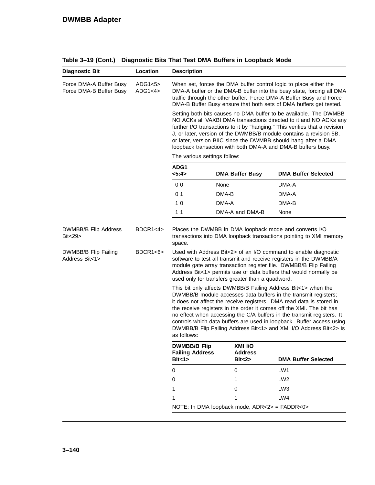|                                                    | Location           | <b>Description</b>                                                                                                                                                                                                                                                                                                                                                                                                                                                            |                           |                                                                                                                                                                                                                                                                                                                                                                                                                                                                                                          |  |  |  |
|----------------------------------------------------|--------------------|-------------------------------------------------------------------------------------------------------------------------------------------------------------------------------------------------------------------------------------------------------------------------------------------------------------------------------------------------------------------------------------------------------------------------------------------------------------------------------|---------------------------|----------------------------------------------------------------------------------------------------------------------------------------------------------------------------------------------------------------------------------------------------------------------------------------------------------------------------------------------------------------------------------------------------------------------------------------------------------------------------------------------------------|--|--|--|
| Force DMA-A Buffer Busy<br>Force DMA-B Buffer Busy | ADG1<5><br>ADG1<4> |                                                                                                                                                                                                                                                                                                                                                                                                                                                                               |                           | When set, forces the DMA buffer control logic to place either the<br>DMA-A buffer or the DMA-B buffer into the busy state, forcing all DMA<br>traffic through the other buffer. Force DMA-A Buffer Busy and Force<br>DMA-B Buffer Busy ensure that both sets of DMA buffers get tested.                                                                                                                                                                                                                  |  |  |  |
|                                                    |                    | Setting both bits causes no DMA buffer to be available. The DWMBB<br>NO ACKs all VAXBI DMA transactions directed to it and NO ACKs any<br>further I/O transactions to it by "hanging." This verifies that a revision<br>J, or later, version of the DWMBB/B module contains a revision 5B,<br>or later, version BIIC since the DWMBB should hang after a DMA<br>loopback transaction with both DMA-A and DMA-B buffers busy.                                                  |                           |                                                                                                                                                                                                                                                                                                                                                                                                                                                                                                          |  |  |  |
|                                                    |                    | The various settings follow:                                                                                                                                                                                                                                                                                                                                                                                                                                                  |                           |                                                                                                                                                                                                                                                                                                                                                                                                                                                                                                          |  |  |  |
|                                                    |                    | ADG1<br>5:4>                                                                                                                                                                                                                                                                                                                                                                                                                                                                  | <b>DMA Buffer Busy</b>    | <b>DMA Buffer Selected</b>                                                                                                                                                                                                                                                                                                                                                                                                                                                                               |  |  |  |
|                                                    |                    | 0 <sub>0</sub>                                                                                                                                                                                                                                                                                                                                                                                                                                                                | None                      | DMA-A                                                                                                                                                                                                                                                                                                                                                                                                                                                                                                    |  |  |  |
|                                                    |                    | 0 <sub>1</sub>                                                                                                                                                                                                                                                                                                                                                                                                                                                                | DMA-B                     | DMA-A                                                                                                                                                                                                                                                                                                                                                                                                                                                                                                    |  |  |  |
|                                                    |                    | 10                                                                                                                                                                                                                                                                                                                                                                                                                                                                            | DMA-A                     | DMA-B                                                                                                                                                                                                                                                                                                                                                                                                                                                                                                    |  |  |  |
|                                                    |                    | 1 <sub>1</sub>                                                                                                                                                                                                                                                                                                                                                                                                                                                                | DMA-A and DMA-B           | None                                                                                                                                                                                                                                                                                                                                                                                                                                                                                                     |  |  |  |
| Bit<29>                                            |                    | Places the DWMBB in DMA loopback mode and converts I/O<br>transactions into DMA loopback transactions pointing to XMI memory<br>space.<br>Used with Address Bit<2> of an I/O command to enable diagnostic<br>software to test all transmit and receive registers in the DWMBB/A<br>module gate array transaction register file. DWMBB/B Flip Failing<br>Address Bit<1> permits use of data buffers that would normally be<br>used only for transfers greater than a quadword. |                           |                                                                                                                                                                                                                                                                                                                                                                                                                                                                                                          |  |  |  |
| DWMBB/B Flip Failing<br>Address Bit<1>             | BDCR1<6>           |                                                                                                                                                                                                                                                                                                                                                                                                                                                                               |                           |                                                                                                                                                                                                                                                                                                                                                                                                                                                                                                          |  |  |  |
|                                                    |                    | as follows:                                                                                                                                                                                                                                                                                                                                                                                                                                                                   |                           | This bit only affects DWMBB/B Failing Address Bit<1> when the<br>DWMBB/B module accesses data buffers in the transmit registers;<br>it does not affect the receive registers. DMA read data is stored in<br>the receive registers in the order it comes off the XMI. The bit has<br>no effect when accessing the C/A buffers in the transmit registers. It<br>controls which data buffers are used in loopback. Buffer access using<br>DWMBB/B Flip Failing Address Bit<1> and XMI I/O Address Bit<2> is |  |  |  |
|                                                    |                    | <b>DWMBB/B Flip</b><br><b>Failing Address</b><br>Bit < 1>                                                                                                                                                                                                                                                                                                                                                                                                                     | XMI I/O<br><b>Address</b> |                                                                                                                                                                                                                                                                                                                                                                                                                                                                                                          |  |  |  |
|                                                    |                    |                                                                                                                                                                                                                                                                                                                                                                                                                                                                               | Bit < 2                   | <b>DMA Buffer Selected</b>                                                                                                                                                                                                                                                                                                                                                                                                                                                                               |  |  |  |
|                                                    |                    | 0                                                                                                                                                                                                                                                                                                                                                                                                                                                                             | 0                         | LW1                                                                                                                                                                                                                                                                                                                                                                                                                                                                                                      |  |  |  |
|                                                    |                    | 0<br>1                                                                                                                                                                                                                                                                                                                                                                                                                                                                        | 1                         | LW <sub>2</sub>                                                                                                                                                                                                                                                                                                                                                                                                                                                                                          |  |  |  |
|                                                    |                    |                                                                                                                                                                                                                                                                                                                                                                                                                                                                               | 0<br>1                    | LW <sub>3</sub><br>LW4                                                                                                                                                                                                                                                                                                                                                                                                                                                                                   |  |  |  |

**Table 3–19 (Cont.) Diagnostic Bits That Test DMA Buffers in Loopback Mode**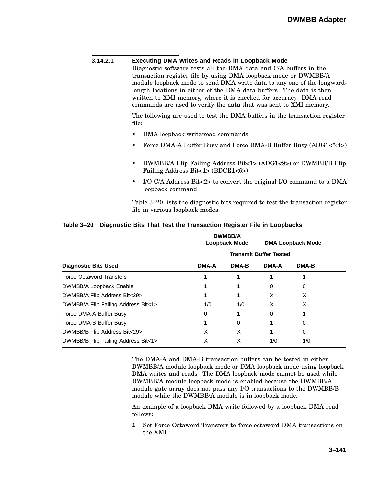### **3.14.2.1 Executing DMA Writes and Reads in Loopback Mode** Diagnostic software tests all the DMA data and C/A buffers in the transaction register file by using DMA loopback mode or DWMBB/A module loopback mode to send DMA write data to any one of the longwordlength locations in either of the DMA data buffers. The data is then written to XMI memory, where it is checked for accuracy. DMA read commands are used to verify the data that was sent to XMI memory. The following are used to test the DMA buffers in the transaction register file: • DMA loopback write/read commands • Force DMA-A Buffer Busy and Force DMA-B Buffer Busy (ADG1<5:4>) • DWMBB/A Flip Failing Address Bit<1> (ADG1<9>) or DWMBB/B Flip Failing Address Bit<1> (BDCR1<6>)

• I/O C/A Address Bit<2> to convert the original I/O command to a DMA loopback command

Table 3–20 lists the diagnostic bits required to test the transaction register file in various loopback modes.

|                                     | <b>DWMBB/A</b><br>Loopback Mode |       | <b>DMA Loopback Mode</b> |       |  |
|-------------------------------------|---------------------------------|-------|--------------------------|-------|--|
|                                     | <b>Transmit Buffer Tested</b>   |       |                          |       |  |
| <b>Diagnostic Bits Used</b>         | <b>DMA-A</b>                    | DMA-B | <b>DMA-A</b>             | DMA-B |  |
| <b>Force Octaword Transfers</b>     |                                 |       |                          |       |  |
| DWMBB/A Loopback Enable             |                                 |       | Ω                        | 0     |  |
| DWMBB/A Flip Address Bit<29>        |                                 |       | X                        | X     |  |
| DWMBB/A Flip Failing Address Bit<1> | 1/0                             | 1/0   | X                        | X     |  |
| Force DMA-A Buffer Busy             | 0                               |       | 0                        |       |  |
| Force DMA-B Buffer Busy             |                                 | 0     |                          | 0     |  |
| DWMBB/B Flip Address Bit<29>        | X                               | X     |                          | 0     |  |
| DWMBB/B Flip Failing Address Bit<1> | х                               | X     | 1/0                      | 1/0   |  |

#### **Table 3–20 Diagnostic Bits That Test the Transaction Register File in Loopbacks**

The DMA-A and DMA-B transaction buffers can be tested in either DWMBB/A module loopback mode or DMA loopback mode using loopback DMA writes and reads. The DMA loopback mode cannot be used while DWMBB/A module loopback mode is enabled because the DWMBB/A module gate array does not pass any I/O transactions to the DWMBB/B module while the DWMBB/A module is in loopback mode.

An example of a loopback DMA write followed by a loopback DMA read follows:

**1** Set Force Octaword Transfers to force octaword DMA transactions on the XMI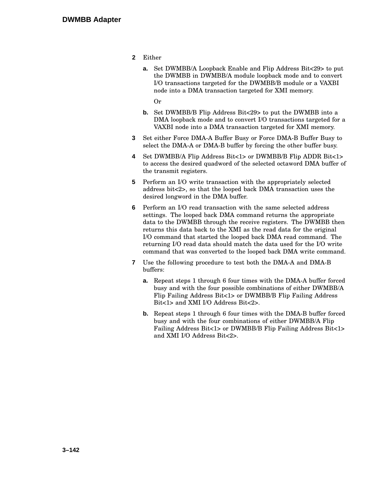- **2** Either
	- **a.** Set DWMBB/A Loopback Enable and Flip Address Bit<29> to put the DWMBB in DWMBB/A module loopback mode and to convert I/O transactions targeted for the DWMBB/B module or a VAXBI node into a DMA transaction targeted for XMI memory.
		- Or
	- **b.** Set DWMBB/B Flip Address Bit<29> to put the DWMBB into a DMA loopback mode and to convert I/O transactions targeted for a VAXBI node into a DMA transaction targeted for XMI memory.
- **3** Set either Force DMA-A Buffer Busy or Force DMA-B Buffer Busy to select the DMA-A or DMA-B buffer by forcing the other buffer busy.
- **4** Set DWMBB/A Flip Address Bit<1> or DWMBB/B Flip ADDR Bit<1> to access the desired quadword of the selected octaword DMA buffer of the transmit registers.
- **5** Perform an I/O write transaction with the appropriately selected address bit<2>, so that the looped back DMA transaction uses the desired longword in the DMA buffer.
- **6** Perform an I/O read transaction with the same selected address settings. The looped back DMA command returns the appropriate data to the DWMBB through the receive registers. The DWMBB then returns this data back to the XMI as the read data for the original I/O command that started the looped back DMA read command. The returning I/O read data should match the data used for the I/O write command that was converted to the looped back DMA write command.
- **7** Use the following procedure to test both the DMA-A and DMA-B buffers:
	- **a.** Repeat steps 1 through 6 four times with the DMA-A buffer forced busy and with the four possible combinations of either DWMBB/A Flip Failing Address Bit<1> or DWMBB/B Flip Failing Address Bit<1> and XMI I/O Address Bit<2>.
	- **b.** Repeat steps 1 through 6 four times with the DMA-B buffer forced busy and with the four combinations of either DWMBB/A Flip Failing Address Bit<1> or DWMBB/B Flip Failing Address Bit<1> and XMI I/O Address Bit<2>.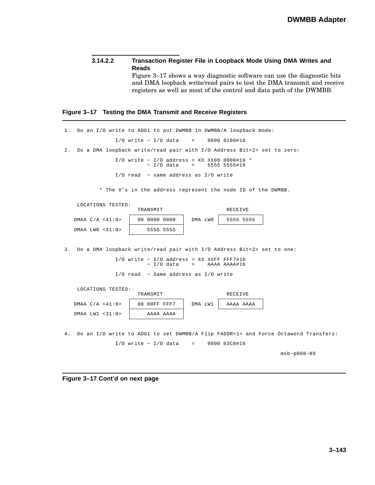**3.14.2.2 Transaction Register File in Loopback Mode Using DMA Writes and Reads** Figure 3–17 shows a way diagnostic software can use the diagnostic bits and DMA loopback write/read pairs to test the DMA transmit and receive registers as well as most of the control and data path of the DWMBB.

#### **Figure 3–17 Testing the DMA Transmit and Receive Registers**

| 1. | Do an I/O write to ADG1 to put DWMBB in DWMBB/A loopback mode:                         |
|----|----------------------------------------------------------------------------------------|
|    | $I/O$ write - $I/O$ data<br>$\equiv 1.000$ .<br>0000 0180#16                           |
| 2. | Do a DMA loopback write/read pair with I/O Address Bit<2> set to zero:                 |
|    | $I/O$ write - $I/O$ address = XX XX00 0000#16 *<br>$-$ I/O data<br>5555 5555#16<br>$=$ |
|    | $I/O$ read $-$ same address as $I/O$ write                                             |
|    | * The X's in the address represent the node ID of the DWMBB.                           |
|    | LOCATIONS TESTED:<br>TRANSMIT<br>RECEIVE                                               |
|    | 00 0000 0000<br>5555 5555<br>DMAA $C/A < 41:0>$<br>DMA LWO                             |
|    | $DMAA$ $LWO$ <31:0><br>5555 5555                                                       |
| 3. | Do a DMA loopback write/read pair with I/O Address Bit<2> set to one:                  |
|    | $I/O$ write - $I/O$ address = XX XXFF FFF7#16<br>- I/O data<br>AAAA AAAA#16<br>$=$     |
|    | I/O read - Same address as I/O write                                                   |
|    | LOCATIONS TESTED:<br>TRANSMIT<br>RECEIVE                                               |
|    | DMAA $C/A < 41:0>$<br>00 OOFF FFF7<br>DMA LW1<br>AAAA AAAA                             |
|    | $DMAA$ LW1 <31:0><br>AAAA AAAA                                                         |
|    |                                                                                        |
| 4. | Do an I/O write to ADG1 to set DWMBB/A Flip FADDR<1> and Force Octaword Transfers:     |
|    | $I/O$ write - $I/O$ data<br>0000 03C0#16<br>$\equiv$ 100 $\pm$                         |
|    | $msb-p098-89$                                                                          |

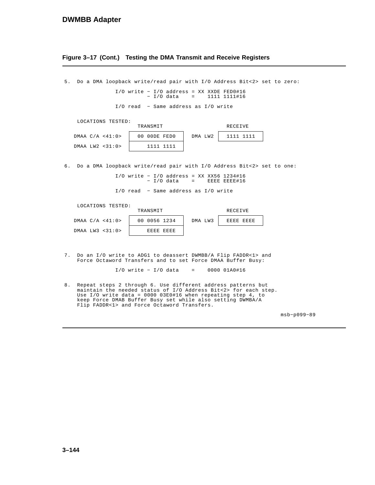#### **DWMBB Adapter**

**Figure 3–17 (Cont.) Testing the DMA Transmit and Receive Registers**

5. Do a DMA loopback write/read pair with I/O Address Bit<2> set to zero: I/O write − I/O address = XX XXDE FED0#16 − I/O data = 1111 1111#16

I/O read − Same address as I/O write

| LOCATIONS TESTED: |  |
|-------------------|--|
|                   |  |

|                 | TRANSMIT     |         | RECEIVE      |
|-----------------|--------------|---------|--------------|
| DMAA C/A <41:0> | 00 OODE FEDO | DMA LW2 | 1111<br>1111 |
| DMAA LW2 <31:0> | 1111<br>1111 |         |              |

6. Do a DMA loopback write/read pair with I/O Address Bit<2> set to one:

EEEE EEEE#16 I/O write - I/O address = XX XX56 1234#16  $=$ − I/O data

I/O read − Same address as I/O write

LOCATIONS TESTED:

|  | DMAA $C/A < 41:0>$ |
|--|--------------------|
|  | DMAA LW3 $<31:0>$  |

| TRANSMIT     |           |         | RECEIVE |           |
|--------------|-----------|---------|---------|-----------|
| 00 0056 1234 |           | DMA LW3 |         | 充民民民 定民民民 |
|              | 充填定位 克瓦瓦瓦 |         |         |           |

7. Do an I/O write to ADG1 to deassert DWMBB/A Flip FADDR<1> and Force Octaword Transfers and to set Force DMAA Buffer Busy:

> 0000 01A0#16 I/O write − I/O data =

8. Repeat steps 2 through 6. Use different address patterns but Use  $I/O$  write data =  $0000003E0#16$  when repeating step 4, to maintain the needed status of I/O Address Bit<2> for each step. keep Force DMAB Buffer Busy set while also setting DWMBA/A Flip FADDR<1> and Force Octaword Transfers.

msb−p099−89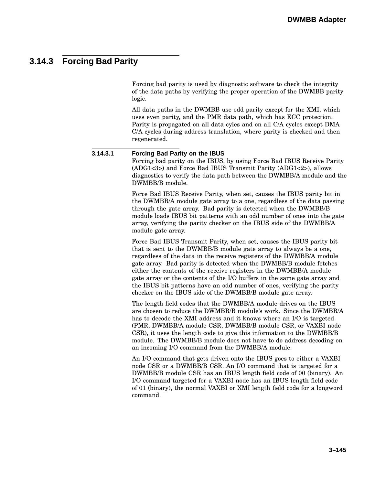### **3.14.3 Forcing Bad Parity**

Forcing bad parity is used by diagnostic software to check the integrity of the data paths by verifying the proper operation of the DWMBB parity logic.

All data paths in the DWMBB use odd parity except for the XMI, which uses even parity, and the PMR data path, which has ECC protection. Parity is propagated on all data cyles and on all C/A cycles except DMA C/A cycles during address translation, where parity is checked and then regenerated.

**3.14.3.1 Forcing Bad Parity on the IBUS** Forcing bad parity on the IBUS, by using Force Bad IBUS Receive Parity (ADG1<3>) and Force Bad IBUS Transmit Parity (ADG1<2>), allows diagnostics to verify the data path between the DWMBB/A module and the DWMBB/B module. Force Bad IBUS Receive Parity, when set, causes the IBUS parity bit in the DWMBB/A module gate array to a one, regardless of the data passing through the gate array. Bad parity is detected when the DWMBB/B module loads IBUS bit patterns with an odd number of ones into the gate array, verifying the parity checker on the IBUS side of the DWMBB/A module gate array. Force Bad IBUS Transmit Parity, when set, causes the IBUS parity bit that is sent to the DWMBB/B module gate array to always be a one, regardless of the data in the receive registers of the DWMBB/A module gate array. Bad parity is detected when the DWMBB/B module fetches either the contents of the receive registers in the DWMBB/A module gate array or the contents of the I/O buffers in the same gate array and the IBUS bit patterns have an odd number of ones, verifying the parity checker on the IBUS side of the DWMBB/B module gate array. The length field codes that the DWMBB/A module drives on the IBUS are chosen to reduce the DWMBB/B module's work. Since the DWMBB/A has to decode the XMI address and it knows where an I/O is targeted (PMR, DWMBB/A module CSR, DWMBB/B module CSR, or VAXBI node CSR), it uses the length code to give this information to the DWMBB/B module. The DWMBB/B module does not have to do address decoding on an incoming I/O command from the DWMBB/A module. An I/O command that gets driven onto the IBUS goes to either a VAXBI node CSR or a DWMBB/B CSR. An I/O command that is targeted for a DWMBB/B module CSR has an IBUS length field code of 00 (binary). An I/O command targeted for a VAXBI node has an IBUS length field code of 01 (binary), the normal VAXBI or XMI length field code for a longword

command.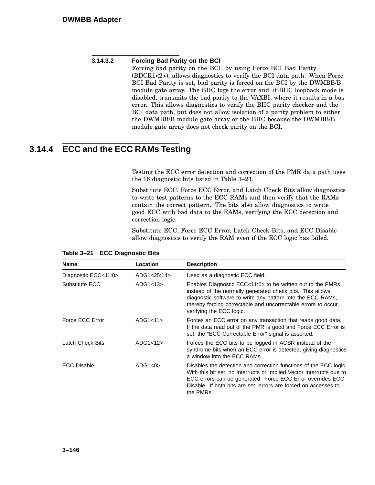**3.14.3.2 Forcing Bad Parity on the BCI** Forcing bad parity on the BCI, by using Force BCI Bad Parity (BDCR1<2>), allows diagnostics to verify the BCI data path. When Force BCI Bad Parity is set, bad parity is forced on the BCI by the DWMBB/B module gate array. The BIIC logs the error and, if BIIC loopback mode is disabled, transmits the bad parity to the VAXBI, where it results in a bus error. This allows diagnostics to verify the BIIC parity checker and the BCI data path, but does not allow isolation of a parity problem to either the DWMBB/B module gate array or the BIIC because the DWMBB/B module gate array does not check parity on the BCI.

## **3.14.4 ECC and the ECC RAMs Testing**

Testing the ECC error detection and correction of the PMR data path uses the 16 diagnostic bits listed in Table 3–21.

Substitute ECC, Force ECC Error, and Latch Check Bits allow diagnostics to write test patterns to the ECC RAMs and then verify that the RAMs contain the correct pattern. The bits also allow diagnostics to write good ECC with bad data to the RAMs, verifying the ECC detection and correction logic.

Substitute ECC, Force ECC Error, Latch Check Bits, and ECC Disable allow diagnostics to verify the RAM even if the ECC logic has failed.

| <b>Name</b>          | Location    | <b>Description</b>                                                                                                                                                                                                                                                                      |
|----------------------|-------------|-----------------------------------------------------------------------------------------------------------------------------------------------------------------------------------------------------------------------------------------------------------------------------------------|
| Diagnostic ECC<11:0> | ADG1<25:14> | Used as a diagnostic ECC field.                                                                                                                                                                                                                                                         |
| Substitute ECC       | ADG1<13>    | Enables Diagnostic ECC<11:0> to be written out to the PMRs<br>instead of the normally generated check bits. This allows<br>diagnostic software to write any pattern into the ECC RAMs,<br>thereby forcing correctable and uncorrectable errors to occur,<br>verifying the ECC logic.    |
| Force ECC Error      | ADG1<11     | Forces an ECC error on any transaction that reads good data.<br>If the data read out of the PMR is good and Force ECC Error is<br>set, the "ECC Correctable Error" signal is asserted.                                                                                                  |
| Latch Check Bits     | ADG1<12     | Forces the ECC bits to be logged in ACSR instead of the<br>syndrome bits when an ECC error is detected, giving diagnostics<br>a window into the ECC RAMs.                                                                                                                               |
| <b>ECC Disable</b>   | ADG1<0>     | Disables the detection and correction functions of the ECC logic.<br>With this bit set, no Interrupts or Implied Vector Interrupts due to<br>ECC errors can be generated. Force ECC Error overrides ECC<br>Disable. If both bits are set, errors are forced on accesses to<br>the PMRs. |

|  | Table 3-21 ECC Diagnostic Bits |  |
|--|--------------------------------|--|
|--|--------------------------------|--|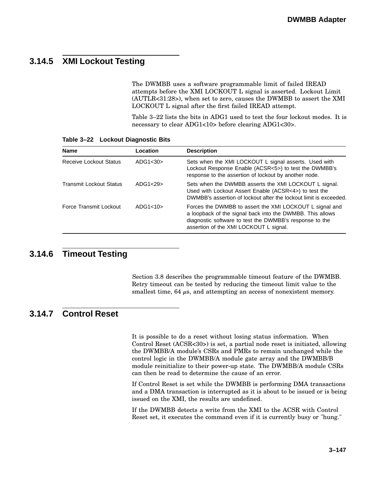## **3.14.5 XMI Lockout Testing**

The DWMBB uses a software programmable limit of failed IREAD attempts before the XMI LOCKOUT L signal is asserted. Lockout Limit (AUTLR<31:28>), when set to zero, causes the DWMBB to assert the XMI LOCKOUT L signal after the first failed IREAD attempt.

Table 3–22 lists the bits in ADG1 used to test the four lockout modes. It is necessary to clear ADG1<10> before clearing ADG1<30>.

| <b>Name</b>             | Location  | <b>Description</b>                                                                                                                                                                                                        |
|-------------------------|-----------|---------------------------------------------------------------------------------------------------------------------------------------------------------------------------------------------------------------------------|
| Receive Lockout Status  | ADG1 $30$ | Sets when the XMI LOCKOUT L signal asserts. Used with<br>Lockout Response Enable (ACSR<5>) to test the DWMBB's<br>response to the assertion of lockout by another node.                                                   |
| Transmit Lockout Status | ADG1<29   | Sets when the DWMBB asserts the XMI LOCKOUT L signal.<br>Used with Lockout Assert Enable (ACSR<4>) to test the<br>DWMBB's assertion of lockout after the lockout limit is exceeded.                                       |
| Force Transmit Lockout  | ADG1<10>  | Forces the DWMBB to assert the XMI LOCKOUT L signal and<br>a loopback of the signal back into the DWMBB. This allows<br>diagnostic software to test the DWMBB's response to the<br>assertion of the XMI LOCKOUT L signal. |

#### **Table 3–22 Lockout Diagnostic Bits**

### **3.14.6 Timeout Testing**

Section 3.8 describes the programmable timeout feature of the DWMBB. Retry timeout can be tested by reducing the timeout limit value to the smallest time, 64  $\mu$ s, and attempting an access of nonexistent memory.

### **3.14.7 Control Reset**

It is possible to do a reset without losing status information. When Control Reset (ACSR<30>) is set, a partial node reset is initiated, allowing the DWMBB/A module's CSRs and PMRs to remain unchanged while the control logic in the DWMBB/A module gate array and the DWMBB/B module reinitialize to their power-up state. The DWMBB/A module CSRs can then be read to determine the cause of an error.

If Control Reset is set while the DWMBB is performing DMA transactions and a DMA transaction is interrupted as it is about to be issued or is being issued on the XMI, the results are undefined.

If the DWMBB detects a write from the XMI to the ACSR with Control Reset set, it executes the command even if it is currently busy or "hung."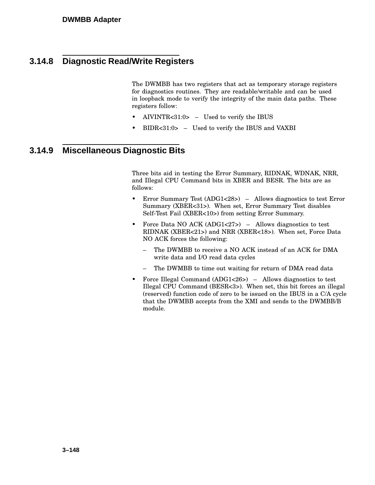### **3.14.8 Diagnostic Read/Write Registers**

The DWMBB has two registers that act as temporary storage registers for diagnostics routines. They are readable/writable and can be used in loopback mode to verify the integrity of the main data paths. These registers follow:

- AIVINTR<31:0> Used to verify the IBUS
- BIDR<31:0> Used to verify the IBUS and VAXBI

#### **3.14.9 Miscellaneous Diagnostic Bits**

Three bits aid in testing the Error Summary, RIDNAK, WDNAK, NRR, and Illegal CPU Command bits in XBER and BESR. The bits are as follows:

- Error Summary Test (ADG1<28>) Allows diagnostics to test Error Summary (XBER<31>). When set, Error Summary Test disables Self-Test Fail (XBER<10>) from setting Error Summary.
- Force Data NO ACK (ADG1<27>) Allows diagnostics to test RIDNAK (XBER<21>) and NRR (XBER<18>). When set, Force Data NO ACK forces the following:
	- The DWMBB to receive a NO ACK instead of an ACK for DMA write data and I/O read data cycles
	- The DWMBB to time out waiting for return of DMA read data
- Force Illegal Command (ADG1<26>) Allows diagnostics to test Illegal CPU Command (BESR<3>). When set, this bit forces an illegal (reserved) function code of zero to be issued on the IBUS in a C/A cycle that the DWMBB accepts from the XMI and sends to the DWMBB/B module.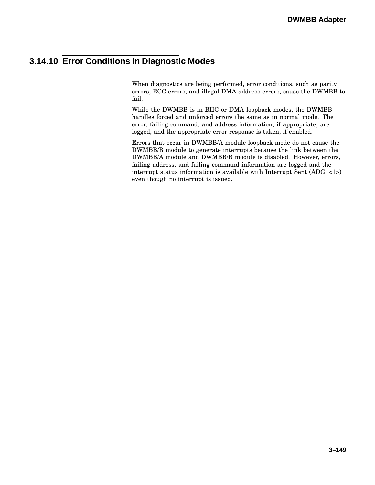### **3.14.10 Error Conditions in Diagnostic Modes**

When diagnostics are being performed, error conditions, such as parity errors, ECC errors, and illegal DMA address errors, cause the DWMBB to fail.

While the DWMBB is in BIIC or DMA loopback modes, the DWMBB handles forced and unforced errors the same as in normal mode. The error, failing command, and address information, if appropriate, are logged, and the appropriate error response is taken, if enabled.

Errors that occur in DWMBB/A module loopback mode do not cause the DWMBB/B module to generate interrupts because the link between the DWMBB/A module and DWMBB/B module is disabled. However, errors, failing address, and failing command information are logged and the interrupt status information is available with Interrupt Sent (ADG1<1>) even though no interrupt is issued.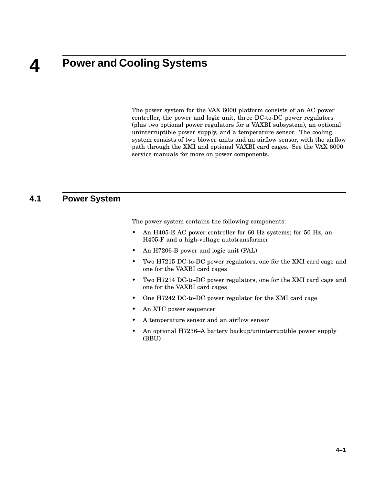#### **4 Power and Cooling Systems**

The power system for the VAX 6000 platform consists of an AC power controller, the power and logic unit, three DC-to-DC power regulators (plus two optional power regulators for a VAXBI subsystem), an optional uninterruptible power supply, and a temperature sensor. The cooling system consists of two blower units and an airflow sensor, with the airflow path through the XMI and optional VAXBI card cages. See the VAX 6000 service manuals for more on power components.

#### **4.1 Power System**

The power system contains the following components:

- An H405-E AC power controller for 60 Hz systems; for 50 Hz, an H405-F and a high-voltage autotransformer
- An H7206-B power and logic unit (PAL)
- Two H7215 DC-to-DC power regulators, one for the XMI card cage and one for the VAXBI card cages
- Two H7214 DC-to-DC power regulators, one for the XMI card cage and one for the VAXBI card cages
- One H7242 DC-to-DC power regulator for the XMI card cage
- An XTC power sequencer
- A temperature sensor and an airflow sensor
- An optional H7236–A battery backup/uninterruptible power supply (BBU)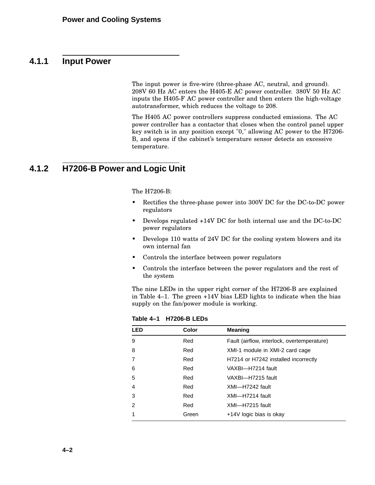#### **4.1.1 Input Power**

The input power is five-wire (three-phase AC, neutral, and ground). 208V 60 Hz AC enters the H405-E AC power controller. 380V 50 Hz AC inputs the H405-F AC power controller and then enters the high-voltage autotransformer, which reduces the voltage to 208.

The H405 AC power controllers suppress conducted emissions. The AC power controller has a contactor that closes when the control panel upper key switch is in any position except "0," allowing AC power to the H7206- B, and opens if the cabinet's temperature sensor detects an excessive temperature.

#### **4.1.2 H7206-B Power and Logic Unit**

The H7206-B:

- Rectifies the three-phase power into 300V DC for the DC-to-DC power regulators
- Develops regulated +14V DC for both internal use and the DC-to-DC power regulators
- Develops 110 watts of 24V DC for the cooling system blowers and its own internal fan
- Controls the interface between power regulators
- Controls the interface between the power regulators and the rest of the system

The nine LEDs in the upper right corner of the H7206-B are explained in Table 4–1. The green +14V bias LED lights to indicate when the bias supply on the fan/power module is working.

| <b>LED</b> | <b>Color</b> | <b>Meaning</b>                              |
|------------|--------------|---------------------------------------------|
| 9          | Red          | Fault (airflow, interlock, overtemperature) |
| 8          | Red          | XMI-1 module in XMI-2 card cage             |
|            | Red          | H7214 or H7242 installed incorrectly        |
| 6          | Red          | VAXBI--H7214 fault                          |
| 5          | Red          | VAXBI--H7215 fault                          |
| 4          | Red          | XMI-H7242 fault                             |
| 3          | Red          | XMI-H7214 fault                             |
| 2          | Red          | XMI-H7215 fault                             |
|            | Green        | +14V logic bias is okay                     |

**Table 4–1 H7206-B LEDs**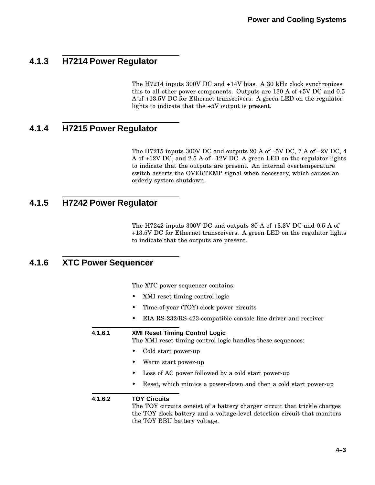### **4.1.3 H7214 Power Regulator**

The H7214 inputs 300V DC and +14V bias. A 30 kHz clock synchronizes this to all other power components. Outputs are 130 A of +5V DC and 0.5 A of +13.5V DC for Ethernet transceivers. A green LED on the regulator lights to indicate that the +5V output is present.

#### **4.1.4 H7215 Power Regulator**

The H7215 inputs 300V DC and outputs 20 A of –5V DC, 7 A of –2V DC, 4 A of +12V DC, and 2.5 A of –12V DC. A green LED on the regulator lights to indicate that the outputs are present. An internal overtemperature switch asserts the OVERTEMP signal when necessary, which causes an orderly system shutdown.

#### **4.1.5 H7242 Power Regulator**

The H7242 inputs 300V DC and outputs 80 A of +3.3V DC and 0.5 A of +13.5V DC for Ethernet transceivers. A green LED on the regulator lights to indicate that the outputs are present.

#### **4.1.6 XTC Power Sequencer**

The XTC power sequencer contains:

- XMI reset timing control logic
- Time-of-year (TOY) clock power circuits
- EIA RS-232/RS-423-compatible console line driver and receiver

**4.1.6.1 XMI Reset Timing Control Logic**

The XMI reset timing control logic handles these sequences:

- Cold start power-up
- Warm start power-up
- Loss of AC power followed by a cold start power-up
- Reset, which mimics a power-down and then a cold start power-up

#### **4.1.6.2 TOY Circuits**

The TOY circuits consist of a battery charger circuit that trickle charges the TOY clock battery and a voltage-level detection circuit that monitors the TOY BBU battery voltage.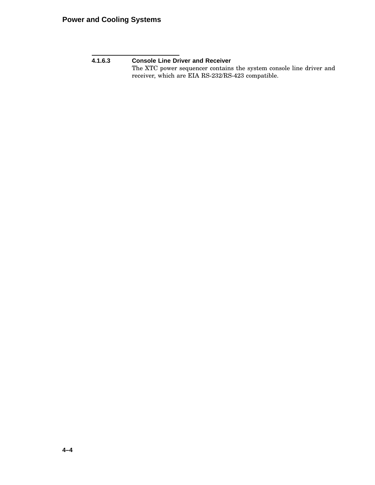**4.1.6.3 Console Line Driver and Receiver**

The XTC power sequencer contains the system console line driver and receiver, which are EIA RS-232/RS-423 compatible.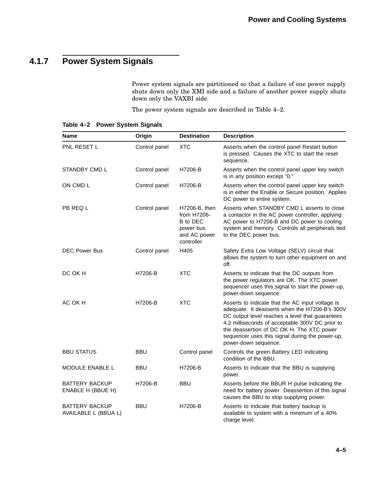## **4.1.7 Power System Signals**

Power system signals are partitioned so that a failure of one power supply shuts down only the XMI side and a failure of another power supply shuts down only the VAXBI side.

The power system signals are described in Table 4–2.

| <b>Name</b>                                   | Origin        | <b>Destination</b>                                                                  | <b>Description</b>                                                                                                                                                                                                                                                                                                               |
|-----------------------------------------------|---------------|-------------------------------------------------------------------------------------|----------------------------------------------------------------------------------------------------------------------------------------------------------------------------------------------------------------------------------------------------------------------------------------------------------------------------------|
| PNL RESET L                                   | Control panel | <b>XTC</b>                                                                          | Asserts when the control panel Restart button<br>is pressed. Causes the XTC to start the reset<br>sequence.                                                                                                                                                                                                                      |
| STANDBY CMD L                                 | Control panel | H7206-B                                                                             | Asserts when the control panel upper key switch<br>is in any position except "0."                                                                                                                                                                                                                                                |
| ON CMD L                                      | Control panel | H7206-B                                                                             | Asserts when the control panel upper key switch<br>is in either the Enable or Secure position. Applies<br>DC power to entire system.                                                                                                                                                                                             |
| PB REQ L                                      | Control panel | H7206-B, then<br>from H7206-<br>B to DEC<br>power bus<br>and AC power<br>controller | Asserts when STANDBY CMD L asserts to close<br>a contactor in the AC power controller, applying<br>AC power to H7206-B and DC power to cooling<br>system and memory. Controls all peripherals tied<br>to the DEC power bus.                                                                                                      |
| <b>DEC Power Bus</b>                          | Control panel | H405                                                                                | Safety Extra Low Voltage (SELV) circuit that<br>allows the system to turn other equipment on and<br>off.                                                                                                                                                                                                                         |
| DC OK H                                       | H7206-B       | <b>XTC</b>                                                                          | Asserts to indicate that the DC outputs from<br>the power regulators are OK. The XTC power<br>sequencer uses this signal to start the power-up,<br>power-down sequence.                                                                                                                                                          |
| AC OK H                                       | H7206-B       | <b>XTC</b>                                                                          | Asserts to indicate that the AC input voltage is<br>adequate. It deasserts when the H7206-B's 300V<br>DC output level reaches a level that guarantees<br>4.2 milliseconds of acceptable 300V DC prior to<br>the deassertion of DC OK H. The XTC power<br>sequencer uses this signal during the power-up,<br>power-down sequence. |
| <b>BBU STATUS</b>                             | BBU           | Control panel                                                                       | Controls the green Battery LED indicating<br>condition of the BBU.                                                                                                                                                                                                                                                               |
| MODULE ENABLE L                               | <b>BBU</b>    | H7206-B                                                                             | Asserts to indicate that the BBU is supplying<br>power.                                                                                                                                                                                                                                                                          |
| <b>BATTERY BACKUP</b><br>ENABLE H (BBUE H)    | H7206-B       | BBU                                                                                 | Asserts before the BBUR H pulse indicating the<br>need for battery power. Deassertion of this signal<br>causes the BBU to stop supplying power.                                                                                                                                                                                  |
| <b>BATTERY BACKUP</b><br>AVAILABLE L (BBUA L) | BBU           | H7206-B                                                                             | Asserts to indicate that battery backup is<br>available to system with a minimum of a 40%<br>charge level.                                                                                                                                                                                                                       |

#### **Table 4–2 Power System Signals**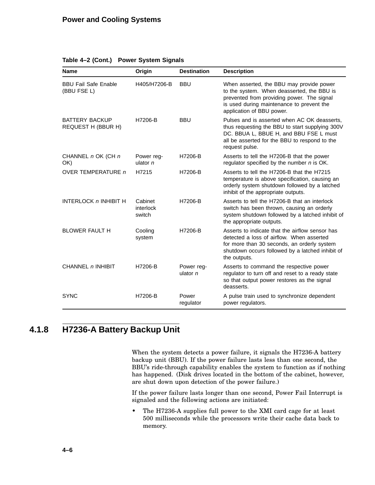| <b>Name</b>                                        | Origin                         | <b>Destination</b>       | <b>Description</b>                                                                                                                                                                                              |
|----------------------------------------------------|--------------------------------|--------------------------|-----------------------------------------------------------------------------------------------------------------------------------------------------------------------------------------------------------------|
| <b>BBU Fail Safe Enable</b><br>(BBU FSE L)         | H405/H7206-B                   | <b>BBU</b>               | When asserted, the BBU may provide power<br>to the system. When deasserted, the BBU is<br>prevented from providing power. The signal<br>is used during maintenance to prevent the<br>application of BBU power.  |
| <b>BATTERY BACKUP</b><br><b>REQUEST H (BBUR H)</b> | H7206-B                        | <b>BBU</b>               | Pulses and is asserted when AC OK deasserts.<br>thus requesting the BBU to start supplying 300V<br>DC. BBUA L, BBUE H, and BBU FSE L must<br>all be asserted for the BBU to respond to the<br>request pulse.    |
| CHANNEL n OK (CH n<br>OK)                          | Power reg-<br>ulator $n$       | H7206-B                  | Asserts to tell the H7206-B that the power<br>regulator specified by the number n is OK.                                                                                                                        |
| <b>OVER TEMPERATURE n</b>                          | H7215                          | H7206-B                  | Asserts to tell the H7206-B that the H7215<br>temperature is above specification, causing an<br>orderly system shutdown followed by a latched<br>inhibit of the appropriate outputs.                            |
| <b>INTERLOCK n INHIBIT H</b>                       | Cabinet<br>interlock<br>switch | H7206-B                  | Asserts to tell the H7206-B that an interlock<br>switch has been thrown, causing an orderly<br>system shutdown followed by a latched inhibit of<br>the appropriate outputs.                                     |
| <b>BLOWER FAULT H</b>                              | Cooling<br>system              | H7206-B                  | Asserts to indicate that the airflow sensor has<br>detected a loss of airflow. When asserted<br>for more than 30 seconds, an orderly system<br>shutdown occurs followed by a latched inhibit of<br>the outputs. |
| CHANNEL n INHIBIT                                  | H7206-B                        | Power reg-<br>ulator $n$ | Asserts to command the respective power<br>regulator to turn off and reset to a ready state<br>so that output power restores as the signal<br>deasserts.                                                        |
| <b>SYNC</b>                                        | H7206-B                        | Power<br>regulator       | A pulse train used to synchronize dependent<br>power regulators.                                                                                                                                                |

#### **Table 4–2 (Cont.) Power System Signals**

## **4.1.8 H7236-A Battery Backup Unit**

When the system detects a power failure, it signals the H7236-A battery backup unit (BBU). If the power failure lasts less than one second, the BBU's ride-through capability enables the system to function as if nothing has happened. (Disk drives located in the bottom of the cabinet, however, are shut down upon detection of the power failure.)

If the power failure lasts longer than one second, Power Fail Interrupt is signaled and the following actions are initiated:

• The H7236-A supplies full power to the XMI card cage for at least 500 milliseconds while the processors write their cache data back to memory.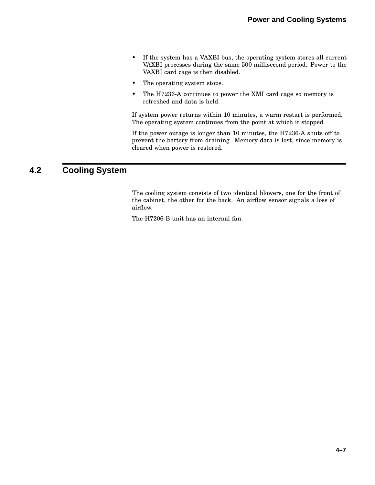- If the system has a VAXBI bus, the operating system stores all current VAXBI processes during the same 500 millisecond period. Power to the VAXBI card cage is then disabled.
- The operating system stops.
- The H7236-A continues to power the XMI card cage so memory is refreshed and data is held.

If system power returns within 10 minutes, a warm restart is performed. The operating system continues from the point at which it stopped.

If the power outage is longer than 10 minutes, the H7236-A shuts off to prevent the battery from draining. Memory data is lost, since memory is cleared when power is restored.

### **4.2 Cooling System**

The cooling system consists of two identical blowers, one for the front of the cabinet, the other for the back. An airflow sensor signals a loss of airflow.

The H7206-B unit has an internal fan.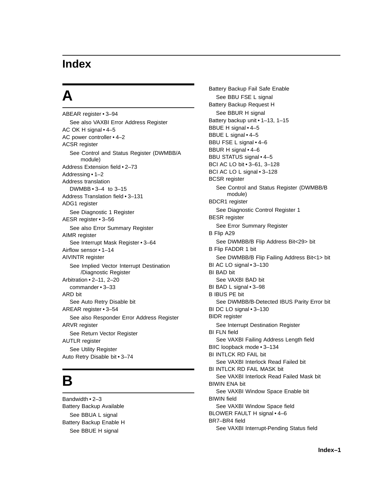## **Index**

# **A**

```
ABEAR register • 3–94
  See also VAXBI Error Address Register
AC OK H signal • 4–5
AC power controller • 4–2
ACSR register
  See Control and Status Register (DWMBB/A
       module)
Address Extension field • 2–73
Addressing • 1–2
Address translation
  DWMBB • 3–4 to 3–15
Address Translation field • 3–131
ADG1 register
  See Diagnostic 1 Register
AESR register • 3–56
  See also Error Summary Register
AIMR register
  See Interrupt Mask Register • 3–64
Airflow sensor • 1–14
AIVINTR register
  See Implied Vector Interrupt Destination
       /Diagnostic Register
Arbitration • 2–11, 2–20
  commander • 3–33
ARD bit
  See Auto Retry Disable bit
AREAR register • 3–54
  See also Responder Error Address Register
ARVR register
  See Return Vector Register
AUTLR register
  See Utility Register
Auto Retry Disable bit • 3–74
```
## **B**

Bandwidth • 2–3 Battery Backup Available See BBUA L signal Battery Backup Enable H See BBUE H signal

Battery Backup Fail Safe Enable See BBU FSE L signal Battery Backup Request H See BBUR H signal Battery backup unit • 1–13, 1–15 BBUE H signal • 4–5 BBUE L signal • 4–5 BBU FSE L signal • 4–6 BBUR H signal • 4–6 BBU STATUS signal • 4–5 BCI AC LO bit • 3–61, 3–128 BCI AC LO L signal • 3–128 BCSR register See Control and Status Register (DWMBB/B module) BDCR1 register See Diagnostic Control Register 1 BESR register See Error Summary Register B Flip A29 See DWMBB/B Flip Address Bit<29> bit B Flip FADDR 1 bit See DWMBB/B Flip Failing Address Bit<1> bit BI AC LO signal • 3–130 BI BAD bit See VAXBI BAD bit BI BAD L signal • 3–98 B IBUS PE bit See DWMBB/B-Detected IBUS Parity Error bit BI DC LO signal • 3–130 BIDR register See Interrupt Destination Register BI FLN field See VAXBI Failing Address Length field BIIC loopback mode • 3–134 BI INTLCK RD FAIL bit See VAXBI Interlock Read Failed bit BI INTLCK RD FAIL MASK bit See VAXBI Interlock Read Failed Mask bit BIWIN ENA bit See VAXBI Window Space Enable bit BIWIN field See VAXBI Window Space field BLOWER FAULT H signal • 4–6 BR7–BR4 field See VAXBI Interrupt-Pending Status field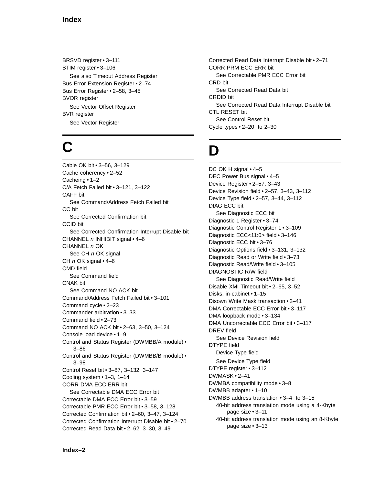#### **Index**

BRSVD register • 3–111 BTIM register • 3–106 See also Timeout Address Register Bus Error Extension Register • 2–74 Bus Error Register • 2–58, 3–45 BVOR register See Vector Offset Register BVR register See Vector Register

# **C**

Cable OK bit • 3–56, 3–129 Cache coherency • 2–52 Cacheing • 1–2 C/A Fetch Failed bit • 3–121, 3–122 CAFF bit See Command/Address Fetch Failed bit CC bit See Corrected Confirmation bit CCID bit See Corrected Confirmation Interrupt Disable bit CHANNEL  $n$  INHIBIT signal  $\cdot$  4–6 CHANNEL n OK See CH n OK signal CH  $n$  OK signal  $\cdot$  4–6 CMD field See Command field CNAK bit See Command NO ACK bit Command/Address Fetch Failed bit • 3–101 Command cycle • 2–23 Commander arbitration • 3–33 Command field • 2–73 Command NO ACK bit • 2–63, 3–50, 3–124 Console load device • 1–9 Control and Status Register (DWMBB/A module) • 3–86 Control and Status Register (DWMBB/B module) • 3–98 Control Reset bit • 3–87, 3–132, 3–147 Cooling system • 1–3, 1–14 CORR DMA ECC ERR bit See Correctable DMA ECC Error bit Correctable DMA ECC Error bit • 3–59 Correctable PMR ECC Error bit • 3–58, 3–128 Corrected Confirmation bit • 2–60, 3–47, 3–124 Corrected Confirmation Interrupt Disable bit • 2–70 Corrected Read Data bit • 2–62, 3–30, 3–49

Corrected Read Data Interrupt Disable bit • 2–71 CORR PRM ECC ERR bit See Correctable PMR ECC Error bit CRD bit See Corrected Read Data bit CRDID bit See Corrected Read Data Interrupt Disable bit CTL RESET bit See Control Reset bit Cycle types • 2–20 to 2–30

# **D**

DC OK H signal • 4-5 DEC Power Bus signal • 4–5 Device Register • 2–57, 3–43 Device Revision field • 2–57, 3–43, 3–112 Device Type field • 2–57, 3–44, 3–112 DIAG ECC bit See Diagnostic ECC bit Diagnostic 1 Register • 3–74 Diagnostic Control Register 1 • 3–109 Diagnostic ECC<11:0> field • 3–146 Diagnostic ECC bit • 3–76 Diagnostic Options field • 3–131, 3–132 Diagnostic Read or Write field • 3–73 Diagnostic Read/Write field • 3–105 DIAGNOSTIC R/W field See Diagnostic Read/Write field Disable XMI Timeout bit • 2–65, 3–52 Disks, in-cabinet • 1–15 Disown Write Mask transaction • 2–41 DMA Correctable ECC Error bit • 3–117 DMA loopback mode • 3–134 DMA Uncorrectable ECC Error bit • 3–117 DREV field See Device Revision field DTYPE field Device Type field See Device Type field DTYPE register • 3–112 DWMASK • 2–41 DWMBA compatibility mode • 3–8 DWMBB adapter • 1–10 DWMBB address translation • 3–4 to 3–15 40-bit address translation mode using a 4-Kbyte page size • 3–11 40-bit address translation mode using an 8-Kbyte

page size • 3–13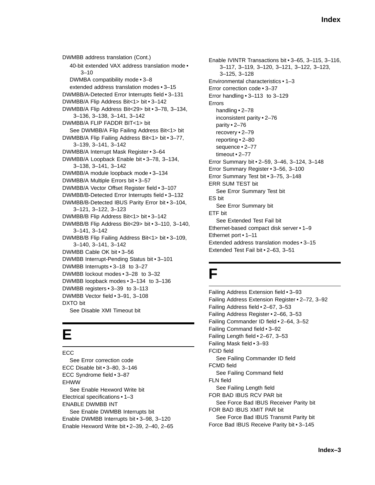DWMBB address translation (Cont.) 40-bit extended VAX address translation mode • 3–10 DWMBA compatibility mode • 3–8 extended address translation modes • 3–15 DWMBB/A-Detected Error Interrupts field • 3–131 DWMBB/A Flip Address Bit<1> bit • 3–142 DWMBB/A Flip Address Bit<29> bit • 3–78, 3–134, 3–136, 3–138, 3–141, 3–142 DWMBB/A FLIP FADDR BIT<1> bit See DWMBB/A Flip Failing Address Bit<1> bit DWMBB/A Flip Failing Address Bit<1> bit • 3–77, 3–139, 3–141, 3–142 DWMBB/A Interrupt Mask Register • 3–64 DWMBB/A Loopback Enable bit • 3–78, 3–134, 3–138, 3–141, 3–142 DWMBB/A module loopback mode • 3–134 DWMBB/A Multiple Errors bit • 3–57 DWMBB/A Vector Offset Register field • 3–107 DWMBB/B-Detected Error Interrupts field • 3–132 DWMBB/B-Detected IBUS Parity Error bit • 3–104, 3–121, 3–122, 3–123 DWMBB/B Flip Address Bit<1> bit • 3–142 DWMBB/B Flip Address Bit<29> bit • 3–110, 3–140, 3–141, 3–142 DWMBB/B Flip Failing Address Bit<1> bit • 3–109, 3–140, 3–141, 3–142 DWMBB Cable OK bit • 3–56 DWMBB Interrupt-Pending Status bit • 3–101 DWMBB Interrupts • 3–18 to 3–27 DWMBB lockout modes • 3–28 to 3–32 DWMBB loopback modes • 3–134 to 3–136 DWMBB registers • 3–39 to 3–113 DWMBB Vector field • 3–91, 3–108 DXTO bit See Disable XMI Timeout bit

# **E**

ECC See Error correction code ECC Disable bit • 3–80, 3–146 ECC Syndrome field • 3–87 **EHWW** See Enable Hexword Write bit Electrical specifications • 1–3 ENABLE DWMBB INT See Enable DWMBB Interrupts bit Enable DWMBB Interrupts bit • 3–98, 3–120 Enable Hexword Write bit • 2–39, 2–40, 2–65 Enable IVINTR Transactions bit • 3–65, 3–115, 3–116, 3–117, 3–119, 3–120, 3–121, 3–122, 3–123, 3–125, 3–128 Environmental characteristics • 1–3 Error correction code • 3–37 Error handling • 3–113 to 3–129 Errors handling • 2–78 inconsistent parity • 2–76 parity • 2–76 recovery • 2–79 reporting • 2–80 sequence • 2–77 timeout • 2–77 Error Summary bit • 2–59, 3–46, 3–124, 3–148 Error Summary Register • 3–56, 3–100 Error Summary Test bit • 3–75, 3–148 ERR SUM TEST bit See Error Summary Test bit ES bit See Error Summary bit ETF bit See Extended Test Fail bit Ethernet-based compact disk server • 1–9 Ethernet port • 1–11 Extended address translation modes • 3–15 Extended Test Fail bit • 2–63, 3–51

# **F**

Failing Address Extension field • 3–93 Failing Address Extension Register • 2–72, 3–92 Failing Address field • 2–67, 3–53 Failing Address Register • 2–66, 3–53 Failing Commander ID field • 2–64, 3–52 Failing Command field • 3–92 Failing Length field • 2–67, 3–53 Failing Mask field • 3–93 FCID field See Failing Commander ID field FCMD field See Failing Command field FLN field See Failing Length field FOR BAD IBUS RCV PAR bit See Force Bad IBUS Receiver Parity bit FOR BAD IBUS XMIT PAR bit See Force Bad IBUS Transmit Parity bit Force Bad IBUS Receive Parity bit • 3–145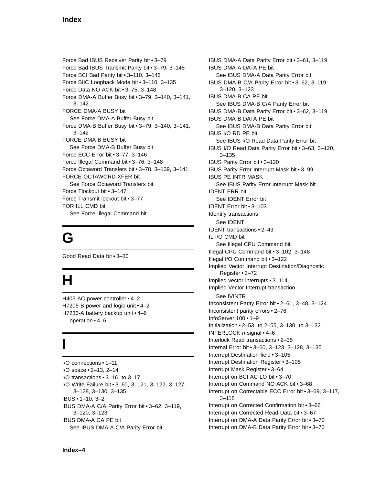Force Bad IBUS Receiver Parity bit • 3–79 Force Bad IBUS Transmit Parity bit • 3–79, 3–145 Force BCI Bad Parity bit • 3–110, 3–146 Force BIIC Loopback Mode bit • 3–110, 3–135 Force Data NO ACK bit • 3–75, 3–148 Force DMA-A Buffer Busy bit • 3–79, 3–140, 3–141, 3–142 FORCE DMA-A BUSY bit See Force DMA-A Buffer Busy bit Force DMA-B Buffer Busy bit • 3–79, 3–140, 3–141, 3–142 FORCE DMA-B BUSY bit See Force DMA-B Buffer Busy bit Force ECC Error bit • 3–77, 3–146 Force Illegal Command bit • 3–76, 3–148 Force Octaword Transfers bit • 3–78, 3–139, 3–141 FORCE OCTAWORD XFER bit See Force Octaword Transfers bit Force Tlockout bit • 3–147 Force Transmit lockout bit • 3–77 FOR ILL CMD bit See Force Illegal Command bit

# **G**

Good Read Data bit • 3–30

# **H**

H405 AC power controller • 4–2 H7206-B power and logic unit • 4–2 H7236-A battery backup unit • 4–6 operation • 4–6

# **I**

I/O connections • 1–11 I/O space • 2–13, 2–14 I/O transactions • 3–16 to 3–17 I/O Write Failure bit • 3–60, 3–121, 3–122, 3–127, 3–128, 3–130, 3–135 IBUS • 1–10, 3–2 IBUS DMA-A C/A Parity Error bit • 3–62, 3–119, 3–120, 3–123 IBUS DMA-A CA PE bit See IBUS DMA-A C/A Parity Error bit

IBUS DMA-A Data Parity Error bit • 3–61, 3–119 IBUS DMA-A DATA PE bit See IBUS DMA-A Data Parity Error bit IBUS DMA-B C/A Parity Error bit • 3–62, 3–119, 3–120, 3–123 IBUS DMA-B CA PE bit See IBUS DMA-B C/A Parity Error bit IBUS DMA-B Data Parity Error bit • 3–62, 3–119 IBUS DMA-B DATA PE bit See IBUS DMA-B Data Parity Error bit IBUS I/O RD PE bit See IBUS I/O Read Data Parity Error bit IBUS I/O Read Data Parity Error bit • 3–63, 3–120, 3–135 IBUS Parity Error bit • 3–120 IBUS Parity Error Interrupt Mask bit • 3–99 IBUS PE INTR MASK See IBUS Parity Error Interrupt Mask bit IDENT ERR bit See IDENT Error bit IDENT Error bit • 3–103 Identify transactions See IDENT IDENT transactions • 2–43 IL I/O CMD bit See Illegal CPU Command bit Illegal CPU Command bit • 3–102, 3–148 Illegal I/O Command bit • 3–122 Implied Vector Interrupt Destination/Diagnostic Register • 3–72 Implied vector interrupts • 3–114 Implied Vector Interrupt transaction See IVINTR Inconsistent Parity Error bit • 2–61, 3–48, 3–124 Inconsistent parity errors • 2–76 InfoServer 100 • 1–9 Initialization • 2–53 to 2–55, 3–130 to 3–132 INTERLOCK  $n$  signal  $\cdot$  4–6 Interlock Read transactions • 2–35 Internal Error bit • 3–60, 3–123, 3–128, 3–135 Interrupt Destination field • 3–105 Interrupt Destination Register • 3–105 Interrupt Mask Register • 3–64 Interrupt on BCI AC LO bit • 3–70 Interrupt on Command NO ACK bit • 3–68 Interrupt on Correctable ECC Error bit • 3–69, 3–117, 3–118 Interrupt on Corrected Confirmation bit • 3–66 Interrupt on Corrected Read Data bit • 3–67 Interrupt on DMA-A Data Parity Error bit • 3–70 Interrupt on DMA-B Data Parity Error bit • 3–70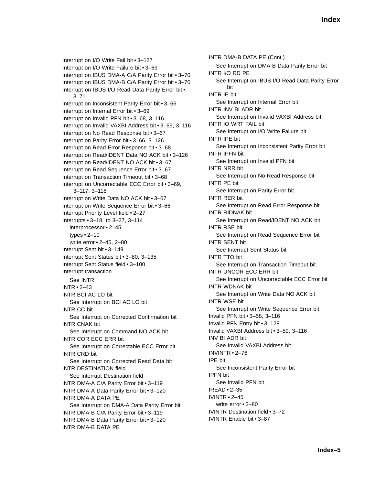Interrupt on I/O Write Fail bit • 3–127 Interrupt on I/O Write Failure bit • 3–69 Interrupt on IBUS DMA-A C/A Parity Error bit • 3–70 Interrupt on IBUS DMA-B C/A Parity Error bit • 3–70 Interrupt on IBUS I/O Read Data Parity Error bit • 3–71 Interrupt on Inconsistent Parity Error bit • 3–66 Interrupt on Internal Error bit • 3–69 Interrupt on Invalid PFN bit • 3–68, 3–116 Interrupt on Invalid VAXBI Address bit • 3–69, 3–116 Interrupt on No Read Response bit • 3–67 Interrupt on Parity Error bit • 3–66, 3–126 Interrupt on Read Error Response bit • 3–68 Interrupt on Read/IDENT Data NO ACK bit • 3–126 Interrupt on Read/IDENT NO ACK bit • 3–67 Interrupt on Read Sequence Error bit • 3–67 Interrupt on Transaction Timeout bit • 3–68 Interrupt on Uncorrectable ECC Error bit • 3–69, 3–117, 3–118 Interrupt on Write Data NO ACK bit • 3–67 Interrupt on Write Sequence Error bit • 3–66 Interrupt Priority Level field • 2–27 Interrupts • 3–18 to 3–27, 3–114 interprocessor • 2–45 types • 2–10 write error • 2–45, 2–80 Interrupt Sent bit • 3–149 Interrupt Sent Status bit • 3–80, 3–135 Interrupt Sent Status field • 3–100 Interrupt transaction See INTR INTR • 2–43 INTR BCI AC LO bit See Interrupt on BCI AC LO bit INTR CC bit See Interrupt on Corrected Confirmation bit INTR CNAK bit See Interrupt on Command NO ACK bit INTR COR ECC ERR bit See Interrupt on Correctable ECC Error bit INTR CRD bit See Interrupt on Corrected Read Data bit INTR DESTINATION field See Interrupt Destination field INTR DMA-A C/A Parity Error bit • 3–119 INTR DMA-A Data Parity Error bit • 3–120 INTR DMA-A DATA PE See Interrupt on DMA-A Data Parity Error bit INTR DMA-B C/A Parity Error bit • 3–119 INTR DMA-B Data Parity Error bit • 3–120 INTR DMA-B DATA PE

INTR DMA-B DATA PE (Cont.) See Interrupt on DMA-B Data Parity Error bit INTR I/O RD PE See Interrupt on IBUS I/O Read Data Parity Error bit INTR IE bit See Interrupt on Internal Error bit INTR INV BI ADR bit See Interrupt on Invalid VAXBI Address bit INTR IO WRT FAIL bit See Interrupt on I/O Write Failure bit INTR IPE bit See Interrupt on Inconsistent Parity Error bit INTR IPFN bit See Interrupt on Invalid PFN bit INTR NRR bit See Interrupt on No Read Response bit INTR PE bit See Interrupt on Parity Error bit INTR RER bit See Interrupt on Read Error Response bit INTR RIDNAK bit See Interrupt on Read/IDENT NO ACK bit INTR RSE bit See Interrupt on Read Sequence Error bit INTR SENT bit See Interrupt Sent Status bit INTR TTO bit See Interrupt on Transaction Timeout bit INTR UNCOR ECC ERR bit See Interrupt on Uncorrectable ECC Error bit INTR WDNAK bit See Interrupt on Write Data NO ACK bit INTR WSE bit See Interrupt on Write Sequence Error bit Invalid PFN bit • 3–58, 3–116 Invalid PFN Entry bit • 3–128 Invalid VAXBI Address bit • 3–59, 3–116 INV BI ADR bit See Invalid VAXBI Address bit INVINTR • 2–76 IPE bit See Inconsistent Parity Error bit IPFN bit See Invalid PFN bit IREAD • 2–35 IVINTR • 2–45 write error • 2–80 IVINTR Destination field • 3–72 IVINTR Enable bit • 3–87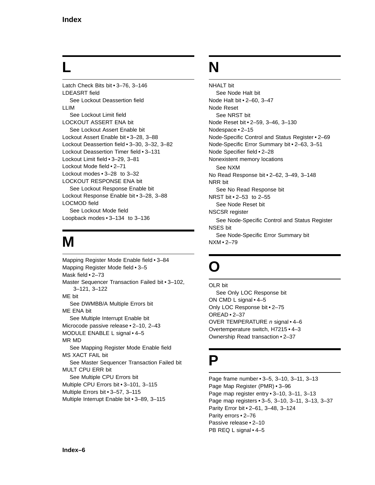# **L**

Latch Check Bits bit • 3–76, 3–146 LDEASRT field See Lockout Deassertion field LLIM See Lockout Limit field LOCKOUT ASSERT ENA bit See Lockout Assert Enable bit Lockout Assert Enable bit • 3–28, 3–88 Lockout Deassertion field • 3–30, 3–32, 3–82 Lockout Deassertion Timer field • 3–131 Lockout Limit field • 3–29, 3–81 Lockout Mode field • 2–71 Lockout modes • 3–28 to 3–32 LOCKOUT RESPONSE ENA bit See Lockout Response Enable bit Lockout Response Enable bit • 3–28, 3–88 LOCMOD field See Lockout Mode field Loopback modes • 3–134 to 3–136

# **M**

Mapping Register Mode Enable field • 3–84 Mapping Register Mode field • 3–5 Mask field • 2–73 Master Sequencer Transaction Failed bit • 3–102, 3–121, 3–122 ME bit See DWMBB/A Multiple Errors bit ME ENA bit See Multiple Interrupt Enable bit Microcode passive release • 2–10, 2–43 MODULE ENABLE L signal • 4–5 MR MD See Mapping Register Mode Enable field MS XACT FAIL bit See Master Sequencer Transaction Failed bit MULT CPU ERR bit See Multiple CPU Errors bit Multiple CPU Errors bit • 3–101, 3–115 Multiple Errors bit • 3–57, 3–115 Multiple Interrupt Enable bit • 3–89, 3–115

# **N**

NHALT bit See Node Halt bit Node Halt bit • 2–60, 3–47 Node Reset See NRST bit Node Reset bit • 2–59, 3–46, 3–130 Nodespace • 2–15 Node-Specific Control and Status Register • 2–69 Node-Specific Error Summary bit • 2–63, 3–51 Node Specifier field • 2–28 Nonexistent memory locations See NXM No Read Response bit • 2–62, 3–49, 3–148 NRR bit See No Read Response bit NRST bit • 2–53 to 2–55 See Node Reset bit NSCSR register See Node-Specific Control and Status Register NSES bit See Node-Specific Error Summary bit NXM • 2–79

# **O**

OLR bit See Only LOC Response bit ON CMD L signal • 4–5 Only LOC Response bit • 2–75 OREAD • 2–37 OVER TEMPERATURE n signal • 4-6 Overtemperature switch, H7215 • 4–3 Ownership Read transaction • 2–37

## **P**

Page frame number • 3–5, 3–10, 3–11, 3–13 Page Map Register (PMR) • 3–96 Page map register entry • 3–10, 3–11, 3–13 Page map registers • 3–5, 3–10, 3–11, 3–13, 3–37 Parity Error bit • 2–61, 3–48, 3–124 Parity errors • 2–76 Passive release • 2–10 PB REQ L signal • 4-5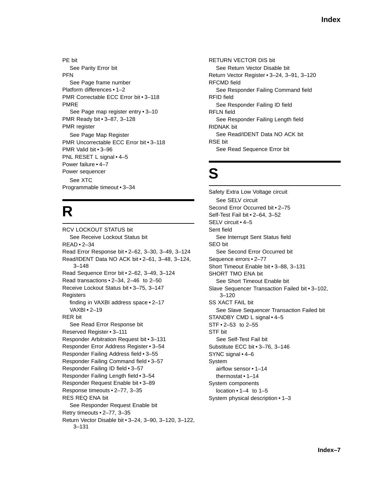PE bit See Parity Error bit PFN See Page frame number Platform differences • 1–2 PMR Correctable ECC Error bit • 3–118 PMRE See Page map register entry • 3–10 PMR Ready bit • 3–87, 3–128 PMR register See Page Map Register PMR Uncorrectable ECC Error bit • 3–118 PMR Valid bit • 3–96 PNL RESET L signal • 4-5 Power failure • 4–7 Power sequencer See XTC Programmable timeout • 3–34

# **R**

RCV LOCKOUT STATUS bit See Receive Lockout Status bit READ • 2–34 Read Error Response bit • 2–62, 3–30, 3–49, 3–124 Read/IDENT Data NO ACK bit • 2–61, 3–48, 3–124, 3–148 Read Sequence Error bit • 2–62, 3–49, 3–124 Read transactions • 2–34, 2–46 to 2–50 Receive Lockout Status bit • 3–75, 3–147 **Registers** finding in VAXBI address space • 2–17 VAXBI • 2–19 RER bit See Read Error Response bit Reserved Register • 3–111 Responder Arbitration Request bit • 3–131 Responder Error Address Register • 3–54 Responder Failing Address field • 3–55 Responder Failing Command field • 3–57 Responder Failing ID field • 3–57 Responder Failing Length field • 3–54 Responder Request Enable bit • 3–89 Response timeouts • 2–77, 3–35 RES REQ ENA bit See Responder Request Enable bit Retry timeouts • 2–77, 3–35 Return Vector Disable bit • 3–24, 3–90, 3–120, 3–122, 3–131

RETURN VECTOR DIS bit See Return Vector Disable bit Return Vector Register • 3–24, 3–91, 3–120 RFCMD field See Responder Failing Command field RFID field See Responder Failing ID field RFLN field See Responder Failing Length field RIDNAK bit See Read/IDENT Data NO ACK bit RSE bit See Read Sequence Error bit

# **S**

Safety Extra Low Voltage circuit See SELV circuit Second Error Occurred bit • 2–75 Self-Test Fail bit • 2–64, 3–52 SELV circuit • 4–5 Sent field See Interrupt Sent Status field SEO bit See Second Error Occurred bit Sequence errors • 2–77 Short Timeout Enable bit • 3–88, 3–131 SHORT TMO ENA bit See Short Timeout Enable bit Slave Sequencer Transaction Failed bit • 3–102,  $3 - 120$ SS XACT FAIL bit See Slave Sequencer Transaction Failed bit STANDBY CMD L signal • 4–5 STF • 2–53 to 2–55 STF bit See Self-Test Fail bit Substitute ECC bit • 3–76, 3–146 SYNC signal • 4–6 System airflow sensor • 1–14 thermostat • 1–14 System components location • 1–4 to 1–5 System physical description • 1–3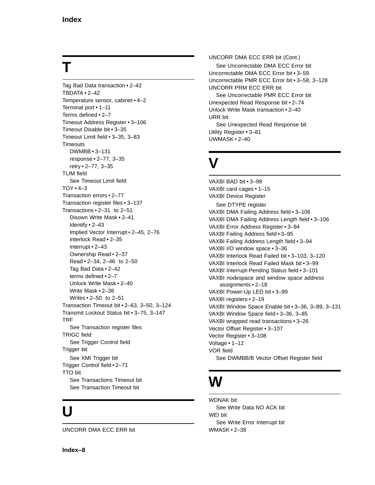# **T**

Tag Bad Data transaction • 2–42 TBDATA • 2–42 Temperature sensor, cabinet • 4–2 Terminal port • 1–11 Terms defined • 2–7 Timeout Address Register • 3–106 Timeout Disable bit • 3–35 Timeout Limit field • 3–35, 3–83 **Timeouts** DWMBB • 3–131 response • 2–77, 3–35 retry • 2–77, 3–35 TLIM field See Timeout Limit field  $TOY \cdot 4-3$ Transaction errors • 2–77 Transaction register files • 3–137 Transactions • 2–31 to 2–51 Disown Write Mask • 2–41 Identify • 2–43 Implied Vector Interrupt • 2–45, 2–76 Interlock Read • 2–35 Interrupt • 2–43 Ownership Read • 2–37 Read • 2–34, 2–46 to 2–50 Tag Bad Data • 2–42 terms defined • 2–7 Unlock Write Mask • 2–40 Write Mask • 2–38 Writes • 2–50 to 2–51 Transaction Timeout bit • 2–63, 3–50, 3–124 Transmit Lockout Status bit • 3–75, 3–147 TRF See Transaction register files TRIGC field See Trigger Control field Trigger bit See XMI Trigger bit Trigger Control field • 2–71 TTO bit See Transactions Timeout bit See Transaction Timeout bit

# **U**

UNCORR DMA ECC ERR bit

UNCORR DMA ECC ERR bit (Cont.) See Uncorrectable DMA ECC Error bit Uncorrectable DMA ECC Error bit • 3–59 Uncorrectable PMR ECC Error bit • 3–58, 3–128 UNCORR PRM ECC ERR bit See Uncorrectable PMR ECC Error bit Unexpected Read Response bit • 2–74 Unlock Write Mask transaction • 2–40 URR bit See Unexpected Read Response bit Utility Register • 3–81 UWMASK • 2–40

# **V**

VAXBI BAD bit • 3–98 VAXBI card cages • 1–15 VAXBI Device Register See DTYPE register VAXBI DMA Failing Address field • 3–106 VAXBI DMA Failing Address Length field • 3–106 VAXBI Error Address Register • 3–94 VAXBI Failing Address field • 3–95 VAXBI Failing Address Length field • 3–94 VAXBI I/O window space • 3–36 VAXBI Interlock Read Failed bit • 3–103, 3–120 VAXBI Interlock Read Failed Mask bit • 3–99 VAXBI Interrupt-Pending Status field • 3–101 VAXBI nodespace and window space address assignments • 2–18 VAXBI Power-Up LED bit • 3–99 VAXBI registers • 2–19 VAXBI Window Space Enable bit • 3–36, 3–89, 3–131 VAXBI Window Space field • 3–36, 3–85 VAXBI wrapped read transactions • 3–26 Vector Offset Register • 3–107 Vector Register • 3–108 Voltage • 1–12 VOR field See DWMBB/B Vector Offset Register field

# **W**

WDNAK bit See Write Data NO ACK bit WEI bit See Write Error Interrupt bit WMASK • 2–38